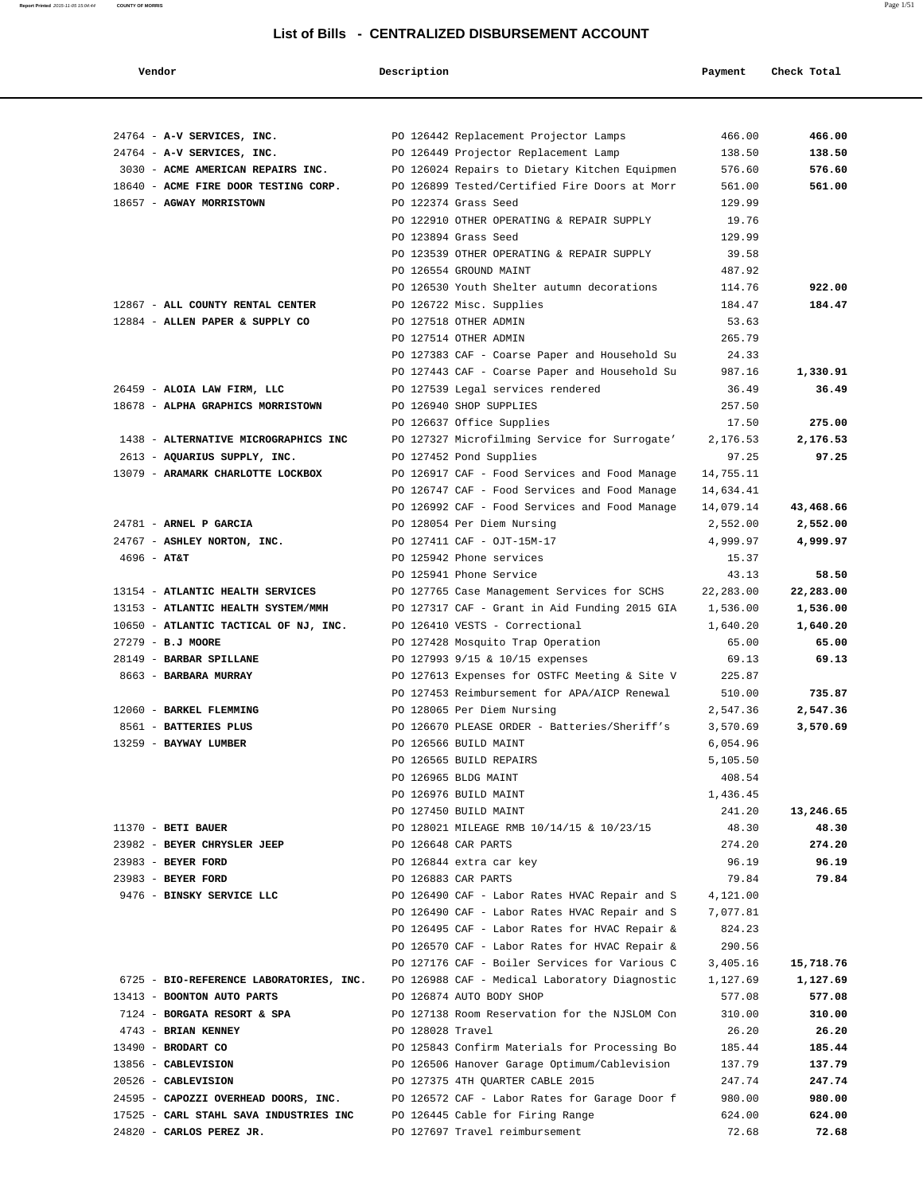| Vendor                                                                | Description      |                                                                                 | Payment           | Check Total        |
|-----------------------------------------------------------------------|------------------|---------------------------------------------------------------------------------|-------------------|--------------------|
|                                                                       |                  |                                                                                 |                   |                    |
|                                                                       |                  |                                                                                 |                   |                    |
| 24764 - A-V SERVICES, INC.<br>24764 - A-V SERVICES, INC.              |                  | PO 126442 Replacement Projector Lamps<br>PO 126449 Projector Replacement Lamp   | 466.00<br>138.50  | 466.00<br>138.50   |
| 3030 - ACME AMERICAN REPAIRS INC.                                     |                  | PO 126024 Repairs to Dietary Kitchen Equipmen                                   | 576.60            | 576.60             |
| 18640 - ACME FIRE DOOR TESTING CORP.                                  |                  | PO 126899 Tested/Certified Fire Doors at Morr                                   | 561.00            | 561.00             |
| 18657 - AGWAY MORRISTOWN                                              |                  | PO 122374 Grass Seed                                                            | 129.99            |                    |
|                                                                       |                  | PO 122910 OTHER OPERATING & REPAIR SUPPLY                                       | 19.76             |                    |
|                                                                       |                  | PO 123894 Grass Seed                                                            | 129.99            |                    |
|                                                                       |                  | PO 123539 OTHER OPERATING & REPAIR SUPPLY                                       | 39.58             |                    |
|                                                                       |                  | PO 126554 GROUND MAINT                                                          | 487.92            |                    |
|                                                                       |                  | PO 126530 Youth Shelter autumn decorations                                      | 114.76            | 922.00             |
| 12867 - ALL COUNTY RENTAL CENTER                                      |                  | PO 126722 Misc. Supplies                                                        | 184.47            | 184.47             |
| 12884 - ALLEN PAPER & SUPPLY CO                                       |                  | PO 127518 OTHER ADMIN                                                           | 53.63             |                    |
|                                                                       |                  | PO 127514 OTHER ADMIN                                                           | 265.79            |                    |
|                                                                       |                  | PO 127383 CAF - Coarse Paper and Household Su                                   | 24.33             |                    |
|                                                                       |                  | PO 127443 CAF - Coarse Paper and Household Su                                   | 987.16            | 1,330.91           |
| 26459 - ALOIA LAW FIRM, LLC                                           |                  | PO 127539 Legal services rendered                                               | 36.49             | 36.49              |
| 18678 - ALPHA GRAPHICS MORRISTOWN                                     |                  | PO 126940 SHOP SUPPLIES                                                         | 257.50            |                    |
|                                                                       |                  | PO 126637 Office Supplies                                                       | 17.50             | 275.00             |
| 1438 - ALTERNATIVE MICROGRAPHICS INC                                  |                  | PO 127327 Microfilming Service for Surrogate'                                   | 2,176.53          | 2,176.53           |
| 2613 - AQUARIUS SUPPLY, INC.                                          |                  | PO 127452 Pond Supplies                                                         | 97.25             | 97.25              |
| 13079 - ARAMARK CHARLOTTE LOCKBOX                                     |                  | PO 126917 CAF - Food Services and Food Manage                                   | 14,755.11         |                    |
|                                                                       |                  | PO 126747 CAF - Food Services and Food Manage                                   | 14,634.41         |                    |
|                                                                       |                  | PO 126992 CAF - Food Services and Food Manage                                   | 14,079.14         | 43,468.66          |
| 24781 - ARNEL P GARCIA                                                |                  | PO 128054 Per Diem Nursing                                                      | 2,552.00          | 2,552.00           |
| 24767 - ASHLEY NORTON, INC.                                           |                  | PO 127411 CAF - OJT-15M-17                                                      | 4,999.97          | 4,999.97           |
| $4696 - AT&T$                                                         |                  | PO 125942 Phone services                                                        | 15.37             |                    |
|                                                                       |                  | PO 125941 Phone Service                                                         | 43.13             | 58.50              |
| 13154 - ATLANTIC HEALTH SERVICES                                      |                  | PO 127765 Case Management Services for SCHS                                     | 22, 283.00        | 22,283.00          |
| 13153 - ATLANTIC HEALTH SYSTEM/MMH                                    |                  | PO 127317 CAF - Grant in Aid Funding 2015 GIA<br>PO 126410 VESTS - Correctional | 1,536.00          | 1,536.00           |
| 10650 - ATLANTIC TACTICAL OF NJ, INC.<br>27279 - B.J MOORE            |                  | PO 127428 Mosquito Trap Operation                                               | 1,640.20<br>65.00 | 1,640.20<br>65.00  |
| 28149 - BARBAR SPILLANE                                               |                  | PO 127993 9/15 & 10/15 expenses                                                 | 69.13             | 69.13              |
| 8663 - BARBARA MURRAY                                                 |                  | PO 127613 Expenses for OSTFC Meeting & Site V                                   | 225.87            |                    |
|                                                                       |                  | PO 127453 Reimbursement for APA/AICP Renewal                                    | 510.00            | 735.87             |
| 12060 - BARKEL FLEMMING                                               |                  | PO 128065 Per Diem Nursing                                                      | 2,547.36          | 2,547.36           |
| 8561 - BATTERIES PLUS                                                 |                  | PO 126670 PLEASE ORDER - Batteries/Sheriff's                                    | 3,570.69          | 3,570.69           |
| 13259 - BAYWAY LUMBER                                                 |                  | PO 126566 BUILD MAINT                                                           | 6,054.96          |                    |
|                                                                       |                  | PO 126565 BUILD REPAIRS                                                         | 5,105.50          |                    |
|                                                                       |                  | PO 126965 BLDG MAINT                                                            | 408.54            |                    |
|                                                                       |                  | PO 126976 BUILD MAINT                                                           | 1,436.45          |                    |
|                                                                       |                  | PO 127450 BUILD MAINT                                                           | 241.20            | 13,246.65          |
| $11370$ - BETI BAUER                                                  |                  | PO 128021 MILEAGE RMB 10/14/15 & 10/23/15                                       | 48.30             | 48.30              |
| 23982 - BEYER CHRYSLER JEEP                                           |                  | PO 126648 CAR PARTS                                                             | 274.20            | 274.20             |
| 23983 - BEYER FORD                                                    |                  | PO 126844 extra car key                                                         | 96.19             | 96.19              |
| 23983 - BEYER FORD                                                    |                  | PO 126883 CAR PARTS                                                             | 79.84             | 79.84              |
| 9476 - BINSKY SERVICE LLC                                             |                  | PO 126490 CAF - Labor Rates HVAC Repair and S                                   | 4,121.00          |                    |
|                                                                       |                  | PO 126490 CAF - Labor Rates HVAC Repair and S                                   | 7,077.81          |                    |
|                                                                       |                  | PO 126495 CAF - Labor Rates for HVAC Repair &                                   | 824.23            |                    |
|                                                                       |                  | PO 126570 CAF - Labor Rates for HVAC Repair &                                   | 290.56            |                    |
|                                                                       |                  | PO 127176 CAF - Boiler Services for Various C                                   | 3,405.16          | 15,718.76          |
| 6725 - BIO-REFERENCE LABORATORIES, INC.<br>13413 - BOONTON AUTO PARTS |                  | PO 126988 CAF - Medical Laboratory Diagnostic                                   | 1,127.69          | 1,127.69<br>577.08 |
| 7124 - BORGATA RESORT & SPA                                           |                  | PO 126874 AUTO BODY SHOP<br>PO 127138 Room Reservation for the NJSLOM Con       | 577.08<br>310.00  | 310.00             |
| 4743 - BRIAN KENNEY                                                   | PO 128028 Travel |                                                                                 | 26.20             | 26.20              |
| 13490 - BRODART CO                                                    |                  | PO 125843 Confirm Materials for Processing Bo                                   | 185.44            | 185.44             |
| 13856 - CABLEVISION                                                   |                  | PO 126506 Hanover Garage Optimum/Cablevision                                    | 137.79            | 137.79             |
| 20526 - CABLEVISION                                                   |                  | PO 127375 4TH QUARTER CABLE 2015                                                | 247.74            | 247.74             |
| 24595 - CAPOZZI OVERHEAD DOORS, INC.                                  |                  | PO 126572 CAF - Labor Rates for Garage Door f                                   | 980.00            | 980.00             |
| 17525 - CARL STAHL SAVA INDUSTRIES INC                                |                  | PO 126445 Cable for Firing Range                                                | 624.00            | 624.00             |
| 24820 - CARLOS PEREZ JR.                                              |                  | PO 127697 Travel reimbursement                                                  | 72.68             | 72.68              |

**Report Printed** 2015-11-05 15:04:44 **COUNTY OF MORRIS** Page 1/51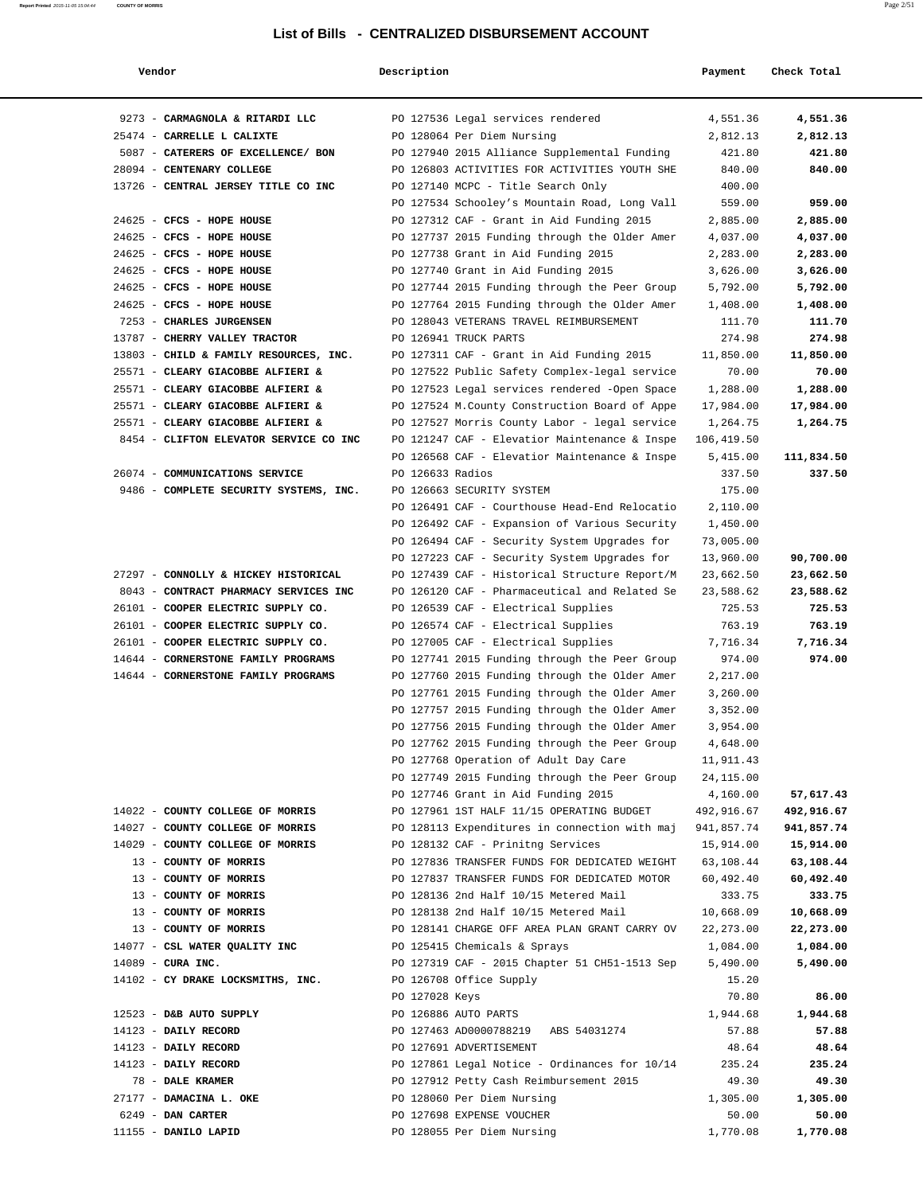| Vendor                                 | Description      |                                                                                        | Payment               | Check Total |
|----------------------------------------|------------------|----------------------------------------------------------------------------------------|-----------------------|-------------|
| 9273 - CARMAGNOLA & RITARDI LLC        |                  | PO 127536 Legal services rendered                                                      | 4,551.36              | 4,551.36    |
| 25474 - CARRELLE L CALIXTE             |                  | PO 128064 Per Diem Nursing                                                             | 2,812.13              | 2,812.13    |
| 5087 - CATERERS OF EXCELLENCE/ BON     |                  | PO 127940 2015 Alliance Supplemental Funding                                           | 421.80                | 421.80      |
| 28094 - CENTENARY COLLEGE              |                  | PO 126803 ACTIVITIES FOR ACTIVITIES YOUTH SHE                                          | 840.00                | 840.00      |
| 13726 - CENTRAL JERSEY TITLE CO INC    |                  | PO 127140 MCPC - Title Search Only                                                     | 400.00                |             |
|                                        |                  | PO 127534 Schooley's Mountain Road, Long Vall                                          | 559.00                | 959.00      |
| 24625 - CFCS - HOPE HOUSE              |                  | PO 127312 CAF - Grant in Aid Funding 2015                                              | 2,885.00              | 2,885.00    |
| 24625 - CFCS - HOPE HOUSE              |                  | PO 127737 2015 Funding through the Older Amer                                          | 4,037.00              | 4,037.00    |
| 24625 - CFCS - HOPE HOUSE              |                  | PO 127738 Grant in Aid Funding 2015                                                    | 2,283.00              | 2,283.00    |
| 24625 - CFCS - HOPE HOUSE              |                  | PO 127740 Grant in Aid Funding 2015                                                    | 3,626.00              | 3,626.00    |
| 24625 - CFCS - HOPE HOUSE              |                  | PO 127744 2015 Funding through the Peer Group                                          | 5,792.00              | 5,792.00    |
| 24625 - CFCS - HOPE HOUSE              |                  | PO 127764 2015 Funding through the Older Amer                                          | 1,408.00              | 1,408.00    |
| 7253 - CHARLES JURGENSEN               |                  | PO 128043 VETERANS TRAVEL REIMBURSEMENT                                                | 111.70                | 111.70      |
| 13787 - CHERRY VALLEY TRACTOR          |                  | PO 126941 TRUCK PARTS                                                                  | 274.98                | 274.98      |
| 13803 - CHILD & FAMILY RESOURCES, INC. |                  | PO 127311 CAF - Grant in Aid Funding 2015                                              | 11,850.00             | 11,850.00   |
| 25571 - CLEARY GIACOBBE ALFIERI &      |                  | PO 127522 Public Safety Complex-legal service                                          | 70.00                 | 70.00       |
| 25571 - CLEARY GIACOBBE ALFIERI &      |                  | PO 127523 Legal services rendered -Open Space                                          | 1,288.00              | 1,288.00    |
| 25571 - CLEARY GIACOBBE ALFIERI &      |                  | PO 127524 M. County Construction Board of Appe                                         | 17,984.00             | 17,984.00   |
| 25571 - CLEARY GIACOBBE ALFIERI &      |                  | PO 127527 Morris County Labor - legal service                                          | 1,264.75              | 1,264.75    |
| 8454 - CLIFTON ELEVATOR SERVICE CO INC |                  | PO 121247 CAF - Elevatior Maintenance & Inspe                                          | 106,419.50            |             |
|                                        |                  | PO 126568 CAF - Elevatior Maintenance & Inspe                                          | 5,415.00              | 111,834.50  |
| 26074 - COMMUNICATIONS SERVICE         | PO 126633 Radios |                                                                                        | 337.50                | 337.50      |
| 9486 - COMPLETE SECURITY SYSTEMS, INC. |                  | PO 126663 SECURITY SYSTEM                                                              | 175.00                |             |
|                                        |                  | PO 126491 CAF - Courthouse Head-End Relocatio                                          | 2,110.00              |             |
|                                        |                  | PO 126492 CAF - Expansion of Various Security                                          | 1,450.00              |             |
|                                        |                  | PO 126494 CAF - Security System Upgrades for                                           | 73,005.00             |             |
|                                        |                  | PO 127223 CAF - Security System Upgrades for                                           | 13,960.00             | 90,700.00   |
| 27297 - CONNOLLY & HICKEY HISTORICAL   |                  | PO 127439 CAF - Historical Structure Report/M                                          | 23,662.50             | 23,662.50   |
| 8043 - CONTRACT PHARMACY SERVICES INC  |                  | PO 126120 CAF - Pharmaceutical and Related Se                                          | 23,588.62             | 23,588.62   |
| 26101 - COOPER ELECTRIC SUPPLY CO.     |                  | PO 126539 CAF - Electrical Supplies                                                    | 725.53                | 725.53      |
| 26101 - COOPER ELECTRIC SUPPLY CO.     |                  | PO 126574 CAF - Electrical Supplies                                                    | 763.19                | 763.19      |
| 26101 - COOPER ELECTRIC SUPPLY CO.     |                  | PO 127005 CAF - Electrical Supplies                                                    | 7,716.34              | 7,716.34    |
| 14644 - CORNERSTONE FAMILY PROGRAMS    |                  | PO 127741 2015 Funding through the Peer Group                                          | 974.00                | 974.00      |
| 14644 - CORNERSTONE FAMILY PROGRAMS    |                  | PO 127760 2015 Funding through the Older Amer                                          | 2,217.00              |             |
|                                        |                  | PO 127761 2015 Funding through the Older Amer                                          | 3,260.00              |             |
|                                        |                  | PO 127757 2015 Funding through the Older Amer                                          | 3,352.00              |             |
|                                        |                  | PO 127756 2015 Funding through the Older Amer                                          | 3,954.00              |             |
|                                        |                  | PO 127762 2015 Funding through the Peer Group<br>PO 127768 Operation of Adult Day Care | 4,648.00<br>11,911.43 |             |
|                                        |                  | PO 127749 2015 Funding through the Peer Group                                          | 24,115.00             |             |
|                                        |                  | PO 127746 Grant in Aid Funding 2015                                                    | 4,160.00              | 57,617.43   |
| 14022 - COUNTY COLLEGE OF MORRIS       |                  | PO 127961 1ST HALF 11/15 OPERATING BUDGET                                              | 492,916.67            | 492,916.67  |
| 14027 - COUNTY COLLEGE OF MORRIS       |                  | PO 128113 Expenditures in connection with maj                                          | 941,857.74            | 941,857.74  |
| 14029 - COUNTY COLLEGE OF MORRIS       |                  | PO 128132 CAF - Prinitng Services                                                      | 15,914.00             | 15,914.00   |
| 13 - COUNTY OF MORRIS                  |                  | PO 127836 TRANSFER FUNDS FOR DEDICATED WEIGHT                                          | 63,108.44             | 63,108.44   |
| 13 - COUNTY OF MORRIS                  |                  | PO 127837 TRANSFER FUNDS FOR DEDICATED MOTOR                                           | 60,492.40             | 60,492.40   |
| 13 - COUNTY OF MORRIS                  |                  | PO 128136 2nd Half 10/15 Metered Mail                                                  | 333.75                | 333.75      |
| 13 - COUNTY OF MORRIS                  |                  | PO 128138 2nd Half 10/15 Metered Mail                                                  | 10,668.09             | 10,668.09   |
| 13 - COUNTY OF MORRIS                  |                  | PO 128141 CHARGE OFF AREA PLAN GRANT CARRY OV                                          | 22, 273.00            | 22,273.00   |
| 14077 - CSL WATER QUALITY INC          |                  | PO 125415 Chemicals & Sprays                                                           | 1,084.00              | 1,084.00    |
| 14089 - CURA INC.                      |                  | PO 127319 CAF - 2015 Chapter 51 CH51-1513 Sep                                          | 5,490.00              | 5,490.00    |
| 14102 - CY DRAKE LOCKSMITHS, INC.      |                  | PO 126708 Office Supply                                                                | 15.20                 |             |
|                                        | PO 127028 Keys   |                                                                                        | 70.80                 | 86.00       |
| 12523 - D&B AUTO SUPPLY                |                  | PO 126886 AUTO PARTS                                                                   | 1,944.68              | 1,944.68    |
| 14123 - DAILY RECORD                   |                  | PO 127463 AD0000788219 ABS 54031274                                                    | 57.88                 | 57.88       |
| 14123 - DAILY RECORD                   |                  | PO 127691 ADVERTISEMENT                                                                | 48.64                 | 48.64       |
| 14123 - DAILY RECORD                   |                  | PO 127861 Legal Notice - Ordinances for 10/14                                          | 235.24                | 235.24      |
| 78 - DALE KRAMER                       |                  | PO 127912 Petty Cash Reimbursement 2015                                                | 49.30                 | 49.30       |
| 27177 - DAMACINA L. OKE                |                  | PO 128060 Per Diem Nursing                                                             | 1,305.00              | 1,305.00    |
| 6249 - DAN CARTER                      |                  | PO 127698 EXPENSE VOUCHER                                                              | 50.00                 | 50.00       |
| 11155 - DANILO LAPID                   |                  | PO 128055 Per Diem Nursing                                                             | 1,770.08              | 1,770.08    |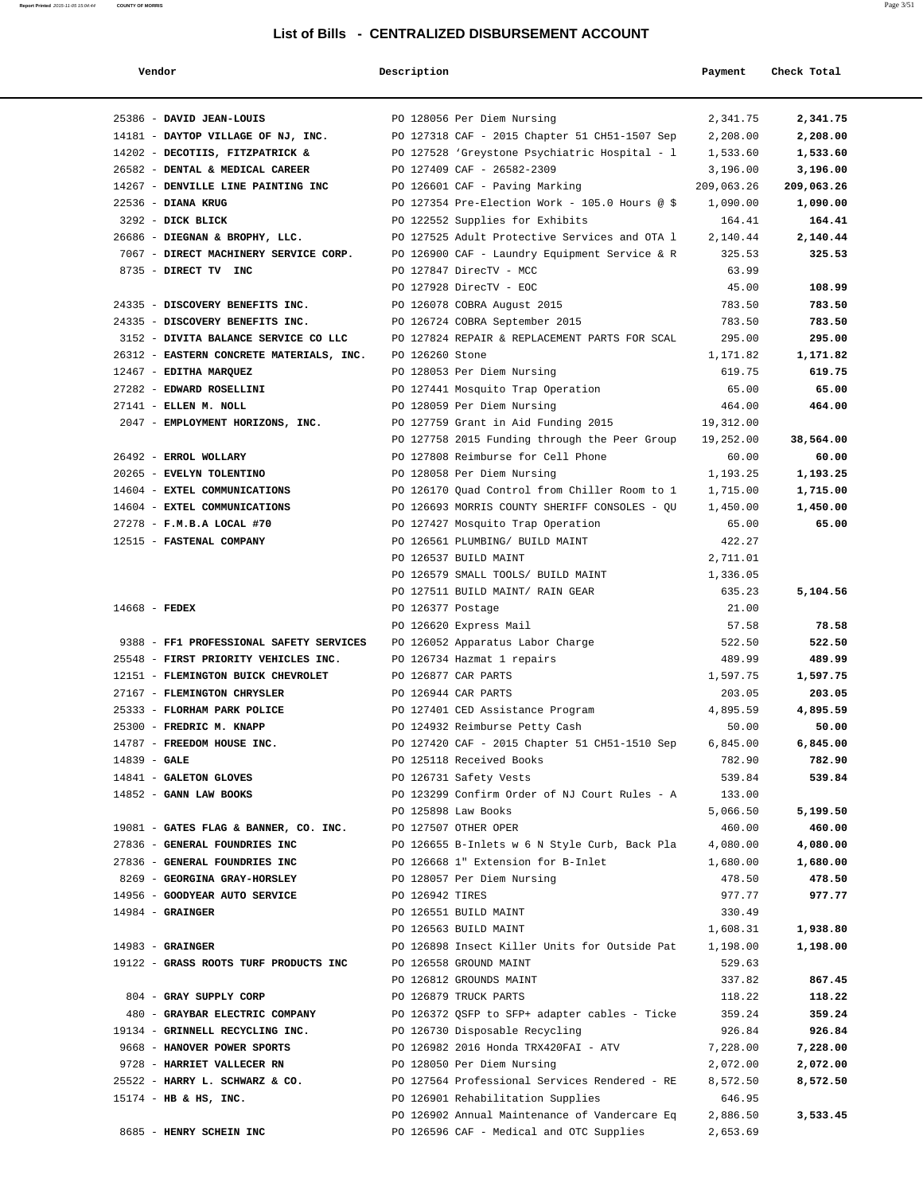| Vendor                                   | Description       |                                                | Payment            | Check Total          |
|------------------------------------------|-------------------|------------------------------------------------|--------------------|----------------------|
| 25386 - DAVID JEAN-LOUIS                 |                   | PO 128056 Per Diem Nursing                     | 2,341.75           | 2,341.75             |
| 14181 - DAYTOP VILLAGE OF NJ, INC.       |                   | PO 127318 CAF - 2015 Chapter 51 CH51-1507 Sep  | 2,208.00           | 2,208.00             |
| 14202 - DECOTIIS, FITZPATRICK &          |                   | PO 127528 'Greystone Psychiatric Hospital - 1  | 1,533.60           | 1,533.60             |
| 26582 - DENTAL & MEDICAL CAREER          |                   | PO 127409 CAF - 26582-2309                     | 3,196.00           | 3,196.00             |
| 14267 - DENVILLE LINE PAINTING INC       |                   | PO 126601 CAF - Paving Marking                 | 209,063.26         | 209,063.26           |
| 22536 - DIANA KRUG                       |                   | PO 127354 Pre-Election Work - 105.0 Hours @ \$ | 1,090.00           | 1,090.00             |
| 3292 - DICK BLICK                        |                   | PO 122552 Supplies for Exhibits                | 164.41             | 164.41               |
| 26686 - DIEGNAN & BROPHY, LLC.           |                   | PO 127525 Adult Protective Services and OTA 1  | 2,140.44           | 2,140.44             |
| 7067 - DIRECT MACHINERY SERVICE CORP.    |                   | PO 126900 CAF - Laundry Equipment Service & R  | 325.53             | 325.53               |
| 8735 - DIRECT TV INC                     |                   | PO 127847 DirecTV - MCC                        | 63.99              |                      |
|                                          |                   | PO 127928 DirecTV - EOC                        | 45.00              | 108.99               |
| 24335 - DISCOVERY BENEFITS INC.          |                   | PO 126078 COBRA August 2015                    | 783.50             | 783.50               |
| 24335 - DISCOVERY BENEFITS INC.          |                   | PO 126724 COBRA September 2015                 | 783.50             | 783.50               |
| 3152 - DIVITA BALANCE SERVICE CO LLC     |                   | PO 127824 REPAIR & REPLACEMENT PARTS FOR SCAL  | 295.00             | 295.00               |
| 26312 - EASTERN CONCRETE MATERIALS, INC. | PO 126260 Stone   |                                                | 1,171.82           | 1,171.82             |
| 12467 - EDITHA MARQUEZ                   |                   | PO 128053 Per Diem Nursing                     | 619.75             | 619.75               |
| 27282 - EDWARD ROSELLINI                 |                   | PO 127441 Mosquito Trap Operation              | 65.00              | 65.00                |
| 27141 - ELLEN M. NOLL                    |                   | PO 128059 Per Diem Nursing                     | 464.00             | 464.00               |
| 2047 - EMPLOYMENT HORIZONS, INC.         |                   | PO 127759 Grant in Aid Funding 2015            | 19,312.00          |                      |
|                                          |                   | PO 127758 2015 Funding through the Peer Group  | 19,252.00          | 38,564.00            |
| 26492 - ERROL WOLLARY                    |                   | PO 127808 Reimburse for Cell Phone             | 60.00              | 60.00                |
| 20265 - EVELYN TOLENTINO                 |                   | PO 128058 Per Diem Nursing                     | 1,193.25           | 1,193.25             |
| 14604 - EXTEL COMMUNICATIONS             |                   | PO 126170 Quad Control from Chiller Room to 1  | 1,715.00           | 1,715.00             |
| 14604 - EXTEL COMMUNICATIONS             |                   | PO 126693 MORRIS COUNTY SHERIFF CONSOLES - QU  | 1,450.00           | 1,450.00             |
| 27278 - F.M.B.A LOCAL #70                |                   | PO 127427 Mosquito Trap Operation              | 65.00              | 65.00                |
| 12515 - FASTENAL COMPANY                 |                   | PO 126561 PLUMBING/ BUILD MAINT                | 422.27             |                      |
|                                          |                   | PO 126537 BUILD MAINT                          | 2,711.01           |                      |
|                                          |                   | PO 126579 SMALL TOOLS/ BUILD MAINT             | 1,336.05           |                      |
|                                          |                   | PO 127511 BUILD MAINT/ RAIN GEAR               | 635.23             | 5,104.56             |
| $14668$ - FEDEX                          | PO 126377 Postage |                                                | 21.00              |                      |
|                                          |                   | PO 126620 Express Mail                         | 57.58              | 78.58                |
| 9388 - FF1 PROFESSIONAL SAFETY SERVICES  |                   | PO 126052 Apparatus Labor Charge               | 522.50             | 522.50               |
| 25548 - FIRST PRIORITY VEHICLES INC.     |                   | PO 126734 Hazmat 1 repairs                     | 489.99             | 489.99               |
| 12151 - FLEMINGTON BUICK CHEVROLET       |                   | PO 126877 CAR PARTS                            | 1,597.75           | 1,597.75             |
| 27167 - FLEMINGTON CHRYSLER              |                   | PO 126944 CAR PARTS                            | 203.05             | 203.05               |
| 25333 - FLORHAM PARK POLICE              |                   | PO 127401 CED Assistance Program               | 4,895.59           | 4,895.59             |
| 25300 - FREDRIC M. KNAPP                 |                   | PO 124932 Reimburse Petty Cash                 | 50.00              | 50.00                |
| 14787 - FREEDOM HOUSE INC.               |                   | PO 127420 CAF - 2015 Chapter 51 CH51-1510 Sep  | 6,845.00           | 6,845.00             |
| $14839 - GALE$                           |                   | PO 125118 Received Books                       | 782.90             | 782.90               |
| 14841 - GALETON GLOVES                   |                   | PO 126731 Safety Vests                         | 539.84             | 539.84               |
| 14852 - GANN LAW BOOKS                   |                   | PO 123299 Confirm Order of NJ Court Rules - A  | 133.00             |                      |
|                                          |                   | PO 125898 Law Books                            | 5,066.50           | 5,199.50             |
| 19081 - GATES FLAG & BANNER, CO. INC.    |                   | PO 127507 OTHER OPER                           | 460.00             | 460.00               |
| 27836 - GENERAL FOUNDRIES INC            |                   | PO 126655 B-Inlets w 6 N Style Curb, Back Pla  | 4,080.00           | 4,080.00             |
| 27836 - GENERAL FOUNDRIES INC            |                   | PO 126668 1" Extension for B-Inlet             | 1,680.00           | 1,680.00             |
| 8269 - GEORGINA GRAY-HORSLEY             |                   | PO 128057 Per Diem Nursing                     | 478.50             | 478.50               |
| 14956 - GOODYEAR AUTO SERVICE            | PO 126942 TIRES   |                                                | 977.77             | 977.77               |
| $14984 -$ GRAINGER                       |                   | PO 126551 BUILD MAINT<br>PO 126563 BUILD MAINT | 330.49<br>1,608.31 |                      |
| $14983$ - GRAINGER                       |                   | PO 126898 Insect Killer Units for Outside Pat  | 1,198.00           | 1,938.80<br>1,198.00 |
| 19122 - GRASS ROOTS TURF PRODUCTS INC    |                   | PO 126558 GROUND MAINT                         | 529.63             |                      |
|                                          |                   | PO 126812 GROUNDS MAINT                        | 337.82             | 867.45               |
| 804 - GRAY SUPPLY CORP                   |                   | PO 126879 TRUCK PARTS                          | 118.22             | 118.22               |
| 480 - GRAYBAR ELECTRIC COMPANY           |                   | PO 126372 QSFP to SFP+ adapter cables - Ticke  | 359.24             | 359.24               |
| 19134 - GRINNELL RECYCLING INC.          |                   | PO 126730 Disposable Recycling                 | 926.84             | 926.84               |
| 9668 - HANOVER POWER SPORTS              |                   | PO 126982 2016 Honda TRX420FAI - ATV           | 7,228.00           | 7,228.00             |
| 9728 - HARRIET VALLECER RN               |                   | PO 128050 Per Diem Nursing                     | 2,072.00           | 2,072.00             |
| 25522 - HARRY L. SCHWARZ & CO.           |                   | PO 127564 Professional Services Rendered - RE  | 8,572.50           | 8,572.50             |
| 15174 - HB & HS, INC.                    |                   | PO 126901 Rehabilitation Supplies              | 646.95             |                      |
|                                          |                   | PO 126902 Annual Maintenance of Vandercare Eq  | 2,886.50           | 3,533.45             |
| 8685 - HENRY SCHEIN INC                  |                   | PO 126596 CAF - Medical and OTC Supplies       | 2,653.69           |                      |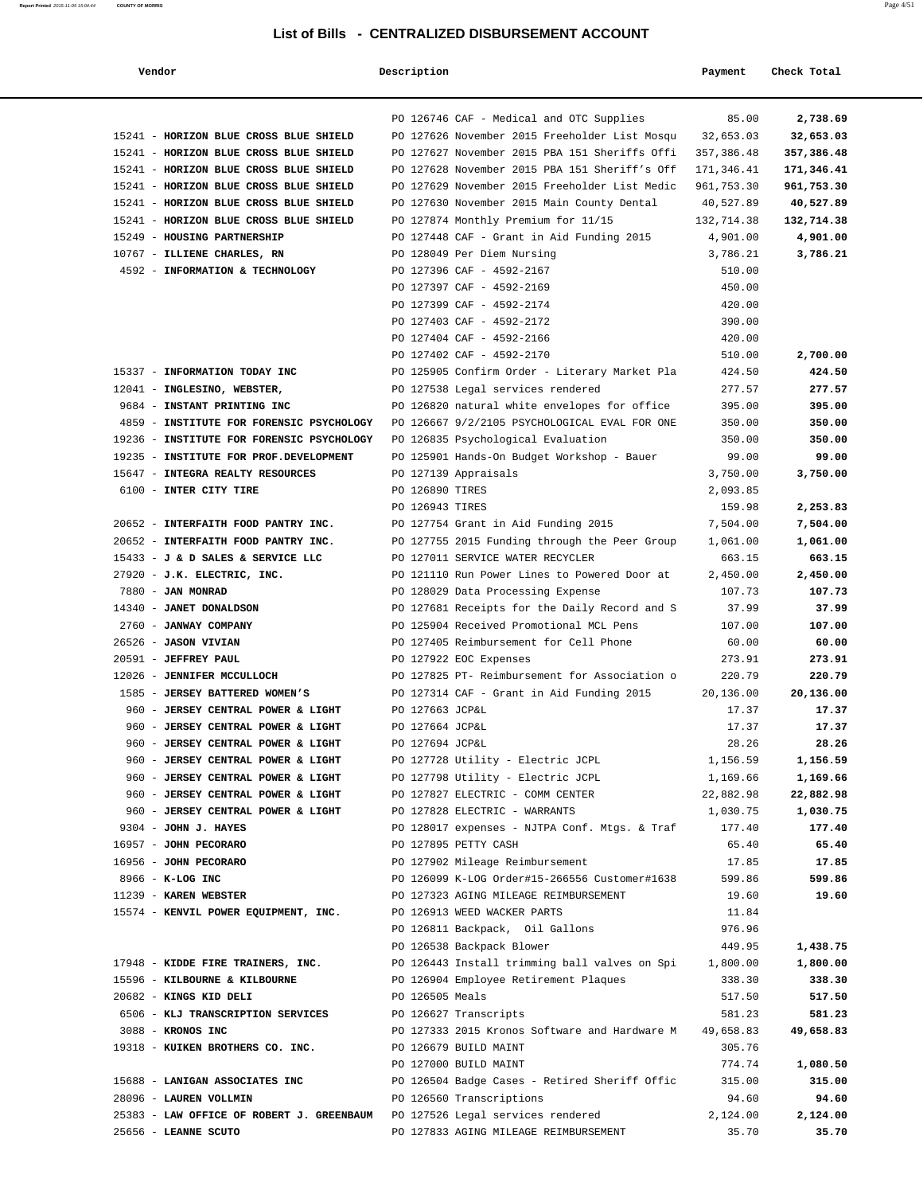| Vendor                                                                      | Description                                   | Payment    | Check Total |
|-----------------------------------------------------------------------------|-----------------------------------------------|------------|-------------|
|                                                                             |                                               |            |             |
|                                                                             | PO 126746 CAF - Medical and OTC Supplies      | 85.00      | 2,738.69    |
| 15241 - HORIZON BLUE CROSS BLUE SHIELD                                      | PO 127626 November 2015 Freeholder List Mosqu | 32,653.03  | 32,653.03   |
| 15241 - HORIZON BLUE CROSS BLUE SHIELD                                      | PO 127627 November 2015 PBA 151 Sheriffs Offi | 357,386.48 | 357,386.48  |
| 15241 - HORIZON BLUE CROSS BLUE SHIELD                                      | PO 127628 November 2015 PBA 151 Sheriff's Off | 171,346.41 | 171,346.41  |
| 15241 - HORIZON BLUE CROSS BLUE SHIELD                                      | PO 127629 November 2015 Freeholder List Medic | 961,753.30 | 961,753.30  |
| 15241 - HORIZON BLUE CROSS BLUE SHIELD                                      | PO 127630 November 2015 Main County Dental    | 40,527.89  | 40,527.89   |
| 15241 - HORIZON BLUE CROSS BLUE SHIELD                                      | PO 127874 Monthly Premium for 11/15           | 132,714.38 | 132,714.38  |
| 15249 - HOUSING PARTNERSHIP                                                 | PO 127448 CAF - Grant in Aid Funding 2015     | 4,901.00   | 4,901.00    |
| 10767 - ILLIENE CHARLES, RN                                                 | PO 128049 Per Diem Nursing                    | 3,786.21   | 3,786.21    |
| 4592 - INFORMATION & TECHNOLOGY                                             | PO 127396 CAF - 4592-2167                     | 510.00     |             |
|                                                                             | PO 127397 CAF - 4592-2169                     | 450.00     |             |
|                                                                             | PO 127399 CAF - 4592-2174                     | 420.00     |             |
|                                                                             | PO 127403 CAF - 4592-2172                     | 390.00     |             |
|                                                                             | PO 127404 CAF - 4592-2166                     | 420.00     |             |
|                                                                             | PO 127402 CAF - 4592-2170                     | 510.00     | 2,700.00    |
| 15337 - INFORMATION TODAY INC                                               | PO 125905 Confirm Order - Literary Market Pla | 424.50     | 424.50      |
| 12041 - INGLESINO, WEBSTER,                                                 | PO 127538 Legal services rendered             | 277.57     | 277.57      |
| 9684 - INSTANT PRINTING INC                                                 | PO 126820 natural white envelopes for office  | 395.00     | 395.00      |
| 4859 - INSTITUTE FOR FORENSIC PSYCHOLOGY                                    | PO 126667 9/2/2105 PSYCHOLOGICAL EVAL FOR ONE | 350.00     | 350.00      |
| 19236 - INSTITUTE FOR FORENSIC PSYCHOLOGY                                   | PO 126835 Psychological Evaluation            | 350.00     | 350.00      |
| 19235 - INSTITUTE FOR PROF.DEVELOPMENT                                      | PO 125901 Hands-On Budget Workshop - Bauer    | 99.00      | 99.00       |
| 15647 - INTEGRA REALTY RESOURCES                                            | PO 127139 Appraisals                          | 3,750.00   | 3,750.00    |
| 6100 - INTER CITY TIRE                                                      | PO 126890 TIRES                               | 2,093.85   |             |
|                                                                             | PO 126943 TIRES                               | 159.98     | 2,253.83    |
| 20652 - INTERFAITH FOOD PANTRY INC.                                         | PO 127754 Grant in Aid Funding 2015           | 7,504.00   | 7,504.00    |
| 20652 - INTERFAITH FOOD PANTRY INC.                                         | PO 127755 2015 Funding through the Peer Group | 1,061.00   | 1,061.00    |
| 15433 - J & D SALES & SERVICE LLC                                           | PO 127011 SERVICE WATER RECYCLER              | 663.15     | 663.15      |
| 27920 - J.K. ELECTRIC, INC.                                                 | PO 121110 Run Power Lines to Powered Door at  | 2,450.00   | 2,450.00    |
| 7880 - JAN MONRAD                                                           | PO 128029 Data Processing Expense             | 107.73     | 107.73      |
| 14340 - JANET DONALDSON                                                     | PO 127681 Receipts for the Daily Record and S | 37.99      | 37.99       |
| 2760 - JANWAY COMPANY                                                       | PO 125904 Received Promotional MCL Pens       | 107.00     | 107.00      |
| 26526 - JASON VIVIAN                                                        | PO 127405 Reimbursement for Cell Phone        | 60.00      | 60.00       |
| 20591 - JEFFREY PAUL                                                        | PO 127922 EOC Expenses                        | 273.91     | 273.91      |
| 12026 - JENNIFER MCCULLOCH                                                  | PO 127825 PT- Reimbursement for Association o | 220.79     | 220.79      |
| 1585 - JERSEY BATTERED WOMEN'S                                              | PO 127314 CAF - Grant in Aid Funding 2015     | 20,136.00  | 20,136.00   |
| 960 - JERSEY CENTRAL POWER & LIGHT                                          | PO 127663 JCP&L                               | 17.37      | 17.37       |
| 960 - JERSEY CENTRAL POWER & LIGHT                                          | PO 127664 JCP&L                               | 17.37      | 17.37       |
| 960 - JERSEY CENTRAL POWER & LIGHT                                          | PO 127694 JCP&L                               | 28.26      | 28.26       |
| 960 - JERSEY CENTRAL POWER & LIGHT                                          | PO 127728 Utility - Electric JCPL             | 1,156.59   | 1,156.59    |
| 960 - JERSEY CENTRAL POWER & LIGHT                                          | PO 127798 Utility - Electric JCPL             | 1,169.66   | 1,169.66    |
| 960 - JERSEY CENTRAL POWER & LIGHT                                          | PO 127827 ELECTRIC - COMM CENTER              | 22,882.98  | 22,882.98   |
| 960 - JERSEY CENTRAL POWER & LIGHT                                          | PO 127828 ELECTRIC - WARRANTS                 | 1,030.75   | 1,030.75    |
| 9304 - JOHN J. HAYES                                                        | PO 128017 expenses - NJTPA Conf. Mtgs. & Traf | 177.40     | 177.40      |
| 16957 - JOHN PECORARO                                                       | PO 127895 PETTY CASH                          | 65.40      | 65.40       |
| 16956 - JOHN PECORARO                                                       | PO 127902 Mileage Reimbursement               | 17.85      | 17.85       |
| 8966 - K-LOG INC                                                            | PO 126099 K-LOG Order#15-266556 Customer#1638 | 599.86     | 599.86      |
| 11239 - KAREN WEBSTER                                                       | PO 127323 AGING MILEAGE REIMBURSEMENT         | 19.60      | 19.60       |
| 15574 - KENVIL POWER EQUIPMENT, INC.                                        | PO 126913 WEED WACKER PARTS                   | 11.84      |             |
|                                                                             | PO 126811 Backpack, Oil Gallons               | 976.96     |             |
|                                                                             | PO 126538 Backpack Blower                     | 449.95     | 1,438.75    |
| 17948 - KIDDE FIRE TRAINERS, INC.                                           | PO 126443 Install trimming ball valves on Spi | 1,800.00   | 1,800.00    |
| 15596 - KILBOURNE & KILBOURNE                                               | PO 126904 Employee Retirement Plaques         | 338.30     | 338.30      |
| 20682 - KINGS KID DELI                                                      | PO 126505 Meals                               | 517.50     | 517.50      |
| 6506 - KLJ TRANSCRIPTION SERVICES                                           | PO 126627 Transcripts                         | 581.23     | 581.23      |
| 3088 - KRONOS INC                                                           | PO 127333 2015 Kronos Software and Hardware M | 49,658.83  | 49,658.83   |
| 19318 - KUIKEN BROTHERS CO. INC.                                            | PO 126679 BUILD MAINT                         | 305.76     |             |
|                                                                             | PO 127000 BUILD MAINT                         | 774.74     | 1,080.50    |
| 15688 - LANIGAN ASSOCIATES INC                                              | PO 126504 Badge Cases - Retired Sheriff Offic | 315.00     | 315.00      |
| 28096 - LAUREN VOLLMIN                                                      | PO 126560 Transcriptions                      | 94.60      | 94.60       |
| 25383 - LAW OFFICE OF ROBERT J. GREENBAUM PO 127526 Legal services rendered |                                               | 2,124.00   | 2,124.00    |
| 25656 - LEANNE SCUTO                                                        | PO 127833 AGING MILEAGE REIMBURSEMENT         | 35.70      | 35.70       |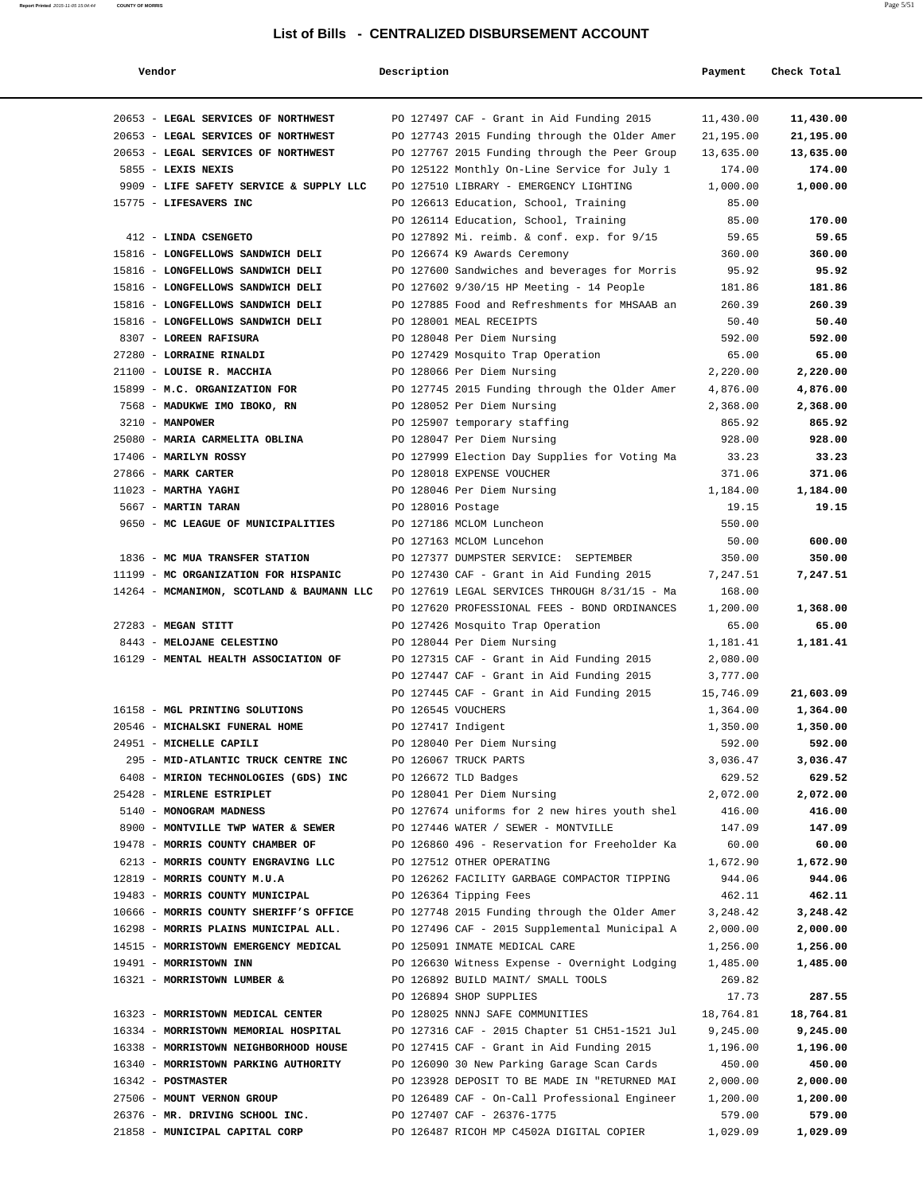| Vendor                                    | Description        |                                               | Payment   | Check Total |
|-------------------------------------------|--------------------|-----------------------------------------------|-----------|-------------|
| 20653 - LEGAL SERVICES OF NORTHWEST       |                    | PO 127497 CAF - Grant in Aid Funding 2015     | 11,430.00 | 11,430.00   |
| 20653 - LEGAL SERVICES OF NORTHWEST       |                    | PO 127743 2015 Funding through the Older Amer | 21,195.00 | 21,195.00   |
| 20653 - LEGAL SERVICES OF NORTHWEST       |                    | PO 127767 2015 Funding through the Peer Group | 13,635.00 | 13,635.00   |
| 5855 - LEXIS NEXIS                        |                    | PO 125122 Monthly On-Line Service for July 1  | 174.00    | 174.00      |
| 9909 - LIFE SAFETY SERVICE & SUPPLY LLC   |                    | PO 127510 LIBRARY - EMERGENCY LIGHTING        | 1,000.00  | 1,000.00    |
| 15775 - LIFESAVERS INC                    |                    | PO 126613 Education, School, Training         | 85.00     |             |
|                                           |                    | PO 126114 Education, School, Training         | 85.00     | 170.00      |
| 412 - LINDA CSENGETO                      |                    | PO 127892 Mi. reimb. & conf. exp. for 9/15    | 59.65     | 59.65       |
| 15816 - LONGFELLOWS SANDWICH DELI         |                    | PO 126674 K9 Awards Ceremony                  | 360.00    | 360.00      |
| 15816 - LONGFELLOWS SANDWICH DELI         |                    | PO 127600 Sandwiches and beverages for Morris | 95.92     | 95.92       |
| 15816 - LONGFELLOWS SANDWICH DELI         |                    | PO 127602 9/30/15 HP Meeting - 14 People      | 181.86    | 181.86      |
| 15816 - LONGFELLOWS SANDWICH DELI         |                    | PO 127885 Food and Refreshments for MHSAAB an | 260.39    | 260.39      |
| 15816 - LONGFELLOWS SANDWICH DELI         |                    | PO 128001 MEAL RECEIPTS                       | 50.40     | 50.40       |
| 8307 - LOREEN RAFISURA                    |                    | PO 128048 Per Diem Nursing                    | 592.00    | 592.00      |
| 27280 - LORRAINE RINALDI                  |                    | PO 127429 Mosquito Trap Operation             | 65.00     | 65.00       |
| 21100 - LOUISE R. MACCHIA                 |                    | PO 128066 Per Diem Nursing                    | 2,220.00  | 2,220.00    |
| 15899 - M.C. ORGANIZATION FOR             |                    | PO 127745 2015 Funding through the Older Amer | 4,876.00  | 4,876.00    |
| 7568 - MADUKWE IMO IBOKO, RN              |                    | PO 128052 Per Diem Nursing                    | 2,368.00  | 2,368.00    |
| $3210 - MANPOWER$                         |                    | PO 125907 temporary staffing                  | 865.92    | 865.92      |
| 25080 - MARIA CARMELITA OBLINA            |                    | PO 128047 Per Diem Nursing                    | 928.00    | 928.00      |
| 17406 - MARILYN ROSSY                     |                    | PO 127999 Election Day Supplies for Voting Ma | 33.23     | 33.23       |
| 27866 - MARK CARTER                       |                    | PO 128018 EXPENSE VOUCHER                     | 371.06    | 371.06      |
| $11023$ - MARTHA YAGHI                    |                    | PO 128046 Per Diem Nursing                    | 1,184.00  | 1,184.00    |
| 5667 - MARTIN TARAN                       | PO 128016 Postage  |                                               | 19.15     | 19.15       |
| 9650 - MC LEAGUE OF MUNICIPALITIES        |                    | PO 127186 MCLOM Luncheon                      | 550.00    |             |
|                                           |                    | PO 127163 MCLOM Luncehon                      | 50.00     | 600.00      |
| 1836 - MC MUA TRANSFER STATION            |                    | PO 127377 DUMPSTER SERVICE: SEPTEMBER         | 350.00    | 350.00      |
| 11199 - MC ORGANIZATION FOR HISPANIC      |                    | PO 127430 CAF - Grant in Aid Funding 2015     | 7,247.51  | 7,247.51    |
| 14264 - MCMANIMON, SCOTLAND & BAUMANN LLC |                    | PO 127619 LEGAL SERVICES THROUGH 8/31/15 - Ma | 168.00    |             |
|                                           |                    | PO 127620 PROFESSIONAL FEES - BOND ORDINANCES | 1,200.00  | 1,368.00    |
| 27283 - MEGAN STITT                       |                    | PO 127426 Mosquito Trap Operation             | 65.00     | 65.00       |
| 8443 - MELOJANE CELESTINO                 |                    | PO 128044 Per Diem Nursing                    | 1,181.41  | 1,181.41    |
| 16129 - MENTAL HEALTH ASSOCIATION OF      |                    | PO 127315 CAF - Grant in Aid Funding 2015     | 2,080.00  |             |
|                                           |                    | PO 127447 CAF - Grant in Aid Funding 2015     | 3,777.00  |             |
|                                           |                    | PO 127445 CAF - Grant in Aid Funding 2015     | 15,746.09 | 21,603.09   |
| 16158 - MGL PRINTING SOLUTIONS            | PO 126545 VOUCHERS |                                               | 1,364.00  | 1,364.00    |
| 20546 - MICHALSKI FUNERAL HOME            | PO 127417 Indigent |                                               | 1,350.00  | 1,350.00    |
| 24951 - MICHELLE CAPILI                   |                    | PO 128040 Per Diem Nursing                    | 592.00    | 592.00      |
| 295 - MID-ATLANTIC TRUCK CENTRE INC       |                    | PO 126067 TRUCK PARTS                         | 3,036.47  | 3,036.47    |
| 6408 - MIRION TECHNOLOGIES (GDS) INC      |                    | PO 126672 TLD Badges                          | 629.52    | 629.52      |
| 25428 - MIRLENE ESTRIPLET                 |                    | PO 128041 Per Diem Nursing                    | 2,072.00  | 2,072.00    |
| 5140 - MONOGRAM MADNESS                   |                    | PO 127674 uniforms for 2 new hires youth shel | 416.00    | 416.00      |
| 8900 - MONTVILLE TWP WATER & SEWER        |                    | PO 127446 WATER / SEWER - MONTVILLE           | 147.09    | 147.09      |
| 19478 - MORRIS COUNTY CHAMBER OF          |                    | PO 126860 496 - Reservation for Freeholder Ka | 60.00     | 60.00       |
| 6213 - MORRIS COUNTY ENGRAVING LLC        |                    | PO 127512 OTHER OPERATING                     | 1,672.90  | 1,672.90    |
| 12819 - MORRIS COUNTY M.U.A               |                    | PO 126262 FACILITY GARBAGE COMPACTOR TIPPING  | 944.06    | 944.06      |
| 19483 - MORRIS COUNTY MUNICIPAL           |                    | PO 126364 Tipping Fees                        | 462.11    | 462.11      |
| 10666 - MORRIS COUNTY SHERIFF'S OFFICE    |                    | PO 127748 2015 Funding through the Older Amer | 3,248.42  | 3,248.42    |
| 16298 - MORRIS PLAINS MUNICIPAL ALL.      |                    | PO 127496 CAF - 2015 Supplemental Municipal A | 2,000.00  | 2,000.00    |
| 14515 - MORRISTOWN EMERGENCY MEDICAL      |                    | PO 125091 INMATE MEDICAL CARE                 | 1,256.00  | 1,256.00    |
| 19491 - MORRISTOWN INN                    |                    | PO 126630 Witness Expense - Overnight Lodging | 1,485.00  | 1,485.00    |
| 16321 - MORRISTOWN LUMBER &               |                    | PO 126892 BUILD MAINT/ SMALL TOOLS            | 269.82    |             |
|                                           |                    | PO 126894 SHOP SUPPLIES                       | 17.73     | 287.55      |
| 16323 - MORRISTOWN MEDICAL CENTER         |                    | PO 128025 NNNJ SAFE COMMUNITIES               | 18,764.81 | 18,764.81   |
| 16334 - MORRISTOWN MEMORIAL HOSPITAL      |                    | PO 127316 CAF - 2015 Chapter 51 CH51-1521 Jul | 9,245.00  | 9,245.00    |
| 16338 - MORRISTOWN NEIGHBORHOOD HOUSE     |                    | PO 127415 CAF - Grant in Aid Funding 2015     | 1,196.00  | 1,196.00    |
| 16340 - MORRISTOWN PARKING AUTHORITY      |                    | PO 126090 30 New Parking Garage Scan Cards    | 450.00    | 450.00      |
| 16342 - POSTMASTER                        |                    | PO 123928 DEPOSIT TO BE MADE IN "RETURNED MAI | 2,000.00  | 2,000.00    |
| 27506 - MOUNT VERNON GROUP                |                    | PO 126489 CAF - On-Call Professional Engineer | 1,200.00  | 1,200.00    |
| 26376 - MR. DRIVING SCHOOL INC.           |                    | PO 127407 CAF - 26376-1775                    | 579.00    | 579.00      |
| 21858 - MUNICIPAL CAPITAL CORP            |                    | PO 126487 RICOH MP C4502A DIGITAL COPIER      | 1,029.09  | 1,029.09    |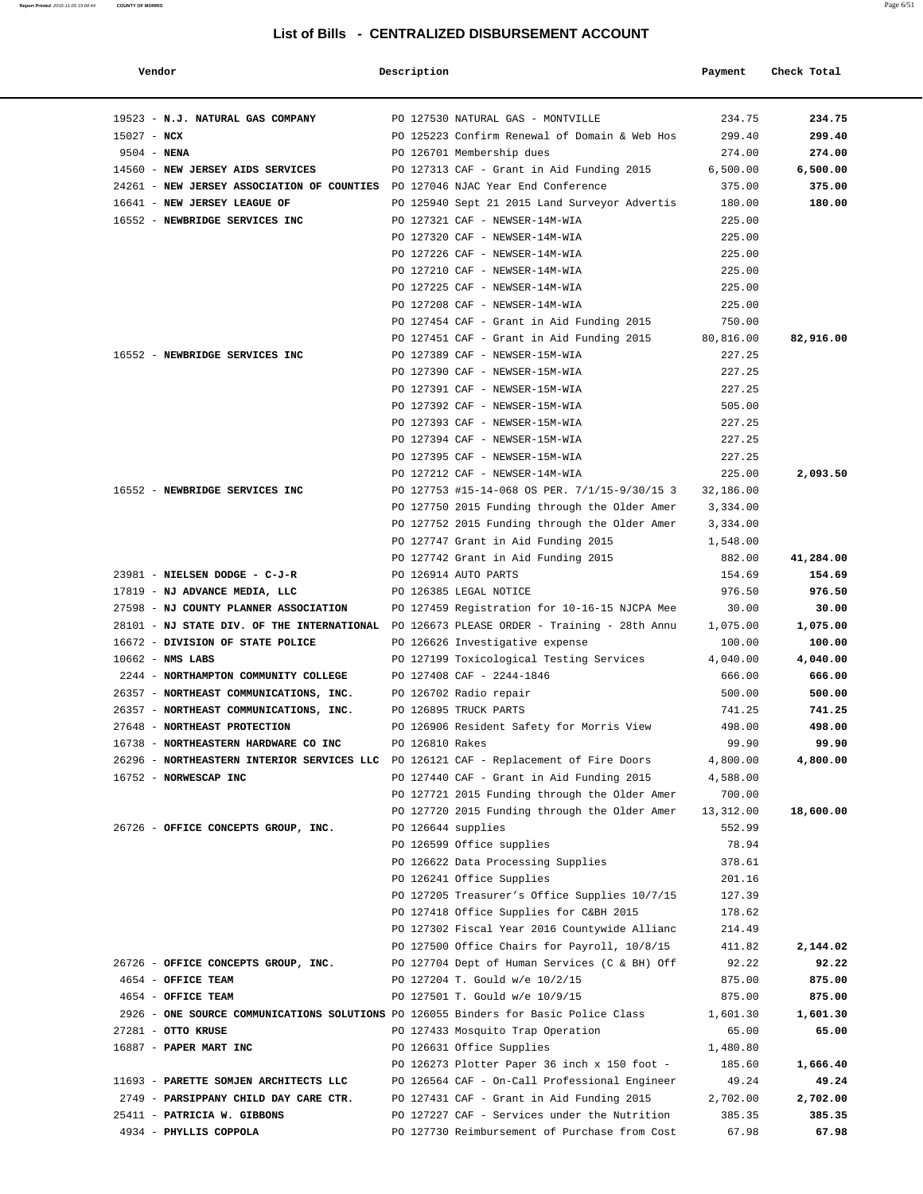| Vendor                                                                                   | Description        |                                               | Payment   | Check Total |
|------------------------------------------------------------------------------------------|--------------------|-----------------------------------------------|-----------|-------------|
|                                                                                          |                    |                                               |           |             |
| 19523 - N.J. NATURAL GAS COMPANY                                                         |                    | PO 127530 NATURAL GAS - MONTVILLE             | 234.75    | 234.75      |
| $15027 - NCX$                                                                            |                    | PO 125223 Confirm Renewal of Domain & Web Hos | 299.40    | 299.40      |
| $9504 - NENA$                                                                            |                    | PO 126701 Membership dues                     | 274.00    | 274.00      |
| 14560 - NEW JERSEY AIDS SERVICES                                                         |                    | PO 127313 CAF - Grant in Aid Funding 2015     | 6,500.00  | 6,500.00    |
| 24261 - NEW JERSEY ASSOCIATION OF COUNTIES PO 127046 NJAC Year End Conference            |                    |                                               | 375.00    | 375.00      |
| 16641 - NEW JERSEY LEAGUE OF                                                             |                    | PO 125940 Sept 21 2015 Land Surveyor Advertis | 180.00    | 180.00      |
| 16552 - NEWBRIDGE SERVICES INC                                                           |                    | PO 127321 CAF - NEWSER-14M-WIA                | 225.00    |             |
|                                                                                          |                    | PO 127320 CAF - NEWSER-14M-WIA                | 225.00    |             |
|                                                                                          |                    | PO 127226 CAF - NEWSER-14M-WIA                | 225.00    |             |
|                                                                                          |                    | PO 127210 CAF - NEWSER-14M-WIA                | 225.00    |             |
|                                                                                          |                    | PO 127225 CAF - NEWSER-14M-WIA                | 225.00    |             |
|                                                                                          |                    | PO 127208 CAF - NEWSER-14M-WIA                | 225.00    |             |
|                                                                                          |                    | PO 127454 CAF - Grant in Aid Funding 2015     | 750.00    |             |
|                                                                                          |                    | PO 127451 CAF - Grant in Aid Funding 2015     | 80,816.00 | 82,916.00   |
| 16552 - NEWBRIDGE SERVICES INC                                                           |                    | PO 127389 CAF - NEWSER-15M-WIA                | 227.25    |             |
|                                                                                          |                    | PO 127390 CAF - NEWSER-15M-WIA                | 227.25    |             |
|                                                                                          |                    | PO 127391 CAF - NEWSER-15M-WIA                | 227.25    |             |
|                                                                                          |                    | PO 127392 CAF - NEWSER-15M-WIA                | 505.00    |             |
|                                                                                          |                    | PO 127393 CAF - NEWSER-15M-WIA                | 227.25    |             |
|                                                                                          |                    | PO 127394 CAF - NEWSER-15M-WIA                | 227.25    |             |
|                                                                                          |                    | PO 127395 CAF - NEWSER-15M-WIA                | 227.25    |             |
|                                                                                          |                    | PO 127212 CAF - NEWSER-14M-WIA                | 225.00    | 2,093.50    |
| 16552 - NEWBRIDGE SERVICES INC                                                           |                    | PO 127753 #15-14-068 OS PER. 7/1/15-9/30/15 3 | 32,186.00 |             |
|                                                                                          |                    | PO 127750 2015 Funding through the Older Amer | 3,334.00  |             |
|                                                                                          |                    | PO 127752 2015 Funding through the Older Amer | 3,334.00  |             |
|                                                                                          |                    | PO 127747 Grant in Aid Funding 2015           | 1,548.00  |             |
|                                                                                          |                    | PO 127742 Grant in Aid Funding 2015           | 882.00    | 41,284.00   |
| 23981 - NIELSEN DODGE - C-J-R                                                            |                    | PO 126914 AUTO PARTS                          | 154.69    | 154.69      |
| 17819 - NJ ADVANCE MEDIA, LLC                                                            |                    | PO 126385 LEGAL NOTICE                        | 976.50    | 976.50      |
| 27598 - NJ COUNTY PLANNER ASSOCIATION                                                    |                    | PO 127459 Registration for 10-16-15 NJCPA Mee | 30.00     | 30.00       |
| 28101 - NJ STATE DIV. OF THE INTERNATIONAL PO 126673 PLEASE ORDER - Training - 28th Annu |                    |                                               | 1,075.00  | 1,075.00    |
| 16672 - DIVISION OF STATE POLICE                                                         |                    | PO 126626 Investigative expense               | 100.00    | 100.00      |
| $10662 - NMS$ LABS                                                                       |                    | PO 127199 Toxicological Testing Services      | 4,040.00  | 4,040.00    |
| 2244 - NORTHAMPTON COMMUNITY COLLEGE                                                     |                    | PO 127408 CAF - 2244-1846                     | 666.00    | 666.00      |
| 26357 - NORTHEAST COMMUNICATIONS, INC.                                                   |                    | PO 126702 Radio repair                        | 500.00    | 500.00      |
| 26357 - NORTHEAST COMMUNICATIONS, INC.                                                   |                    | PO 126895 TRUCK PARTS                         | 741.25    | 741.25      |
| 27648 - NORTHEAST PROTECTION                                                             |                    | PO 126906 Resident Safety for Morris View     | 498.00    | 498.00      |
| 16738 - NORTHEASTERN HARDWARE CO INC                                                     | PO 126810 Rakes    |                                               | 99.90     | 99.90       |
| 26296 - NORTHEASTERN INTERIOR SERVICES LLC PO 126121 CAF - Replacement of Fire Doors     |                    |                                               | 4,800.00  | 4,800.00    |
| 16752 - NORWESCAP INC                                                                    |                    | PO 127440 CAF - Grant in Aid Funding 2015     | 4,588.00  |             |
|                                                                                          |                    | PO 127721 2015 Funding through the Older Amer | 700.00    |             |
|                                                                                          |                    | PO 127720 2015 Funding through the Older Amer | 13,312.00 | 18,600.00   |
| 26726 - OFFICE CONCEPTS GROUP, INC.                                                      | PO 126644 supplies |                                               | 552.99    |             |
|                                                                                          |                    | PO 126599 Office supplies                     | 78.94     |             |
|                                                                                          |                    | PO 126622 Data Processing Supplies            | 378.61    |             |
|                                                                                          |                    | PO 126241 Office Supplies                     | 201.16    |             |
|                                                                                          |                    | PO 127205 Treasurer's Office Supplies 10/7/15 | 127.39    |             |
|                                                                                          |                    | PO 127418 Office Supplies for C&BH 2015       | 178.62    |             |
|                                                                                          |                    | PO 127302 Fiscal Year 2016 Countywide Allianc | 214.49    |             |
|                                                                                          |                    | PO 127500 Office Chairs for Payroll, 10/8/15  | 411.82    | 2,144.02    |
| 26726 - OFFICE CONCEPTS GROUP, INC.                                                      |                    | PO 127704 Dept of Human Services (C & BH) Off | 92.22     | 92.22       |
| 4654 - OFFICE TEAM                                                                       |                    | PO 127204 T. Gould w/e 10/2/15                | 875.00    | 875.00      |
| 4654 - OFFICE TEAM                                                                       |                    | PO 127501 T. Gould w/e 10/9/15                | 875.00    | 875.00      |
| 2926 - ONE SOURCE COMMUNICATIONS SOLUTIONS PO 126055 Binders for Basic Police Class      |                    |                                               | 1,601.30  | 1,601.30    |
| 27281 - OTTO KRUSE                                                                       |                    | PO 127433 Mosquito Trap Operation             | 65.00     | 65.00       |
| 16887 - PAPER MART INC                                                                   |                    | PO 126631 Office Supplies                     | 1,480.80  |             |
|                                                                                          |                    | PO 126273 Plotter Paper 36 inch x 150 foot -  | 185.60    | 1,666.40    |
| 11693 - PARETTE SOMJEN ARCHITECTS LLC                                                    |                    | PO 126564 CAF - On-Call Professional Engineer | 49.24     | 49.24       |
| 2749 - PARSIPPANY CHILD DAY CARE CTR.                                                    |                    | PO 127431 CAF - Grant in Aid Funding 2015     | 2,702.00  | 2,702.00    |
| 25411 - PATRICIA W. GIBBONS                                                              |                    | PO 127227 CAF - Services under the Nutrition  | 385.35    | 385.35      |
| 4934 - PHYLLIS COPPOLA                                                                   |                    | PO 127730 Reimbursement of Purchase from Cost | 67.98     | 67.98       |
|                                                                                          |                    |                                               |           |             |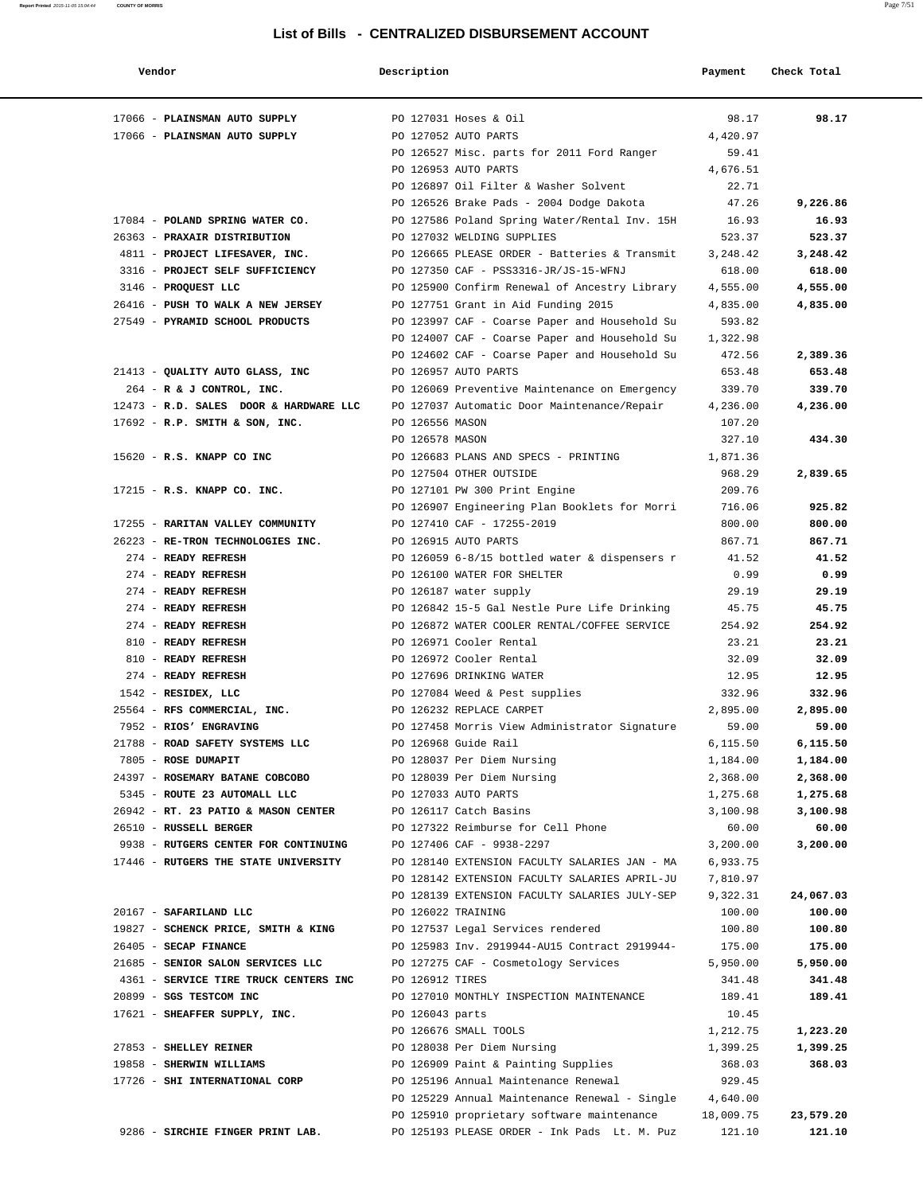| Vendor                                                                             | Description        |                                                        | Payment  | Check Total |
|------------------------------------------------------------------------------------|--------------------|--------------------------------------------------------|----------|-------------|
| 17066 - PLAINSMAN AUTO SUPPLY                                                      |                    | PO 127031 Hoses & Oil                                  | 98.17    | 98.17       |
| 17066 - PLAINSMAN AUTO SUPPLY                                                      |                    | PO 127052 AUTO PARTS                                   | 4,420.97 |             |
|                                                                                    |                    | PO 126527 Misc. parts for 2011 Ford Ranger             | 59.41    |             |
|                                                                                    |                    | PO 126953 AUTO PARTS                                   | 4,676.51 |             |
|                                                                                    |                    | PO 126897 Oil Filter & Washer Solvent                  | 22.71    |             |
|                                                                                    |                    | PO 126526 Brake Pads - 2004 Dodge Dakota               | 47.26    | 9,226.86    |
| 17084 - POLAND SPRING WATER CO.                                                    |                    | PO 127586 Poland Spring Water/Rental Inv. 15H          | 16.93    | 16.93       |
| 26363 - PRAXAIR DISTRIBUTION                                                       |                    | PO 127032 WELDING SUPPLIES                             | 523.37   | 523.37      |
| 4811 - PROJECT LIFESAVER, INC.                                                     |                    | PO 126665 PLEASE ORDER - Batteries & Transmit          | 3,248.42 | 3,248.42    |
| 3316 - PROJECT SELF SUFFICIENCY                                                    |                    | PO 127350 CAF - PSS3316-JR/JS-15-WFNJ                  | 618.00   | 618.00      |
| 3146 - PROQUEST LLC                                                                |                    | PO 125900 Confirm Renewal of Ancestry Library          | 4,555.00 | 4,555.00    |
| 26416 - PUSH TO WALK A NEW JERSEY                                                  |                    | PO 127751 Grant in Aid Funding 2015                    | 4,835.00 | 4,835.00    |
| 27549 - PYRAMID SCHOOL PRODUCTS                                                    |                    | PO 123997 CAF - Coarse Paper and Household Su          | 593.82   |             |
|                                                                                    |                    | PO 124007 CAF - Coarse Paper and Household Su          | 1,322.98 |             |
|                                                                                    |                    | PO 124602 CAF - Coarse Paper and Household Su          | 472.56   | 2,389.36    |
| 21413 - QUALITY AUTO GLASS, INC                                                    |                    | PO 126957 AUTO PARTS                                   | 653.48   | 653.48      |
| 264 - R & J CONTROL, INC.                                                          |                    | PO 126069 Preventive Maintenance on Emergency          | 339.70   | 339.70      |
| 12473 - R.D. SALES DOOR & HARDWARE LLC PO 127037 Automatic Door Maintenance/Repair |                    |                                                        | 4,236.00 | 4,236.00    |
| 17692 - R.P. SMITH & SON, INC.                                                     | PO 126556 MASON    |                                                        | 107.20   |             |
|                                                                                    | PO 126578 MASON    |                                                        | 327.10   | 434.30      |
| 15620 - R.S. KNAPP CO INC                                                          |                    | PO 126683 PLANS AND SPECS - PRINTING                   | 1,871.36 |             |
|                                                                                    |                    | PO 127504 OTHER OUTSIDE                                | 968.29   | 2,839.65    |
| 17215 - R.S. KNAPP CO. INC.                                                        |                    | PO 127101 PW 300 Print Engine                          | 209.76   |             |
|                                                                                    |                    | PO 126907 Engineering Plan Booklets for Morri          | 716.06   | 925.82      |
| 17255 - RARITAN VALLEY COMMUNITY                                                   |                    | PO 127410 CAF - 17255-2019                             | 800.00   | 800.00      |
| 26223 - RE-TRON TECHNOLOGIES INC.                                                  |                    | PO 126915 AUTO PARTS                                   | 867.71   | 867.71      |
| 274 - READY REFRESH                                                                |                    | PO 126059 6-8/15 bottled water & dispensers $r$        | 41.52    | 41.52       |
| 274 - READY REFRESH                                                                |                    | PO 126100 WATER FOR SHELTER                            | 0.99     | 0.99        |
| 274 - READY REFRESH                                                                |                    | PO 126187 water supply                                 | 29.19    | 29.19       |
| 274 - READY REFRESH                                                                |                    | PO 126842 15-5 Gal Nestle Pure Life Drinking           | 45.75    | 45.75       |
| 274 - READY REFRESH                                                                |                    | PO 126872 WATER COOLER RENTAL/COFFEE SERVICE           | 254.92   | 254.92      |
| 810 - READY REFRESH                                                                |                    | PO 126971 Cooler Rental                                | 23.21    | 23.21       |
| 810 - READY REFRESH                                                                |                    | PO 126972 Cooler Rental                                | 32.09    | 32.09       |
| 274 - READY REFRESH                                                                |                    | PO 127696 DRINKING WATER                               | 12.95    | 12.95       |
| 1542 - RESIDEX, LLC                                                                |                    | PO 127084 Weed & Pest supplies                         | 332.96   | 332.96      |
| 25564 - RFS COMMERCIAL, INC.                                                       |                    | PO 126232 REPLACE CARPET                               | 2,895.00 | 2,895.00    |
| 7952 - RIOS' ENGRAVING                                                             |                    | PO 127458 Morris View Administrator Signature          | 59.00    | 59.00       |
| 21788 - ROAD SAFETY SYSTEMS LLC                                                    |                    | PO 126968 Guide Rail                                   | 6,115.50 | 6,115.50    |
| 7805 - ROSE DUMAPIT                                                                |                    | PO 128037 Per Diem Nursing                             | 1,184.00 | 1,184.00    |
| 24397 - ROSEMARY BATANE COBCOBO                                                    |                    | PO 128039 Per Diem Nursing                             | 2,368.00 | 2,368.00    |
| 5345 - ROUTE 23 AUTOMALL LLC                                                       |                    | PO 127033 AUTO PARTS                                   | 1,275.68 | 1,275.68    |
| 26942 - RT. 23 PATIO & MASON CENTER                                                |                    | PO 126117 Catch Basins                                 | 3,100.98 | 3,100.98    |
| 26510 - RUSSELL BERGER                                                             |                    | PO 127322 Reimburse for Cell Phone                     | 60.00    | 60.00       |
| 9938 - RUTGERS CENTER FOR CONTINUING                                               |                    | PO 127406 CAF - 9938-2297                              | 3,200.00 | 3,200.00    |
| 17446 - RUTGERS THE STATE UNIVERSITY                                               |                    | PO 128140 EXTENSION FACULTY SALARIES JAN - MA          | 6,933.75 |             |
|                                                                                    |                    | PO 128142 EXTENSION FACULTY SALARIES APRIL-JU          | 7,810.97 |             |
|                                                                                    |                    | PO 128139 EXTENSION FACULTY SALARIES JULY-SEP          | 9,322.31 | 24,067.03   |
| 20167 - SAFARILAND LLC                                                             | PO 126022 TRAINING |                                                        | 100.00   | 100.00      |
| 19827 - SCHENCK PRICE, SMITH & KING                                                |                    | PO 127537 Legal Services rendered                      | 100.80   | 100.80      |
| 26405 - SECAP FINANCE                                                              |                    | PO 125983 Inv. 2919944-AU15 Contract 2919944-          | 175.00   | 175.00      |
| 21685 - SENIOR SALON SERVICES LLC                                                  |                    | PO 127275 CAF - Cosmetology Services                   | 5,950.00 | 5,950.00    |
| 4361 - SERVICE TIRE TRUCK CENTERS INC PO 126912 TIRES                              |                    |                                                        | 341.48   | 341.48      |
| 20899 - SGS TESTCOM INC                                                            |                    | PO 127010 MONTHLY INSPECTION MAINTENANCE               | 189.41   | 189.41      |
| 17621 - SHEAFFER SUPPLY, INC.                                                      | PO 126043 parts    |                                                        | 10.45    |             |
|                                                                                    |                    | PO 126676 SMALL TOOLS                                  | 1,212.75 | 1,223.20    |
| 27853 - SHELLEY REINER                                                             |                    | PO 128038 Per Diem Nursing                             | 1,399.25 | 1,399.25    |
| 19858 - SHERWIN WILLIAMS                                                           |                    | PO 126909 Paint & Painting Supplies                    | 368.03   | 368.03      |
| 17726 - SHI INTERNATIONAL CORP                                                     |                    | PO 125196 Annual Maintenance Renewal                   | 929.45   |             |
|                                                                                    |                    | PO 125229 Annual Maintenance Renewal - Single 4,640.00 |          |             |
|                                                                                    |                    | PO 125910 proprietary software maintenance 18,009.75   |          | 23,579.20   |
| 9286 - SIRCHIE FINGER PRINT LAB.                                                   |                    | PO 125193 PLEASE ORDER - Ink Pads Lt. M. Puz           | 121.10   | 121.10      |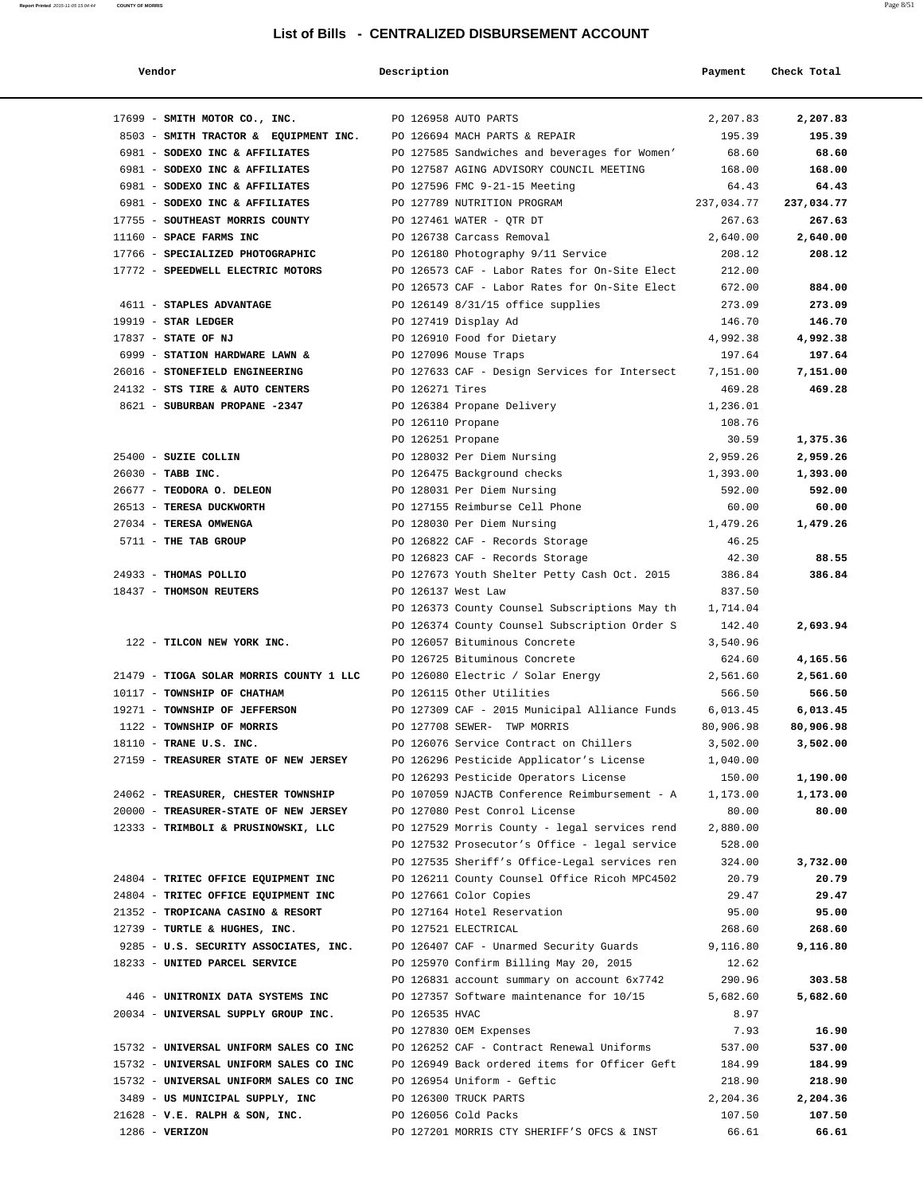| Vendor                                                                    | Description           |                                                                              | Payment              | Check Total           |
|---------------------------------------------------------------------------|-----------------------|------------------------------------------------------------------------------|----------------------|-----------------------|
| 17699 - SMITH MOTOR CO., INC.                                             |                       | PO 126958 AUTO PARTS                                                         | 2,207.83             | 2,207.83              |
| 8503 - SMITH TRACTOR & EQUIPMENT INC. PO 126694 MACH PARTS & REPAIR       |                       |                                                                              | 195.39               | 195.39                |
| 6981 - SODEXO INC & AFFILIATES                                            |                       | PO 127585 Sandwiches and beverages for Women'                                | 68.60                | 68.60                 |
| 6981 - SODEXO INC & AFFILIATES                                            |                       | PO 127587 AGING ADVISORY COUNCIL MEETING                                     | 168.00               | 168.00                |
| 6981 - SODEXO INC & AFFILIATES                                            |                       | PO 127596 FMC 9-21-15 Meeting                                                | 64.43                | 64.43                 |
| 6981 - SODEXO INC & AFFILIATES                                            |                       | PO 127789 NUTRITION PROGRAM 237,034.77                                       |                      | 237,034.77            |
| 17755 - SOUTHEAST MORRIS COUNTY THE PO 127461 WATER - QTR DT              |                       |                                                                              | 267.63               | 267.63                |
| 11160 - SPACE FARMS INC                                                   |                       | PO 126738 Carcass Removal                                                    | 2.640.00             | 2,640.00              |
| 17766 - SPECIALIZED PHOTOGRAPHIC                                          |                       | PO 126180 Photography 9/11 Service                                           | 208.12               | 208.12                |
| 17772 - SPEEDWELL ELECTRIC MOTORS                                         |                       | PO 126573 CAF - Labor Rates for On-Site Elect                                | 212.00               |                       |
|                                                                           |                       | PO 126573 CAF - Labor Rates for On-Site Elect                                | 672.00               | 884.00                |
| 4611 - STAPLES ADVANTAGE                                                  |                       | PO 126149 8/31/15 office supplies                                            | 273.09               | 273.09                |
| $19919$ - STAR LEDGER                                                     |                       | PO 127419 Display Ad                                                         | 146.70               | 146.70                |
| 17837 - STATE OF NJ                                                       |                       | PO 126910 Food for Dietary                                                   | 4,992.38             | 4,992.38              |
| 6999 - STATION HARDWARE LAWN &                                            | PO 127096 Mouse Traps |                                                                              | 197.64               | 197.64                |
| 26016 - STONEFIELD ENGINEERING                                            |                       | PO 127633 CAF - Design Services for Intersect 7,151.00                       |                      | 7,151.00              |
| 24132 - STS TIRE & AUTO CENTERS                                           | PO 126271 Tires       |                                                                              | 469.28               | 469.28                |
| 8621 - SUBURBAN PROPANE -2347                                             |                       | PO 126384 Propane Delivery                                                   | 1,236.01             |                       |
|                                                                           | PO 126110 Propane     |                                                                              | 108.76               |                       |
|                                                                           | PO 126251 Propane     |                                                                              | 30.59                | 1,375.36              |
| 25400 - SUZIE COLLIN                                                      |                       | 2,959.26<br>PO 128032 Per Diem Nursing                                       |                      | 2,959.26              |
| 26030 - TABB INC.                                                         |                       | PO 126475 Background checks                                                  | 1,393.00             | 1,393.00              |
| 26677 - TEODORA O. DELEON                                                 |                       | PO 128031 Per Diem Nursing                                                   | 592.00               | 592.00                |
| 26513 - TERESA DUCKWORTH                                                  |                       | PO 127155 Reimburse Cell Phone                                               | 60.00                | 60.00                 |
| 27034 - TERESA OMWENGA                                                    |                       | PO 128030 Per Diem Nursing                                                   | 1,479.26             | 1,479.26              |
| 5711 - THE TAB GROUP                                                      |                       | PO 126822 CAF - Records Storage                                              | 46.25                |                       |
|                                                                           |                       | PO 126823 CAF - Records Storage                                              | 42.30                | 88.55                 |
| 24933 - THOMAS POLLIO                                                     |                       | PO 127673 Youth Shelter Petty Cash Oct. 2015                                 | 386.84               | 386.84                |
| 18437 - THOMSON REUTERS                                                   | PO 126137 West Law    |                                                                              | 837.50               |                       |
|                                                                           |                       | PO 126373 County Counsel Subscriptions May th                                | 1,714.04             |                       |
|                                                                           |                       | PO 126374 County Counsel Subscription Order S                                | 142.40               | 2,693.94              |
| 122 - TILCON NEW YORK INC.                                                |                       | PO 126057 Bituminous Concrete                                                | 3,540.96             |                       |
|                                                                           |                       | PO 126725 Bituminous Concrete                                                | 624.60               | 4,165.56              |
| 21479 - TIOGA SOLAR MORRIS COUNTY 1 LLC PO 126080 Electric / Solar Energy |                       |                                                                              | 2,561.60             | 2,561.60              |
| 10117 - TOWNSHIP OF CHATHAM<br>19271 - TOWNSHIP OF JEFFERSON              |                       | PO 126115 Other Utilities                                                    | 566.50               | 566.50                |
| 1122 - TOWNSHIP OF MORRIS                                                 |                       | PO 127309 CAF - 2015 Municipal Alliance Funds<br>PO 127708 SEWER- TWP MORRIS | 6,013.45             | 6,013.45<br>80,906.98 |
| 18110 - TRANE U.S. INC.                                                   |                       | PO 126076 Service Contract on Chillers                                       | 80,906.98            |                       |
| 27159 - TREASURER STATE OF NEW JERSEY                                     |                       | PO 126296 Pesticide Applicator's License                                     | 3,502.00<br>1,040.00 | 3,502.00              |
|                                                                           |                       | PO 126293 Pesticide Operators License                                        | 150.00               | 1,190.00              |
| 24062 - TREASURER, CHESTER TOWNSHIP                                       |                       | PO 107059 NJACTB Conference Reimbursement - A                                | 1,173.00             | 1,173.00              |
| 20000 - TREASURER-STATE OF NEW JERSEY                                     |                       | PO 127080 Pest Conrol License                                                | 80.00                | 80.00                 |
| 12333 - TRIMBOLI & PRUSINOWSKI, LLC                                       |                       | PO 127529 Morris County - legal services rend                                | 2,880.00             |                       |
|                                                                           |                       | PO 127532 Prosecutor's Office - legal service                                | 528.00               |                       |
|                                                                           |                       | PO 127535 Sheriff's Office-Legal services ren                                | 324.00               | 3,732.00              |
| 24804 - TRITEC OFFICE EQUIPMENT INC                                       |                       | PO 126211 County Counsel Office Ricoh MPC4502                                | 20.79                | 20.79                 |
| 24804 - TRITEC OFFICE EQUIPMENT INC                                       |                       | PO 127661 Color Copies                                                       | 29.47                | 29.47                 |
| 21352 - TROPICANA CASINO & RESORT                                         |                       | PO 127164 Hotel Reservation                                                  | 95.00                | 95.00                 |
| 12739 - TURTLE & HUGHES, INC.                                             |                       | PO 127521 ELECTRICAL                                                         | 268.60               | 268.60                |
| 9285 - U.S. SECURITY ASSOCIATES, INC.                                     |                       | PO 126407 CAF - Unarmed Security Guards                                      | 9,116.80             | 9,116.80              |
| 18233 - UNITED PARCEL SERVICE                                             |                       | PO 125970 Confirm Billing May 20, 2015                                       | 12.62                |                       |
|                                                                           |                       | PO 126831 account summary on account 6x7742                                  | 290.96               | 303.58                |
| 446 - UNITRONIX DATA SYSTEMS INC                                          |                       | PO 127357 Software maintenance for 10/15                                     | 5,682.60             | 5,682.60              |
| 20034 - UNIVERSAL SUPPLY GROUP INC.                                       | PO 126535 HVAC        |                                                                              | 8.97                 |                       |
|                                                                           |                       | PO 127830 OEM Expenses                                                       | 7.93                 | 16.90                 |
| 15732 - UNIVERSAL UNIFORM SALES CO INC                                    |                       | PO 126252 CAF - Contract Renewal Uniforms                                    | 537.00               | 537.00                |
| 15732 - UNIVERSAL UNIFORM SALES CO INC                                    |                       | PO 126949 Back ordered items for Officer Geft                                | 184.99               | 184.99                |
| 15732 - UNIVERSAL UNIFORM SALES CO INC                                    |                       | PO 126954 Uniform - Geftic                                                   | 218.90               | 218.90                |
| 3489 - US MUNICIPAL SUPPLY, INC                                           |                       | PO 126300 TRUCK PARTS                                                        | 2,204.36             | 2,204.36              |
| 21628 - V.E. RALPH & SON, INC.                                            |                       | PO 126056 Cold Packs                                                         | 107.50               | 107.50                |
| $1286 - VERIZON$                                                          |                       | PO 127201 MORRIS CTY SHERIFF'S OFCS & INST                                   | 66.61                | 66.61                 |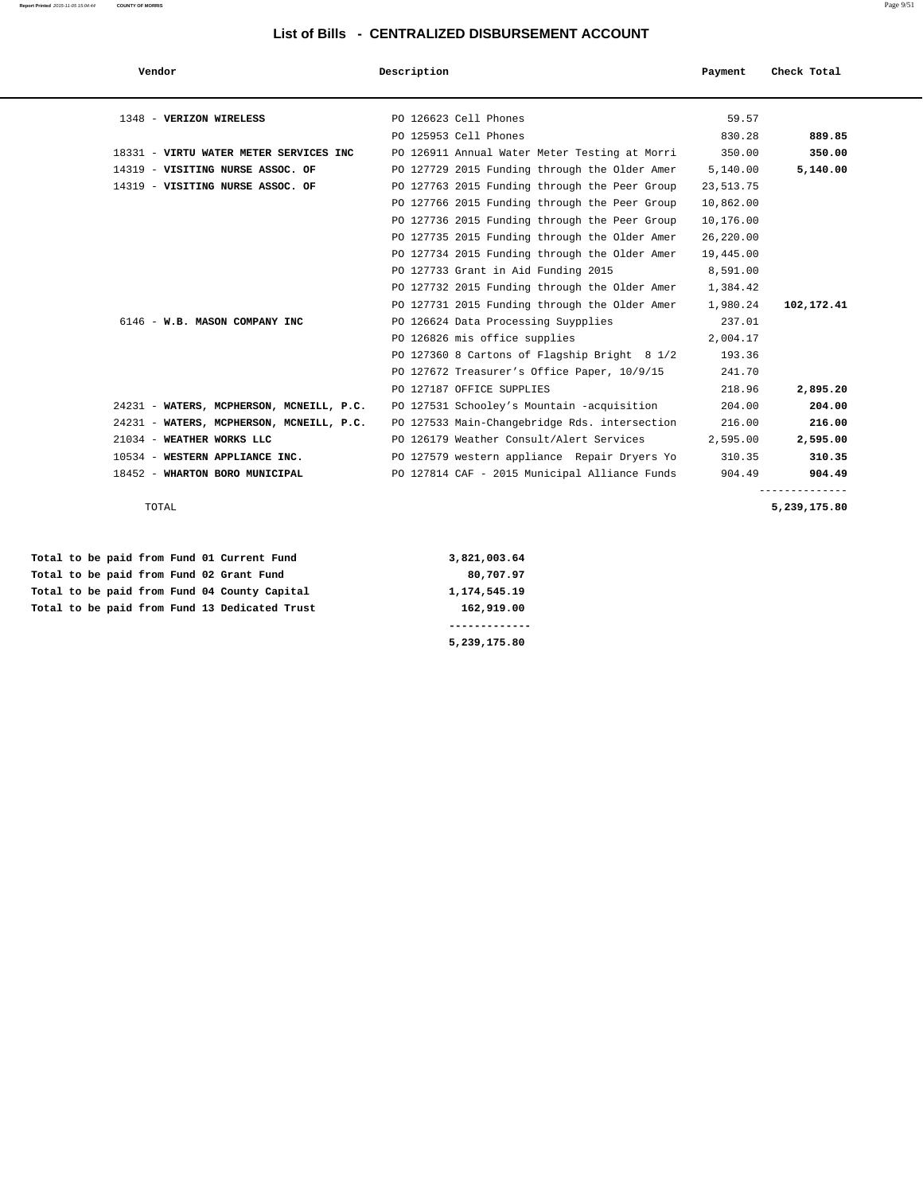| Vendor                                   | Description                                   | Payment   | Check Total    |
|------------------------------------------|-----------------------------------------------|-----------|----------------|
| 1348 - VERIZON WIRELESS                  | PO 126623 Cell Phones                         | 59.57     |                |
|                                          | PO 125953 Cell Phones                         | 830.28    | 889.85         |
| 18331 - VIRTU WATER METER SERVICES INC   | PO 126911 Annual Water Meter Testing at Morri | 350.00    | 350.00         |
| 14319 - VISITING NURSE ASSOC. OF         | PO 127729 2015 Funding through the Older Amer | 5,140.00  | 5,140.00       |
| 14319 - VISITING NURSE ASSOC. OF         | PO 127763 2015 Funding through the Peer Group | 23,513.75 |                |
|                                          | PO 127766 2015 Funding through the Peer Group | 10,862.00 |                |
|                                          | PO 127736 2015 Funding through the Peer Group | 10,176.00 |                |
|                                          | PO 127735 2015 Funding through the Older Amer | 26,220.00 |                |
|                                          | PO 127734 2015 Funding through the Older Amer | 19,445.00 |                |
|                                          | PO 127733 Grant in Aid Funding 2015           | 8,591.00  |                |
|                                          | PO 127732 2015 Funding through the Older Amer | 1,384.42  |                |
|                                          | PO 127731 2015 Funding through the Older Amer | 1,980.24  | 102,172.41     |
| 6146 - W.B. MASON COMPANY INC            | PO 126624 Data Processing Suypplies           | 237.01    |                |
|                                          | PO 126826 mis office supplies                 | 2,004.17  |                |
|                                          | PO 127360 8 Cartons of Flagship Bright 8 1/2  | 193.36    |                |
|                                          | PO 127672 Treasurer's Office Paper, 10/9/15   | 241.70    |                |
|                                          | PO 127187 OFFICE SUPPLIES                     | 218.96    | 2,895.20       |
| 24231 - WATERS, MCPHERSON, MCNEILL, P.C. | PO 127531 Schooley's Mountain -acquisition    | 204.00    | 204.00         |
| 24231 - WATERS, MCPHERSON, MCNEILL, P.C. | PO 127533 Main-Changebridge Rds. intersection | 216.00    | 216.00         |
| 21034 - WEATHER WORKS LLC                | PO 126179 Weather Consult/Alert Services      | 2,595.00  | 2,595.00       |
| 10534 - WESTERN APPLIANCE INC.           | PO 127579 western appliance Repair Dryers Yo  | 310.35    | 310.35         |
| 18452 - WHARTON BORO MUNICIPAL           | PO 127814 CAF - 2015 Municipal Alliance Funds | 904.49    | 904.49         |
|                                          |                                               |           | -------------- |

 **Total to be paid from Fund 01 Current Fund 3,821,003.64** Total to be paid from Fund 02 Grant Fund **80,707.97** Total to be paid from Fund 04 County Capital 1,174,545.19  **Total to be paid from Fund 13 Dedicated Trust 162,919.00**

 **------------- 5,239,175.80**

TOTAL **5,239,175.80**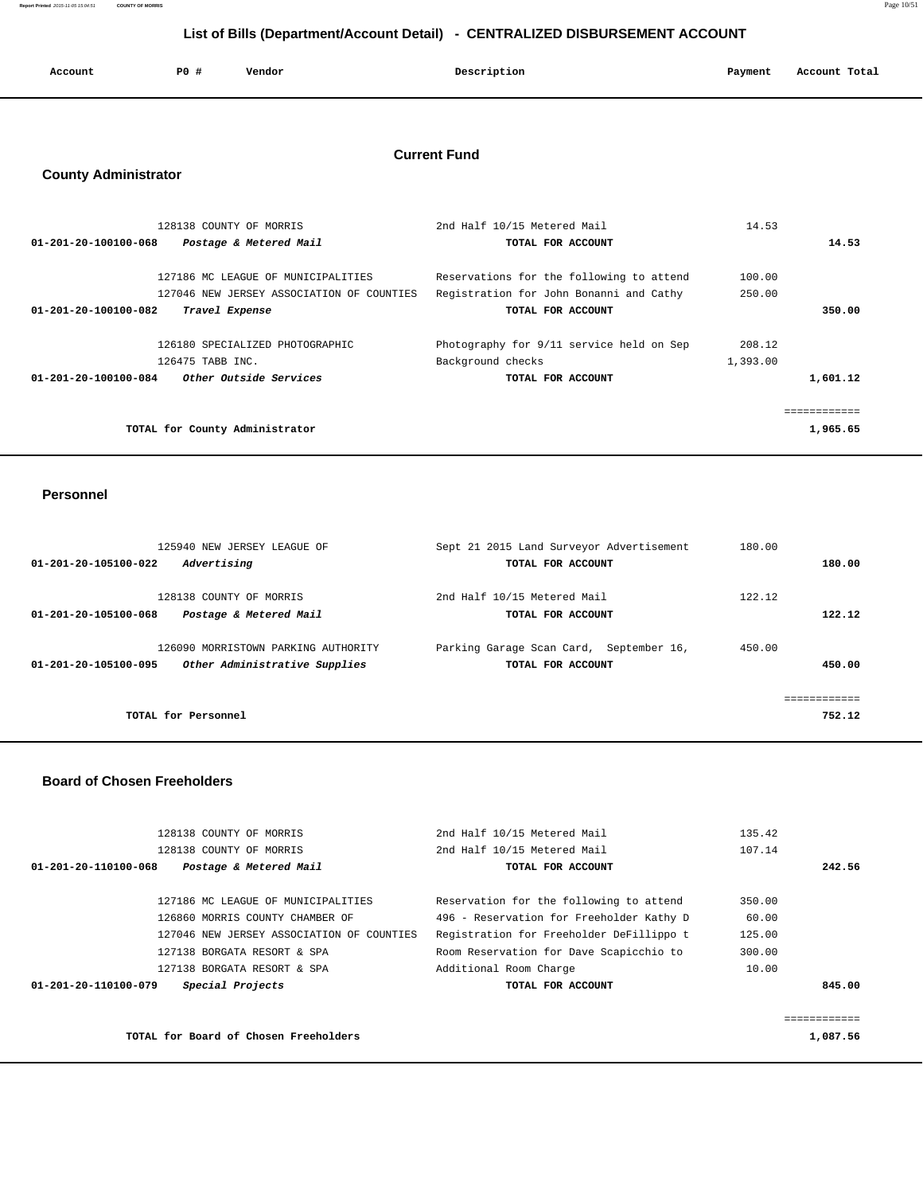**Report Printed** 2015-11-05 15:04:51 **COUNTY OF MORRIS** Page 10/51

# **List of Bills (Department/Account Detail) - CENTRALIZED DISBURSEMENT ACCOUNT**

| Account | P0 # | Vendor | Description | Payment | Account Total |
|---------|------|--------|-------------|---------|---------------|
|         |      |        |             |         |               |

## **Current Fund**

# **County Administrator**

| 128138 COUNTY OF MORRIS                        | 2nd Half 10/15 Metered Mail              | 14.53    |             |
|------------------------------------------------|------------------------------------------|----------|-------------|
| 01-201-20-100100-068<br>Postage & Metered Mail | TOTAL FOR ACCOUNT                        |          | 14.53       |
|                                                |                                          |          |             |
| 127186 MC LEAGUE OF MUNICIPALITIES             | Reservations for the following to attend | 100.00   |             |
| 127046 NEW JERSEY ASSOCIATION OF COUNTIES      | Registration for John Bonanni and Cathy  | 250.00   |             |
| 01-201-20-100100-082<br>Travel Expense         | TOTAL FOR ACCOUNT                        |          | 350.00      |
|                                                |                                          |          |             |
| 126180 SPECIALIZED PHOTOGRAPHIC                | Photography for 9/11 service held on Sep | 208.12   |             |
| 126475 TABB INC.                               | Background checks                        | 1,393.00 |             |
| Other Outside Services<br>01-201-20-100100-084 | TOTAL FOR ACCOUNT                        |          | 1,601.12    |
|                                                |                                          |          |             |
|                                                |                                          |          | eeeeeeeeeee |
| TOTAL for County Administrator                 |                                          |          | 1,965.65    |
|                                                |                                          |          |             |

#### **Personnel**

|                                     | 125940 NEW JERSEY LEAGUE OF         | Sept 21 2015 Land Surveyor Advertisement |               | 180.00 |            |
|-------------------------------------|-------------------------------------|------------------------------------------|---------------|--------|------------|
| 01-201-20-105100-022<br>Advertising |                                     | TOTAL FOR ACCOUNT                        |               |        | 180.00     |
|                                     |                                     |                                          |               |        |            |
| 128138 COUNTY OF MORRIS             |                                     | 2nd Half 10/15 Metered Mail              |               | 122.12 |            |
| 01-201-20-105100-068                | Postage & Metered Mail              | TOTAL FOR ACCOUNT                        |               |        | 122.12     |
|                                     |                                     |                                          |               |        |            |
|                                     | 126090 MORRISTOWN PARKING AUTHORITY | Parking Garage Scan Card,                | September 16, | 450.00 |            |
| 01-201-20-105100-095                | Other Administrative Supplies       | TOTAL FOR ACCOUNT                        |               |        | 450.00     |
|                                     |                                     |                                          |               |        |            |
|                                     |                                     |                                          |               |        | :========= |
| TOTAL for Personnel                 |                                     |                                          |               |        | 752.12     |
|                                     |                                     |                                          |               |        |            |

### **Board of Chosen Freeholders**

|              | 135.42 | 2nd Half 10/15 Metered Mail              | 128138 COUNTY OF MORRIS                   |                      |  |  |  |
|--------------|--------|------------------------------------------|-------------------------------------------|----------------------|--|--|--|
|              | 107.14 | 2nd Half 10/15 Metered Mail              | 128138 COUNTY OF MORRIS                   |                      |  |  |  |
| 242.56       |        | TOTAL FOR ACCOUNT                        | Postage & Metered Mail                    | 01-201-20-110100-068 |  |  |  |
|              |        |                                          |                                           |                      |  |  |  |
|              | 350.00 | Reservation for the following to attend  | 127186 MC LEAGUE OF MUNICIPALITIES        |                      |  |  |  |
|              | 60.00  | 496 - Reservation for Freeholder Kathy D | 126860 MORRIS COUNTY CHAMBER OF           |                      |  |  |  |
|              | 125.00 | Registration for Freeholder DeFillippo t | 127046 NEW JERSEY ASSOCIATION OF COUNTIES |                      |  |  |  |
|              | 300.00 | Room Reservation for Dave Scapicchio to  | 127138 BORGATA RESORT & SPA               |                      |  |  |  |
|              | 10.00  | Additional Room Charge                   | 127138 BORGATA RESORT & SPA               |                      |  |  |  |
| 845.00       |        | TOTAL FOR ACCOUNT                        | Special Projects                          | 01-201-20-110100-079 |  |  |  |
|              |        |                                          |                                           |                      |  |  |  |
| ============ |        |                                          |                                           |                      |  |  |  |
| 1,087.56     |        | TOTAL for Board of Chosen Freeholders    |                                           |                      |  |  |  |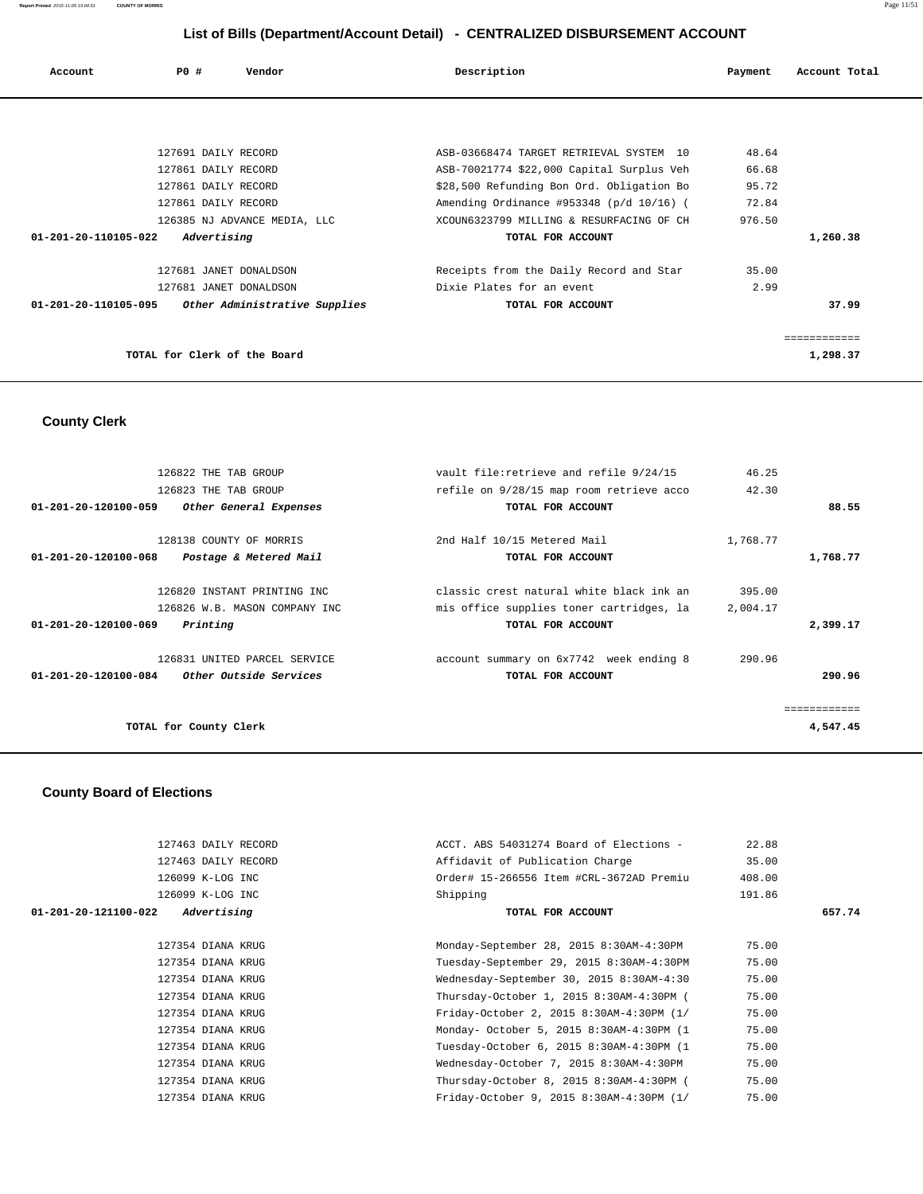| Account                                            | PO# | Vendor                       |  | Description               |                                           | Payment | Account Total |       |
|----------------------------------------------------|-----|------------------------------|--|---------------------------|-------------------------------------------|---------|---------------|-------|
|                                                    |     |                              |  |                           |                                           |         |               |       |
|                                                    |     | 127691 DAILY RECORD          |  |                           | ASB-03668474 TARGET RETRIEVAL SYSTEM 10   | 48.64   |               |       |
|                                                    |     | 127861 DAILY RECORD          |  |                           | ASB-70021774 \$22,000 Capital Surplus Veh | 66.68   |               |       |
|                                                    |     | 127861 DAILY RECORD          |  |                           | \$28,500 Refunding Bon Ord. Obligation Bo | 95.72   |               |       |
|                                                    |     | 127861 DAILY RECORD          |  |                           | Amending Ordinance #953348 (p/d 10/16) (  | 72.84   |               |       |
|                                                    |     | 126385 NJ ADVANCE MEDIA, LLC |  |                           | XCOUN6323799 MILLING & RESURFACING OF CH  | 976.50  |               |       |
| 01-201-20-110105-022                               |     | Advertising                  |  |                           | TOTAL FOR ACCOUNT                         |         | 1,260.38      |       |
|                                                    |     | 127681 JANET DONALDSON       |  |                           | Receipts from the Daily Record and Star   | 35.00   |               |       |
|                                                    |     | 127681 JANET DONALDSON       |  | Dixie Plates for an event |                                           | 2.99    |               |       |
| 01-201-20-110105-095 Other Administrative Supplies |     |                              |  |                           | TOTAL FOR ACCOUNT                         |         |               | 37.99 |
|                                                    |     |                              |  |                           |                                           |         | ============  |       |
|                                                    |     | TOTAL for Clerk of the Board |  |                           |                                           |         | 1,298.37      |       |

#### **County Clerk**

 126822 THE TAB GROUP vault file:retrieve and refile 9/24/15 46.25 126823 THE TAB GROUP **refile on 9/28/15** map room retrieve acco 42.30  **01-201-20-120100-059 Other General Expenses TOTAL FOR ACCOUNT 88.55** 128138 COUNTY OF MORRIS 2nd Half 10/15 Metered Mail 1,768.77  **01-201-20-120100-068 Postage & Metered Mail TOTAL FOR ACCOUNT 1,768.77** 126820 INSTANT PRINTING INC classic crest natural white black ink an 395.00<br>126826 W.B. MASON COMPANY INC mis office supplies toner cartridges, la 2,004.17 mis office supplies toner cartridges, la 2,004.17  **01-201-20-120100-069 Printing TOTAL FOR ACCOUNT 2,399.17** 126831 UNITED PARCEL SERVICE account summary on 6x7742 week ending 8 290.96  **01-201-20-120100-084 Other Outside Services TOTAL FOR ACCOUNT 290.96** ============ **TOTAL for County Clerk 4,547.45**

#### **County Board of Elections**

| 127463 DAILY RECORD                 | ACCT. ABS 54031274 Board of Elections -  | 22.88  |        |
|-------------------------------------|------------------------------------------|--------|--------|
| 127463 DAILY RECORD                 | Affidavit of Publication Charge          | 35.00  |        |
| 126099 K-LOG INC                    | Order# 15-266556 Item #CRL-3672AD Premiu | 408.00 |        |
| 126099 K-LOG INC                    | Shipping                                 | 191.86 |        |
| Advertising<br>01-201-20-121100-022 | TOTAL FOR ACCOUNT                        |        | 657.74 |
|                                     |                                          |        |        |
| 127354 DIANA KRUG                   | Monday-September 28, 2015 8:30AM-4:30PM  | 75.00  |        |
| 127354 DIANA KRUG                   | Tuesday-September 29, 2015 8:30AM-4:30PM | 75.00  |        |
| 127354 DIANA KRUG                   | Wednesday-September 30, 2015 8:30AM-4:30 | 75.00  |        |
| 127354 DIANA KRUG                   | Thursday-October 1, 2015 8:30AM-4:30PM ( | 75.00  |        |
| 127354 DIANA KRUG                   | Friday-October 2, 2015 8:30AM-4:30PM (1/ | 75.00  |        |
| 127354 DIANA KRUG                   | Monday- October 5, 2015 8:30AM-4:30PM (1 | 75.00  |        |
| 127354 DIANA KRUG                   | Tuesday-October 6, 2015 8:30AM-4:30PM (1 | 75.00  |        |
| 127354 DIANA KRUG                   | Wednesday-October 7, 2015 8:30AM-4:30PM  | 75.00  |        |
| 127354 DIANA KRUG                   | Thursday-October 8, 2015 8:30AM-4:30PM ( | 75.00  |        |
| 127354 DIANA KRUG                   | Friday-October 9, 2015 8:30AM-4:30PM (1/ | 75.00  |        |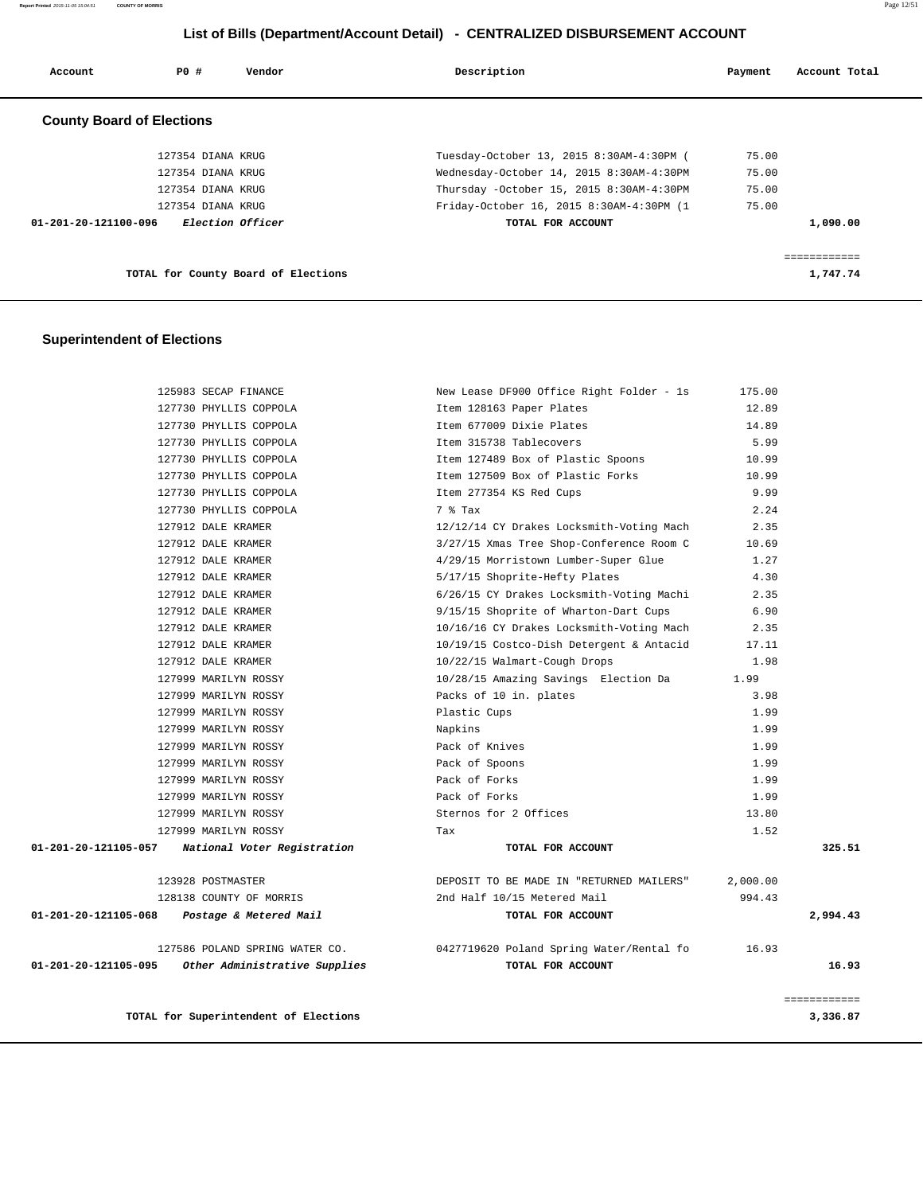**Report Printed** 2015-11-05 15:04:51 **COUNTY OF MORRIS** Page 12/51

# **List of Bills (Department/Account Detail) - CENTRALIZED DISBURSEMENT ACCOUNT**

| Account                          | PO#               | Vendor                              | Description                              | Payment | Account Total |
|----------------------------------|-------------------|-------------------------------------|------------------------------------------|---------|---------------|
| <b>County Board of Elections</b> |                   |                                     |                                          |         |               |
|                                  | 127354 DIANA KRUG |                                     | Tuesday-October 13, 2015 8:30AM-4:30PM ( | 75.00   |               |
|                                  | 127354 DIANA KRUG |                                     | Wednesday-October 14, 2015 8:30AM-4:30PM | 75.00   |               |
|                                  | 127354 DIANA KRUG |                                     | Thursday -October 15, 2015 8:30AM-4:30PM | 75.00   |               |
|                                  | 127354 DIANA KRUG |                                     | Friday-October 16, 2015 8:30AM-4:30PM (1 | 75.00   |               |
| 01-201-20-121100-096             |                   | <i>Election Officer</i>             | TOTAL FOR ACCOUNT                        |         | 1,090.00      |
|                                  |                   |                                     |                                          |         |               |
|                                  |                   | TOTAL for County Board of Elections |                                          |         | 1,747.74      |

## **Superintendent of Elections**

|                      | 125983 SECAP FINANCE                  | New Lease DF900 Office Right Folder - 1s | 175.00   |              |
|----------------------|---------------------------------------|------------------------------------------|----------|--------------|
|                      | 127730 PHYLLIS COPPOLA                | Item 128163 Paper Plates                 | 12.89    |              |
|                      | 127730 PHYLLIS COPPOLA                | Item 677009 Dixie Plates                 | 14.89    |              |
|                      | 127730 PHYLLIS COPPOLA                | Item 315738 Tablecovers                  | 5.99     |              |
|                      | 127730 PHYLLIS COPPOLA                | Item 127489 Box of Plastic Spoons        | 10.99    |              |
|                      | 127730 PHYLLIS COPPOLA                | Item 127509 Box of Plastic Forks         | 10.99    |              |
|                      | 127730 PHYLLIS COPPOLA                | Item 277354 KS Red Cups                  | 9.99     |              |
|                      | 127730 PHYLLIS COPPOLA                | 7 % Tax                                  | 2.24     |              |
|                      | 127912 DALE KRAMER                    | 12/12/14 CY Drakes Locksmith-Voting Mach | 2.35     |              |
|                      | 127912 DALE KRAMER                    | 3/27/15 Xmas Tree Shop-Conference Room C | 10.69    |              |
|                      | 127912 DALE KRAMER                    | 4/29/15 Morristown Lumber-Super Glue     | 1.27     |              |
|                      | 127912 DALE KRAMER                    | 5/17/15 Shoprite-Hefty Plates            | 4.30     |              |
|                      | 127912 DALE KRAMER                    | 6/26/15 CY Drakes Locksmith-Voting Machi | 2.35     |              |
|                      | 127912 DALE KRAMER                    | 9/15/15 Shoprite of Wharton-Dart Cups    | 6.90     |              |
|                      | 127912 DALE KRAMER                    | 10/16/16 CY Drakes Locksmith-Voting Mach | 2.35     |              |
|                      | 127912 DALE KRAMER                    | 10/19/15 Costco-Dish Detergent & Antacid | 17.11    |              |
|                      | 127912 DALE KRAMER                    | 10/22/15 Walmart-Cough Drops             | 1.98     |              |
|                      | 127999 MARILYN ROSSY                  | 10/28/15 Amazing Savings â Election Da   | 1.99     |              |
|                      | 127999 MARILYN ROSSY                  | Packs of 10 in. plates                   | 3.98     |              |
|                      | 127999 MARILYN ROSSY                  | Plastic Cups                             | 1.99     |              |
|                      | 127999 MARILYN ROSSY                  | Napkins                                  | 1.99     |              |
|                      | 127999 MARILYN ROSSY                  | Pack of Knives                           | 1.99     |              |
|                      | 127999 MARILYN ROSSY                  | Pack of Spoons                           | 1.99     |              |
|                      | 127999 MARILYN ROSSY                  | Pack of Forks                            | 1.99     |              |
|                      | 127999 MARILYN ROSSY                  | Pack of Forks                            | 1.99     |              |
|                      | 127999 MARILYN ROSSY                  | Sternos for 2 Offices                    | 13.80    |              |
|                      | 127999 MARILYN ROSSY                  | Tax                                      | 1.52     |              |
| 01-201-20-121105-057 | National Voter Registration           | TOTAL FOR ACCOUNT                        |          | 325.51       |
|                      | 123928 POSTMASTER                     | DEPOSIT TO BE MADE IN "RETURNED MAILERS" | 2,000.00 |              |
|                      | 128138 COUNTY OF MORRIS               | 2nd Half 10/15 Metered Mail              | 994.43   |              |
| 01-201-20-121105-068 | Postage & Metered Mail                | TOTAL FOR ACCOUNT                        |          | 2,994.43     |
|                      | 127586 POLAND SPRING WATER CO.        | 0427719620 Poland Spring Water/Rental fo | 16.93    |              |
| 01-201-20-121105-095 | Other Administrative Supplies         | TOTAL FOR ACCOUNT                        |          | 16.93        |
|                      |                                       |                                          |          | ============ |
|                      | TOTAL for Superintendent of Elections |                                          |          | 3,336.87     |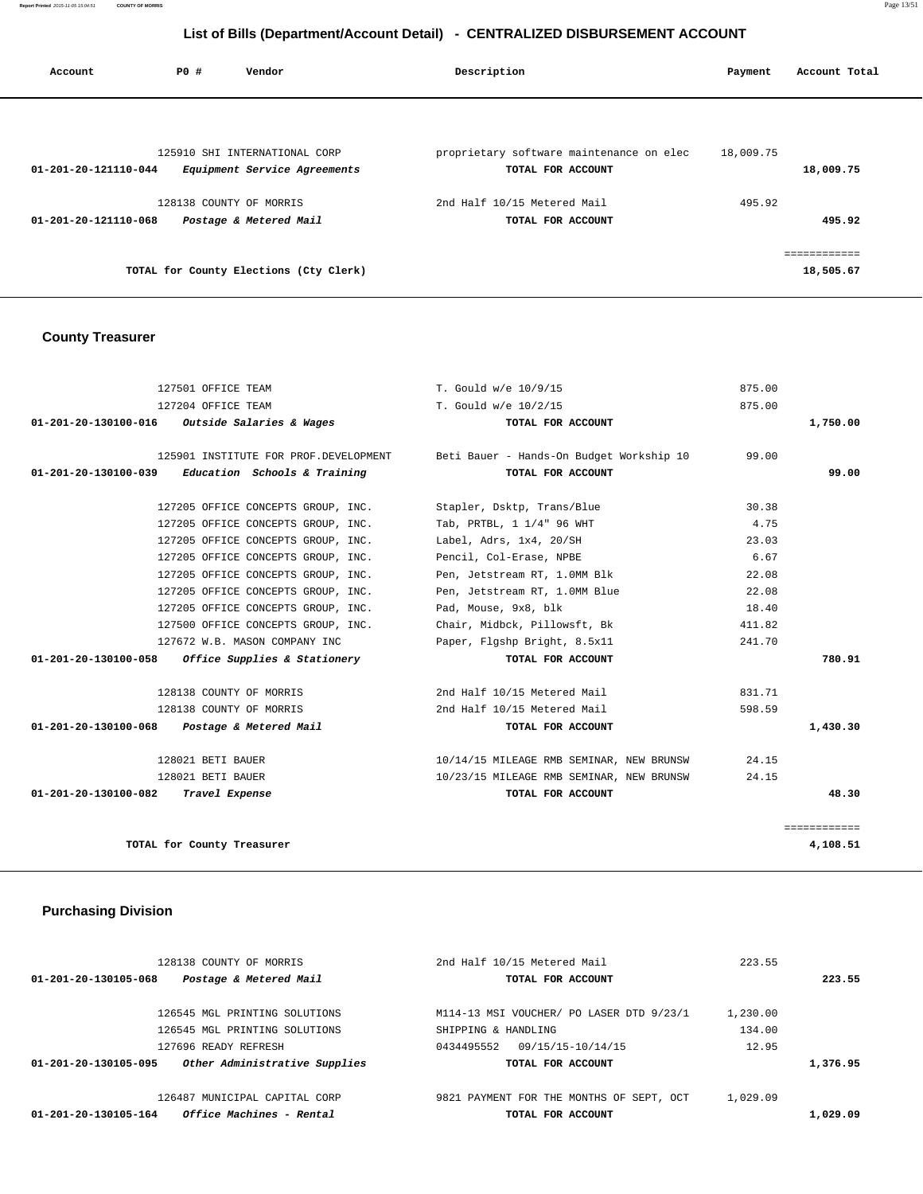**Report Printed** 2015-11-05 15:04:51 **COUNTY OF MORRIS** Page 13/51

# **List of Bills (Department/Account Detail) - CENTRALIZED DISBURSEMENT ACCOUNT**

| Account              | PO# | Vendor                                 | Description                              | Payment   | Account Total |
|----------------------|-----|----------------------------------------|------------------------------------------|-----------|---------------|
|                      |     | 125910 SHI INTERNATIONAL CORP          | proprietary software maintenance on elec | 18,009.75 |               |
| 01-201-20-121110-044 |     | Equipment Service Agreements           | TOTAL FOR ACCOUNT                        |           | 18,009.75     |
|                      |     | 128138 COUNTY OF MORRIS                | 2nd Half 10/15 Metered Mail              | 495.92    |               |
| 01-201-20-121110-068 |     | Postage & Metered Mail                 | TOTAL FOR ACCOUNT                        |           | 495.92        |
|                      |     |                                        |                                          |           | ------------  |
|                      |     | TOTAL for County Elections (Cty Clerk) |                                          |           | 18,505.67     |

## **County Treasurer**

| 127501 OFFICE TEAM                                   | T. Gould w/e 10/9/15                                                           | 875.00       |
|------------------------------------------------------|--------------------------------------------------------------------------------|--------------|
| 127204 OFFICE TEAM                                   | T. Gould w/e 10/2/15                                                           | 875.00       |
| 01-201-20-130100-016 Outside Salaries & Wages        | TOTAL FOR ACCOUNT                                                              | 1,750.00     |
|                                                      | 125901 INSTITUTE FOR PROF.DEVELOPMENT Beti Bauer - Hands-On Budget Workship 10 | 99.00        |
| 01-201-20-130100-039<br>Education Schools & Training | TOTAL FOR ACCOUNT                                                              | 99.00        |
| 127205 OFFICE CONCEPTS GROUP, INC.                   | Stapler, Dsktp, Trans/Blue                                                     | 30.38        |
| 127205 OFFICE CONCEPTS GROUP, INC.                   | Tab, PRTBL, 1 1/4" 96 WHT                                                      | 4.75         |
| 127205 OFFICE CONCEPTS GROUP, INC.                   | Label, Adrs, 1x4, 20/SH                                                        | 23.03        |
| 127205 OFFICE CONCEPTS GROUP, INC.                   | Pencil, Col-Erase, NPBE                                                        | 6.67         |
| 127205 OFFICE CONCEPTS GROUP, INC.                   | Pen, Jetstream RT, 1.0MM Blk                                                   | 22.08        |
| 127205 OFFICE CONCEPTS GROUP, INC.                   | Pen, Jetstream RT, 1.0MM Blue                                                  | 22.08        |
| 127205 OFFICE CONCEPTS GROUP, INC.                   | Pad, Mouse, 9x8, blk                                                           | 18.40        |
| 127500 OFFICE CONCEPTS GROUP, INC.                   | Chair, Midbck, Pillowsft, Bk                                                   | 411.82       |
| 127672 W.B. MASON COMPANY INC                        | Paper, Flgshp Bright, 8.5x11                                                   | 241.70       |
| Office Supplies & Stationery<br>01-201-20-130100-058 | TOTAL FOR ACCOUNT                                                              | 780.91       |
| 128138 COUNTY OF MORRIS                              | 2nd Half 10/15 Metered Mail                                                    | 831.71       |
| 128138 COUNTY OF MORRIS                              | 2nd Half 10/15 Metered Mail                                                    | 598.59       |
| 01-201-20-130100-068 Postage & Metered Mail          | TOTAL FOR ACCOUNT                                                              | 1,430.30     |
| 128021 BETI BAUER                                    | 10/14/15 MILEAGE RMB SEMINAR, NEW BRUNSW                                       | 24.15        |
| 128021 BETI BAUER                                    | 10/23/15 MILEAGE RMB SEMINAR, NEW BRUNSW                                       | 24.15        |
| 01-201-20-130100-082 Travel Expense                  | TOTAL FOR ACCOUNT                                                              | 48.30        |
|                                                      |                                                                                | ============ |
| TOTAL for County Treasurer                           |                                                                                | 4,108.51     |
|                                                      |                                                                                |              |

# **Purchasing Division**

| 128138 COUNTY OF MORRIS                                        | 2nd Half 10/15 Metered Mail              | 223.55   |          |
|----------------------------------------------------------------|------------------------------------------|----------|----------|
| Postage & Metered Mail<br>01-201-20-130105-068                 | TOTAL FOR ACCOUNT                        |          | 223.55   |
| 126545 MGL PRINTING SOLUTIONS                                  | M114-13 MSI VOUCHER/ PO LASER DTD 9/23/1 | 1,230.00 |          |
| 126545 MGL PRINTING SOLUTIONS                                  | SHIPPING & HANDLING                      | 134.00   |          |
| 127696 READY REFRESH                                           | 0434495552<br>09/15/15-10/14/15          | 12.95    |          |
| Other Administrative Supplies<br>01-201-20-130105-095          | TOTAL FOR ACCOUNT                        |          | 1,376.95 |
| 126487 MUNICIPAL CAPITAL CORP                                  | 9821 PAYMENT FOR THE MONTHS OF SEPT, OCT | 1,029.09 |          |
| <i><b>Office Machines - Rental</b></i><br>01-201-20-130105-164 | TOTAL FOR ACCOUNT                        |          | 1,029.09 |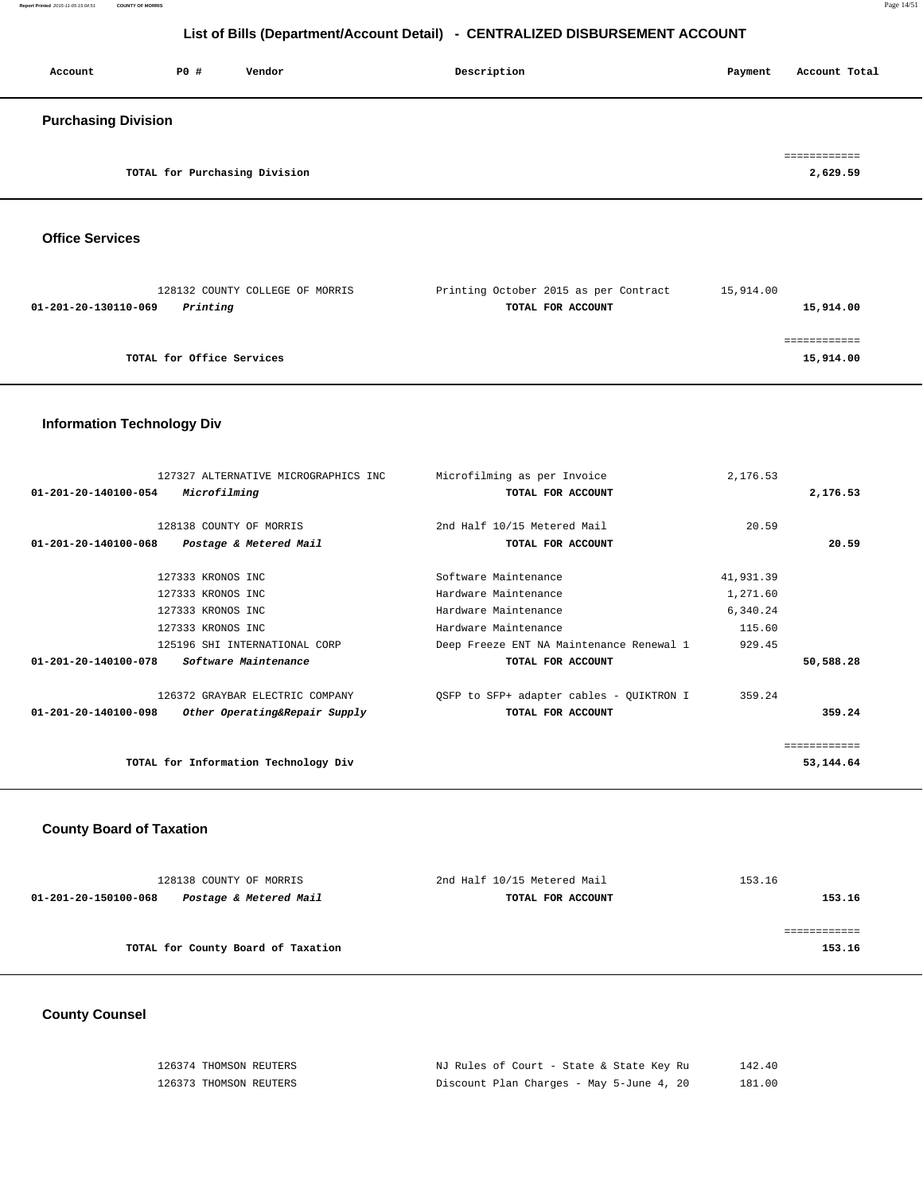| Account                    | PO#                           | Vendor | Description | Payment | Account Total            |
|----------------------------|-------------------------------|--------|-------------|---------|--------------------------|
| <b>Purchasing Division</b> |                               |        |             |         |                          |
|                            | TOTAL for Purchasing Division |        |             |         | ============<br>2,629.59 |

 **Office Services** 

| 128132 COUNTY COLLEGE OF MORRIS  | Printing October 2015 as per Contract | 15,914.00 |
|----------------------------------|---------------------------------------|-----------|
| Printing<br>01-201-20-130110-069 | TOTAL FOR ACCOUNT                     | 15,914.00 |
|                                  |                                       |           |
|                                  |                                       |           |
| TOTAL for Office Services        |                                       | 15,914.00 |
|                                  |                                       |           |

# **Information Technology Div**

|                                | 127327 ALTERNATIVE MICROGRAPHICS INC | Microfilming as per Invoice              | 2,176.53  |           |
|--------------------------------|--------------------------------------|------------------------------------------|-----------|-----------|
| $01 - 201 - 20 - 140100 - 054$ | Microfilming                         | TOTAL FOR ACCOUNT                        |           | 2,176.53  |
|                                |                                      |                                          |           |           |
|                                | 128138 COUNTY OF MORRIS              | 2nd Half 10/15 Metered Mail              | 20.59     |           |
| $01 - 201 - 20 - 140100 - 068$ | Postage & Metered Mail               | TOTAL FOR ACCOUNT                        |           | 20.59     |
|                                |                                      |                                          |           |           |
|                                | 127333 KRONOS INC                    | Software Maintenance                     | 41,931.39 |           |
|                                | 127333 KRONOS INC                    | Hardware Maintenance                     | 1,271.60  |           |
|                                | 127333 KRONOS INC                    | Hardware Maintenance                     | 6,340.24  |           |
|                                | 127333 KRONOS INC                    | Hardware Maintenance                     | 115.60    |           |
|                                | 125196 SHI INTERNATIONAL CORP        | Deep Freeze ENT NA Maintenance Renewal 1 | 929.45    |           |
| $01 - 201 - 20 - 140100 - 078$ | Software Maintenance                 | TOTAL FOR ACCOUNT                        |           | 50,588.28 |
|                                | 126372 GRAYBAR ELECTRIC COMPANY      | QSFP to SFP+ adapter cables - QUIKTRON I | 359.24    |           |
| 01-201-20-140100-098           | Other Operating&Repair Supply        | TOTAL FOR ACCOUNT                        |           | 359.24    |
|                                |                                      |                                          |           |           |
|                                | TOTAL for Information Technology Div |                                          |           | 53,144.64 |

#### **County Board of Taxation**

| 128138 COUNTY OF MORRIS                        | 2nd Half 10/15 Metered Mail | 153.16 |
|------------------------------------------------|-----------------------------|--------|
| 01-201-20-150100-068<br>Postage & Metered Mail | TOTAL FOR ACCOUNT           | 153.16 |
|                                                |                             |        |
|                                                |                             |        |
| TOTAL for County Board of Taxation             |                             | 153.16 |
|                                                |                             |        |

# **County Counsel**

| 126374 THOMSON REUTERS | NJ Rules of Court - State & State Key Ru | 142.40 |
|------------------------|------------------------------------------|--------|
| 126373 THOMSON REUTERS | Discount Plan Charges - May 5-June 4, 20 | 181.00 |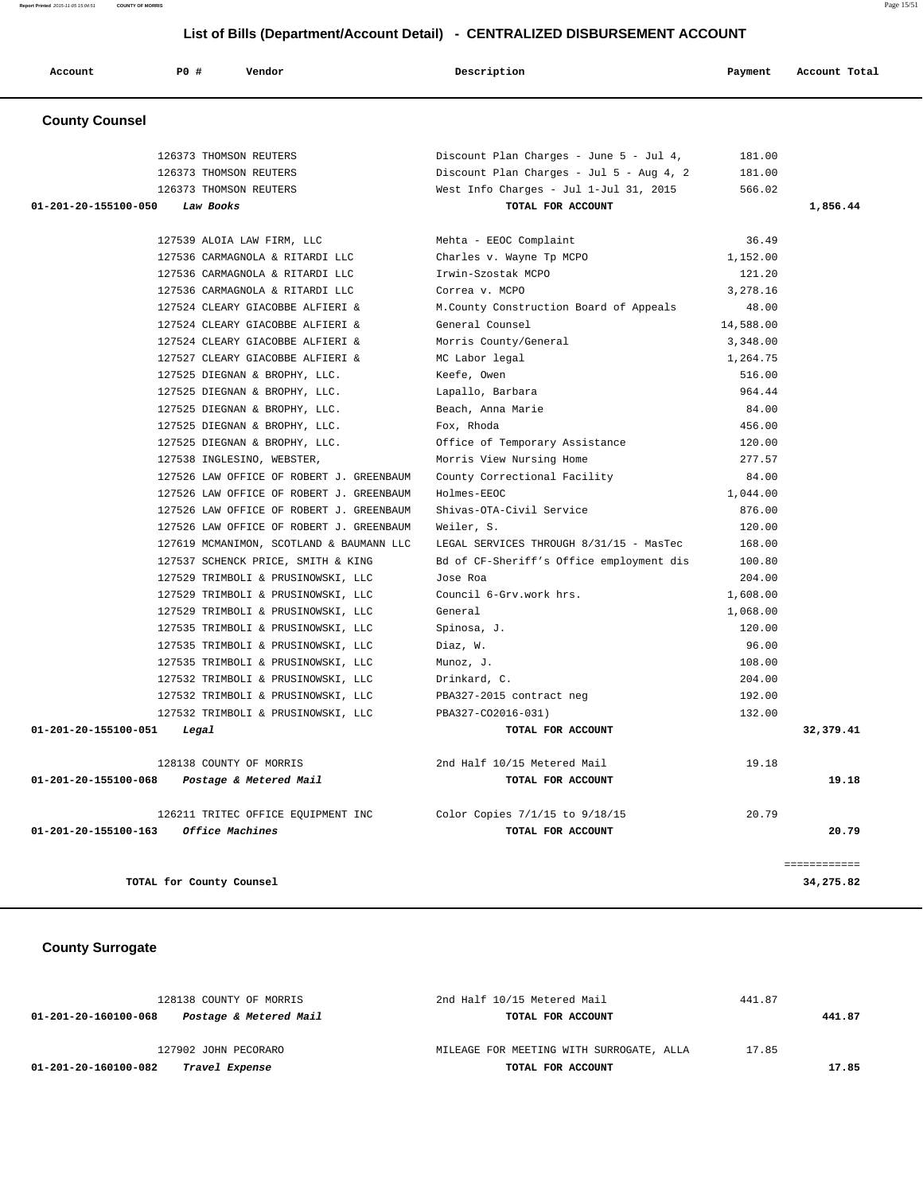| Account               | <b>PO #</b>             | Vendor                                   | Description                              | Payment   | Account Total |
|-----------------------|-------------------------|------------------------------------------|------------------------------------------|-----------|---------------|
| <b>County Counsel</b> |                         |                                          |                                          |           |               |
|                       | 126373 THOMSON REUTERS  |                                          | Discount Plan Charges - June 5 - Jul 4,  | 181.00    |               |
|                       | 126373 THOMSON REUTERS  |                                          | Discount Plan Charges - Jul 5 - Aug 4, 2 | 181.00    |               |
|                       |                         | 126373 THOMSON REUTERS                   | West Info Charges - Jul 1-Jul 31, 2015   | 566.02    |               |
| 01-201-20-155100-050  | Law Books               |                                          | TOTAL FOR ACCOUNT                        |           | 1,856.44      |
|                       |                         | 127539 ALOIA LAW FIRM, LLC               | Mehta - EEOC Complaint                   | 36.49     |               |
|                       |                         | 127536 CARMAGNOLA & RITARDI LLC          | Charles v. Wayne Tp MCPO                 | 1,152.00  |               |
|                       |                         | 127536 CARMAGNOLA & RITARDI LLC          | Irwin-Szostak MCPO                       | 121.20    |               |
|                       |                         | 127536 CARMAGNOLA & RITARDI LLC          | Correa v. MCPO                           | 3,278.16  |               |
|                       |                         | 127524 CLEARY GIACOBBE ALFIERI &         | M.County Construction Board of Appeals   | 48.00     |               |
|                       |                         | 127524 CLEARY GIACOBBE ALFIERI &         | General Counsel                          | 14,588.00 |               |
|                       |                         | 127524 CLEARY GIACOBBE ALFIERI &         | Morris County/General                    | 3,348.00  |               |
|                       |                         | 127527 CLEARY GIACOBBE ALFIERI &         | MC Labor legal                           | 1,264.75  |               |
|                       |                         | 127525 DIEGNAN & BROPHY, LLC.            | Keefe, Owen                              | 516.00    |               |
|                       |                         | 127525 DIEGNAN & BROPHY, LLC.            | Lapallo, Barbara                         | 964.44    |               |
|                       |                         | 127525 DIEGNAN & BROPHY, LLC.            | Beach, Anna Marie                        | 84.00     |               |
|                       |                         | 127525 DIEGNAN & BROPHY, LLC.            | Fox, Rhoda                               | 456.00    |               |
|                       |                         | 127525 DIEGNAN & BROPHY, LLC.            | Office of Temporary Assistance           | 120.00    |               |
|                       |                         | 127538 INGLESINO, WEBSTER,               | Morris View Nursing Home                 | 277.57    |               |
|                       |                         | 127526 LAW OFFICE OF ROBERT J. GREENBAUM | County Correctional Facility             | 84.00     |               |
|                       |                         | 127526 LAW OFFICE OF ROBERT J. GREENBAUM | Holmes-EEOC                              | 1,044.00  |               |
|                       |                         | 127526 LAW OFFICE OF ROBERT J. GREENBAUM | Shivas-OTA-Civil Service                 | 876.00    |               |
|                       |                         | 127526 LAW OFFICE OF ROBERT J. GREENBAUM | Weiler, S.                               | 120.00    |               |
|                       |                         | 127619 MCMANIMON, SCOTLAND & BAUMANN LLC | LEGAL SERVICES THROUGH 8/31/15 - MasTec  | 168.00    |               |
|                       |                         | 127537 SCHENCK PRICE, SMITH & KING       | Bd of CF-Sheriff's Office employment dis | 100.80    |               |
|                       |                         | 127529 TRIMBOLI & PRUSINOWSKI, LLC       | Jose Roa                                 | 204.00    |               |
|                       |                         | 127529 TRIMBOLI & PRUSINOWSKI, LLC       | Council 6-Grv.work hrs.                  | 1,608.00  |               |
|                       |                         | 127529 TRIMBOLI & PRUSINOWSKI, LLC       | General                                  | 1,068.00  |               |
|                       |                         | 127535 TRIMBOLI & PRUSINOWSKI, LLC       | Spinosa, J.                              | 120.00    |               |
|                       |                         | 127535 TRIMBOLI & PRUSINOWSKI, LLC       | Diaz, W.                                 | 96.00     |               |
|                       |                         | 127535 TRIMBOLI & PRUSINOWSKI, LLC       | Munoz, J.                                | 108.00    |               |
|                       |                         | 127532 TRIMBOLI & PRUSINOWSKI, LLC       | Drinkard, C.                             | 204.00    |               |
|                       |                         | 127532 TRIMBOLI & PRUSINOWSKI, LLC       | PBA327-2015 contract neg                 | 192.00    |               |
|                       |                         | 127532 TRIMBOLI & PRUSINOWSKI, LLC       | PBA327-CO2016-031)                       | 132.00    |               |
| 01-201-20-155100-051  | Legal                   |                                          | TOTAL FOR ACCOUNT                        |           | 32,379.41     |
|                       | 128138 COUNTY OF MORRIS |                                          | 2nd Half 10/15 Metered Mail              | 19.18     |               |
| 01-201-20-155100-068  |                         | Postage & Metered Mail                   | TOTAL FOR ACCOUNT                        |           | 19.18         |
|                       |                         | 126211 TRITEC OFFICE EQUIPMENT INC       | Color Copies 7/1/15 to 9/18/15           | 20.79     |               |
| 01-201-20-155100-163  | Office Machines         |                                          | TOTAL FOR ACCOUNT                        |           | 20.79         |

 **County Surrogate** 

| 01-201-20-160100-082<br>Travel Expense         | TOTAL FOR ACCOUNT                        |        | 17.85  |
|------------------------------------------------|------------------------------------------|--------|--------|
| 127902 JOHN PECORARO                           | MILEAGE FOR MEETING WITH SURROGATE, ALLA | 17.85  |        |
| Postage & Metered Mail<br>01-201-20-160100-068 | TOTAL FOR ACCOUNT                        |        | 441.87 |
| 128138 COUNTY OF MORRIS                        | 2nd Half 10/15 Metered Mail              | 441.87 |        |

**Report Printed** 2015-11-05 15:04:51 **COUNTY OF MORRIS** Page 15/51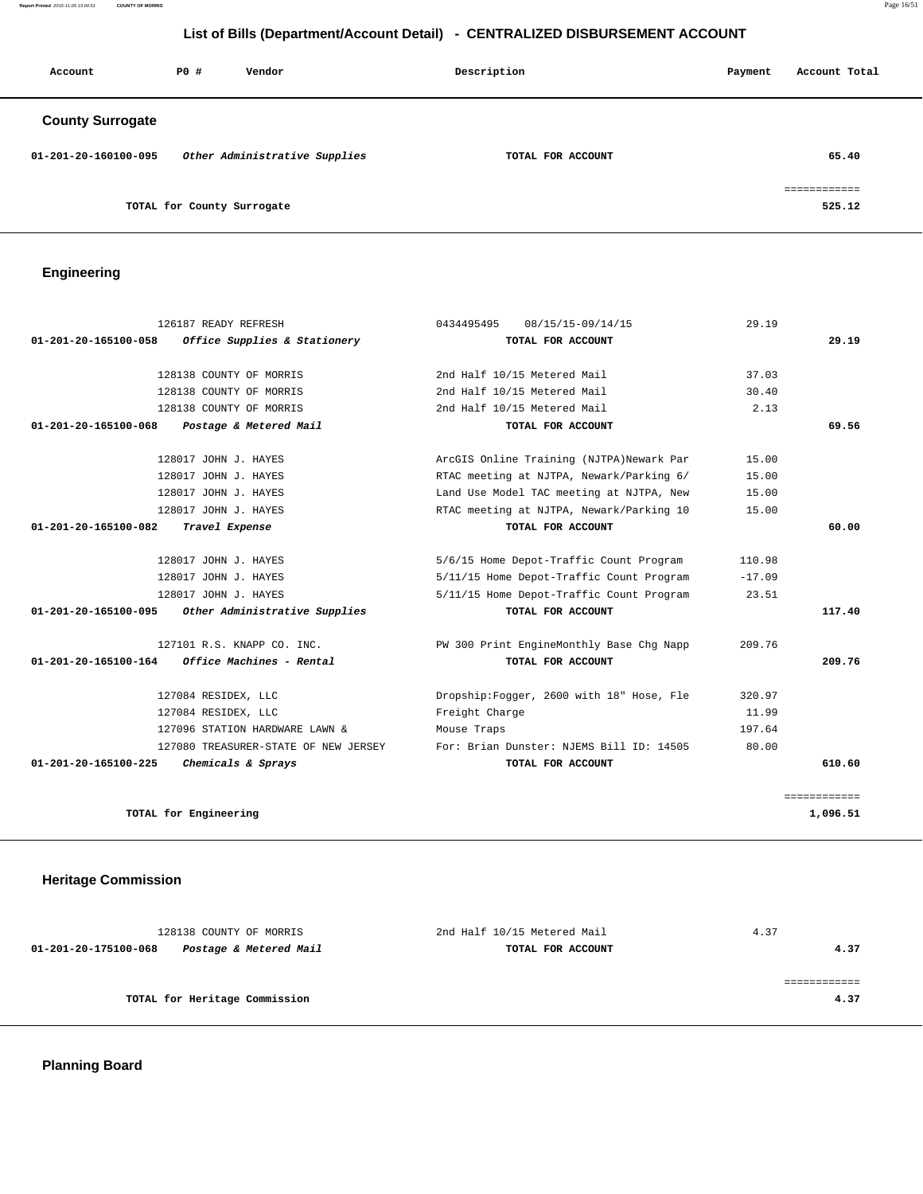**Report Printed** 2015-11-05 15:04:51 **COUNTY OF MORRIS** Page 16/51

# **List of Bills (Department/Account Detail) - CENTRALIZED DISBURSEMENT ACCOUNT**

| Account                 | PO#                        | Vendor                        | Description |                   | Payment | Account Total          |
|-------------------------|----------------------------|-------------------------------|-------------|-------------------|---------|------------------------|
| <b>County Surrogate</b> |                            |                               |             |                   |         |                        |
| 01-201-20-160100-095    |                            | Other Administrative Supplies |             | TOTAL FOR ACCOUNT |         | 65.40                  |
|                         | TOTAL for County Surrogate |                               |             |                   |         | essessessess<br>525.12 |

# **Engineering**

| 126187 READY REFRESH                                  | 0434495495<br>08/15/15-09/14/15           | 29.19    |              |
|-------------------------------------------------------|-------------------------------------------|----------|--------------|
| Office Supplies & Stationery<br>01-201-20-165100-058  | TOTAL FOR ACCOUNT                         |          | 29.19        |
| 128138 COUNTY OF MORRIS                               | 2nd Half 10/15 Metered Mail               | 37.03    |              |
| 128138 COUNTY OF MORRIS                               | 2nd Half 10/15 Metered Mail               | 30.40    |              |
| 128138 COUNTY OF MORRIS                               | 2nd Half 10/15 Metered Mail               | 2.13     |              |
| 01-201-20-165100-068<br>Postage & Metered Mail        | TOTAL FOR ACCOUNT                         |          | 69.56        |
| 128017 JOHN J. HAYES                                  | ArcGIS Online Training (NJTPA)Newark Par  | 15.00    |              |
| 128017 JOHN J. HAYES                                  | RTAC meeting at NJTPA, Newark/Parking 6/  | 15.00    |              |
| 128017 JOHN J. HAYES                                  | Land Use Model TAC meeting at NJTPA, New  | 15.00    |              |
| 128017 JOHN J. HAYES                                  | RTAC meeting at NJTPA, Newark/Parking 10  | 15.00    |              |
| 01-201-20-165100-082<br>Travel Expense                | TOTAL FOR ACCOUNT                         |          | 60.00        |
| 128017 JOHN J. HAYES                                  | 5/6/15 Home Depot-Traffic Count Program   | 110.98   |              |
| 128017 JOHN J. HAYES                                  | 5/11/15 Home Depot-Traffic Count Program  | $-17.09$ |              |
| 128017 JOHN J. HAYES                                  | 5/11/15 Home Depot-Traffic Count Program  | 23.51    |              |
| Other Administrative Supplies<br>01-201-20-165100-095 | TOTAL FOR ACCOUNT                         |          | 117.40       |
| 127101 R.S. KNAPP CO. INC.                            | PW 300 Print EngineMonthly Base Chq Napp  | 209.76   |              |
| 01-201-20-165100-164<br>Office Machines - Rental      | TOTAL FOR ACCOUNT                         |          | 209.76       |
| 127084 RESIDEX, LLC                                   | Dropship: Fogger, 2600 with 18" Hose, Fle | 320.97   |              |
| 127084 RESIDEX, LLC                                   | Freight Charge                            | 11.99    |              |
| 127096 STATION HARDWARE LAWN &                        | Mouse Traps                               | 197.64   |              |
| 127080 TREASURER-STATE OF NEW JERSEY                  | For: Brian Dunster: NJEMS Bill ID: 14505  | 80.00    |              |
| 01-201-20-165100-225<br>Chemicals & Sprays            | TOTAL FOR ACCOUNT                         |          | 610.60       |
|                                                       |                                           |          | ============ |
| TOTAL for Engineering                                 |                                           |          | 1,096.51     |

# **Heritage Commission**

| 128138 COUNTY OF MORRIS                        | 2nd Half 10/15 Metered Mail | 4.37 |
|------------------------------------------------|-----------------------------|------|
| Postage & Metered Mail<br>01-201-20-175100-068 | TOTAL FOR ACCOUNT           | 4.37 |
|                                                |                             |      |
|                                                |                             |      |
| TOTAL for Heritage Commission                  |                             | 4.37 |
|                                                |                             |      |

 **Planning Board**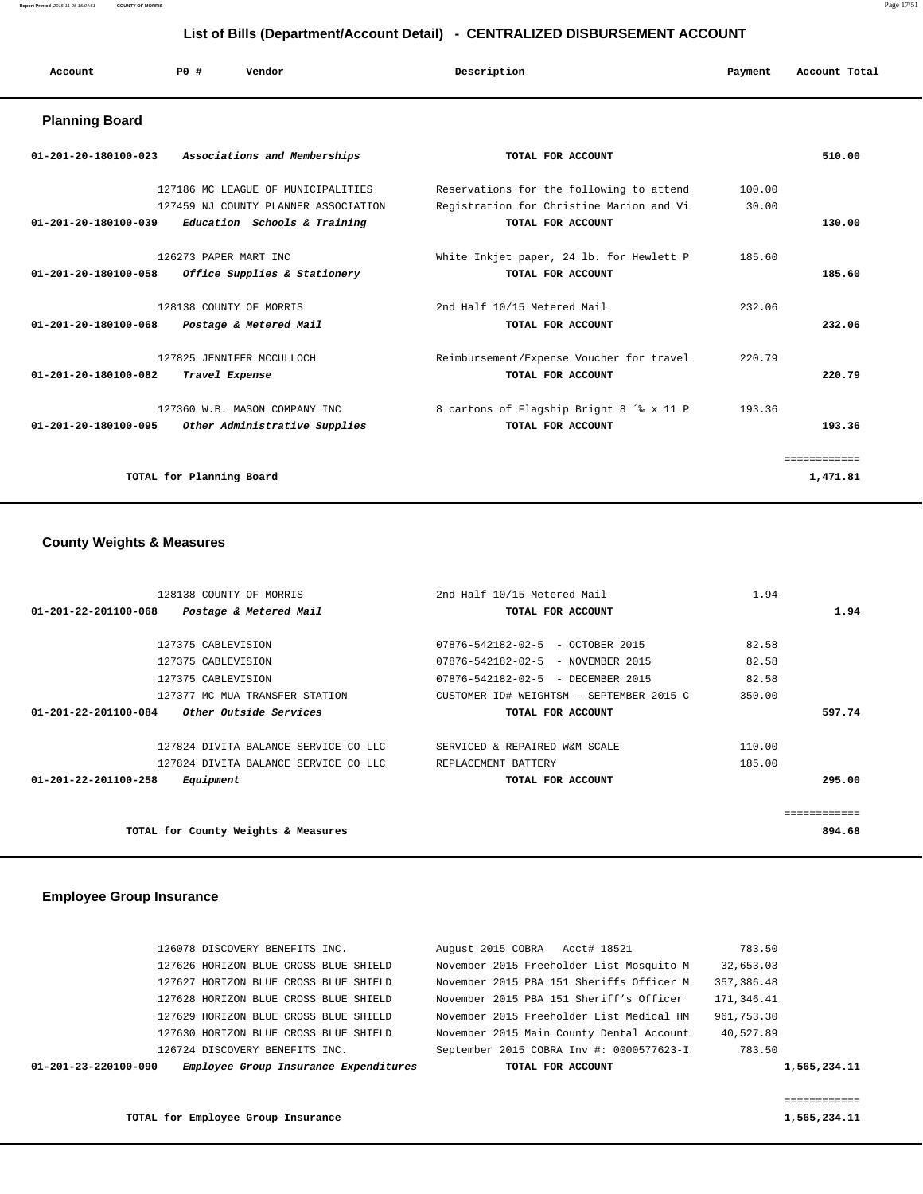**Report Printed** 2015-11-05 15:04:51 **COUNTY OF MORRIS** Page 17/51

# **List of Bills (Department/Account Detail) - CENTRALIZED DISBURSEMENT ACCOUNT**

| Account | PO# | Vendor | Description | Payment | Account Total |
|---------|-----|--------|-------------|---------|---------------|
|         |     |        |             |         |               |

## **Planning Board**

| Associations and Memberships<br>01-201-20-180100-023            | TOTAL FOR ACCOUNT                        |        | 510.00   |
|-----------------------------------------------------------------|------------------------------------------|--------|----------|
| 127186 MC LEAGUE OF MUNICIPALITIES                              | Reservations for the following to attend | 100.00 |          |
| 127459 NJ COUNTY PLANNER ASSOCIATION                            | Registration for Christine Marion and Vi | 30.00  |          |
| 01-201-20-180100-039<br>Education Schools & Training            | TOTAL FOR ACCOUNT                        |        | 130.00   |
| 126273 PAPER MART INC                                           | White Inkjet paper, 24 lb. for Hewlett P | 185.60 |          |
| 01-201-20-180100-058<br><i>Office Supplies &amp; Stationery</i> | TOTAL FOR ACCOUNT                        |        | 185.60   |
| 128138 COUNTY OF MORRIS                                         | 2nd Half 10/15 Metered Mail              | 232.06 |          |
| 01-201-20-180100-068<br>Postage & Metered Mail                  | TOTAL FOR ACCOUNT                        |        | 232.06   |
| 127825 JENNIFER MCCULLOCH                                       | Reimbursement/Expense Voucher for travel | 220.79 |          |
| 01-201-20-180100-082<br>Travel Expense                          | TOTAL FOR ACCOUNT                        |        | 220.79   |
| 127360 W.B. MASON COMPANY INC                                   | 8 cartons of Flagship Bright 8 '% x 11 P | 193.36 |          |
| $01 - 201 - 20 - 180100 - 095$<br>Other Administrative Supplies | TOTAL FOR ACCOUNT                        |        | 193.36   |
|                                                                 |                                          |        | .        |
| TOTAL for Planning Board                                        |                                          |        | 1,471.81 |

## **County Weights & Measures**

| 128138 COUNTY OF MORRIS                                  | 2nd Half 10/15 Metered Mail              | 1.94   |             |
|----------------------------------------------------------|------------------------------------------|--------|-------------|
| $01 - 201 - 22 - 201100 - 068$<br>Postage & Metered Mail | TOTAL FOR ACCOUNT                        |        | 1.94        |
|                                                          |                                          |        |             |
| 127375 CABLEVISION                                       | 07876-542182-02-5 - OCTOBER 2015         | 82.58  |             |
| 127375 CABLEVISION                                       | 07876-542182-02-5 - NOVEMBER 2015        | 82.58  |             |
| 127375 CABLEVISION                                       | 07876-542182-02-5 - DECEMBER 2015        | 82.58  |             |
| 127377 MC MUA TRANSFER STATION                           | CUSTOMER ID# WEIGHTSM - SEPTEMBER 2015 C | 350.00 |             |
| 01-201-22-201100-084<br><i>Other Outside Services</i>    | TOTAL FOR ACCOUNT                        |        | 597.74      |
| 127824 DIVITA BALANCE SERVICE CO LLC                     | SERVICED & REPAIRED W&M SCALE            | 110.00 |             |
| 127824 DIVITA BALANCE SERVICE CO LLC                     | REPLACEMENT BATTERY                      | 185.00 |             |
| 01-201-22-201100-258<br>Equipment                        | TOTAL FOR ACCOUNT                        |        | 295.00      |
|                                                          |                                          |        | =========== |
| TOTAL for County Weights & Measures                      |                                          |        | 894.68      |
|                                                          |                                          |        |             |

## **Employee Group Insurance**

| $01 - 201 - 23 - 220100 - 090$ | Employee Group Insurance Expenditures | TOTAL FOR ACCOUNT                        | 1,565,234.11 |
|--------------------------------|---------------------------------------|------------------------------------------|--------------|
|                                | 126724 DISCOVERY BENEFITS INC.        | September 2015 COBRA Inv #: 0000577623-I | 783.50       |
|                                | 127630 HORIZON BLUE CROSS BLUE SHIELD | November 2015 Main County Dental Account | 40,527.89    |
|                                | 127629 HORIZON BLUE CROSS BLUE SHIELD | November 2015 Freeholder List Medical HM | 961,753.30   |
|                                | 127628 HORIZON BLUE CROSS BLUE SHIELD | November 2015 PBA 151 Sheriff's Officer  | 171,346.41   |
|                                | 127627 HORIZON BLUE CROSS BLUE SHIELD | November 2015 PBA 151 Sheriffs Officer M | 357, 386, 48 |
|                                | 127626 HORIZON BLUE CROSS BLUE SHIELD | November 2015 Freeholder List Mosquito M | 32,653.03    |
|                                | 126078 DISCOVERY BENEFITS INC.        | August 2015 COBRA Acct# 18521            | 783.50       |
|                                |                                       |                                          |              |

TOTAL for Employee Group Insurance **1,565,234.11** 

============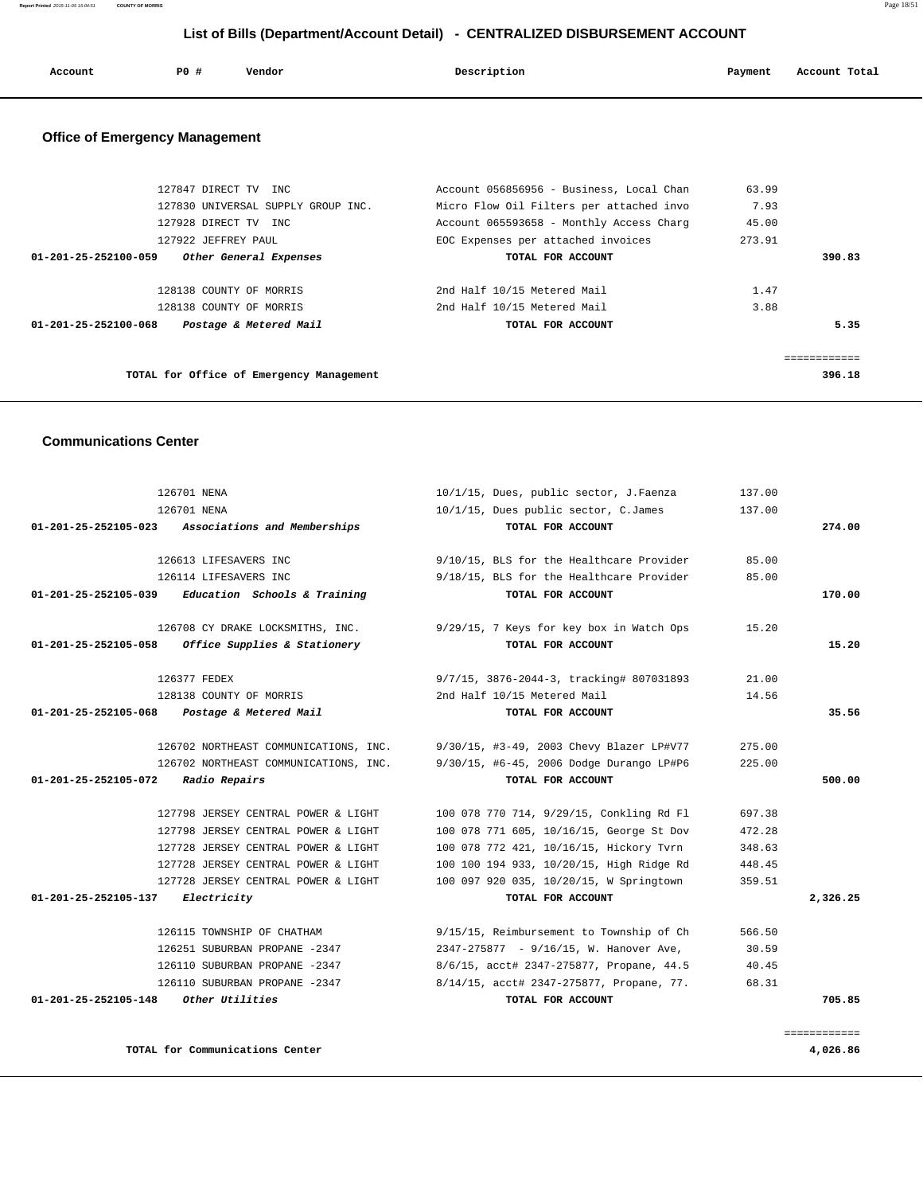| Account | PO# | Vendor | Description | Payment | Account Total |
|---------|-----|--------|-------------|---------|---------------|
|         |     |        |             |         |               |

# **Office of Emergency Management**

| 127847 DIRECT TV INC                                     | Account 056856956 - Business, Local Chan | 63.99  |        |
|----------------------------------------------------------|------------------------------------------|--------|--------|
|                                                          |                                          |        |        |
| 127830 UNIVERSAL SUPPLY GROUP INC.                       | Micro Flow Oil Filters per attached invo | 7.93   |        |
| 127928 DIRECT TV INC                                     | Account 065593658 - Monthly Access Charg | 45.00  |        |
| 127922 JEFFREY PAUL                                      | EOC Expenses per attached invoices       | 273.91 |        |
| $01 - 201 - 25 - 252100 - 059$<br>Other General Expenses | TOTAL FOR ACCOUNT                        |        | 390.83 |
|                                                          |                                          |        |        |
| 128138 COUNTY OF MORRIS                                  | 2nd Half 10/15 Metered Mail              | 1.47   |        |
| 128138 COUNTY OF MORRIS                                  | 2nd Half 10/15 Metered Mail              | 3.88   |        |
| Postage & Metered Mail<br>$01 - 201 - 25 - 252100 - 068$ | TOTAL FOR ACCOUNT                        |        | 5.35   |
|                                                          |                                          |        |        |
|                                                          |                                          |        |        |
| TOTAL for Office of Emergency Management                 |                                          |        | 396.18 |
|                                                          |                                          |        |        |

# **Communications Center**

|          | 137.00 | 10/1/15, Dues, public sector, J.Faenza   | 126701 NENA                           |                      |
|----------|--------|------------------------------------------|---------------------------------------|----------------------|
|          | 137.00 | 10/1/15, Dues public sector, C.James     | 126701 NENA                           |                      |
| 274.00   |        | TOTAL FOR ACCOUNT                        | Associations and Memberships          | 01-201-25-252105-023 |
|          | 85.00  | 9/10/15, BLS for the Healthcare Provider | 126613 LIFESAVERS INC                 |                      |
|          | 85.00  | 9/18/15, BLS for the Healthcare Provider | 126114 LIFESAVERS INC                 |                      |
| 170.00   |        | TOTAL FOR ACCOUNT                        | Education Schools & Training          | 01-201-25-252105-039 |
|          | 15.20  | 9/29/15, 7 Keys for key box in Watch Ops | 126708 CY DRAKE LOCKSMITHS, INC.      |                      |
| 15.20    |        | TOTAL FOR ACCOUNT                        | Office Supplies & Stationery          | 01-201-25-252105-058 |
|          | 21.00  | 9/7/15, 3876-2044-3, tracking# 807031893 | 126377 FEDEX                          |                      |
|          | 14.56  | 2nd Half 10/15 Metered Mail              | 128138 COUNTY OF MORRIS               |                      |
| 35.56    |        | TOTAL FOR ACCOUNT                        | Postage & Metered Mail                | 01-201-25-252105-068 |
|          | 275.00 | 9/30/15, #3-49, 2003 Chevy Blazer LP#V77 | 126702 NORTHEAST COMMUNICATIONS, INC. |                      |
|          | 225.00 | 9/30/15, #6-45, 2006 Dodge Durango LP#P6 | 126702 NORTHEAST COMMUNICATIONS, INC. |                      |
| 500.00   |        | TOTAL FOR ACCOUNT                        | <i>Radio Repairs</i>                  | 01-201-25-252105-072 |
|          | 697.38 | 100 078 770 714, 9/29/15, Conkling Rd Fl | 127798 JERSEY CENTRAL POWER & LIGHT   |                      |
|          | 472.28 | 100 078 771 605, 10/16/15, George St Dov | 127798 JERSEY CENTRAL POWER & LIGHT   |                      |
|          | 348.63 | 100 078 772 421, 10/16/15, Hickory Tvrn  | 127728 JERSEY CENTRAL POWER & LIGHT   |                      |
|          | 448.45 | 100 100 194 933, 10/20/15, High Ridge Rd | 127728 JERSEY CENTRAL POWER & LIGHT   |                      |
|          | 359.51 | 100 097 920 035, 10/20/15, W Springtown  | 127728 JERSEY CENTRAL POWER & LIGHT   |                      |
| 2,326.25 |        | TOTAL FOR ACCOUNT                        | Electricity                           | 01-201-25-252105-137 |
|          | 566.50 | 9/15/15, Reimbursement to Township of Ch | 126115 TOWNSHIP OF CHATHAM            |                      |
|          | 30.59  | 2347-275877 - 9/16/15, W. Hanover Ave,   | 126251 SUBURBAN PROPANE -2347         |                      |
|          | 40.45  | 8/6/15, acct# 2347-275877, Propane, 44.5 | 126110 SUBURBAN PROPANE -2347         |                      |
|          | 68.31  | 8/14/15, acct# 2347-275877, Propane, 77. | 126110 SUBURBAN PROPANE -2347         |                      |
| 705.85   |        | TOTAL FOR ACCOUNT                        | Other Utilities                       | 01-201-25-252105-148 |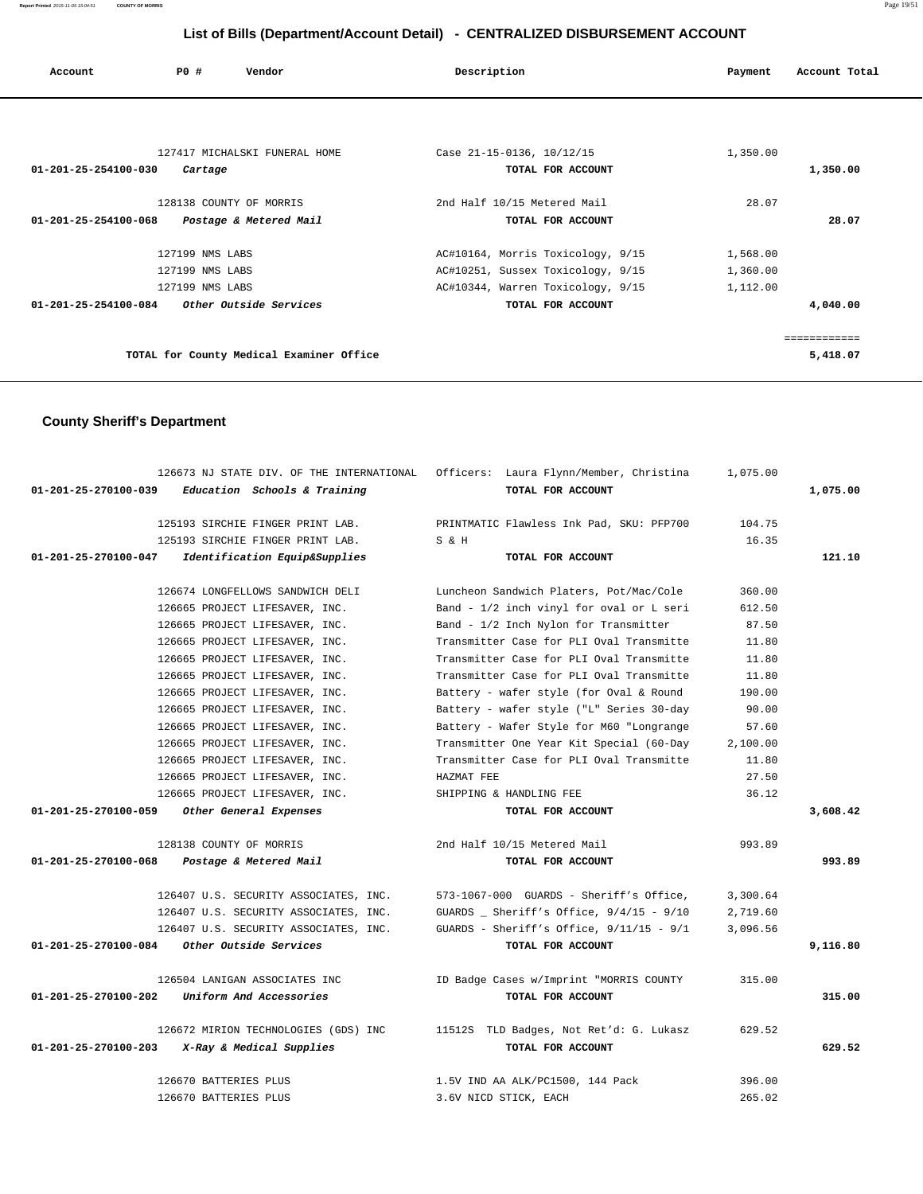| Account                        | PO#                     | Vendor                                   | Description                       | Payment  | Account Total |
|--------------------------------|-------------------------|------------------------------------------|-----------------------------------|----------|---------------|
|                                |                         |                                          |                                   |          |               |
|                                |                         | 127417 MICHALSKI FUNERAL HOME            | Case 21-15-0136, 10/12/15         | 1,350.00 |               |
| $01 - 201 - 25 - 254100 - 030$ | Cartage                 |                                          | TOTAL FOR ACCOUNT                 |          | 1,350.00      |
|                                | 128138 COUNTY OF MORRIS |                                          | 2nd Half 10/15 Metered Mail       | 28.07    |               |
| 01-201-25-254100-068           |                         | Postage & Metered Mail                   | TOTAL FOR ACCOUNT                 |          | 28.07         |
|                                | 127199 NMS LABS         |                                          | AC#10164, Morris Toxicology, 9/15 | 1,568.00 |               |
|                                | 127199 NMS LABS         |                                          | AC#10251, Sussex Toxicology, 9/15 | 1,360.00 |               |
|                                | 127199 NMS LABS         |                                          | AC#10344, Warren Toxicology, 9/15 | 1,112.00 |               |
| 01-201-25-254100-084           |                         | <i>Other Outside Services</i>            | TOTAL FOR ACCOUNT                 |          | 4,040.00      |
|                                |                         |                                          |                                   |          | ============  |
|                                |                         | TOTAL for County Medical Examiner Office |                                   |          | 5,418.07      |

# **County Sheriff's Department**

|                      | 126673 NJ STATE DIV. OF THE INTERNATIONAL | Officers: Laura Flynn/Member, Christina    | 1,075.00 |          |
|----------------------|-------------------------------------------|--------------------------------------------|----------|----------|
| 01-201-25-270100-039 | Education Schools & Training              | TOTAL FOR ACCOUNT                          |          | 1,075.00 |
|                      | 125193 SIRCHIE FINGER PRINT LAB.          | PRINTMATIC Flawless Ink Pad, SKU: PFP700   | 104.75   |          |
|                      | 125193 SIRCHIE FINGER PRINT LAB.          | S & H                                      | 16.35    |          |
| 01-201-25-270100-047 | Identification Equip&Supplies             | TOTAL FOR ACCOUNT                          |          | 121.10   |
|                      | 126674 LONGFELLOWS SANDWICH DELI          | Luncheon Sandwich Platers, Pot/Mac/Cole    | 360.00   |          |
|                      | 126665 PROJECT LIFESAVER, INC.            | Band - 1/2 inch vinyl for oval or L seri   | 612.50   |          |
|                      | 126665 PROJECT LIFESAVER, INC.            | Band - 1/2 Inch Nylon for Transmitter      | 87.50    |          |
|                      | 126665 PROJECT LIFESAVER, INC.            | Transmitter Case for PLI Oval Transmitte   | 11.80    |          |
|                      | 126665 PROJECT LIFESAVER, INC.            | Transmitter Case for PLI Oval Transmitte   | 11.80    |          |
|                      | 126665 PROJECT LIFESAVER, INC.            | Transmitter Case for PLI Oval Transmitte   | 11.80    |          |
|                      | 126665 PROJECT LIFESAVER, INC.            | Battery - wafer style (for Oval & Round    | 190.00   |          |
|                      | 126665 PROJECT LIFESAVER, INC.            | Battery - wafer style ("L" Series 30-day   | 90.00    |          |
|                      | 126665 PROJECT LIFESAVER, INC.            | Battery - Wafer Style for M60 "Longrange   | 57.60    |          |
|                      | 126665 PROJECT LIFESAVER, INC.            | Transmitter One Year Kit Special (60-Day   | 2,100.00 |          |
|                      | 126665 PROJECT LIFESAVER, INC.            | Transmitter Case for PLI Oval Transmitte   | 11.80    |          |
|                      | 126665 PROJECT LIFESAVER, INC.            | HAZMAT FEE                                 | 27.50    |          |
|                      | 126665 PROJECT LIFESAVER, INC.            | SHIPPING & HANDLING FEE                    | 36.12    |          |
| 01-201-25-270100-059 | Other General Expenses                    | TOTAL FOR ACCOUNT                          |          | 3,608.42 |
|                      | 128138 COUNTY OF MORRIS                   | 2nd Half 10/15 Metered Mail                | 993.89   |          |
| 01-201-25-270100-068 | Postage & Metered Mail                    | TOTAL FOR ACCOUNT                          |          | 993.89   |
|                      | 126407 U.S. SECURITY ASSOCIATES, INC.     | 573-1067-000 GUARDS - Sheriff's Office,    | 3,300.64 |          |
|                      | 126407 U.S. SECURITY ASSOCIATES, INC.     | GUARDS _ Sheriff's Office, $9/4/15 - 9/10$ | 2,719.60 |          |
|                      | 126407 U.S. SECURITY ASSOCIATES, INC.     | GUARDS - Sheriff's Office, $9/11/15 - 9/1$ | 3,096.56 |          |
| 01-201-25-270100-084 | Other Outside Services                    | TOTAL FOR ACCOUNT                          |          | 9,116.80 |
|                      | 126504 LANIGAN ASSOCIATES INC             | ID Badge Cases w/Imprint "MORRIS COUNTY    | 315.00   |          |
| 01-201-25-270100-202 | Uniform And Accessories                   | TOTAL FOR ACCOUNT                          |          | 315.00   |
|                      | 126672 MIRION TECHNOLOGIES (GDS) INC      | 11512S TLD Badges, Not Ret'd: G. Lukasz    | 629.52   |          |
| 01-201-25-270100-203 | X-Ray & Medical Supplies                  | TOTAL FOR ACCOUNT                          |          | 629.52   |
|                      | 126670 BATTERIES PLUS                     | 1.5V IND AA ALK/PC1500, 144 Pack           | 396.00   |          |
|                      | 126670 BATTERIES PLUS                     | 3.6V NICD STICK, EACH                      | 265.02   |          |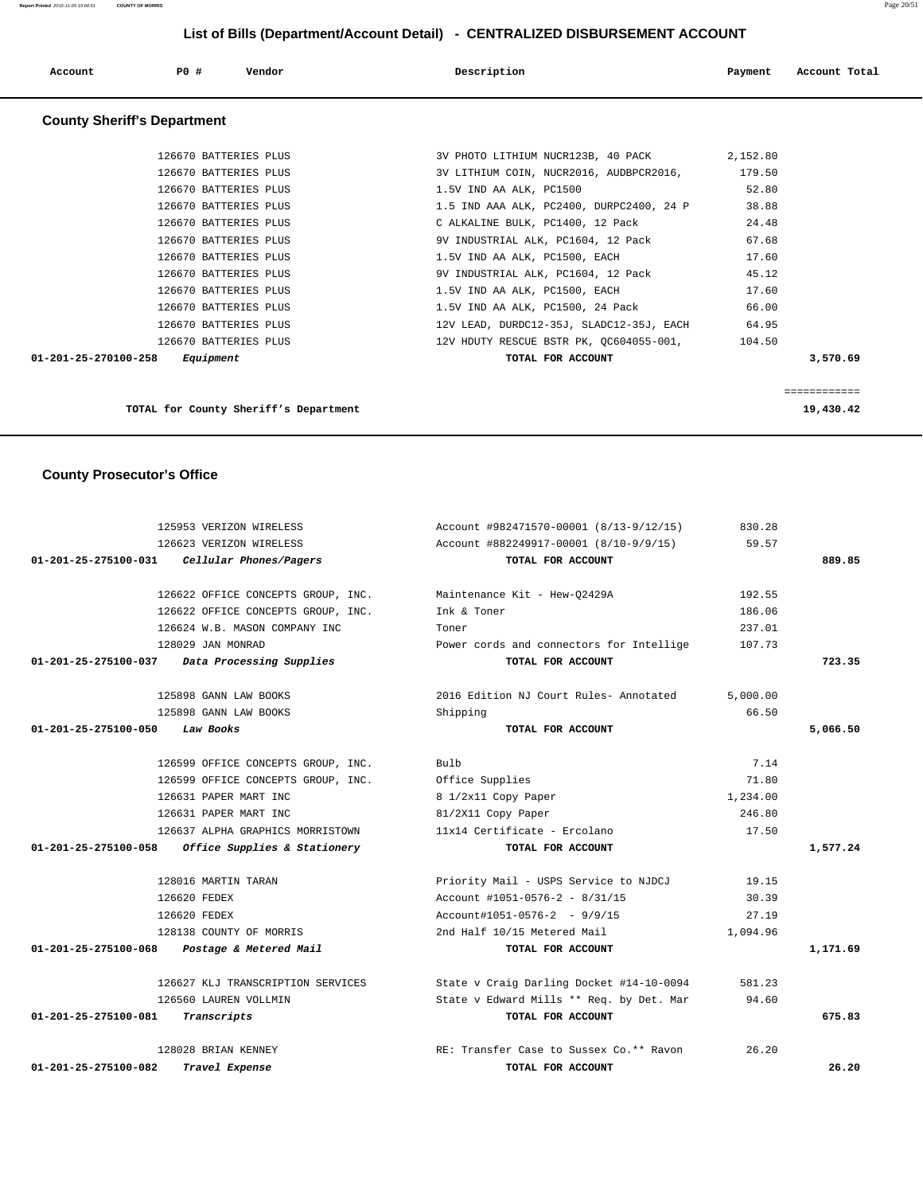|                                | 126623 VERIZON WIRELESS                           | Account #882249917-00001 (8/10-9/9/15)   | 59.57    |          |
|--------------------------------|---------------------------------------------------|------------------------------------------|----------|----------|
| 01-201-25-275100-031           | Cellular Phones/Pagers                            | TOTAL FOR ACCOUNT                        |          | 889.85   |
|                                | 126622 OFFICE CONCEPTS GROUP, INC.                | Maintenance Kit - Hew-Q2429A             | 192.55   |          |
|                                | 126622 OFFICE CONCEPTS GROUP, INC.                | Ink & Toner                              | 186.06   |          |
|                                | 126624 W.B. MASON COMPANY INC                     | Toner                                    | 237.01   |          |
|                                | 128029 JAN MONRAD                                 | Power cords and connectors for Intellige | 107.73   |          |
|                                | 01-201-25-275100-037 Data Processing Supplies     | TOTAL FOR ACCOUNT                        |          | 723.35   |
|                                | 125898 GANN LAW BOOKS                             | 2016 Edition NJ Court Rules- Annotated   | 5,000.00 |          |
|                                | 125898 GANN LAW BOOKS                             | Shipping                                 | 66.50    |          |
| 01-201-25-275100-050           | Law Books                                         | TOTAL FOR ACCOUNT                        |          | 5,066.50 |
|                                | 126599 OFFICE CONCEPTS GROUP, INC.                | Bulb                                     | 7.14     |          |
|                                | 126599 OFFICE CONCEPTS GROUP, INC.                | Office Supplies                          | 71.80    |          |
|                                | 126631 PAPER MART INC                             | 8 1/2x11 Copy Paper                      | 1,234.00 |          |
|                                | 126631 PAPER MART INC                             | 81/2X11 Copy Paper                       | 246.80   |          |
|                                | 126637 ALPHA GRAPHICS MORRISTOWN                  | 11x14 Certificate - Ercolano             | 17.50    |          |
|                                | 01-201-25-275100-058 Office Supplies & Stationery | TOTAL FOR ACCOUNT                        |          | 1,577.24 |
|                                | 128016 MARTIN TARAN                               | Priority Mail - USPS Service to NJDCJ    | 19.15    |          |
|                                | 126620 FEDEX                                      | Account #1051-0576-2 - 8/31/15           | 30.39    |          |
|                                | 126620 FEDEX                                      | $Account#1051-0576-2 - 9/9/15$           | 27.19    |          |
|                                | 128138 COUNTY OF MORRIS                           | 2nd Half 10/15 Metered Mail              | 1,094.96 |          |
|                                | 01-201-25-275100-068 Postage & Metered Mail       | TOTAL FOR ACCOUNT                        |          | 1,171.69 |
|                                | 126627 KLJ TRANSCRIPTION SERVICES                 | State v Craig Darling Docket #14-10-0094 | 581.23   |          |
|                                | 126560 LAUREN VOLLMIN                             | State v Edward Mills ** Req. by Det. Mar | 94.60    |          |
| 01-201-25-275100-081           | Transcripts                                       | TOTAL FOR ACCOUNT                        |          | 675.83   |
|                                | 128028 BRIAN KENNEY                               | RE: Transfer Case to Sussex Co.** Ravon  | 26.20    |          |
| $01 - 201 - 25 - 275100 - 082$ | Travel Expense                                    | TOTAL FOR ACCOUNT                        |          | 26.20    |

#### **County Prosecutor's Office**

| TOTAL for County Sheriff's Department       |                                          | 19,430.42    |
|---------------------------------------------|------------------------------------------|--------------|
|                                             |                                          | ============ |
| Equipment<br>$01 - 201 - 25 - 270100 - 258$ | TOTAL FOR ACCOUNT                        | 3,570.69     |
| 126670 BATTERIES PLUS                       | 12V HDUTY RESCUE BSTR PK, OC604055-001,  | 104.50       |
| 126670 BATTERIES PLUS                       | 12V LEAD, DURDC12-35J, SLADC12-35J, EACH | 64.95        |
| 126670 BATTERIES PLUS                       | 1.5V IND AA ALK, PC1500, 24 Pack         | 66.00        |
| 126670 BATTERIES PLUS                       | 1.5V IND AA ALK, PC1500, EACH            | 17.60        |
| 126670 BATTERIES PLUS                       | 9V INDUSTRIAL ALK, PC1604, 12 Pack       | 45.12        |
| 126670 BATTERIES PLUS                       | 1.5V IND AA ALK, PC1500, EACH            | 17.60        |
| 126670 BATTERIES PLUS                       | 9V INDUSTRIAL ALK, PC1604, 12 Pack       | 67.68        |
| 126670 BATTERIES PLUS                       | C ALKALINE BULK, PC1400, 12 Pack         | 24.48        |
| 126670 BATTERIES PLUS                       | 1.5 IND AAA ALK, PC2400, DURPC2400, 24 P | 38.88        |
| 126670 BATTERIES PLUS                       | 1.5V IND AA ALK, PC1500                  | 52.80        |
| 126670 BATTERIES PLUS                       | 3V LITHIUM COIN, NUCR2016, AUDBPCR2016,  | 179.50       |

125953 VERIZON WIRELESS Account #982471570-00001 (8/13-9/12/15) 830.28

# **Account P0 # Vendor Description Payment Account Total County Sheriff's Department** 126670 BATTERIES PLUS 3V PHOTO LITHIUM NUCR123B, 40 PACK 2,152.80 126670 BATTERIES PLUS 3V LITHIUM COIN, NUCR2016, AUDBPCR2016, 179.50 126670 BATTERIES PLUS 1.5V IND AA ALK, PC1500 1.5V 1.5V IND AA ALK, PC1500 126670 BATTERIES PLUS 1.5 IND AAA ALK, PC2400, DURPC2400, 24 P 38.88 126670 BATTERIES PLUS C ALKALINE BULK, PC1400, 12 Pack 24.48 126670 BATTERIES PLUS 9V INDUSTRIAL ALK, PC1604, 12 Pack 67.68 126670 BATTERIES PLUS 1.5V IND AA ALK, PC1500, EACH 17.60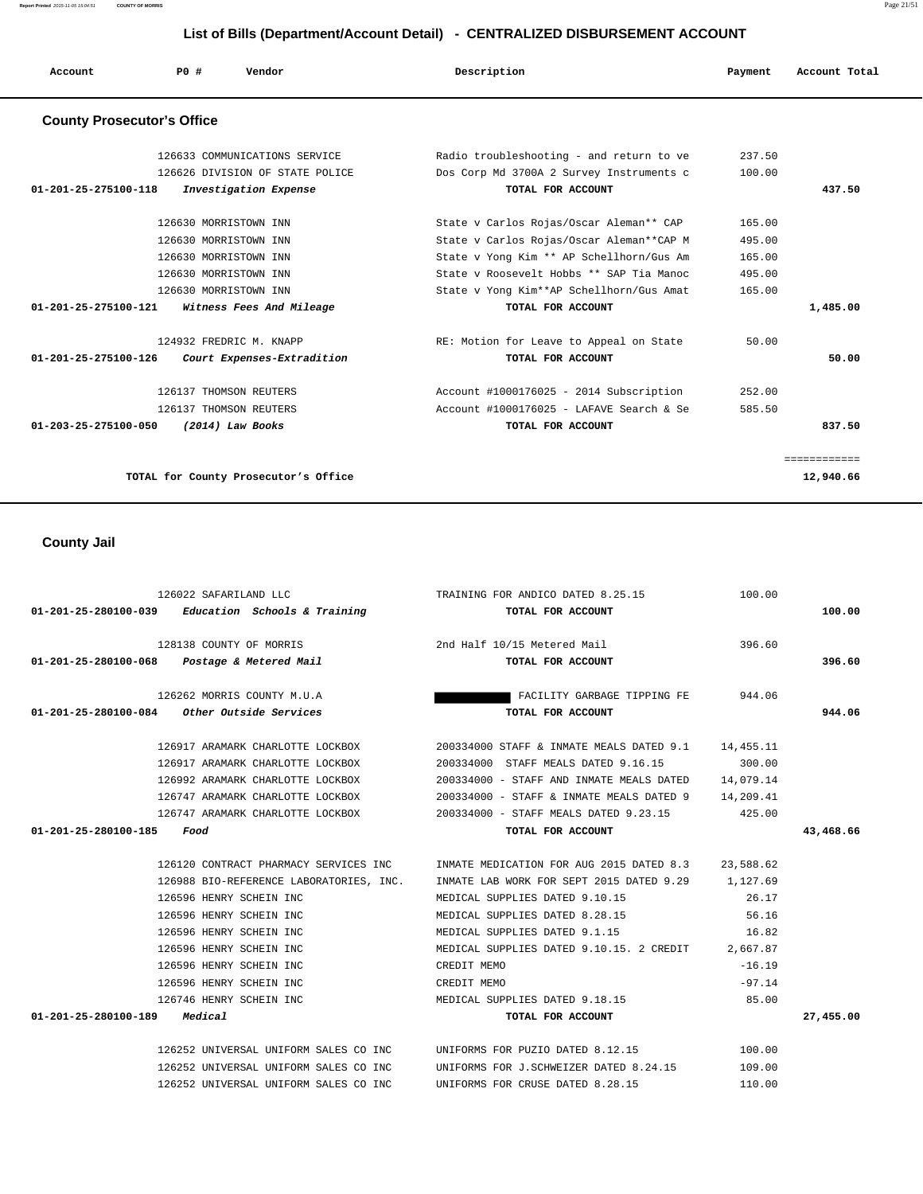**Report Printed** 2015-11-05 15:04:51 **COUNTY OF MORRIS** Page 21/51

### **List of Bills (Department/Account Detail) - CENTRALIZED DISBURSEMENT ACCOUNT**

| Account                           | PO#<br>Vendor                                   | Description                              | Payment | Account Total |
|-----------------------------------|-------------------------------------------------|------------------------------------------|---------|---------------|
| <b>County Prosecutor's Office</b> |                                                 |                                          |         |               |
|                                   | 126633 COMMUNICATIONS SERVICE                   | Radio troubleshooting - and return to ve | 237.50  |               |
|                                   | 126626 DIVISION OF STATE POLICE                 | Dos Corp Md 3700A 2 Survey Instruments c | 100.00  |               |
| 01-201-25-275100-118              | Investigation Expense                           | TOTAL FOR ACCOUNT                        |         | 437.50        |
|                                   | 126630 MORRISTOWN INN                           | State v Carlos Rojas/Oscar Aleman** CAP  | 165.00  |               |
|                                   | 126630 MORRISTOWN INN                           | State v Carlos Rojas/Oscar Aleman**CAP M | 495.00  |               |
|                                   | 126630 MORRISTOWN INN                           | State v Yong Kim ** AP Schellhorn/Gus Am | 165.00  |               |
|                                   | 126630 MORRISTOWN INN                           | State v Roosevelt Hobbs ** SAP Tia Manoc | 495.00  |               |
|                                   | 126630 MORRISTOWN INN                           | State v Yong Kim**AP Schellhorn/Gus Amat | 165.00  |               |
|                                   | $01-201-25-275100-121$ Witness Fees And Mileage | TOTAL FOR ACCOUNT                        |         | 1,485.00      |
|                                   | 124932 FREDRIC M. KNAPP                         | RE: Motion for Leave to Appeal on State  | 50.00   |               |
| 01-201-25-275100-126              | Court Expenses-Extradition                      | TOTAL FOR ACCOUNT                        |         | 50.00         |
|                                   | 126137 THOMSON REUTERS                          | Account #1000176025 - 2014 Subscription  | 252.00  |               |
|                                   | 126137 THOMSON REUTERS                          | Account #1000176025 - LAFAVE Search & Se | 585.50  |               |
| 01-203-25-275100-050              | (2014) Law Books                                | TOTAL FOR ACCOUNT                        |         | 837.50        |
|                                   |                                                 |                                          |         | ============  |
|                                   | TOTAL for County Prosecutor's Office            |                                          |         | 12,940.66     |

## **County Jail**

| 126022 SAFARILAND LLC                               | TRAINING FOR ANDICO DATED 8.25.15                                                         | 100.00   |           |
|-----------------------------------------------------|-------------------------------------------------------------------------------------------|----------|-----------|
| 01-201-25-280100-039 Education Schools & Training   | TOTAL FOR ACCOUNT                                                                         |          | 100.00    |
|                                                     |                                                                                           |          |           |
| 128138 COUNTY OF MORRIS 2nd Half 10/15 Metered Mail |                                                                                           | 396.60   |           |
| 01-201-25-280100-068  Postage & Metered Mail        | TOTAL FOR ACCOUNT                                                                         |          | 396.60    |
| 126262 MORRIS COUNTY M.U.A                          | FACILITY GARBAGE TIPPING FE 944.06                                                        |          |           |
| $01-201-25-280100-084$ Other Outside Services       | TOTAL FOR ACCOUNT                                                                         |          | 944.06    |
|                                                     |                                                                                           |          |           |
|                                                     | 126917 ARAMARK CHARLOTTE LOCKBOX 200334000 STAFF & INMATE MEALS DATED 9.1 14,455.11       |          |           |
|                                                     |                                                                                           | 300.00   |           |
|                                                     | 126992 ARAMARK CHARLOTTE LOCKBOX 200334000 - STAFF AND INMATE MEALS DATED 14,079.14       |          |           |
|                                                     | 126747 ARAMARK CHARLOTTE LOCKBOX 200334000 - STAFF & INMATE MEALS DATED 9 14, 209.41      |          |           |
|                                                     | 126747 ARAMARK CHARLOTTE LOCKBOX  200334000 - STAFF MEALS DATED 9.23.15  425.00           |          |           |
| 01-201-25-280100-185 Food                           | TOTAL FOR ACCOUNT                                                                         |          | 43,468.66 |
|                                                     |                                                                                           |          |           |
|                                                     | 126120 CONTRACT PHARMACY SERVICES INC TINMATE MEDICATION FOR AUG 2015 DATED 8.3 23.588.62 |          |           |
|                                                     | 126988 BIO-REFERENCE LABORATORIES, INC. INMATE LAB WORK FOR SEPT 2015 DATED 9.29 1,127.69 |          |           |
| 126596 HENRY SCHEIN INC                             | MEDICAL SUPPLIES DATED 9.10.15 26.17                                                      |          |           |
| 126596 HENRY SCHEIN INC                             | MEDICAL SUPPLIES DATED 8.28.15                                                            | 56.16    |           |
| 126596 HENRY SCHEIN INC                             | MEDICAL SUPPLIES DATED 9.1.15 16.82                                                       |          |           |
| 126596 HENRY SCHEIN INC                             | MEDICAL SUPPLIES DATED 9.10.15. 2 CREDIT 2,667.87                                         |          |           |
| 126596 HENRY SCHEIN INC                             | CREDIT MEMO                                                                               | $-16.19$ |           |
| 126596 HENRY SCHEIN INC                             | CREDIT MEMO                                                                               | $-97.14$ |           |
| 126746 HENRY SCHEIN INC                             | MEDICAL SUPPLIES DATED 9.18.15 35.00                                                      |          |           |
| $01 - 201 - 25 - 280100 - 189$ Medical              | TOTAL FOR ACCOUNT                                                                         |          | 27,455.00 |
|                                                     |                                                                                           |          |           |
|                                                     | 126252 UNIVERSAL UNIFORM SALES CO INC UNIFORMS FOR PUZIO DATED 8.12.15 100.00             |          |           |
| 126252 UNIVERSAL UNIFORM SALES CO INC               | UNIFORMS FOR J.SCHWEIZER DATED 8.24.15 109.00                                             |          |           |
| 126252 UNIVERSAL UNIFORM SALES CO INC               | UNIFORMS FOR CRUSE DATED 8.28.15                                                          | 110.00   |           |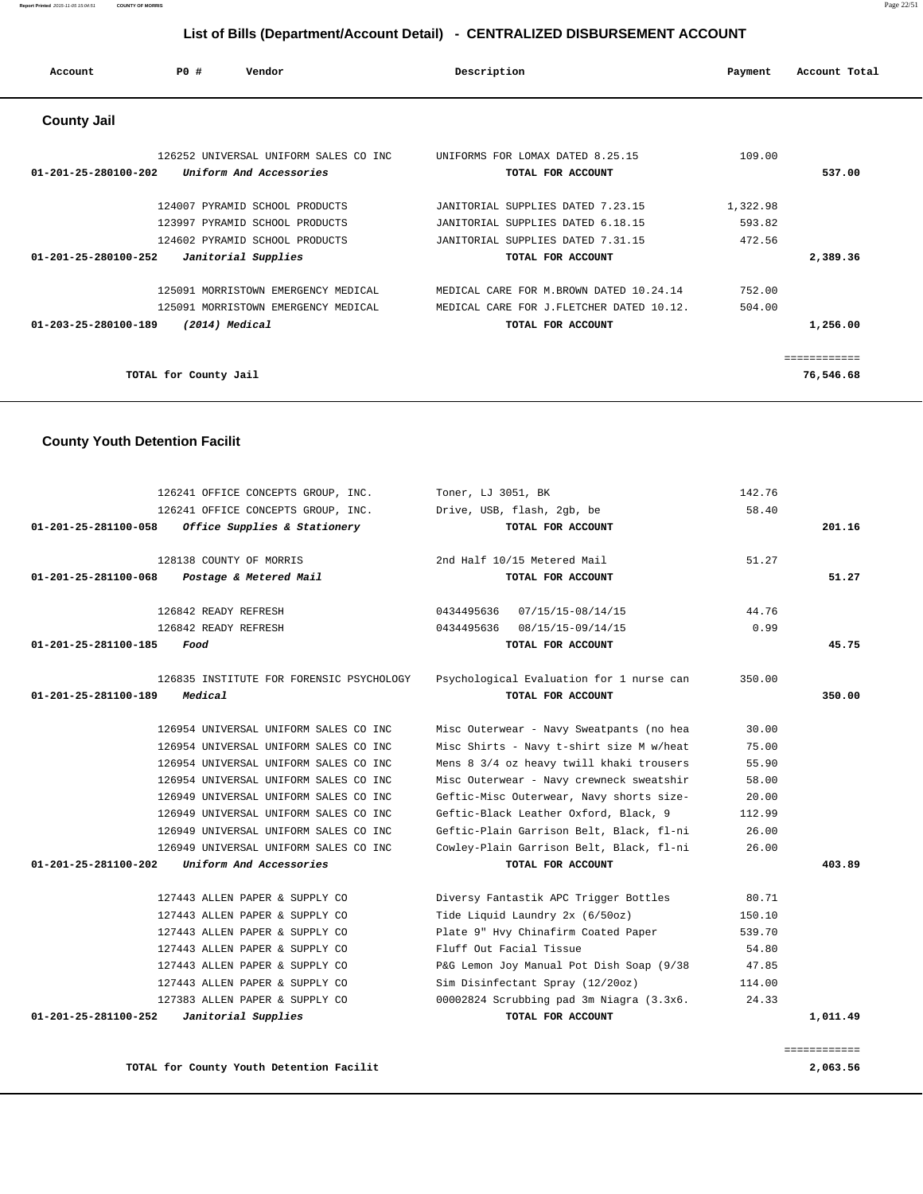| Account                        | PO#                   | Vendor                                | Description                              | Payment  | Account Total |
|--------------------------------|-----------------------|---------------------------------------|------------------------------------------|----------|---------------|
| <b>County Jail</b>             |                       |                                       |                                          |          |               |
|                                |                       | 126252 UNIVERSAL UNIFORM SALES CO INC | UNIFORMS FOR LOMAX DATED 8.25.15         | 109.00   |               |
| $01 - 201 - 25 - 280100 - 202$ |                       | Uniform And Accessories               | TOTAL FOR ACCOUNT                        |          | 537.00        |
|                                |                       | 124007 PYRAMID SCHOOL PRODUCTS        | JANITORIAL SUPPLIES DATED 7.23.15        | 1,322.98 |               |
|                                |                       | 123997 PYRAMID SCHOOL PRODUCTS        | JANITORIAL SUPPLIES DATED 6.18.15        | 593.82   |               |
|                                |                       | 124602 PYRAMID SCHOOL PRODUCTS        | JANITORIAL SUPPLIES DATED 7.31.15        | 472.56   |               |
| $01 - 201 - 25 - 280100 - 252$ |                       | Janitorial Supplies                   | TOTAL FOR ACCOUNT                        |          | 2,389.36      |
|                                |                       | 125091 MORRISTOWN EMERGENCY MEDICAL   | MEDICAL CARE FOR M. BROWN DATED 10.24.14 | 752.00   |               |
|                                |                       | 125091 MORRISTOWN EMERGENCY MEDICAL   | MEDICAL CARE FOR J.FLETCHER DATED 10.12. | 504.00   |               |
| 01-203-25-280100-189           |                       | (2014) Medical                        | TOTAL FOR ACCOUNT                        |          | 1,256.00      |
|                                |                       |                                       |                                          |          | ============  |
|                                | TOTAL for County Jail |                                       |                                          |          | 76,546.68     |

# **County Youth Detention Facilit**

| 126241 OFFICE CONCEPTS GROUP, INC.                        | Toner, LJ 3051, BK                       | 142.76 |              |
|-----------------------------------------------------------|------------------------------------------|--------|--------------|
| 126241 OFFICE CONCEPTS GROUP, INC.                        | Drive, USB, flash, 2gb, be               | 58.40  |              |
| 01-201-25-281100-058<br>Office Supplies & Stationery      | TOTAL FOR ACCOUNT                        |        | 201.16       |
| 128138 COUNTY OF MORRIS                                   | 2nd Half 10/15 Metered Mail              | 51.27  |              |
| 01-201-25-281100-068<br>Postage & Metered Mail            | TOTAL FOR ACCOUNT                        |        | 51.27        |
| 126842 READY REFRESH                                      | 0434495636 07/15/15-08/14/15             | 44.76  |              |
| 126842 READY REFRESH                                      | 0434495636 08/15/15-09/14/15             | 0.99   |              |
| 01-201-25-281100-185<br>Food                              | TOTAL FOR ACCOUNT                        |        | 45.75        |
| 126835 INSTITUTE FOR FORENSIC PSYCHOLOGY                  | Psychological Evaluation for 1 nurse can | 350.00 |              |
| 01-201-25-281100-189<br>Medical                           | TOTAL FOR ACCOUNT                        |        | 350.00       |
| 126954 UNIVERSAL UNIFORM SALES CO INC                     | Misc Outerwear - Navy Sweatpants (no hea | 30.00  |              |
| 126954 UNIVERSAL UNIFORM SALES CO INC                     | Misc Shirts - Navy t-shirt size M w/heat | 75.00  |              |
| 126954 UNIVERSAL UNIFORM SALES CO INC                     | Mens 8 3/4 oz heavy twill khaki trousers | 55.90  |              |
| 126954 UNIVERSAL UNIFORM SALES CO INC                     | Misc Outerwear - Navy crewneck sweatshir | 58.00  |              |
| 126949 UNIVERSAL UNIFORM SALES CO INC                     | Geftic-Misc Outerwear, Navy shorts size- | 20.00  |              |
| 126949 UNIVERSAL UNIFORM SALES CO INC                     | Geftic-Black Leather Oxford, Black, 9    | 112.99 |              |
| 126949 UNIVERSAL UNIFORM SALES CO INC                     | Geftic-Plain Garrison Belt, Black, fl-ni | 26.00  |              |
| 126949 UNIVERSAL UNIFORM SALES CO INC                     | Cowley-Plain Garrison Belt, Black, fl-ni | 26.00  |              |
| Uniform And Accessories<br>$01 - 201 - 25 - 281100 - 202$ | TOTAL FOR ACCOUNT                        |        | 403.89       |
| 127443 ALLEN PAPER & SUPPLY CO                            | Diversy Fantastik APC Trigger Bottles    | 80.71  |              |
| 127443 ALLEN PAPER & SUPPLY CO                            | Tide Liquid Laundry 2x (6/50oz)          | 150.10 |              |
| 127443 ALLEN PAPER & SUPPLY CO                            | Plate 9" Hvy Chinafirm Coated Paper      | 539.70 |              |
| 127443 ALLEN PAPER & SUPPLY CO                            | Fluff Out Facial Tissue                  | 54.80  |              |
| 127443 ALLEN PAPER & SUPPLY CO                            | P&G Lemon Joy Manual Pot Dish Soap (9/38 | 47.85  |              |
| 127443 ALLEN PAPER & SUPPLY CO                            | Sim Disinfectant Spray (12/20oz)         | 114.00 |              |
| 127383 ALLEN PAPER & SUPPLY CO                            | 00002824 Scrubbing pad 3m Niagra (3.3x6. | 24.33  |              |
| 01-201-25-281100-252<br>Janitorial Supplies               | TOTAL FOR ACCOUNT                        |        | 1,011.49     |
|                                                           |                                          |        | ============ |

#### **TOTAL for County Youth Detention Facilit 2,063.56**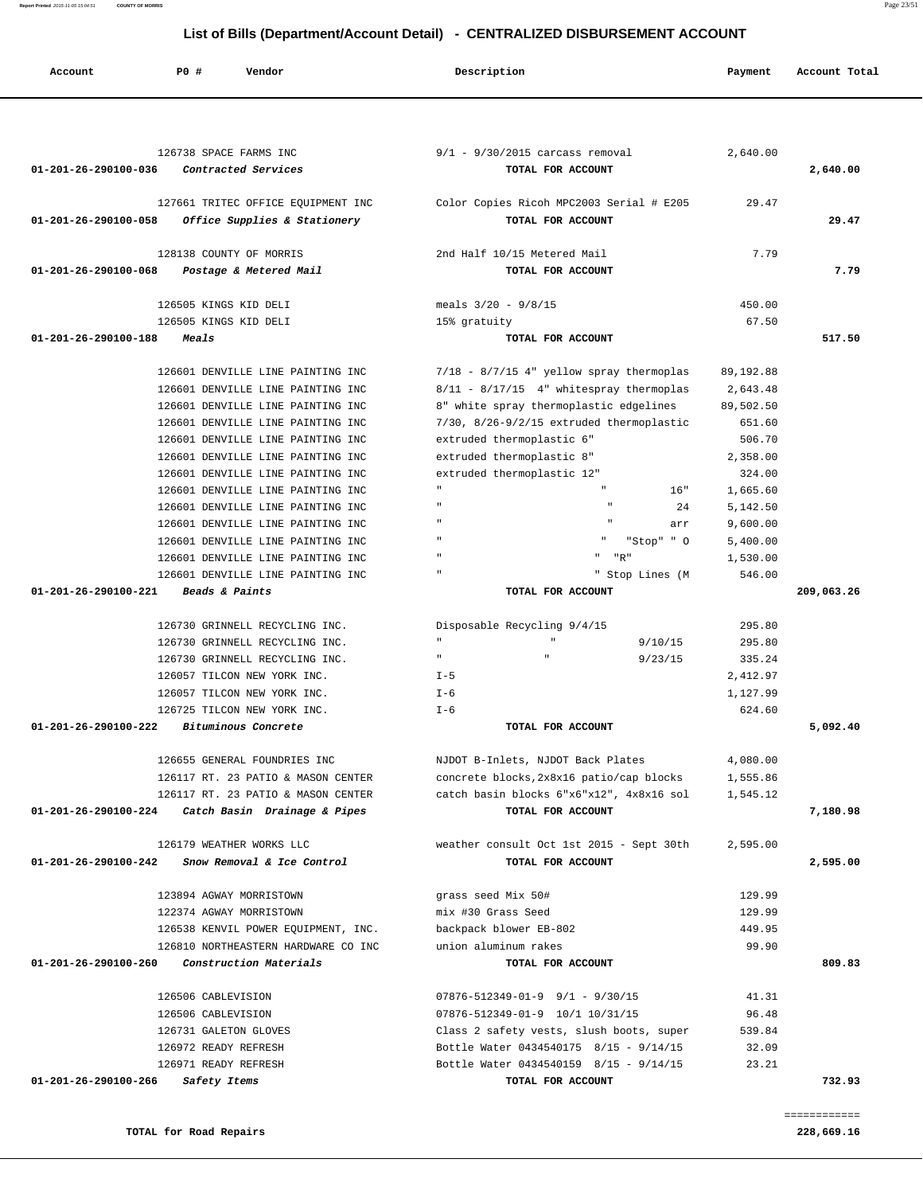| 126738 SPACE FARMS INC                                                                     | $9/1$ - $9/30/2015$ carcass removal                                         | 2,640.00        |            |
|--------------------------------------------------------------------------------------------|-----------------------------------------------------------------------------|-----------------|------------|
| Contracted Services<br>01-201-26-290100-036                                                | TOTAL FOR ACCOUNT                                                           |                 | 2,640.00   |
|                                                                                            |                                                                             | 29.47           |            |
| 127661 TRITEC OFFICE EQUIPMENT INC<br>Office Supplies & Stationery<br>01-201-26-290100-058 | Color Copies Ricoh MPC2003 Serial # E205<br>TOTAL FOR ACCOUNT               |                 | 29.47      |
|                                                                                            |                                                                             |                 |            |
| 128138 COUNTY OF MORRIS                                                                    | 2nd Half 10/15 Metered Mail                                                 | 7.79            |            |
| 01-201-26-290100-068<br>Postage & Metered Mail                                             | TOTAL FOR ACCOUNT                                                           |                 | 7.79       |
| 126505 KINGS KID DELI                                                                      | meals $3/20 - 9/8/15$                                                       | 450.00          |            |
| 126505 KINGS KID DELI                                                                      | 15% gratuity                                                                | 67.50           |            |
| 01-201-26-290100-188<br>Meals                                                              | TOTAL FOR ACCOUNT                                                           |                 | 517.50     |
|                                                                                            |                                                                             |                 |            |
| 126601 DENVILLE LINE PAINTING INC                                                          | 7/18 - 8/7/15 4" yellow spray thermoplas                                    | 89, 192.88      |            |
| 126601 DENVILLE LINE PAINTING INC                                                          | $8/11 - 8/17/15 - 4$ " whitespray thermoplas                                | 2,643.48        |            |
| 126601 DENVILLE LINE PAINTING INC                                                          | 8" white spray thermoplastic edgelines                                      | 89,502.50       |            |
| 126601 DENVILLE LINE PAINTING INC                                                          | $7/30$ , $8/26-9/2/15$ extruded thermoplastic                               | 651.60          |            |
| 126601 DENVILLE LINE PAINTING INC                                                          | extruded thermoplastic 6"                                                   | 506.70          |            |
| 126601 DENVILLE LINE PAINTING INC                                                          | extruded thermoplastic 8"                                                   | 2,358.00        |            |
| 126601 DENVILLE LINE PAINTING INC                                                          | extruded thermoplastic 12"                                                  | 324.00          |            |
| 126601 DENVILLE LINE PAINTING INC                                                          | 16"                                                                         | 1,665.60        |            |
| 126601 DENVILLE LINE PAINTING INC                                                          | 24                                                                          | 5,142.50        |            |
| 126601 DENVILLE LINE PAINTING INC                                                          | $\mathbf{u}$<br>arr                                                         | 9,600.00        |            |
| 126601 DENVILLE LINE PAINTING INC                                                          | "Stop" " O                                                                  | 5,400.00        |            |
| 126601 DENVILLE LINE PAINTING INC                                                          | $\mathbf{u}$<br>"R"                                                         | 1,530.00        |            |
| 126601 DENVILLE LINE PAINTING INC                                                          | $\mathbf{u}$<br>" Stop Lines (M                                             | 546.00          |            |
| 01-201-26-290100-221<br>Beads & Paints                                                     | TOTAL FOR ACCOUNT                                                           |                 | 209,063.26 |
| 126730 GRINNELL RECYCLING INC.                                                             | Disposable Recycling 9/4/15                                                 | 295.80          |            |
| 126730 GRINNELL RECYCLING INC.                                                             | $\mathbf{u}$<br>$\mathbf{u}$<br>9/10/15                                     | 295.80          |            |
| 126730 GRINNELL RECYCLING INC.                                                             | $\mathbf{H}$<br>9/23/15                                                     | 335.24          |            |
| 126057 TILCON NEW YORK INC.                                                                | $I - 5$                                                                     | 2,412.97        |            |
| 126057 TILCON NEW YORK INC.                                                                | I-6                                                                         | 1,127.99        |            |
| 126725 TILCON NEW YORK INC.                                                                | $I - 6$                                                                     | 624.60          |            |
| Bituminous Concrete<br>01-201-26-290100-222                                                | TOTAL FOR ACCOUNT                                                           |                 | 5,092.40   |
|                                                                                            |                                                                             |                 |            |
| 126655 GENERAL FOUNDRIES INC                                                               | NJDOT B-Inlets, NJDOT Back Plates                                           | 4,080.00        |            |
| 126117 RT. 23 PATIO & MASON CENTER                                                         | concrete blocks, 2x8x16 patio/cap blocks                                    | 1,555.86        |            |
| 126117 RT. 23 PATIO & MASON CENTER                                                         | catch basin blocks 6"x6"x12", 4x8x16 sol                                    | 1,545.12        |            |
| 01-201-26-290100-224<br>Catch Basin Drainage & Pipes                                       | TOTAL FOR ACCOUNT                                                           |                 | 7,180.98   |
| 126179 WEATHER WORKS LLC                                                                   | weather consult Oct 1st 2015 - Sept 30th                                    | 2,595.00        |            |
| 01-201-26-290100-242<br>Snow Removal & Ice Control                                         | TOTAL FOR ACCOUNT                                                           |                 | 2,595.00   |
|                                                                                            |                                                                             |                 |            |
| 123894 AGWAY MORRISTOWN                                                                    | grass seed Mix 50#                                                          | 129.99          |            |
| 122374 AGWAY MORRISTOWN                                                                    | mix #30 Grass Seed                                                          | 129.99          |            |
| 126538 KENVIL POWER EQUIPMENT, INC.                                                        | backpack blower EB-802                                                      | 449.95          |            |
| 126810 NORTHEASTERN HARDWARE CO INC                                                        | union aluminum rakes                                                        | 99.90           |            |
| Construction Materials<br>01-201-26-290100-260                                             | TOTAL FOR ACCOUNT                                                           |                 | 809.83     |
|                                                                                            |                                                                             |                 |            |
| 126506 CABLEVISION                                                                         | $07876 - 512349 - 01 - 9$ 9/1 - 9/30/15                                     | 41.31           |            |
| 126506 CABLEVISION<br>126731 GALETON GLOVES                                                | 07876-512349-01-9 10/1 10/31/15<br>Class 2 safety vests, slush boots, super | 96.48<br>539.84 |            |
| 126972 READY REFRESH                                                                       | Bottle Water 0434540175 8/15 - 9/14/15                                      | 32.09           |            |
| 126971 READY REFRESH                                                                       | Bottle Water 0434540159 8/15 - 9/14/15                                      | 23.21           |            |
| 01-201-26-290100-266<br>Safety Items                                                       | TOTAL FOR ACCOUNT                                                           |                 | 732.93     |
|                                                                                            |                                                                             |                 |            |

 **Account P0 # Vendor Description Payment Account Total**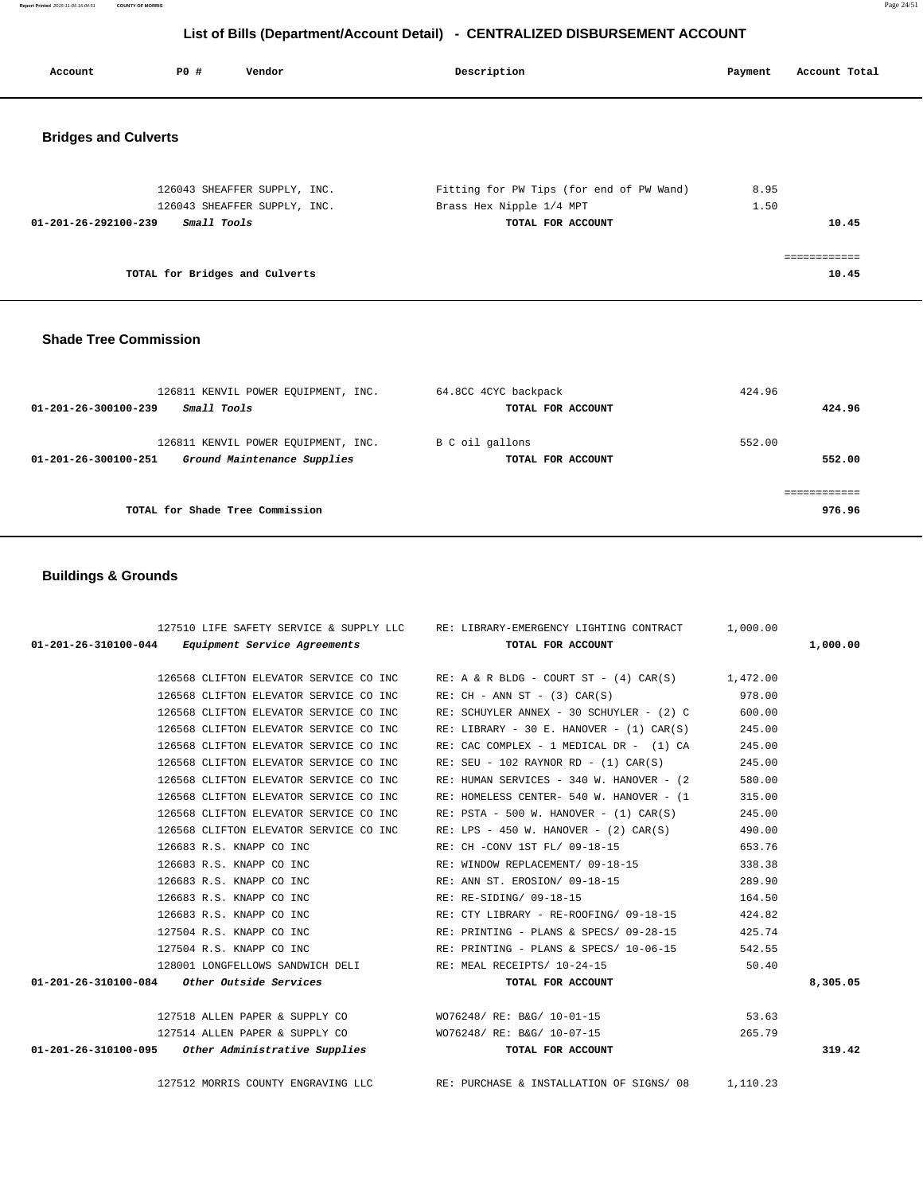**Report Printed** 2015-11-05 15:04:51 **COUNTY OF MORRIS** Page 24/51

# **List of Bills (Department/Account Detail) - CENTRALIZED DISBURSEMENT ACCOUNT**

| Account                        | PO#         | Vendor                         | Description                              | Payment | Account Total |
|--------------------------------|-------------|--------------------------------|------------------------------------------|---------|---------------|
| <b>Bridges and Culverts</b>    |             |                                |                                          |         |               |
|                                |             | 126043 SHEAFFER SUPPLY, INC.   | Fitting for PW Tips (for end of PW Wand) | 8.95    |               |
|                                |             | 126043 SHEAFFER SUPPLY, INC.   | Brass Hex Nipple 1/4 MPT                 | 1.50    |               |
| $01 - 201 - 26 - 292100 - 239$ | Small Tools |                                | TOTAL FOR ACCOUNT                        |         | 10.45         |
|                                |             |                                |                                          |         |               |
|                                |             | TOTAL for Bridges and Culverts |                                          |         | 10.45         |

#### **Shade Tree Commission**

| 126811 KENVIL POWER EOUIPMENT, INC.<br>Small Tools<br>01-201-26-300100-239                 | 64.8CC 4CYC backpack<br>TOTAL FOR ACCOUNT | 424.96<br>424.96      |
|--------------------------------------------------------------------------------------------|-------------------------------------------|-----------------------|
| 126811 KENVIL POWER EOUIPMENT, INC.<br>Ground Maintenance Supplies<br>01-201-26-300100-251 | B C oil gallons<br>TOTAL FOR ACCOUNT      | 552.00<br>552.00      |
| TOTAL for Shade Tree Commission                                                            |                                           | ===========<br>976.96 |

## **Buildings & Grounds**

|                                                          | 127510 LIFE SAFETY SERVICE & SUPPLY LLC RE: LIBRARY-EMERGENCY LIGHTING CONTRACT 1,000.00 |          |
|----------------------------------------------------------|------------------------------------------------------------------------------------------|----------|
| $01-201-26-310100-044$ Equipment Service Agreements      | TOTAL FOR ACCOUNT                                                                        | 1,000.00 |
|                                                          |                                                                                          |          |
|                                                          | 126568 CLIFTON ELEVATOR SERVICE CO INC RE: A & R BLDG - COURT ST - (4) CAR(S) 1,472.00   |          |
| 126568 CLIFTON ELEVATOR SERVICE CO INC                   | $RE: CH - ANN ST - (3) CAR(S)$                                                           | 978.00   |
| 126568 CLIFTON ELEVATOR SERVICE CO INC                   | RE: SCHUYLER ANNEX - 30 SCHUYLER - $(2)$ C 600.00                                        |          |
| 126568 CLIFTON ELEVATOR SERVICE CO INC                   | RE: LIBRARY - 30 E. HANOVER - $(1)$ CAR $(S)$                                            | 245.00   |
| 126568 CLIFTON ELEVATOR SERVICE CO INC                   | RE: CAC COMPLEX - 1 MEDICAL DR - (1) CA                                                  | 245.00   |
| 126568 CLIFTON ELEVATOR SERVICE CO INC                   | $RE: SEU - 102 RAYNOR RD - (1) CAR(S)$                                                   | 245.00   |
| 126568 CLIFTON ELEVATOR SERVICE CO INC                   | RE: HUMAN SERVICES - 340 W. HANOVER - (2                                                 | 580.00   |
| 126568 CLIFTON ELEVATOR SERVICE CO INC                   | RE: HOMELESS CENTER- 540 W. HANOVER - (1                                                 | 315.00   |
| 126568 CLIFTON ELEVATOR SERVICE CO INC                   | $RE: PSTA - 500 W. HANOVER - (1) CAR(S)$                                                 | 245.00   |
| 126568 CLIFTON ELEVATOR SERVICE CO INC                   | RE: LPS - 450 W. HANOVER - $(2)$ CAR $(S)$                                               | 490.00   |
| 126683 R.S. KNAPP CO INC                                 | RE: CH -CONV 1ST FL/ 09-18-15                                                            | 653.76   |
| 126683 R.S. KNAPP CO INC                                 | RE: WINDOW REPLACEMENT/ 09-18-15                                                         | 338.38   |
| 126683 R.S. KNAPP CO INC                                 | RE: ANN ST. EROSION/ 09-18-15                                                            | 289.90   |
| 126683 R.S. KNAPP CO INC                                 | RE: RE-SIDING/ 09-18-15                                                                  | 164.50   |
|                                                          | 126683 R.S. KNAPP CO INC RE: CTY LIBRARY - RE-ROOFING/ 09-18-15 424.82                   |          |
| 127504 R.S. KNAPP CO INC                                 | RE: PRINTING - PLANS & SPECS/ 09-28-15                                                   | 425.74   |
| 127504 R.S. KNAPP CO INC                                 | RE: PRINTING - PLANS & SPECS/ 10-06-15                                                   | 542.55   |
|                                                          | 128001 LONGFELLOWS SANDWICH DELI RE: MEAL RECEIPTS/ 10-24-15                             | 50.40    |
| $01-201-26-310100-084$ Other Outside Services            | TOTAL FOR ACCOUNT                                                                        | 8,305.05 |
|                                                          |                                                                                          |          |
|                                                          | 127518 ALLEN PAPER & SUPPLY CO WO76248/ RE: B&G/ 10-01-15                                | 53.63    |
| 127514 ALLEN PAPER & SUPPLY CO WO76248/RE: B&G/ 10-07-15 |                                                                                          | 265.79   |
| 01-201-26-310100-095 Other Administrative Supplies       | TOTAL FOR ACCOUNT                                                                        | 319.42   |
|                                                          |                                                                                          |          |

127512 MORRIS COUNTY ENGRAVING LLC RE: PURCHASE & INSTALLATION OF SIGNS/ 08 1,110.23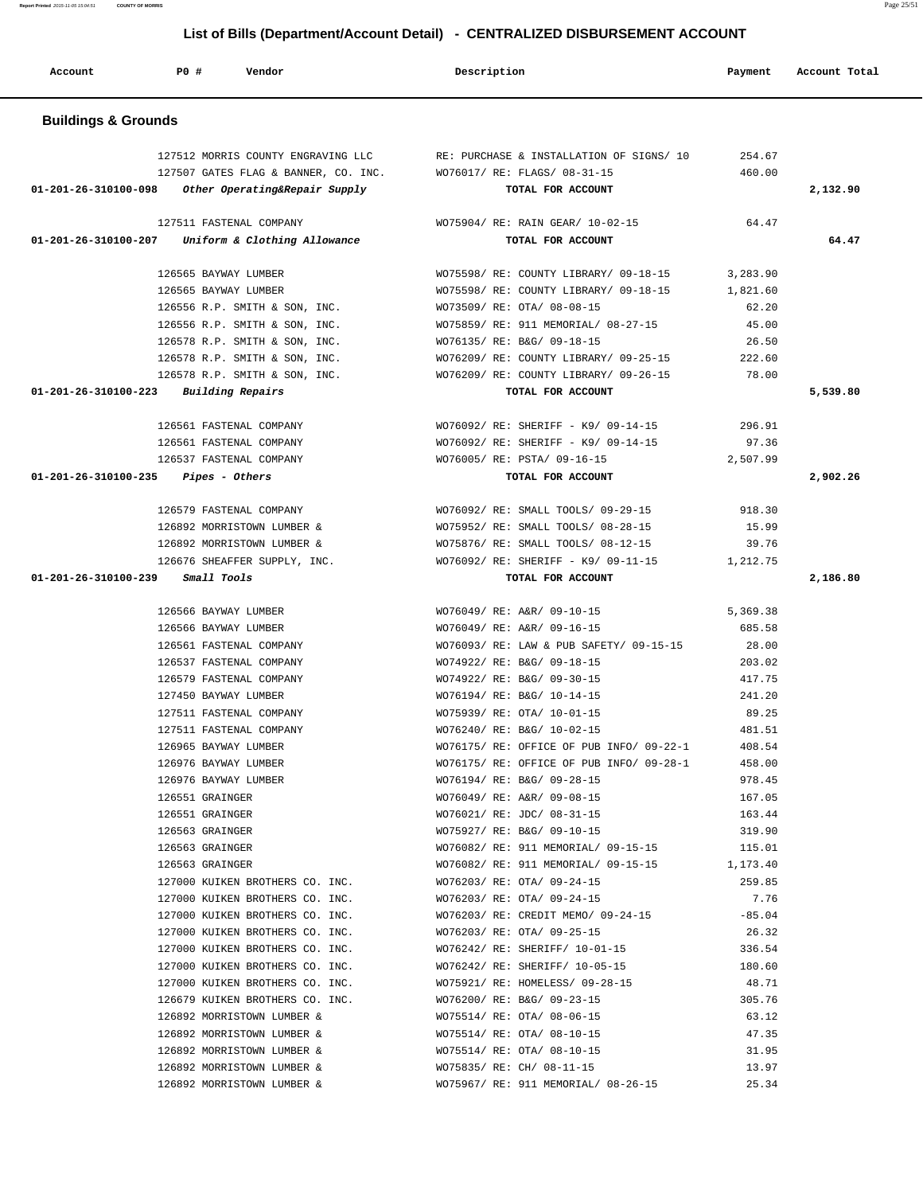**Report Printed** 2015-11-05 15:04:51 **COUNTY OF MORRIS** Page 25/51

# **List of Bills (Department/Account Detail) - CENTRALIZED DISBURSEMENT ACCOUNT**

| Account                                         | PO# | Vendor                                                                     | Description                                                              | Payment          | Account Total |
|-------------------------------------------------|-----|----------------------------------------------------------------------------|--------------------------------------------------------------------------|------------------|---------------|
| <b>Buildings &amp; Grounds</b>                  |     |                                                                            |                                                                          |                  |               |
|                                                 |     | 127512 MORRIS COUNTY ENGRAVING LLC<br>127507 GATES FLAG & BANNER, CO. INC. | RE: PURCHASE & INSTALLATION OF SIGNS/ 10<br>WO76017/ RE: FLAGS/ 08-31-15 | 254.67<br>460.00 |               |
| 01-201-26-310100-098                            |     | Other Operating&Repair Supply                                              | TOTAL FOR ACCOUNT                                                        |                  | 2,132.90      |
|                                                 |     | 127511 FASTENAL COMPANY                                                    | WO75904/ RE: RAIN GEAR/ 10-02-15                                         | 64.47            |               |
| 01-201-26-310100-207                            |     | Uniform & Clothing Allowance                                               | TOTAL FOR ACCOUNT                                                        |                  | 64.47         |
|                                                 |     | 126565 BAYWAY LUMBER                                                       | WO75598/RE: COUNTY LIBRARY/09-18-15                                      | 3,283.90         |               |
|                                                 |     | 126565 BAYWAY LUMBER                                                       | WO75598/ RE: COUNTY LIBRARY/ 09-18-15                                    | 1,821.60         |               |
|                                                 |     | 126556 R.P. SMITH & SON, INC.                                              | WO73509/ RE: OTA/ 08-08-15                                               | 62.20            |               |
|                                                 |     | 126556 R.P. SMITH & SON, INC.                                              | WO75859/ RE: 911 MEMORIAL/ 08-27-15                                      | 45.00            |               |
|                                                 |     | 126578 R.P. SMITH & SON, INC.                                              | WO76135/ RE: B&G/ 09-18-15                                               | 26.50            |               |
|                                                 |     | 126578 R.P. SMITH & SON, INC.                                              | WO76209/RE: COUNTY LIBRARY/09-25-15                                      | 222.60           |               |
|                                                 |     | 126578 R.P. SMITH & SON, INC.                                              | WO76209/ RE: COUNTY LIBRARY/ 09-26-15                                    | 78.00            |               |
| $01 - 201 - 26 - 310100 - 223$ Building Repairs |     |                                                                            | TOTAL FOR ACCOUNT                                                        |                  | 5,539.80      |
|                                                 |     | 126561 FASTENAL COMPANY                                                    | WO76092/ RE: SHERIFF - K9/ 09-14-15                                      | 296.91           |               |
|                                                 |     | 126561 FASTENAL COMPANY                                                    | WO76092/ RE: SHERIFF - K9/ 09-14-15                                      | 97.36            |               |
|                                                 |     | 126537 FASTENAL COMPANY                                                    | WO76005/ RE: PSTA/ 09-16-15                                              | 2,507.99         |               |
| 01-201-26-310100-235                            |     | Pipes - Others                                                             | TOTAL FOR ACCOUNT                                                        |                  | 2,902.26      |
|                                                 |     |                                                                            |                                                                          |                  |               |
|                                                 |     | 126579 FASTENAL COMPANY                                                    | WO76092/ RE: SMALL TOOLS/ 09-29-15                                       | 918.30           |               |
|                                                 |     | 126892 MORRISTOWN LUMBER &                                                 | WO75952/ RE: SMALL TOOLS/ 08-28-15                                       | 15.99            |               |
|                                                 |     | 126892 MORRISTOWN LUMBER &                                                 | WO75876/ RE: SMALL TOOLS/ 08-12-15                                       | 39.76            |               |
|                                                 |     | 126676 SHEAFFER SUPPLY, INC.                                               | WO76092/ RE: SHERIFF - K9/ 09-11-15                                      | 1,212.75         |               |
| 01-201-26-310100-239                            |     | Small Tools                                                                | TOTAL FOR ACCOUNT                                                        |                  | 2,186.80      |
|                                                 |     | 126566 BAYWAY LUMBER                                                       | WO76049/ RE: A&R/ 09-10-15                                               | 5,369.38         |               |
|                                                 |     | 126566 BAYWAY LUMBER                                                       | WO76049/ RE: A&R/ 09-16-15                                               | 685.58           |               |
|                                                 |     | 126561 FASTENAL COMPANY                                                    | WO76093/ RE: LAW & PUB SAFETY/ 09-15-15                                  | 28.00            |               |
|                                                 |     | 126537 FASTENAL COMPANY                                                    | WO74922/ RE: B&G/ 09-18-15                                               | 203.02           |               |
|                                                 |     | 126579 FASTENAL COMPANY                                                    | WO74922/ RE: B&G/ 09-30-15                                               | 417.75           |               |
|                                                 |     | 127450 BAYWAY LUMBER                                                       | WO76194/ RE: B&G/ 10-14-15                                               | 241.20           |               |
|                                                 |     | 127511 FASTENAL COMPANY                                                    | WO75939/ RE: OTA/ 10-01-15                                               | 89.25            |               |
|                                                 |     | 127511 FASTENAL COMPANY                                                    | WO76240/ RE: B&G/ 10-02-15                                               | 481.51           |               |
|                                                 |     | 126965 BAYWAY LUMBER                                                       | WO76175/ RE: OFFICE OF PUB INFO/ 09-22-1                                 | 408.54           |               |
|                                                 |     | 126976 BAYWAY LUMBER                                                       | WO76175/ RE: OFFICE OF PUB INFO/ 09-28-1                                 | 458.00           |               |
|                                                 |     | 126976 BAYWAY LUMBER                                                       | WO76194/ RE: B&G/ 09-28-15                                               | 978.45           |               |
|                                                 |     | 126551 GRAINGER                                                            | WO76049/RE: A&R/09-08-15                                                 | 167.05           |               |
|                                                 |     | 126551 GRAINGER                                                            | WO76021/ RE: JDC/ 08-31-15                                               | 163.44           |               |
|                                                 |     | 126563 GRAINGER                                                            | WO75927/ RE: B&G/ 09-10-15                                               | 319.90           |               |
|                                                 |     | 126563 GRAINGER                                                            | WO76082/ RE: 911 MEMORIAL/ 09-15-15                                      | 115.01           |               |
|                                                 |     | 126563 GRAINGER                                                            | WO76082/ RE: 911 MEMORIAL/ 09-15-15 1,173.40                             |                  |               |
|                                                 |     | 127000 KUIKEN BROTHERS CO. INC.                                            | WO76203/ RE: OTA/ 09-24-15                                               | 259.85           |               |
|                                                 |     | 127000 KUIKEN BROTHERS CO. INC.                                            | WO76203/ RE: OTA/ 09-24-15                                               | 7.76             |               |
|                                                 |     | 127000 KUIKEN BROTHERS CO. INC.                                            | WO76203/ RE: CREDIT MEMO/ 09-24-15                                       | $-85.04$         |               |
|                                                 |     | 127000 KUIKEN BROTHERS CO. INC.                                            | WO76203/ RE: OTA/ 09-25-15                                               | 26.32            |               |
|                                                 |     | 127000 KUIKEN BROTHERS CO. INC.                                            | WO76242/ RE: SHERIFF/ 10-01-15                                           | 336.54           |               |
|                                                 |     | 127000 KUIKEN BROTHERS CO. INC.                                            | WO76242/ RE: SHERIFF/ 10-05-15                                           | 180.60           |               |
|                                                 |     |                                                                            |                                                                          |                  |               |
|                                                 |     | 127000 KUIKEN BROTHERS CO. INC.                                            | WO75921/ RE: HOMELESS/ 09-28-15                                          | 48.71            |               |
|                                                 |     | 126679 KUIKEN BROTHERS CO. INC.                                            | WO76200/ RE: B&G/ 09-23-15                                               | 305.76           |               |
|                                                 |     | 126892 MORRISTOWN LUMBER &                                                 | WO75514/ RE: OTA/ 08-06-15                                               | 63.12            |               |
|                                                 |     | 126892 MORRISTOWN LUMBER &                                                 | WO75514/ RE: OTA/ 08-10-15                                               | 47.35            |               |
|                                                 |     | 126892 MORRISTOWN LUMBER &                                                 | WO75514/ RE: OTA/ 08-10-15                                               | 31.95            |               |
|                                                 |     | 126892 MORRISTOWN LUMBER &                                                 | WO75835/ RE: CH/ 08-11-15                                                | 13.97            |               |
|                                                 |     | 126892 MORRISTOWN LUMBER &                                                 | WO75967/ RE: 911 MEMORIAL/ 08-26-15                                      | 25.34            |               |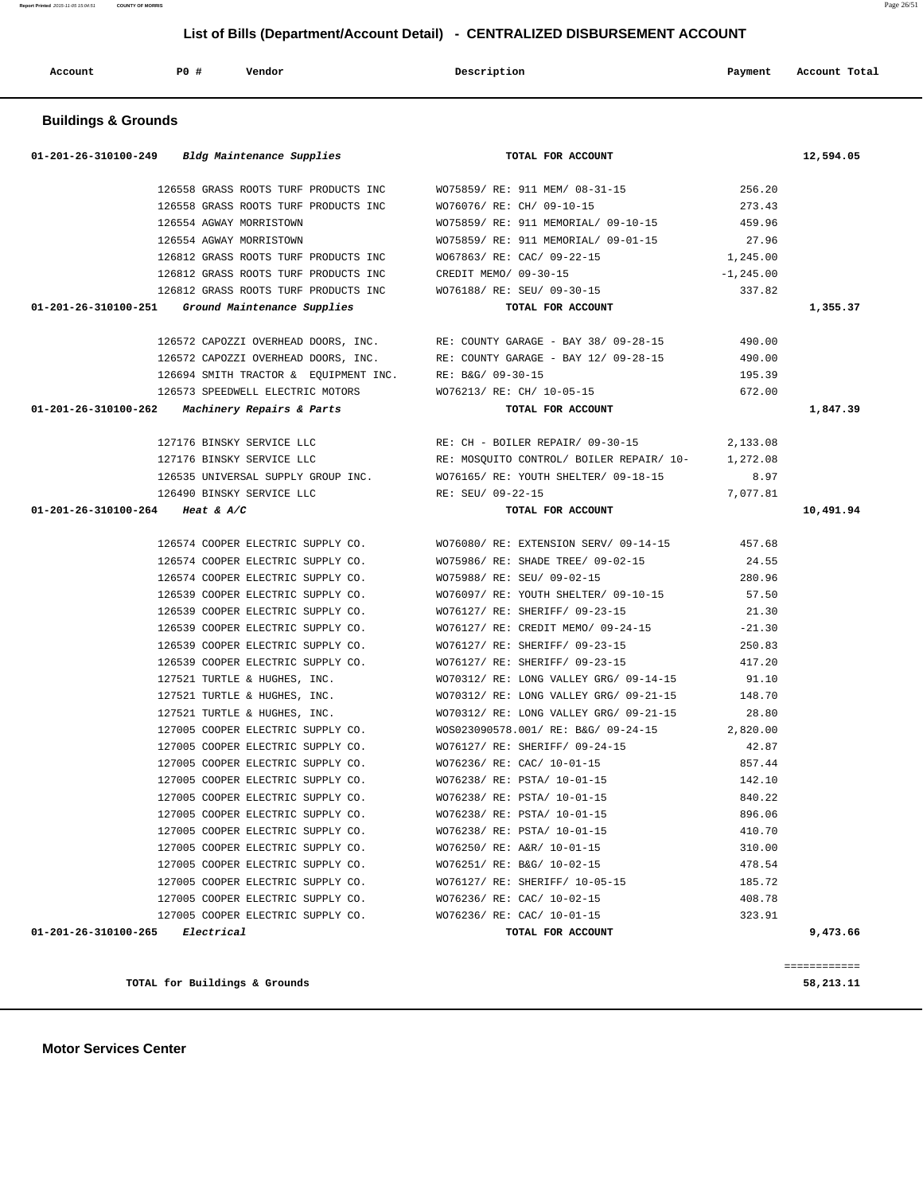**Motor Services Center** 

|                                 | 01-201-26-310100-249 Bldg Maintenance Supplies                         | TOTAL FOR ACCOUNT                                        |                  | 12,594.05 |
|---------------------------------|------------------------------------------------------------------------|----------------------------------------------------------|------------------|-----------|
|                                 | 126558 GRASS ROOTS TURF PRODUCTS INC                                   | WO75859/ RE: 911 MEM/ 08-31-15                           | 256.20           |           |
|                                 | 126558 GRASS ROOTS TURF PRODUCTS INC                                   | WO76076/ RE: CH/ 09-10-15                                | 273.43           |           |
|                                 | 126554 AGWAY MORRISTOWN                                                | WO75859/ RE: 911 MEMORIAL/ 09-10-15                      | 459.96           |           |
|                                 | 126554 AGWAY MORRISTOWN                                                | WO75859/ RE: 911 MEMORIAL/ 09-01-15                      | 27.96            |           |
|                                 | 126812 GRASS ROOTS TURF PRODUCTS INC                                   | WO67863/ RE: CAC/ 09-22-15                               | 1,245.00         |           |
|                                 | 126812 GRASS ROOTS TURF PRODUCTS INC                                   | CREDIT MEMO/ 09-30-15                                    | $-1, 245.00$     |           |
|                                 | 126812 GRASS ROOTS TURF PRODUCTS INC                                   | WO76188/ RE: SEU/ 09-30-15                               | 337.82           |           |
|                                 | 01-201-26-310100-251 Ground Maintenance Supplies                       | TOTAL FOR ACCOUNT                                        |                  | 1,355.37  |
|                                 | 126572 CAPOZZI OVERHEAD DOORS, INC.                                    | RE: COUNTY GARAGE - BAY 38/ 09-28-15                     | 490.00           |           |
|                                 | 126572 CAPOZZI OVERHEAD DOORS, INC.                                    | RE: COUNTY GARAGE - BAY 12/ 09-28-15                     | 490.00           |           |
|                                 | 126694 SMITH TRACTOR & EQUIPMENT INC.                                  | RE: B&G/ 09-30-15                                        | 195.39           |           |
|                                 | 126573 SPEEDWELL ELECTRIC MOTORS                                       | WO76213/ RE: CH/ 10-05-15                                | 672.00           |           |
|                                 | 01-201-26-310100-262 Machinery Repairs & Parts                         | TOTAL FOR ACCOUNT                                        |                  | 1,847.39  |
|                                 | 127176 BINSKY SERVICE LLC                                              | RE: CH - BOILER REPAIR/ 09-30-15                         | 2,133.08         |           |
|                                 | 127176 BINSKY SERVICE LLC                                              | RE: MOSQUITO CONTROL/ BOILER REPAIR/ 10-                 | 1,272.08         |           |
|                                 | 126535 UNIVERSAL SUPPLY GROUP INC.                                     | WO76165/ RE: YOUTH SHELTER/ 09-18-15                     | 8.97             |           |
|                                 | 126490 BINSKY SERVICE LLC                                              | RE: SEU/ 09-22-15                                        | 7,077.81         |           |
| 01-201-26-310100-264 Heat & A/C |                                                                        | TOTAL FOR ACCOUNT                                        |                  | 10,491.94 |
|                                 | 126574 COOPER ELECTRIC SUPPLY CO.                                      | WO76080/RE: EXTENSION SERV/09-14-15                      | 457.68           |           |
|                                 | 126574 COOPER ELECTRIC SUPPLY CO.                                      | WO75986/ RE: SHADE TREE/ 09-02-15                        | 24.55            |           |
|                                 | 126574 COOPER ELECTRIC SUPPLY CO.                                      | WO75988/ RE: SEU/ 09-02-15                               | 280.96           |           |
|                                 | 126539 COOPER ELECTRIC SUPPLY CO.                                      | WO76097/RE: YOUTH SHELTER/09-10-15                       | 57.50            |           |
|                                 | 126539 COOPER ELECTRIC SUPPLY CO.                                      | WO76127/ RE: SHERIFF/ 09-23-15                           | 21.30            |           |
|                                 | 126539 COOPER ELECTRIC SUPPLY CO.                                      | WO76127/ RE: CREDIT MEMO/ 09-24-15                       | $-21.30$         |           |
|                                 | 126539 COOPER ELECTRIC SUPPLY CO.                                      | WO76127/ RE: SHERIFF/ 09-23-15                           | 250.83           |           |
|                                 | 126539 COOPER ELECTRIC SUPPLY CO.                                      | WO76127/ RE: SHERIFF/ 09-23-15                           | 417.20           |           |
|                                 | 127521 TURTLE & HUGHES, INC.                                           | WO70312/ RE: LONG VALLEY GRG/ 09-14-15                   | 91.10            |           |
|                                 | 127521 TURTLE & HUGHES, INC.                                           | WO70312/ RE: LONG VALLEY GRG/ 09-21-15                   | 148.70           |           |
|                                 | 127521 TURTLE & HUGHES, INC.                                           | WO70312/ RE: LONG VALLEY GRG/ 09-21-15                   | 28.80            |           |
|                                 | 127005 COOPER ELECTRIC SUPPLY CO.                                      | WOS023090578.001/ RE: B&G/ 09-24-15                      | 2,820.00         |           |
|                                 | 127005 COOPER ELECTRIC SUPPLY CO.                                      | WO76127/ RE: SHERIFF/ 09-24-15                           | 42.87            |           |
|                                 | 127005 COOPER ELECTRIC SUPPLY CO.                                      | WO76236/ RE: CAC/ 10-01-15                               | 857.44           |           |
|                                 | 127005 COOPER ELECTRIC SUPPLY CO.                                      | WO76238/ RE: PSTA/ 10-01-15                              | 142.10           |           |
|                                 | 127005 COOPER ELECTRIC SUPPLY CO. WO76238/ RE: PSTA/ 10-01-15          |                                                          | 840.22           |           |
|                                 | 127005 COOPER ELECTRIC SUPPLY CO.                                      | WO76238/ RE: PSTA/ 10-01-15                              | 896.06           |           |
|                                 | 127005 COOPER ELECTRIC SUPPLY CO.                                      | WO76238/ RE: PSTA/ 10-01-15                              | 410.70           |           |
|                                 |                                                                        | WO76250/ RE: A&R/ 10-01-15                               | 310.00           |           |
|                                 | 127005 COOPER ELECTRIC SUPPLY CO.                                      |                                                          |                  |           |
|                                 | 127005 COOPER ELECTRIC SUPPLY CO.                                      | WO76251/ RE: B&G/ 10-02-15                               | 478.54           |           |
|                                 | 127005 COOPER ELECTRIC SUPPLY CO.                                      | WO76127/ RE: SHERIFF/ 10-05-15                           | 185.72           |           |
|                                 | 127005 COOPER ELECTRIC SUPPLY CO.<br>127005 COOPER ELECTRIC SUPPLY CO. | WO76236/ RE: CAC/ 10-02-15<br>WO76236/ RE: CAC/ 10-01-15 | 408.78<br>323.91 |           |

 **Account P0 # Vendor Description Payment Account Total**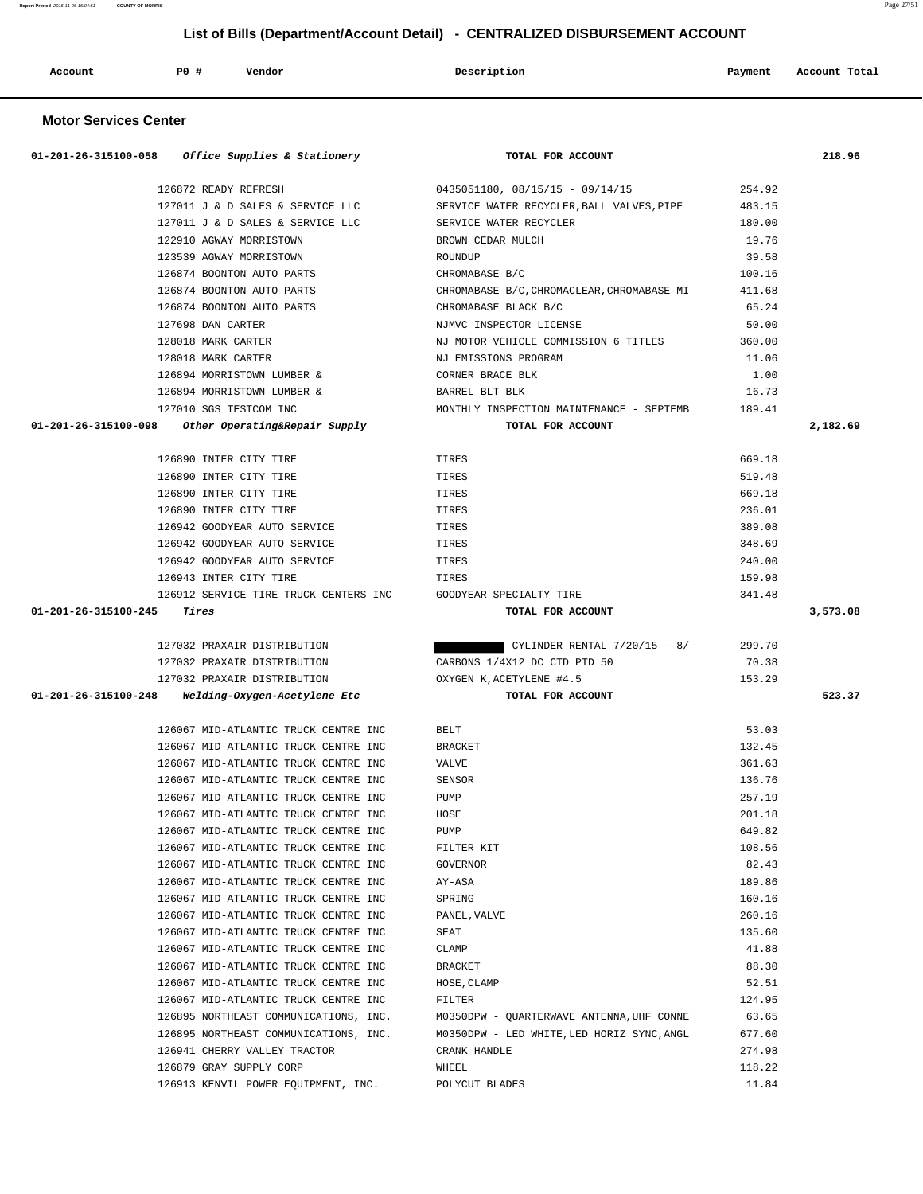| Account | PO# | Vendor | Description | Payment | Account Total |
|---------|-----|--------|-------------|---------|---------------|
|         |     |        |             |         |               |

# **Motor Services Center**

| 01-201-26-315100-058 | <i>Office Supplies &amp; Stationery</i> | TOTAL FOR ACCOUNT                          |        | 218.96   |
|----------------------|-----------------------------------------|--------------------------------------------|--------|----------|
|                      | 126872 READY REFRESH                    | $0435051180, 08/15/15 - 09/14/15$          | 254.92 |          |
|                      | 127011 J & D SALES & SERVICE LLC        | SERVICE WATER RECYCLER, BALL VALVES, PIPE  | 483.15 |          |
|                      | 127011 J & D SALES & SERVICE LLC        | SERVICE WATER RECYCLER                     | 180.00 |          |
|                      | 122910 AGWAY MORRISTOWN                 | BROWN CEDAR MULCH                          | 19.76  |          |
|                      | 123539 AGWAY MORRISTOWN                 | ROUNDUP                                    | 39.58  |          |
|                      | 126874 BOONTON AUTO PARTS               | CHROMABASE B/C                             | 100.16 |          |
|                      | 126874 BOONTON AUTO PARTS               | CHROMABASE B/C, CHROMACLEAR, CHROMABASE MI | 411.68 |          |
|                      | 126874 BOONTON AUTO PARTS               | CHROMABASE BLACK B/C                       | 65.24  |          |
|                      | 127698 DAN CARTER                       | NJMVC INSPECTOR LICENSE                    | 50.00  |          |
|                      | 128018 MARK CARTER                      | NJ MOTOR VEHICLE COMMISSION 6 TITLES       | 360.00 |          |
|                      | 128018 MARK CARTER                      | NJ EMISSIONS PROGRAM                       | 11.06  |          |
|                      | 126894 MORRISTOWN LUMBER &              | CORNER BRACE BLK                           | 1.00   |          |
|                      | 126894 MORRISTOWN LUMBER &              | BARREL BLT BLK                             | 16.73  |          |
|                      | 127010 SGS TESTCOM INC                  | MONTHLY INSPECTION MAINTENANCE - SEPTEMB   | 189.41 |          |
| 01-201-26-315100-098 | Other Operating&Repair Supply           | TOTAL FOR ACCOUNT                          |        | 2,182.69 |
|                      | 126890 INTER CITY TIRE                  | TIRES                                      | 669.18 |          |
|                      | 126890 INTER CITY TIRE                  | TIRES                                      | 519.48 |          |
|                      | 126890 INTER CITY TIRE                  | TIRES                                      | 669.18 |          |
|                      | 126890 INTER CITY TIRE                  | TIRES                                      | 236.01 |          |
|                      | 126942 GOODYEAR AUTO SERVICE            | TIRES                                      | 389.08 |          |
|                      | 126942 GOODYEAR AUTO SERVICE            | TIRES                                      | 348.69 |          |
|                      | 126942 GOODYEAR AUTO SERVICE            | TIRES                                      | 240.00 |          |
|                      | 126943 INTER CITY TIRE                  | TIRES                                      | 159.98 |          |
|                      | 126912 SERVICE TIRE TRUCK CENTERS INC   | GOODYEAR SPECIALTY TIRE                    | 341.48 |          |
| 01-201-26-315100-245 | Tires                                   | TOTAL FOR ACCOUNT                          |        | 3,573.08 |
|                      |                                         |                                            |        |          |
|                      | 127032 PRAXAIR DISTRIBUTION             | CYLINDER RENTAL $7/20/15 - 8/$             | 299.70 |          |
|                      | 127032 PRAXAIR DISTRIBUTION             | CARBONS 1/4X12 DC CTD PTD 50               | 70.38  |          |
| 01-201-26-315100-248 | 127032 PRAXAIR DISTRIBUTION             | OXYGEN K, ACETYLENE #4.5                   | 153.29 | 523.37   |
|                      | Welding-Oxygen-Acetylene Etc            | TOTAL FOR ACCOUNT                          |        |          |
|                      | 126067 MID-ATLANTIC TRUCK CENTRE INC    | <b>BELT</b>                                | 53.03  |          |
|                      | 126067 MID-ATLANTIC TRUCK CENTRE INC    | <b>BRACKET</b>                             | 132.45 |          |
|                      | 126067 MID-ATLANTIC TRUCK CENTRE INC    | <b>VALVE</b>                               | 361.63 |          |
|                      | 126067 MID-ATLANTIC TRUCK CENTRE INC    | SENSOR                                     | 136.76 |          |
|                      | 126067 MID-ATLANTIC TRUCK CENTRE INC    | PUMP                                       | 257.19 |          |
|                      | 126067 MID-ATLANTIC TRUCK CENTRE INC    | HOSE                                       | 201.18 |          |
|                      | 126067 MID-ATLANTIC TRUCK CENTRE INC    | PUMP                                       | 649.82 |          |
|                      | 126067 MID-ATLANTIC TRUCK CENTRE INC    | FILTER KIT                                 | 108.56 |          |
|                      | 126067 MID-ATLANTIC TRUCK CENTRE INC    | GOVERNOR                                   | 82.43  |          |
|                      | 126067 MID-ATLANTIC TRUCK CENTRE INC    | AY-ASA                                     | 189.86 |          |
|                      | 126067 MID-ATLANTIC TRUCK CENTRE INC    | SPRING                                     | 160.16 |          |
|                      | 126067 MID-ATLANTIC TRUCK CENTRE INC    | PANEL, VALVE                               | 260.16 |          |
|                      | 126067 MID-ATLANTIC TRUCK CENTRE INC    | SEAT                                       | 135.60 |          |
|                      | 126067 MID-ATLANTIC TRUCK CENTRE INC    | CLAMP                                      | 41.88  |          |
|                      | 126067 MID-ATLANTIC TRUCK CENTRE INC    | BRACKET                                    | 88.30  |          |
|                      | 126067 MID-ATLANTIC TRUCK CENTRE INC    | HOSE, CLAMP                                | 52.51  |          |
|                      | 126067 MID-ATLANTIC TRUCK CENTRE INC    | FILTER                                     | 124.95 |          |
|                      | 126895 NORTHEAST COMMUNICATIONS, INC.   | M0350DPW - QUARTERWAVE ANTENNA, UHF CONNE  | 63.65  |          |
|                      | 126895 NORTHEAST COMMUNICATIONS, INC.   | M0350DPW - LED WHITE, LED HORIZ SYNC, ANGL | 677.60 |          |
|                      | 126941 CHERRY VALLEY TRACTOR            | CRANK HANDLE                               | 274.98 |          |
|                      | 126879 GRAY SUPPLY CORP                 | WHEEL                                      | 118.22 |          |
|                      | 126913 KENVIL POWER EQUIPMENT, INC.     | POLYCUT BLADES                             | 11.84  |          |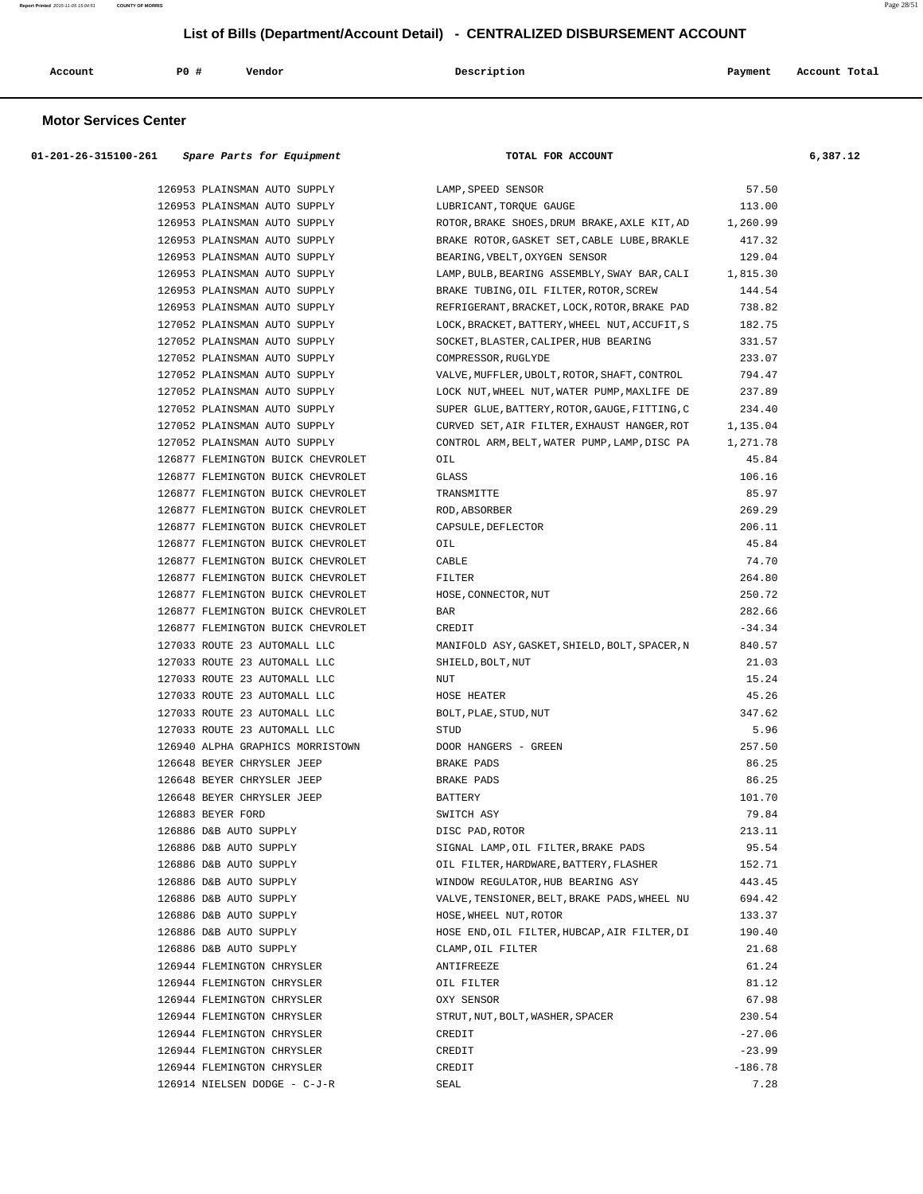| Account | P0 | Vendor<br>. | Description | Payment | Account Total<br>. |
|---------|----|-------------|-------------|---------|--------------------|
|         |    |             |             |         |                    |

#### **Motor Services Center**

| 57.50<br>126953 PLAINSMAN AUTO SUPPLY<br>LAMP, SPEED SENSOR<br>126953 PLAINSMAN AUTO SUPPLY<br>LUBRICANT, TORQUE GAUGE<br>113.00<br>126953 PLAINSMAN AUTO SUPPLY<br>ROTOR, BRAKE SHOES, DRUM BRAKE, AXLE KIT, AD 1, 260.99<br>126953 PLAINSMAN AUTO SUPPLY<br>BRAKE ROTOR, GASKET SET, CABLE LUBE, BRAKLE<br>417.32<br>129.04<br>126953 PLAINSMAN AUTO SUPPLY<br>BEARING, VBELT, OXYGEN SENSOR<br>126953 PLAINSMAN AUTO SUPPLY<br>LAMP, BULB, BEARING ASSEMBLY, SWAY BAR, CALI<br>1,815.30<br>126953 PLAINSMAN AUTO SUPPLY<br>BRAKE TUBING, OIL FILTER, ROTOR, SCREW<br>144.54<br>126953 PLAINSMAN AUTO SUPPLY<br>738.82<br>REFRIGERANT, BRACKET, LOCK, ROTOR, BRAKE PAD<br>127052 PLAINSMAN AUTO SUPPLY<br>182.75<br>LOCK, BRACKET, BATTERY, WHEEL NUT, ACCUFIT, S<br>127052 PLAINSMAN AUTO SUPPLY<br>SOCKET, BLASTER, CALIPER, HUB BEARING<br>331.57<br>127052 PLAINSMAN AUTO SUPPLY<br>233.07<br>COMPRESSOR, RUGLYDE<br>127052 PLAINSMAN AUTO SUPPLY<br>VALVE, MUFFLER, UBOLT, ROTOR, SHAFT, CONTROL<br>794.47<br>237.89<br>127052 PLAINSMAN AUTO SUPPLY<br>LOCK NUT, WHEEL NUT, WATER PUMP, MAXLIFE DE<br>127052 PLAINSMAN AUTO SUPPLY<br>SUPER GLUE, BATTERY, ROTOR, GAUGE, FITTING, C<br>234.40<br>127052 PLAINSMAN AUTO SUPPLY<br>CURVED SET, AIR FILTER, EXHAUST HANGER, ROT<br>1,135.04<br>127052 PLAINSMAN AUTO SUPPLY<br>CONTROL ARM, BELT, WATER PUMP, LAMP, DISC PA<br>1,271.78<br>126877 FLEMINGTON BUICK CHEVROLET<br>45.84<br>OIL<br>126877 FLEMINGTON BUICK CHEVROLET<br>106.16<br>GLASS<br>85.97<br>126877 FLEMINGTON BUICK CHEVROLET<br>TRANSMITTE<br>269.29<br>126877 FLEMINGTON BUICK CHEVROLET<br>ROD, ABSORBER<br>126877 FLEMINGTON BUICK CHEVROLET<br>CAPSULE, DEFLECTOR<br>206.11<br>126877 FLEMINGTON BUICK CHEVROLET<br>45.84<br>OIL<br>126877 FLEMINGTON BUICK CHEVROLET<br>CABLE<br>74.70<br>264.80<br>126877 FLEMINGTON BUICK CHEVROLET<br>FILTER<br>250.72<br>126877 FLEMINGTON BUICK CHEVROLET<br>HOSE, CONNECTOR, NUT<br>282.66<br>126877 FLEMINGTON BUICK CHEVROLET<br>BAR<br>126877 FLEMINGTON BUICK CHEVROLET<br>$-34.34$<br>CREDIT<br>127033 ROUTE 23 AUTOMALL LLC<br>840.57<br>MANIFOLD ASY, GASKET, SHIELD, BOLT, SPACER, N<br>127033 ROUTE 23 AUTOMALL LLC<br>21.03<br>SHIELD, BOLT, NUT<br>127033 ROUTE 23 AUTOMALL LLC<br>15.24<br>NUT<br>45.26<br>127033 ROUTE 23 AUTOMALL LLC<br>HOSE HEATER<br>347.62<br>127033 ROUTE 23 AUTOMALL LLC<br>BOLT, PLAE, STUD, NUT<br>127033 ROUTE 23 AUTOMALL LLC<br>5.96<br>STUD<br>257.50<br>126940 ALPHA GRAPHICS MORRISTOWN<br>DOOR HANGERS - GREEN<br>86.25<br>126648 BEYER CHRYSLER JEEP<br>BRAKE PADS<br>86.25<br>126648 BEYER CHRYSLER JEEP<br>BRAKE PADS<br>126648 BEYER CHRYSLER JEEP<br>101.70<br>BATTERY<br>79.84<br>126883 BEYER FORD<br>SWITCH ASY<br>126886 D&B AUTO SUPPLY<br>DISC PAD, ROTOR<br>213.11<br>95.54<br>126886 D&B AUTO SUPPLY<br>SIGNAL LAMP, OIL FILTER, BRAKE PADS<br>126886 D&B AUTO SUPPLY<br>152.71<br>OIL FILTER, HARDWARE, BATTERY, FLASHER<br>126886 D&B AUTO SUPPLY<br>WINDOW REGULATOR, HUB BEARING ASY<br>443.45<br>126886 D&B AUTO SUPPLY<br>VALVE, TENSIONER, BELT, BRAKE PADS, WHEEL NU<br>694.42<br>126886 D&B AUTO SUPPLY<br>HOSE, WHEEL NUT, ROTOR<br>133.37<br>126886 D&B AUTO SUPPLY<br>HOSE END, OIL FILTER, HUBCAP, AIR FILTER, DI<br>190.40<br>126886 D&B AUTO SUPPLY<br>21.68<br>CLAMP, OIL FILTER<br>61.24<br>126944 FLEMINGTON CHRYSLER<br>ANTIFREEZE<br>81.12<br>126944 FLEMINGTON CHRYSLER<br>OIL FILTER<br>67.98<br>126944 FLEMINGTON CHRYSLER<br>OXY SENSOR<br>126944 FLEMINGTON CHRYSLER<br>STRUT, NUT, BOLT, WASHER, SPACER<br>230.54<br>126944 FLEMINGTON CHRYSLER<br>$-27.06$<br>CREDIT<br>126944 FLEMINGTON CHRYSLER<br>$-23.99$<br>CREDIT<br>$-186.78$<br>126944 FLEMINGTON CHRYSLER<br>CREDIT | $01-201-26-315100-261$ Spare Parts for Equipment | TOTAL FOR ACCOUNT | 6,387.12 |
|------------------------------------------------------------------------------------------------------------------------------------------------------------------------------------------------------------------------------------------------------------------------------------------------------------------------------------------------------------------------------------------------------------------------------------------------------------------------------------------------------------------------------------------------------------------------------------------------------------------------------------------------------------------------------------------------------------------------------------------------------------------------------------------------------------------------------------------------------------------------------------------------------------------------------------------------------------------------------------------------------------------------------------------------------------------------------------------------------------------------------------------------------------------------------------------------------------------------------------------------------------------------------------------------------------------------------------------------------------------------------------------------------------------------------------------------------------------------------------------------------------------------------------------------------------------------------------------------------------------------------------------------------------------------------------------------------------------------------------------------------------------------------------------------------------------------------------------------------------------------------------------------------------------------------------------------------------------------------------------------------------------------------------------------------------------------------------------------------------------------------------------------------------------------------------------------------------------------------------------------------------------------------------------------------------------------------------------------------------------------------------------------------------------------------------------------------------------------------------------------------------------------------------------------------------------------------------------------------------------------------------------------------------------------------------------------------------------------------------------------------------------------------------------------------------------------------------------------------------------------------------------------------------------------------------------------------------------------------------------------------------------------------------------------------------------------------------------------------------------------------------------------------------------------------------------------------------------------------------------------------------------------------------------------------------------------------------------------------------------------------------------------------------------------------------------------------------------------------------------------------------------------------------------------------------------------------------------------------------------------------------------------------------------------------------------------------------------------------------------|--------------------------------------------------|-------------------|----------|
|                                                                                                                                                                                                                                                                                                                                                                                                                                                                                                                                                                                                                                                                                                                                                                                                                                                                                                                                                                                                                                                                                                                                                                                                                                                                                                                                                                                                                                                                                                                                                                                                                                                                                                                                                                                                                                                                                                                                                                                                                                                                                                                                                                                                                                                                                                                                                                                                                                                                                                                                                                                                                                                                                                                                                                                                                                                                                                                                                                                                                                                                                                                                                                                                                                                                                                                                                                                                                                                                                                                                                                                                                                                                                                                                          |                                                  |                   |          |
|                                                                                                                                                                                                                                                                                                                                                                                                                                                                                                                                                                                                                                                                                                                                                                                                                                                                                                                                                                                                                                                                                                                                                                                                                                                                                                                                                                                                                                                                                                                                                                                                                                                                                                                                                                                                                                                                                                                                                                                                                                                                                                                                                                                                                                                                                                                                                                                                                                                                                                                                                                                                                                                                                                                                                                                                                                                                                                                                                                                                                                                                                                                                                                                                                                                                                                                                                                                                                                                                                                                                                                                                                                                                                                                                          |                                                  |                   |          |
|                                                                                                                                                                                                                                                                                                                                                                                                                                                                                                                                                                                                                                                                                                                                                                                                                                                                                                                                                                                                                                                                                                                                                                                                                                                                                                                                                                                                                                                                                                                                                                                                                                                                                                                                                                                                                                                                                                                                                                                                                                                                                                                                                                                                                                                                                                                                                                                                                                                                                                                                                                                                                                                                                                                                                                                                                                                                                                                                                                                                                                                                                                                                                                                                                                                                                                                                                                                                                                                                                                                                                                                                                                                                                                                                          |                                                  |                   |          |
|                                                                                                                                                                                                                                                                                                                                                                                                                                                                                                                                                                                                                                                                                                                                                                                                                                                                                                                                                                                                                                                                                                                                                                                                                                                                                                                                                                                                                                                                                                                                                                                                                                                                                                                                                                                                                                                                                                                                                                                                                                                                                                                                                                                                                                                                                                                                                                                                                                                                                                                                                                                                                                                                                                                                                                                                                                                                                                                                                                                                                                                                                                                                                                                                                                                                                                                                                                                                                                                                                                                                                                                                                                                                                                                                          |                                                  |                   |          |
|                                                                                                                                                                                                                                                                                                                                                                                                                                                                                                                                                                                                                                                                                                                                                                                                                                                                                                                                                                                                                                                                                                                                                                                                                                                                                                                                                                                                                                                                                                                                                                                                                                                                                                                                                                                                                                                                                                                                                                                                                                                                                                                                                                                                                                                                                                                                                                                                                                                                                                                                                                                                                                                                                                                                                                                                                                                                                                                                                                                                                                                                                                                                                                                                                                                                                                                                                                                                                                                                                                                                                                                                                                                                                                                                          |                                                  |                   |          |
|                                                                                                                                                                                                                                                                                                                                                                                                                                                                                                                                                                                                                                                                                                                                                                                                                                                                                                                                                                                                                                                                                                                                                                                                                                                                                                                                                                                                                                                                                                                                                                                                                                                                                                                                                                                                                                                                                                                                                                                                                                                                                                                                                                                                                                                                                                                                                                                                                                                                                                                                                                                                                                                                                                                                                                                                                                                                                                                                                                                                                                                                                                                                                                                                                                                                                                                                                                                                                                                                                                                                                                                                                                                                                                                                          |                                                  |                   |          |
|                                                                                                                                                                                                                                                                                                                                                                                                                                                                                                                                                                                                                                                                                                                                                                                                                                                                                                                                                                                                                                                                                                                                                                                                                                                                                                                                                                                                                                                                                                                                                                                                                                                                                                                                                                                                                                                                                                                                                                                                                                                                                                                                                                                                                                                                                                                                                                                                                                                                                                                                                                                                                                                                                                                                                                                                                                                                                                                                                                                                                                                                                                                                                                                                                                                                                                                                                                                                                                                                                                                                                                                                                                                                                                                                          |                                                  |                   |          |
|                                                                                                                                                                                                                                                                                                                                                                                                                                                                                                                                                                                                                                                                                                                                                                                                                                                                                                                                                                                                                                                                                                                                                                                                                                                                                                                                                                                                                                                                                                                                                                                                                                                                                                                                                                                                                                                                                                                                                                                                                                                                                                                                                                                                                                                                                                                                                                                                                                                                                                                                                                                                                                                                                                                                                                                                                                                                                                                                                                                                                                                                                                                                                                                                                                                                                                                                                                                                                                                                                                                                                                                                                                                                                                                                          |                                                  |                   |          |
|                                                                                                                                                                                                                                                                                                                                                                                                                                                                                                                                                                                                                                                                                                                                                                                                                                                                                                                                                                                                                                                                                                                                                                                                                                                                                                                                                                                                                                                                                                                                                                                                                                                                                                                                                                                                                                                                                                                                                                                                                                                                                                                                                                                                                                                                                                                                                                                                                                                                                                                                                                                                                                                                                                                                                                                                                                                                                                                                                                                                                                                                                                                                                                                                                                                                                                                                                                                                                                                                                                                                                                                                                                                                                                                                          |                                                  |                   |          |
|                                                                                                                                                                                                                                                                                                                                                                                                                                                                                                                                                                                                                                                                                                                                                                                                                                                                                                                                                                                                                                                                                                                                                                                                                                                                                                                                                                                                                                                                                                                                                                                                                                                                                                                                                                                                                                                                                                                                                                                                                                                                                                                                                                                                                                                                                                                                                                                                                                                                                                                                                                                                                                                                                                                                                                                                                                                                                                                                                                                                                                                                                                                                                                                                                                                                                                                                                                                                                                                                                                                                                                                                                                                                                                                                          |                                                  |                   |          |
|                                                                                                                                                                                                                                                                                                                                                                                                                                                                                                                                                                                                                                                                                                                                                                                                                                                                                                                                                                                                                                                                                                                                                                                                                                                                                                                                                                                                                                                                                                                                                                                                                                                                                                                                                                                                                                                                                                                                                                                                                                                                                                                                                                                                                                                                                                                                                                                                                                                                                                                                                                                                                                                                                                                                                                                                                                                                                                                                                                                                                                                                                                                                                                                                                                                                                                                                                                                                                                                                                                                                                                                                                                                                                                                                          |                                                  |                   |          |
|                                                                                                                                                                                                                                                                                                                                                                                                                                                                                                                                                                                                                                                                                                                                                                                                                                                                                                                                                                                                                                                                                                                                                                                                                                                                                                                                                                                                                                                                                                                                                                                                                                                                                                                                                                                                                                                                                                                                                                                                                                                                                                                                                                                                                                                                                                                                                                                                                                                                                                                                                                                                                                                                                                                                                                                                                                                                                                                                                                                                                                                                                                                                                                                                                                                                                                                                                                                                                                                                                                                                                                                                                                                                                                                                          |                                                  |                   |          |
|                                                                                                                                                                                                                                                                                                                                                                                                                                                                                                                                                                                                                                                                                                                                                                                                                                                                                                                                                                                                                                                                                                                                                                                                                                                                                                                                                                                                                                                                                                                                                                                                                                                                                                                                                                                                                                                                                                                                                                                                                                                                                                                                                                                                                                                                                                                                                                                                                                                                                                                                                                                                                                                                                                                                                                                                                                                                                                                                                                                                                                                                                                                                                                                                                                                                                                                                                                                                                                                                                                                                                                                                                                                                                                                                          |                                                  |                   |          |
|                                                                                                                                                                                                                                                                                                                                                                                                                                                                                                                                                                                                                                                                                                                                                                                                                                                                                                                                                                                                                                                                                                                                                                                                                                                                                                                                                                                                                                                                                                                                                                                                                                                                                                                                                                                                                                                                                                                                                                                                                                                                                                                                                                                                                                                                                                                                                                                                                                                                                                                                                                                                                                                                                                                                                                                                                                                                                                                                                                                                                                                                                                                                                                                                                                                                                                                                                                                                                                                                                                                                                                                                                                                                                                                                          |                                                  |                   |          |
|                                                                                                                                                                                                                                                                                                                                                                                                                                                                                                                                                                                                                                                                                                                                                                                                                                                                                                                                                                                                                                                                                                                                                                                                                                                                                                                                                                                                                                                                                                                                                                                                                                                                                                                                                                                                                                                                                                                                                                                                                                                                                                                                                                                                                                                                                                                                                                                                                                                                                                                                                                                                                                                                                                                                                                                                                                                                                                                                                                                                                                                                                                                                                                                                                                                                                                                                                                                                                                                                                                                                                                                                                                                                                                                                          |                                                  |                   |          |
|                                                                                                                                                                                                                                                                                                                                                                                                                                                                                                                                                                                                                                                                                                                                                                                                                                                                                                                                                                                                                                                                                                                                                                                                                                                                                                                                                                                                                                                                                                                                                                                                                                                                                                                                                                                                                                                                                                                                                                                                                                                                                                                                                                                                                                                                                                                                                                                                                                                                                                                                                                                                                                                                                                                                                                                                                                                                                                                                                                                                                                                                                                                                                                                                                                                                                                                                                                                                                                                                                                                                                                                                                                                                                                                                          |                                                  |                   |          |
|                                                                                                                                                                                                                                                                                                                                                                                                                                                                                                                                                                                                                                                                                                                                                                                                                                                                                                                                                                                                                                                                                                                                                                                                                                                                                                                                                                                                                                                                                                                                                                                                                                                                                                                                                                                                                                                                                                                                                                                                                                                                                                                                                                                                                                                                                                                                                                                                                                                                                                                                                                                                                                                                                                                                                                                                                                                                                                                                                                                                                                                                                                                                                                                                                                                                                                                                                                                                                                                                                                                                                                                                                                                                                                                                          |                                                  |                   |          |
|                                                                                                                                                                                                                                                                                                                                                                                                                                                                                                                                                                                                                                                                                                                                                                                                                                                                                                                                                                                                                                                                                                                                                                                                                                                                                                                                                                                                                                                                                                                                                                                                                                                                                                                                                                                                                                                                                                                                                                                                                                                                                                                                                                                                                                                                                                                                                                                                                                                                                                                                                                                                                                                                                                                                                                                                                                                                                                                                                                                                                                                                                                                                                                                                                                                                                                                                                                                                                                                                                                                                                                                                                                                                                                                                          |                                                  |                   |          |
|                                                                                                                                                                                                                                                                                                                                                                                                                                                                                                                                                                                                                                                                                                                                                                                                                                                                                                                                                                                                                                                                                                                                                                                                                                                                                                                                                                                                                                                                                                                                                                                                                                                                                                                                                                                                                                                                                                                                                                                                                                                                                                                                                                                                                                                                                                                                                                                                                                                                                                                                                                                                                                                                                                                                                                                                                                                                                                                                                                                                                                                                                                                                                                                                                                                                                                                                                                                                                                                                                                                                                                                                                                                                                                                                          |                                                  |                   |          |
|                                                                                                                                                                                                                                                                                                                                                                                                                                                                                                                                                                                                                                                                                                                                                                                                                                                                                                                                                                                                                                                                                                                                                                                                                                                                                                                                                                                                                                                                                                                                                                                                                                                                                                                                                                                                                                                                                                                                                                                                                                                                                                                                                                                                                                                                                                                                                                                                                                                                                                                                                                                                                                                                                                                                                                                                                                                                                                                                                                                                                                                                                                                                                                                                                                                                                                                                                                                                                                                                                                                                                                                                                                                                                                                                          |                                                  |                   |          |
|                                                                                                                                                                                                                                                                                                                                                                                                                                                                                                                                                                                                                                                                                                                                                                                                                                                                                                                                                                                                                                                                                                                                                                                                                                                                                                                                                                                                                                                                                                                                                                                                                                                                                                                                                                                                                                                                                                                                                                                                                                                                                                                                                                                                                                                                                                                                                                                                                                                                                                                                                                                                                                                                                                                                                                                                                                                                                                                                                                                                                                                                                                                                                                                                                                                                                                                                                                                                                                                                                                                                                                                                                                                                                                                                          |                                                  |                   |          |
|                                                                                                                                                                                                                                                                                                                                                                                                                                                                                                                                                                                                                                                                                                                                                                                                                                                                                                                                                                                                                                                                                                                                                                                                                                                                                                                                                                                                                                                                                                                                                                                                                                                                                                                                                                                                                                                                                                                                                                                                                                                                                                                                                                                                                                                                                                                                                                                                                                                                                                                                                                                                                                                                                                                                                                                                                                                                                                                                                                                                                                                                                                                                                                                                                                                                                                                                                                                                                                                                                                                                                                                                                                                                                                                                          |                                                  |                   |          |
|                                                                                                                                                                                                                                                                                                                                                                                                                                                                                                                                                                                                                                                                                                                                                                                                                                                                                                                                                                                                                                                                                                                                                                                                                                                                                                                                                                                                                                                                                                                                                                                                                                                                                                                                                                                                                                                                                                                                                                                                                                                                                                                                                                                                                                                                                                                                                                                                                                                                                                                                                                                                                                                                                                                                                                                                                                                                                                                                                                                                                                                                                                                                                                                                                                                                                                                                                                                                                                                                                                                                                                                                                                                                                                                                          |                                                  |                   |          |
|                                                                                                                                                                                                                                                                                                                                                                                                                                                                                                                                                                                                                                                                                                                                                                                                                                                                                                                                                                                                                                                                                                                                                                                                                                                                                                                                                                                                                                                                                                                                                                                                                                                                                                                                                                                                                                                                                                                                                                                                                                                                                                                                                                                                                                                                                                                                                                                                                                                                                                                                                                                                                                                                                                                                                                                                                                                                                                                                                                                                                                                                                                                                                                                                                                                                                                                                                                                                                                                                                                                                                                                                                                                                                                                                          |                                                  |                   |          |
|                                                                                                                                                                                                                                                                                                                                                                                                                                                                                                                                                                                                                                                                                                                                                                                                                                                                                                                                                                                                                                                                                                                                                                                                                                                                                                                                                                                                                                                                                                                                                                                                                                                                                                                                                                                                                                                                                                                                                                                                                                                                                                                                                                                                                                                                                                                                                                                                                                                                                                                                                                                                                                                                                                                                                                                                                                                                                                                                                                                                                                                                                                                                                                                                                                                                                                                                                                                                                                                                                                                                                                                                                                                                                                                                          |                                                  |                   |          |
|                                                                                                                                                                                                                                                                                                                                                                                                                                                                                                                                                                                                                                                                                                                                                                                                                                                                                                                                                                                                                                                                                                                                                                                                                                                                                                                                                                                                                                                                                                                                                                                                                                                                                                                                                                                                                                                                                                                                                                                                                                                                                                                                                                                                                                                                                                                                                                                                                                                                                                                                                                                                                                                                                                                                                                                                                                                                                                                                                                                                                                                                                                                                                                                                                                                                                                                                                                                                                                                                                                                                                                                                                                                                                                                                          |                                                  |                   |          |
|                                                                                                                                                                                                                                                                                                                                                                                                                                                                                                                                                                                                                                                                                                                                                                                                                                                                                                                                                                                                                                                                                                                                                                                                                                                                                                                                                                                                                                                                                                                                                                                                                                                                                                                                                                                                                                                                                                                                                                                                                                                                                                                                                                                                                                                                                                                                                                                                                                                                                                                                                                                                                                                                                                                                                                                                                                                                                                                                                                                                                                                                                                                                                                                                                                                                                                                                                                                                                                                                                                                                                                                                                                                                                                                                          |                                                  |                   |          |
|                                                                                                                                                                                                                                                                                                                                                                                                                                                                                                                                                                                                                                                                                                                                                                                                                                                                                                                                                                                                                                                                                                                                                                                                                                                                                                                                                                                                                                                                                                                                                                                                                                                                                                                                                                                                                                                                                                                                                                                                                                                                                                                                                                                                                                                                                                                                                                                                                                                                                                                                                                                                                                                                                                                                                                                                                                                                                                                                                                                                                                                                                                                                                                                                                                                                                                                                                                                                                                                                                                                                                                                                                                                                                                                                          |                                                  |                   |          |
|                                                                                                                                                                                                                                                                                                                                                                                                                                                                                                                                                                                                                                                                                                                                                                                                                                                                                                                                                                                                                                                                                                                                                                                                                                                                                                                                                                                                                                                                                                                                                                                                                                                                                                                                                                                                                                                                                                                                                                                                                                                                                                                                                                                                                                                                                                                                                                                                                                                                                                                                                                                                                                                                                                                                                                                                                                                                                                                                                                                                                                                                                                                                                                                                                                                                                                                                                                                                                                                                                                                                                                                                                                                                                                                                          |                                                  |                   |          |
|                                                                                                                                                                                                                                                                                                                                                                                                                                                                                                                                                                                                                                                                                                                                                                                                                                                                                                                                                                                                                                                                                                                                                                                                                                                                                                                                                                                                                                                                                                                                                                                                                                                                                                                                                                                                                                                                                                                                                                                                                                                                                                                                                                                                                                                                                                                                                                                                                                                                                                                                                                                                                                                                                                                                                                                                                                                                                                                                                                                                                                                                                                                                                                                                                                                                                                                                                                                                                                                                                                                                                                                                                                                                                                                                          |                                                  |                   |          |
|                                                                                                                                                                                                                                                                                                                                                                                                                                                                                                                                                                                                                                                                                                                                                                                                                                                                                                                                                                                                                                                                                                                                                                                                                                                                                                                                                                                                                                                                                                                                                                                                                                                                                                                                                                                                                                                                                                                                                                                                                                                                                                                                                                                                                                                                                                                                                                                                                                                                                                                                                                                                                                                                                                                                                                                                                                                                                                                                                                                                                                                                                                                                                                                                                                                                                                                                                                                                                                                                                                                                                                                                                                                                                                                                          |                                                  |                   |          |
|                                                                                                                                                                                                                                                                                                                                                                                                                                                                                                                                                                                                                                                                                                                                                                                                                                                                                                                                                                                                                                                                                                                                                                                                                                                                                                                                                                                                                                                                                                                                                                                                                                                                                                                                                                                                                                                                                                                                                                                                                                                                                                                                                                                                                                                                                                                                                                                                                                                                                                                                                                                                                                                                                                                                                                                                                                                                                                                                                                                                                                                                                                                                                                                                                                                                                                                                                                                                                                                                                                                                                                                                                                                                                                                                          |                                                  |                   |          |
|                                                                                                                                                                                                                                                                                                                                                                                                                                                                                                                                                                                                                                                                                                                                                                                                                                                                                                                                                                                                                                                                                                                                                                                                                                                                                                                                                                                                                                                                                                                                                                                                                                                                                                                                                                                                                                                                                                                                                                                                                                                                                                                                                                                                                                                                                                                                                                                                                                                                                                                                                                                                                                                                                                                                                                                                                                                                                                                                                                                                                                                                                                                                                                                                                                                                                                                                                                                                                                                                                                                                                                                                                                                                                                                                          |                                                  |                   |          |
|                                                                                                                                                                                                                                                                                                                                                                                                                                                                                                                                                                                                                                                                                                                                                                                                                                                                                                                                                                                                                                                                                                                                                                                                                                                                                                                                                                                                                                                                                                                                                                                                                                                                                                                                                                                                                                                                                                                                                                                                                                                                                                                                                                                                                                                                                                                                                                                                                                                                                                                                                                                                                                                                                                                                                                                                                                                                                                                                                                                                                                                                                                                                                                                                                                                                                                                                                                                                                                                                                                                                                                                                                                                                                                                                          |                                                  |                   |          |
|                                                                                                                                                                                                                                                                                                                                                                                                                                                                                                                                                                                                                                                                                                                                                                                                                                                                                                                                                                                                                                                                                                                                                                                                                                                                                                                                                                                                                                                                                                                                                                                                                                                                                                                                                                                                                                                                                                                                                                                                                                                                                                                                                                                                                                                                                                                                                                                                                                                                                                                                                                                                                                                                                                                                                                                                                                                                                                                                                                                                                                                                                                                                                                                                                                                                                                                                                                                                                                                                                                                                                                                                                                                                                                                                          |                                                  |                   |          |
|                                                                                                                                                                                                                                                                                                                                                                                                                                                                                                                                                                                                                                                                                                                                                                                                                                                                                                                                                                                                                                                                                                                                                                                                                                                                                                                                                                                                                                                                                                                                                                                                                                                                                                                                                                                                                                                                                                                                                                                                                                                                                                                                                                                                                                                                                                                                                                                                                                                                                                                                                                                                                                                                                                                                                                                                                                                                                                                                                                                                                                                                                                                                                                                                                                                                                                                                                                                                                                                                                                                                                                                                                                                                                                                                          |                                                  |                   |          |
|                                                                                                                                                                                                                                                                                                                                                                                                                                                                                                                                                                                                                                                                                                                                                                                                                                                                                                                                                                                                                                                                                                                                                                                                                                                                                                                                                                                                                                                                                                                                                                                                                                                                                                                                                                                                                                                                                                                                                                                                                                                                                                                                                                                                                                                                                                                                                                                                                                                                                                                                                                                                                                                                                                                                                                                                                                                                                                                                                                                                                                                                                                                                                                                                                                                                                                                                                                                                                                                                                                                                                                                                                                                                                                                                          |                                                  |                   |          |
|                                                                                                                                                                                                                                                                                                                                                                                                                                                                                                                                                                                                                                                                                                                                                                                                                                                                                                                                                                                                                                                                                                                                                                                                                                                                                                                                                                                                                                                                                                                                                                                                                                                                                                                                                                                                                                                                                                                                                                                                                                                                                                                                                                                                                                                                                                                                                                                                                                                                                                                                                                                                                                                                                                                                                                                                                                                                                                                                                                                                                                                                                                                                                                                                                                                                                                                                                                                                                                                                                                                                                                                                                                                                                                                                          |                                                  |                   |          |
|                                                                                                                                                                                                                                                                                                                                                                                                                                                                                                                                                                                                                                                                                                                                                                                                                                                                                                                                                                                                                                                                                                                                                                                                                                                                                                                                                                                                                                                                                                                                                                                                                                                                                                                                                                                                                                                                                                                                                                                                                                                                                                                                                                                                                                                                                                                                                                                                                                                                                                                                                                                                                                                                                                                                                                                                                                                                                                                                                                                                                                                                                                                                                                                                                                                                                                                                                                                                                                                                                                                                                                                                                                                                                                                                          |                                                  |                   |          |
|                                                                                                                                                                                                                                                                                                                                                                                                                                                                                                                                                                                                                                                                                                                                                                                                                                                                                                                                                                                                                                                                                                                                                                                                                                                                                                                                                                                                                                                                                                                                                                                                                                                                                                                                                                                                                                                                                                                                                                                                                                                                                                                                                                                                                                                                                                                                                                                                                                                                                                                                                                                                                                                                                                                                                                                                                                                                                                                                                                                                                                                                                                                                                                                                                                                                                                                                                                                                                                                                                                                                                                                                                                                                                                                                          |                                                  |                   |          |
|                                                                                                                                                                                                                                                                                                                                                                                                                                                                                                                                                                                                                                                                                                                                                                                                                                                                                                                                                                                                                                                                                                                                                                                                                                                                                                                                                                                                                                                                                                                                                                                                                                                                                                                                                                                                                                                                                                                                                                                                                                                                                                                                                                                                                                                                                                                                                                                                                                                                                                                                                                                                                                                                                                                                                                                                                                                                                                                                                                                                                                                                                                                                                                                                                                                                                                                                                                                                                                                                                                                                                                                                                                                                                                                                          |                                                  |                   |          |
|                                                                                                                                                                                                                                                                                                                                                                                                                                                                                                                                                                                                                                                                                                                                                                                                                                                                                                                                                                                                                                                                                                                                                                                                                                                                                                                                                                                                                                                                                                                                                                                                                                                                                                                                                                                                                                                                                                                                                                                                                                                                                                                                                                                                                                                                                                                                                                                                                                                                                                                                                                                                                                                                                                                                                                                                                                                                                                                                                                                                                                                                                                                                                                                                                                                                                                                                                                                                                                                                                                                                                                                                                                                                                                                                          |                                                  |                   |          |
|                                                                                                                                                                                                                                                                                                                                                                                                                                                                                                                                                                                                                                                                                                                                                                                                                                                                                                                                                                                                                                                                                                                                                                                                                                                                                                                                                                                                                                                                                                                                                                                                                                                                                                                                                                                                                                                                                                                                                                                                                                                                                                                                                                                                                                                                                                                                                                                                                                                                                                                                                                                                                                                                                                                                                                                                                                                                                                                                                                                                                                                                                                                                                                                                                                                                                                                                                                                                                                                                                                                                                                                                                                                                                                                                          |                                                  |                   |          |
|                                                                                                                                                                                                                                                                                                                                                                                                                                                                                                                                                                                                                                                                                                                                                                                                                                                                                                                                                                                                                                                                                                                                                                                                                                                                                                                                                                                                                                                                                                                                                                                                                                                                                                                                                                                                                                                                                                                                                                                                                                                                                                                                                                                                                                                                                                                                                                                                                                                                                                                                                                                                                                                                                                                                                                                                                                                                                                                                                                                                                                                                                                                                                                                                                                                                                                                                                                                                                                                                                                                                                                                                                                                                                                                                          |                                                  |                   |          |
|                                                                                                                                                                                                                                                                                                                                                                                                                                                                                                                                                                                                                                                                                                                                                                                                                                                                                                                                                                                                                                                                                                                                                                                                                                                                                                                                                                                                                                                                                                                                                                                                                                                                                                                                                                                                                                                                                                                                                                                                                                                                                                                                                                                                                                                                                                                                                                                                                                                                                                                                                                                                                                                                                                                                                                                                                                                                                                                                                                                                                                                                                                                                                                                                                                                                                                                                                                                                                                                                                                                                                                                                                                                                                                                                          |                                                  |                   |          |
|                                                                                                                                                                                                                                                                                                                                                                                                                                                                                                                                                                                                                                                                                                                                                                                                                                                                                                                                                                                                                                                                                                                                                                                                                                                                                                                                                                                                                                                                                                                                                                                                                                                                                                                                                                                                                                                                                                                                                                                                                                                                                                                                                                                                                                                                                                                                                                                                                                                                                                                                                                                                                                                                                                                                                                                                                                                                                                                                                                                                                                                                                                                                                                                                                                                                                                                                                                                                                                                                                                                                                                                                                                                                                                                                          |                                                  |                   |          |
|                                                                                                                                                                                                                                                                                                                                                                                                                                                                                                                                                                                                                                                                                                                                                                                                                                                                                                                                                                                                                                                                                                                                                                                                                                                                                                                                                                                                                                                                                                                                                                                                                                                                                                                                                                                                                                                                                                                                                                                                                                                                                                                                                                                                                                                                                                                                                                                                                                                                                                                                                                                                                                                                                                                                                                                                                                                                                                                                                                                                                                                                                                                                                                                                                                                                                                                                                                                                                                                                                                                                                                                                                                                                                                                                          |                                                  |                   |          |
|                                                                                                                                                                                                                                                                                                                                                                                                                                                                                                                                                                                                                                                                                                                                                                                                                                                                                                                                                                                                                                                                                                                                                                                                                                                                                                                                                                                                                                                                                                                                                                                                                                                                                                                                                                                                                                                                                                                                                                                                                                                                                                                                                                                                                                                                                                                                                                                                                                                                                                                                                                                                                                                                                                                                                                                                                                                                                                                                                                                                                                                                                                                                                                                                                                                                                                                                                                                                                                                                                                                                                                                                                                                                                                                                          |                                                  |                   |          |
|                                                                                                                                                                                                                                                                                                                                                                                                                                                                                                                                                                                                                                                                                                                                                                                                                                                                                                                                                                                                                                                                                                                                                                                                                                                                                                                                                                                                                                                                                                                                                                                                                                                                                                                                                                                                                                                                                                                                                                                                                                                                                                                                                                                                                                                                                                                                                                                                                                                                                                                                                                                                                                                                                                                                                                                                                                                                                                                                                                                                                                                                                                                                                                                                                                                                                                                                                                                                                                                                                                                                                                                                                                                                                                                                          |                                                  |                   |          |
|                                                                                                                                                                                                                                                                                                                                                                                                                                                                                                                                                                                                                                                                                                                                                                                                                                                                                                                                                                                                                                                                                                                                                                                                                                                                                                                                                                                                                                                                                                                                                                                                                                                                                                                                                                                                                                                                                                                                                                                                                                                                                                                                                                                                                                                                                                                                                                                                                                                                                                                                                                                                                                                                                                                                                                                                                                                                                                                                                                                                                                                                                                                                                                                                                                                                                                                                                                                                                                                                                                                                                                                                                                                                                                                                          |                                                  |                   |          |
|                                                                                                                                                                                                                                                                                                                                                                                                                                                                                                                                                                                                                                                                                                                                                                                                                                                                                                                                                                                                                                                                                                                                                                                                                                                                                                                                                                                                                                                                                                                                                                                                                                                                                                                                                                                                                                                                                                                                                                                                                                                                                                                                                                                                                                                                                                                                                                                                                                                                                                                                                                                                                                                                                                                                                                                                                                                                                                                                                                                                                                                                                                                                                                                                                                                                                                                                                                                                                                                                                                                                                                                                                                                                                                                                          |                                                  |                   |          |
|                                                                                                                                                                                                                                                                                                                                                                                                                                                                                                                                                                                                                                                                                                                                                                                                                                                                                                                                                                                                                                                                                                                                                                                                                                                                                                                                                                                                                                                                                                                                                                                                                                                                                                                                                                                                                                                                                                                                                                                                                                                                                                                                                                                                                                                                                                                                                                                                                                                                                                                                                                                                                                                                                                                                                                                                                                                                                                                                                                                                                                                                                                                                                                                                                                                                                                                                                                                                                                                                                                                                                                                                                                                                                                                                          |                                                  |                   |          |
|                                                                                                                                                                                                                                                                                                                                                                                                                                                                                                                                                                                                                                                                                                                                                                                                                                                                                                                                                                                                                                                                                                                                                                                                                                                                                                                                                                                                                                                                                                                                                                                                                                                                                                                                                                                                                                                                                                                                                                                                                                                                                                                                                                                                                                                                                                                                                                                                                                                                                                                                                                                                                                                                                                                                                                                                                                                                                                                                                                                                                                                                                                                                                                                                                                                                                                                                                                                                                                                                                                                                                                                                                                                                                                                                          | 126914 NIELSEN DODGE - C-J-R                     | SEAL              | 7.28     |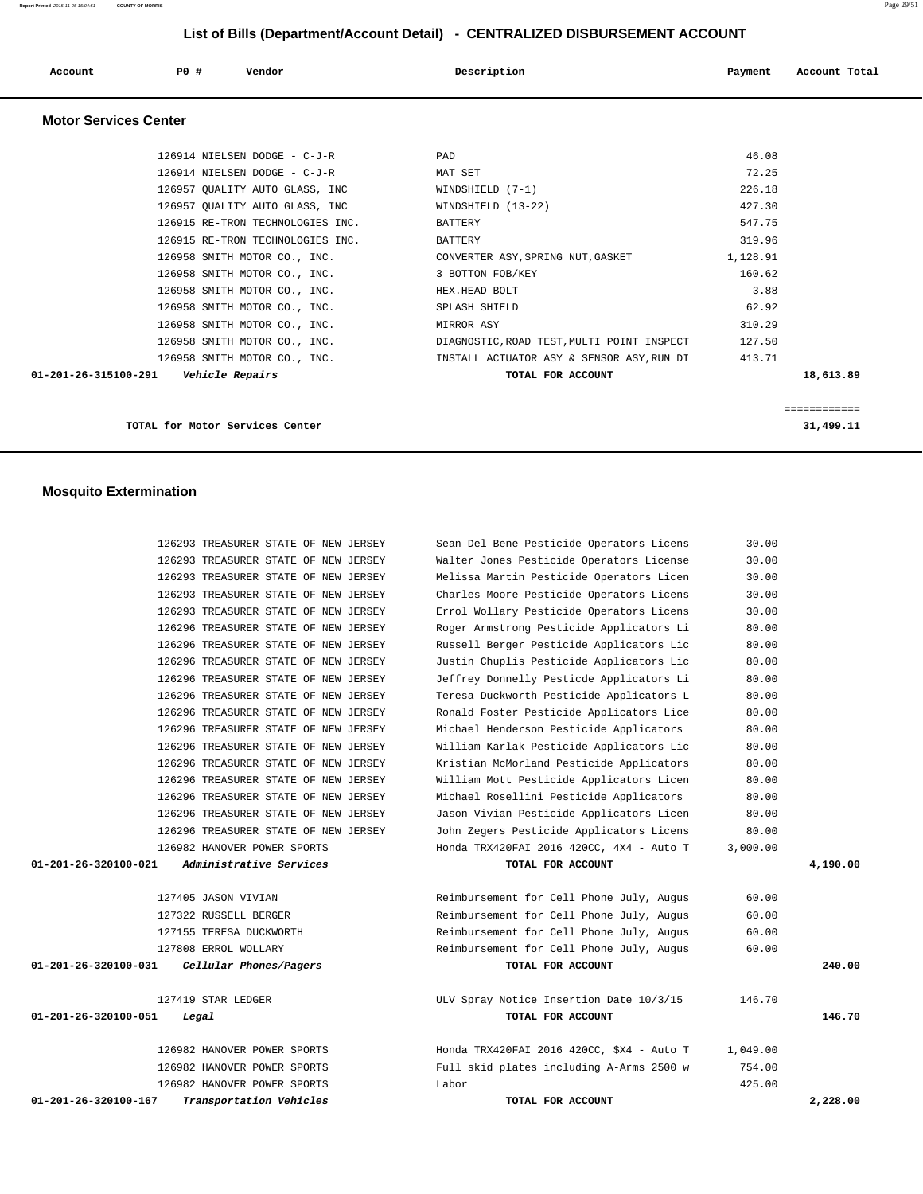| Account | P0 # | Vendor<br>. | Description | Payment | Account Total |
|---------|------|-------------|-------------|---------|---------------|
|         |      |             |             |         |               |

## **Motor Services Center**

| 126914 NIELSEN DODGE - C-J-R                   | PAD                                        | 46.08    |           |
|------------------------------------------------|--------------------------------------------|----------|-----------|
| 126914 NIELSEN DODGE - C-J-R                   | MAT SET                                    | 72.25    |           |
| 126957 OUALITY AUTO GLASS, INC                 | $WINDSHIELD (7-1)$                         | 226.18   |           |
| 126957 OUALITY AUTO GLASS, INC                 | WINDSHIELD (13-22)                         | 427.30   |           |
| 126915 RE-TRON TECHNOLOGIES INC.               | BATTERY                                    | 547.75   |           |
| 126915 RE-TRON TECHNOLOGIES INC.               | BATTERY                                    | 319.96   |           |
| 126958 SMITH MOTOR CO., INC.                   | CONVERTER ASY, SPRING NUT, GASKET          | 1,128.91 |           |
| 126958 SMITH MOTOR CO., INC.                   | 3 BOTTON FOB/KEY                           | 160.62   |           |
| 126958 SMITH MOTOR CO., INC.                   | HEX.HEAD BOLT                              | 3.88     |           |
| 126958 SMITH MOTOR CO., INC.                   | SPLASH SHIELD                              | 62.92    |           |
| 126958 SMITH MOTOR CO., INC.                   | MIRROR ASY                                 | 310.29   |           |
| 126958 SMITH MOTOR CO., INC.                   | DIAGNOSTIC, ROAD TEST, MULTI POINT INSPECT | 127.50   |           |
| 126958 SMITH MOTOR CO., INC.                   | INSTALL ACTUATOR ASY & SENSOR ASY, RUN DI  | 413.71   |           |
| 01-201-26-315100-291<br><i>Vehicle Repairs</i> | TOTAL FOR ACCOUNT                          |          | 18,613.89 |
|                                                |                                            |          |           |

**TOTAL for Motor Services Center 31,499.11**

============

## **Mosquito Extermination**

|                                | 126293 TREASURER STATE OF NEW JERSEY | Sean Del Bene Pesticide Operators Licens  | 30.00    |          |
|--------------------------------|--------------------------------------|-------------------------------------------|----------|----------|
|                                | 126293 TREASURER STATE OF NEW JERSEY | Walter Jones Pesticide Operators License  | 30.00    |          |
|                                | 126293 TREASURER STATE OF NEW JERSEY | Melissa Martin Pesticide Operators Licen  | 30.00    |          |
|                                | 126293 TREASURER STATE OF NEW JERSEY | Charles Moore Pesticide Operators Licens  | 30.00    |          |
|                                | 126293 TREASURER STATE OF NEW JERSEY | Errol Wollary Pesticide Operators Licens  | 30.00    |          |
|                                | 126296 TREASURER STATE OF NEW JERSEY | Roger Armstrong Pesticide Applicators Li  | 80.00    |          |
|                                | 126296 TREASURER STATE OF NEW JERSEY | Russell Berger Pesticide Applicators Lic  | 80.00    |          |
|                                | 126296 TREASURER STATE OF NEW JERSEY | Justin Chuplis Pesticide Applicators Lic  | 80.00    |          |
|                                | 126296 TREASURER STATE OF NEW JERSEY | Jeffrey Donnelly Pesticde Applicators Li  | 80.00    |          |
|                                | 126296 TREASURER STATE OF NEW JERSEY | Teresa Duckworth Pesticide Applicators L  | 80.00    |          |
|                                | 126296 TREASURER STATE OF NEW JERSEY | Ronald Foster Pesticide Applicators Lice  | 80.00    |          |
|                                | 126296 TREASURER STATE OF NEW JERSEY | Michael Henderson Pesticide Applicators   | 80.00    |          |
|                                | 126296 TREASURER STATE OF NEW JERSEY | William Karlak Pesticide Applicators Lic  | 80.00    |          |
|                                | 126296 TREASURER STATE OF NEW JERSEY | Kristian McMorland Pesticide Applicators  | 80.00    |          |
|                                | 126296 TREASURER STATE OF NEW JERSEY | William Mott Pesticide Applicators Licen  | 80.00    |          |
|                                | 126296 TREASURER STATE OF NEW JERSEY | Michael Rosellini Pesticide Applicators   | 80.00    |          |
|                                | 126296 TREASURER STATE OF NEW JERSEY | Jason Vivian Pesticide Applicators Licen  | 80.00    |          |
|                                | 126296 TREASURER STATE OF NEW JERSEY | John Zegers Pesticide Applicators Licens  | 80.00    |          |
|                                | 126982 HANOVER POWER SPORTS          | Honda TRX420FAI 2016 420CC, 4X4 - Auto T  | 3,000.00 |          |
| 01-201-26-320100-021           | Administrative Services              | TOTAL FOR ACCOUNT                         |          | 4,190.00 |
|                                |                                      |                                           |          |          |
|                                | 127405 JASON VIVIAN                  | Reimbursement for Cell Phone July, Augus  | 60.00    |          |
|                                | 127322 RUSSELL BERGER                | Reimbursement for Cell Phone July, Augus  | 60.00    |          |
|                                | 127155 TERESA DUCKWORTH              | Reimbursement for Cell Phone July, Augus  | 60.00    |          |
|                                | 127808 ERROL WOLLARY                 | Reimbursement for Cell Phone July, Augus  | 60.00    |          |
| 01-201-26-320100-031           | Cellular Phones/Pagers               | TOTAL FOR ACCOUNT                         |          | 240.00   |
|                                |                                      |                                           |          |          |
|                                | 127419 STAR LEDGER                   | ULV Spray Notice Insertion Date 10/3/15   | 146.70   |          |
| 01-201-26-320100-051           | Legal                                | TOTAL FOR ACCOUNT                         |          | 146.70   |
|                                |                                      |                                           |          |          |
|                                | 126982 HANOVER POWER SPORTS          | Honda TRX420FAI 2016 420CC, \$X4 - Auto T | 1,049.00 |          |
|                                | 126982 HANOVER POWER SPORTS          | Full skid plates including A-Arms 2500 w  | 754.00   |          |
|                                | 126982 HANOVER POWER SPORTS          | Labor                                     | 425.00   |          |
| $01 - 201 - 26 - 320100 - 167$ | Transportation Vehicles              | TOTAL FOR ACCOUNT                         |          | 2,228.00 |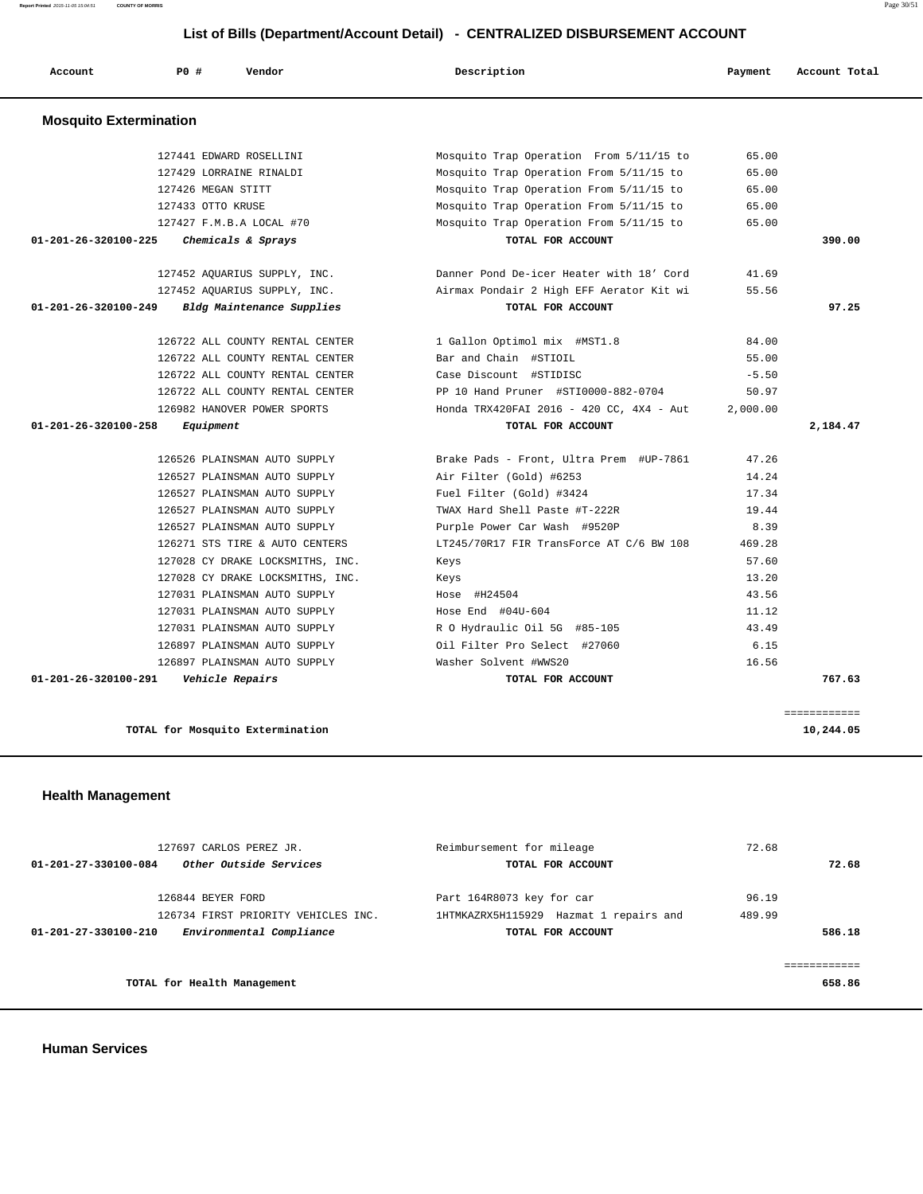## **List of Bills**

| List of Bills (Department/Account Detail) - CENTRALIZED DISBURSEMENT ACCOUNT |                              |                                          |         |               |  |
|------------------------------------------------------------------------------|------------------------------|------------------------------------------|---------|---------------|--|
| Account                                                                      | PO#<br>Vendor                | Description                              | Payment | Account Total |  |
| <b>Mosquito Extermination</b>                                                |                              |                                          |         |               |  |
|                                                                              | 127441 EDWARD ROSELLINI      | Mosquito Trap Operation From 5/11/15 to  | 65.00   |               |  |
|                                                                              | 127429 LORRAINE RINALDI      | Mosquito Trap Operation From 5/11/15 to  | 65.00   |               |  |
|                                                                              | 127426 MEGAN STITT           | Mosquito Trap Operation From 5/11/15 to  | 65.00   |               |  |
|                                                                              | 127433 OTTO KRUSE            | Mosquito Trap Operation From 5/11/15 to  | 65.00   |               |  |
|                                                                              | 127427 F.M.B.A LOCAL #70     | Mosquito Trap Operation From 5/11/15 to  | 65.00   |               |  |
| $01 - 201 - 26 - 320100 - 225$                                               | Chemicals & Sprays           | TOTAL FOR ACCOUNT                        |         | 390.00        |  |
|                                                                              | 127452 AQUARIUS SUPPLY, INC. | Danner Pond De-icer Heater with 18' Cord | 41.69   |               |  |

|                                         | 127429 LORRAINE RINALDI          | Mosquito Trap Operation From 5/11/15 to  | 65.00    |              |
|-----------------------------------------|----------------------------------|------------------------------------------|----------|--------------|
|                                         | 127426 MEGAN STITT               | Mosquito Trap Operation From 5/11/15 to  | 65.00    |              |
|                                         | 127433 OTTO KRUSE                | Mosquito Trap Operation From 5/11/15 to  | 65.00    |              |
|                                         | 127427 F.M.B.A LOCAL #70         | Mosquito Trap Operation From 5/11/15 to  | 65.00    |              |
| 01-201-26-320100-225                    | Chemicals & Sprays               | TOTAL FOR ACCOUNT                        |          | 390.00       |
|                                         | 127452 AQUARIUS SUPPLY, INC.     | Danner Pond De-icer Heater with 18' Cord | 41.69    |              |
|                                         | 127452 AQUARIUS SUPPLY, INC.     | Airmax Pondair 2 High EFF Aerator Kit wi | 55.56    |              |
| 01-201-26-320100-249                    | Bldg Maintenance Supplies        | TOTAL FOR ACCOUNT                        |          | 97.25        |
|                                         | 126722 ALL COUNTY RENTAL CENTER  | 1 Gallon Optimol mix #MST1.8             | 84.00    |              |
|                                         | 126722 ALL COUNTY RENTAL CENTER  | Bar and Chain #STIOIL                    | 55.00    |              |
|                                         | 126722 ALL COUNTY RENTAL CENTER  | Case Discount #STIDISC                   | $-5.50$  |              |
|                                         | 126722 ALL COUNTY RENTAL CENTER  | PP 10 Hand Pruner #STI0000-882-0704      | 50.97    |              |
|                                         | 126982 HANOVER POWER SPORTS      | Honda TRX420FAI 2016 - 420 CC, 4X4 - Aut | 2,000.00 |              |
| 01-201-26-320100-258                    | Equipment                        | TOTAL FOR ACCOUNT                        |          | 2,184.47     |
|                                         | 126526 PLAINSMAN AUTO SUPPLY     | Brake Pads - Front, Ultra Prem #UP-7861  | 47.26    |              |
|                                         | 126527 PLAINSMAN AUTO SUPPLY     | Air Filter (Gold) #6253                  | 14.24    |              |
|                                         | 126527 PLAINSMAN AUTO SUPPLY     | Fuel Filter (Gold) #3424                 | 17.34    |              |
|                                         | 126527 PLAINSMAN AUTO SUPPLY     | TWAX Hard Shell Paste #T-222R            | 19.44    |              |
|                                         | 126527 PLAINSMAN AUTO SUPPLY     | Purple Power Car Wash #9520P             | 8.39     |              |
|                                         | 126271 STS TIRE & AUTO CENTERS   | LT245/70R17 FIR TransForce AT C/6 BW 108 | 469.28   |              |
|                                         | 127028 CY DRAKE LOCKSMITHS, INC. | Keys                                     | 57.60    |              |
|                                         | 127028 CY DRAKE LOCKSMITHS, INC. | Keys                                     | 13.20    |              |
|                                         | 127031 PLAINSMAN AUTO SUPPLY     | Hose #H24504                             | 43.56    |              |
|                                         | 127031 PLAINSMAN AUTO SUPPLY     | Hose End $#04U-604$                      | 11.12    |              |
|                                         | 127031 PLAINSMAN AUTO SUPPLY     | R O Hydraulic Oil 5G #85-105             | 43.49    |              |
|                                         | 126897 PLAINSMAN AUTO SUPPLY     | Oil Filter Pro Select #27060             | 6.15     |              |
|                                         | 126897 PLAINSMAN AUTO SUPPLY     | Washer Solvent #WWS20                    | 16.56    |              |
| 01-201-26-320100-291    Vehicle Repairs |                                  | TOTAL FOR ACCOUNT                        |          | 767.63       |
|                                         |                                  |                                          |          | ============ |
|                                         | TOTAL for Mosquito Extermination |                                          |          | 10,244.05    |

# **Health Management**

|                      | 127697 CARLOS PEREZ JR.             | Reimbursement for mileage              | 72.68  |        |
|----------------------|-------------------------------------|----------------------------------------|--------|--------|
| 01-201-27-330100-084 | Other Outside Services              | TOTAL FOR ACCOUNT                      |        | 72.68  |
|                      | 126844 BEYER FORD                   | Part 164R8073 key for car              | 96.19  |        |
|                      | 126734 FIRST PRIORITY VEHICLES INC. | 1HTMKAZRX5H115929 Hazmat 1 repairs and | 489.99 |        |
| 01-201-27-330100-210 | Environmental Compliance            | TOTAL FOR ACCOUNT                      |        | 586.18 |
|                      |                                     |                                        |        |        |
|                      |                                     |                                        |        |        |
|                      | TOTAL for Health Management         |                                        |        | 658.86 |
|                      |                                     |                                        |        |        |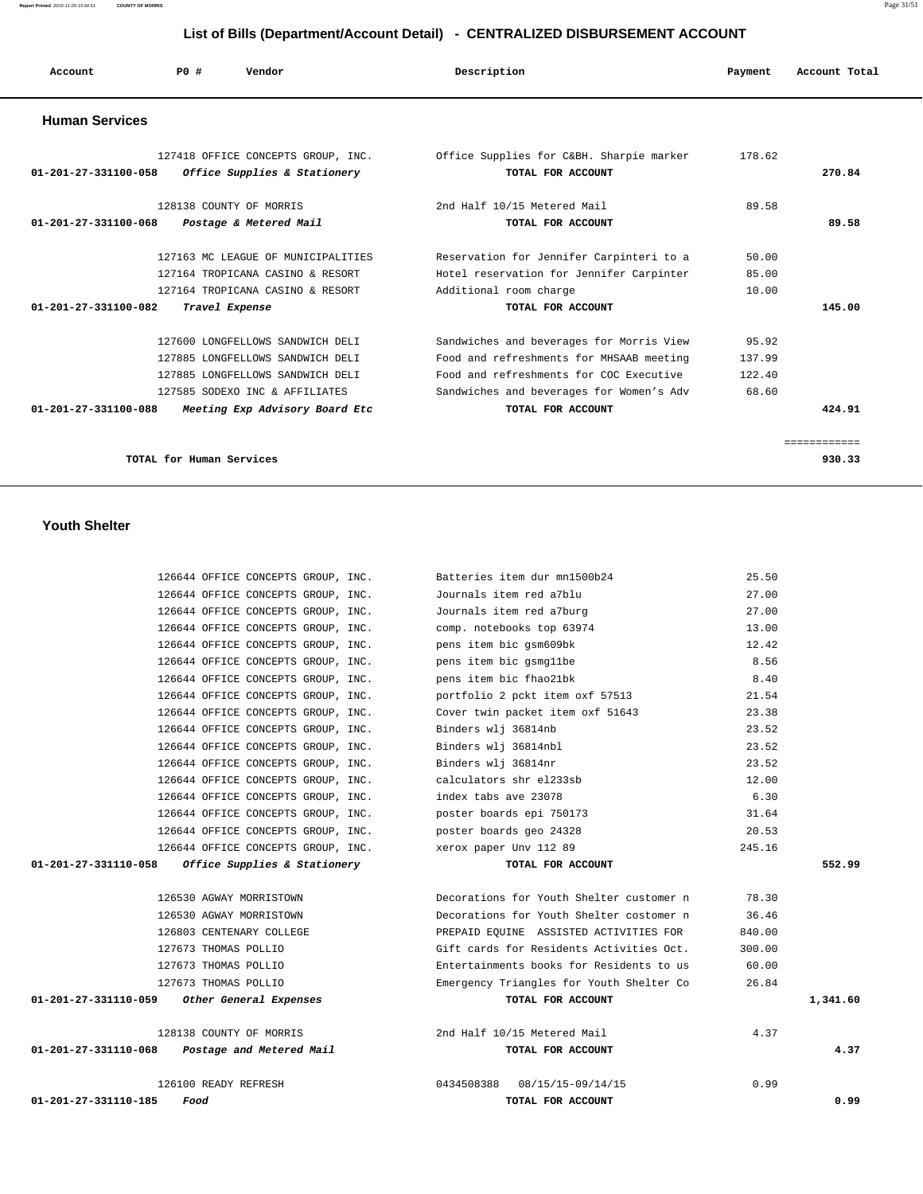**Report Printed** 2015-11-05 15:04:51 **COUNTY OF MORRIS** Page 31/51

# **List of Bills (Department/Account Detail) - CENTRALIZED DISBURSEMENT ACCOUNT**

| Account                        | PO#<br>Vendor                                                      | Description                                                   | Payment | Account Total |
|--------------------------------|--------------------------------------------------------------------|---------------------------------------------------------------|---------|---------------|
| <b>Human Services</b>          |                                                                    |                                                               |         |               |
| 01-201-27-331100-058           | 127418 OFFICE CONCEPTS GROUP, INC.<br>Office Supplies & Stationery | Office Supplies for C&BH. Sharpie marker<br>TOTAL FOR ACCOUNT | 178.62  | 270.84        |
| $01 - 201 - 27 - 331100 - 068$ | 128138 COUNTY OF MORRIS<br>Postage & Metered Mail                  | 2nd Half 10/15 Metered Mail<br>TOTAL FOR ACCOUNT              | 89.58   | 89.58         |
|                                | 127163 MC LEAGUE OF MUNICIPALITIES                                 | Reservation for Jennifer Carpinteri to a                      | 50.00   |               |
|                                | 127164 TROPICANA CASINO & RESORT                                   | Hotel reservation for Jennifer Carpinter                      | 85.00   |               |
|                                | 127164 TROPICANA CASINO & RESORT                                   | Additional room charge                                        | 10.00   |               |
| $01 - 201 - 27 - 331100 - 082$ | Travel Expense                                                     | TOTAL FOR ACCOUNT                                             |         | 145.00        |
|                                | 127600 LONGFELLOWS SANDWICH DELI                                   | Sandwiches and beverages for Morris View                      | 95.92   |               |
|                                | 127885 LONGFELLOWS SANDWICH DELI                                   | Food and refreshments for MHSAAB meeting                      | 137.99  |               |
|                                | 127885 LONGFELLOWS SANDWICH DELI                                   | Food and refreshments for COC Executive                       | 122.40  |               |
|                                | 127585 SODEXO INC & AFFILIATES                                     | Sandwiches and beverages for Women's Adv                      | 68.60   |               |
| $01 - 201 - 27 - 331100 - 088$ | Meeting Exp Advisory Board Etc                                     | TOTAL FOR ACCOUNT                                             |         | 424.91        |
|                                |                                                                    |                                                               |         | ============  |
|                                | TOTAL for Human Services                                           |                                                               |         | 930.33        |

#### **Youth Shelter**

|                      | 126644 OFFICE CONCEPTS GROUP, INC.              | Batteries item dur mn1500b24             | 25.50  |          |
|----------------------|-------------------------------------------------|------------------------------------------|--------|----------|
|                      | 126644 OFFICE CONCEPTS GROUP, INC.              | Journals item red a7blu                  | 27.00  |          |
|                      | 126644 OFFICE CONCEPTS GROUP, INC.              | Journals item red a7burg                 | 27.00  |          |
|                      | 126644 OFFICE CONCEPTS GROUP, INC.              | comp. notebooks top 63974                | 13.00  |          |
|                      | 126644 OFFICE CONCEPTS GROUP, INC.              | pens item bic gsm609bk                   | 12.42  |          |
|                      | 126644 OFFICE CONCEPTS GROUP, INC.              | pens item bic gsmgllbe                   | 8.56   |          |
|                      | 126644 OFFICE CONCEPTS GROUP, INC.              | pens item bic fhao21bk                   | 8.40   |          |
|                      | 126644 OFFICE CONCEPTS GROUP, INC.              | portfolio 2 pckt item oxf 57513          | 21.54  |          |
|                      | 126644 OFFICE CONCEPTS GROUP, INC.              | Cover twin packet item oxf 51643         | 23.38  |          |
|                      | 126644 OFFICE CONCEPTS GROUP, INC.              | Binders wlj 36814nb                      | 23.52  |          |
|                      | 126644 OFFICE CONCEPTS GROUP, INC.              | Binders wlj 36814nbl                     | 23.52  |          |
|                      | 126644 OFFICE CONCEPTS GROUP, INC.              | Binders wlj 36814nr                      | 23.52  |          |
|                      | 126644 OFFICE CONCEPTS GROUP, INC.              | calculators shr el233sb                  | 12.00  |          |
|                      | 126644 OFFICE CONCEPTS GROUP, INC.              | index tabs ave 23078                     | 6.30   |          |
|                      | 126644 OFFICE CONCEPTS GROUP, INC.              | poster boards epi 750173                 | 31.64  |          |
|                      | 126644 OFFICE CONCEPTS GROUP, INC.              | poster boards geo 24328                  | 20.53  |          |
|                      | 126644 OFFICE CONCEPTS GROUP, INC.              | xerox paper Unv 112 89                   | 245.16 |          |
| 01-201-27-331110-058 | Office Supplies & Stationery                    | TOTAL FOR ACCOUNT                        |        | 552.99   |
|                      | 126530 AGWAY MORRISTOWN                         | Decorations for Youth Shelter customer n | 78.30  |          |
|                      | 126530 AGWAY MORRISTOWN                         | Decorations for Youth Shelter costomer n | 36.46  |          |
|                      | 126803 CENTENARY COLLEGE                        | PREPAID EQUINE ASSISTED ACTIVITIES FOR   | 840.00 |          |
|                      | 127673 THOMAS POLLIO                            | Gift cards for Residents Activities Oct. | 300.00 |          |
|                      | 127673 THOMAS POLLIO                            | Entertainments books for Residents to us | 60.00  |          |
|                      | 127673 THOMAS POLLIO                            | Emergency Triangles for Youth Shelter Co | 26.84  |          |
|                      | $01-201-27-331110-059$ Other General Expenses   | TOTAL FOR ACCOUNT                        |        | 1,341.60 |
|                      | 128138 COUNTY OF MORRIS                         | 2nd Half 10/15 Metered Mail              | 4.37   |          |
|                      | $01-201-27-331110-068$ Postage and Metered Mail | TOTAL FOR ACCOUNT                        |        | 4.37     |
|                      | 126100 READY REFRESH                            | 08/15/15-09/14/15<br>0434508388          | 0.99   |          |
| 01-201-27-331110-185 | Food                                            | TOTAL FOR ACCOUNT                        |        | 0.99     |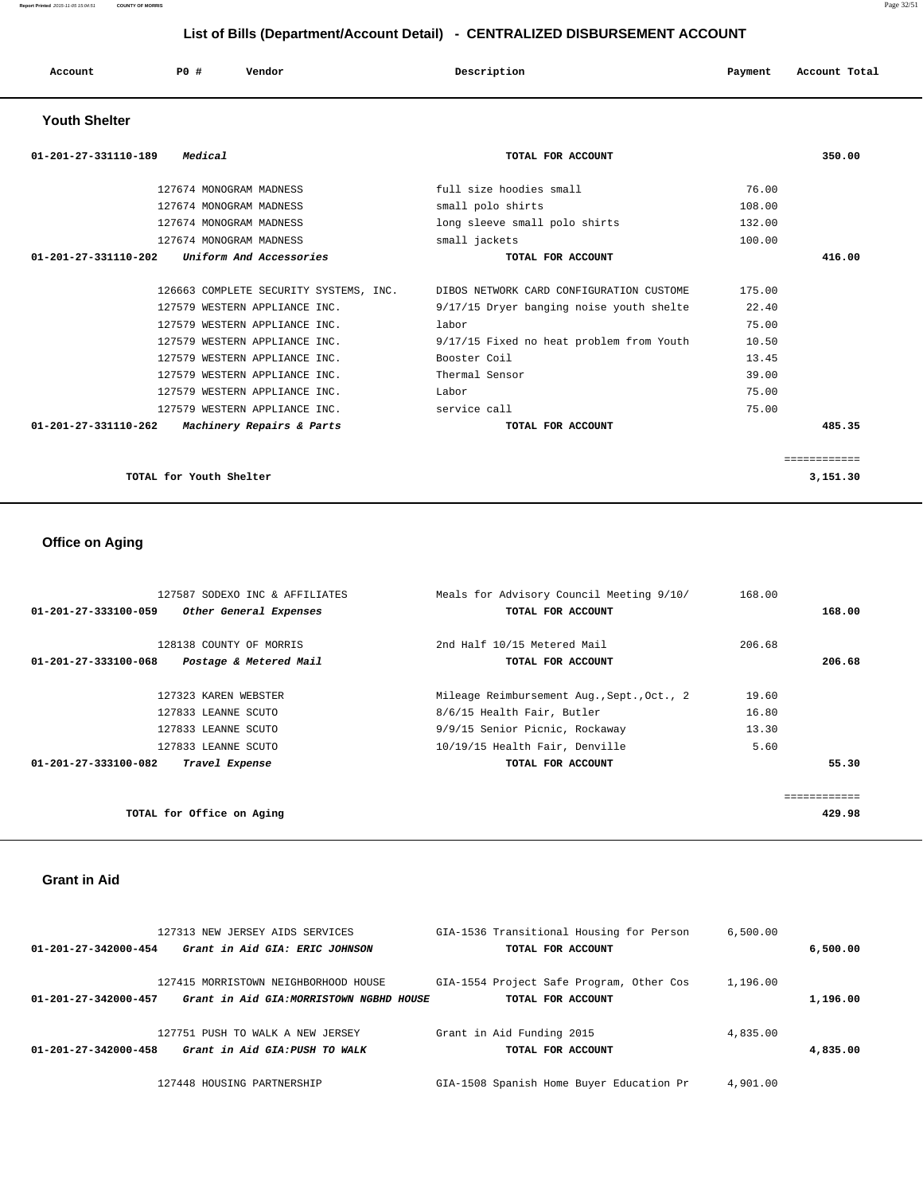| Account | P <sub>0</sub> | Vendor | Description | Payment | Account Total |  |
|---------|----------------|--------|-------------|---------|---------------|--|
|         |                |        |             |         |               |  |

### **Youth Shelter**

| Medical<br>01-201-27-331110-189                              | TOTAL FOR ACCOUNT                                                               | 350.00       |
|--------------------------------------------------------------|---------------------------------------------------------------------------------|--------------|
| 127674 MONOGRAM MADNESS                                      | full size hoodies small                                                         | 76.00        |
| 127674 MONOGRAM MADNESS                                      | small polo shirts                                                               | 108.00       |
| 127674 MONOGRAM MADNESS                                      | long sleeve small polo shirts                                                   | 132.00       |
| 127674 MONOGRAM MADNESS                                      | small jackets                                                                   | 100.00       |
| Uniform And Accessories<br>01-201-27-331110-202              | TOTAL FOR ACCOUNT                                                               | 416.00       |
|                                                              |                                                                                 |              |
|                                                              | 126663 COMPLETE SECURITY SYSTEMS, INC. DIBOS NETWORK CARD CONFIGURATION CUSTOME | 175.00       |
| 127579 WESTERN APPLIANCE INC.                                | 9/17/15 Dryer banging noise youth shelte                                        | 22.40        |
| 127579 WESTERN APPLIANCE INC.                                | labor                                                                           | 75.00        |
| 127579 WESTERN APPLIANCE INC.                                | 9/17/15 Fixed no heat problem from Youth                                        | 10.50        |
| 127579 WESTERN APPLIANCE INC.                                | Booster Coil                                                                    | 13.45        |
| 127579 WESTERN APPLIANCE INC.                                | Thermal Sensor                                                                  | 39.00        |
| 127579 WESTERN APPLIANCE INC.                                | Labor                                                                           | 75.00        |
| 127579 WESTERN APPLIANCE INC.                                | service call                                                                    | 75.00        |
| 01-201-27-331110-262<br><i>Machinery Repairs &amp; Parts</i> | TOTAL FOR ACCOUNT                                                               | 485.35       |
|                                                              |                                                                                 |              |
|                                                              |                                                                                 | ============ |
| TOTAL for Youth Shelter                                      |                                                                                 | 3,151.30     |

## **Office on Aging**

| 127587 SODEXO INC & AFFILIATES                 | Meals for Advisory Council Meeting 9/10/   | 168.00 |        |
|------------------------------------------------|--------------------------------------------|--------|--------|
| 01-201-27-333100-059<br>Other General Expenses | TOTAL FOR ACCOUNT                          |        | 168.00 |
| 128138 COUNTY OF MORRIS                        | 2nd Half 10/15 Metered Mail                | 206.68 |        |
| 01-201-27-333100-068<br>Postage & Metered Mail | TOTAL FOR ACCOUNT                          |        | 206.68 |
| 127323 KAREN WEBSTER                           | Mileage Reimbursement Aug., Sept., Oct., 2 | 19.60  |        |
| 127833 LEANNE SCUTO                            | 8/6/15 Health Fair, Butler                 | 16.80  |        |
| 127833 LEANNE SCUTO                            | 9/9/15 Senior Picnic, Rockaway             | 13.30  |        |
| 127833 LEANNE SCUTO                            | 10/19/15 Health Fair, Denville             | 5.60   |        |
| 01-201-27-333100-082<br>Travel Expense         | TOTAL FOR ACCOUNT                          |        | 55.30  |
|                                                |                                            |        |        |
| TOTAL for Office on Aging                      |                                            |        | 429.98 |

### **Grant in Aid**

|                      | 127313 NEW JERSEY AIDS SERVICES          | GIA-1536 Transitional Housing for Person | 6,500.00 |          |
|----------------------|------------------------------------------|------------------------------------------|----------|----------|
| 01-201-27-342000-454 | Grant in Aid GIA: ERIC JOHNSON           | TOTAL FOR ACCOUNT                        |          | 6,500.00 |
|                      | 127415 MORRISTOWN NEIGHBORHOOD HOUSE     | GIA-1554 Project Safe Program, Other Cos | 1,196.00 |          |
| 01-201-27-342000-457 | Grant in Aid GIA: MORRISTOWN NGBHD HOUSE | TOTAL FOR ACCOUNT                        |          | 1,196.00 |
|                      | 127751 PUSH TO WALK A NEW JERSEY         | Grant in Aid Funding 2015                | 4,835.00 |          |
| 01-201-27-342000-458 | Grant in Aid GIA: PUSH TO WALK           | TOTAL FOR ACCOUNT                        |          | 4,835,00 |
|                      | 127448 HOUSING PARTNERSHIP               | GIA-1508 Spanish Home Buyer Education Pr | 4,901.00 |          |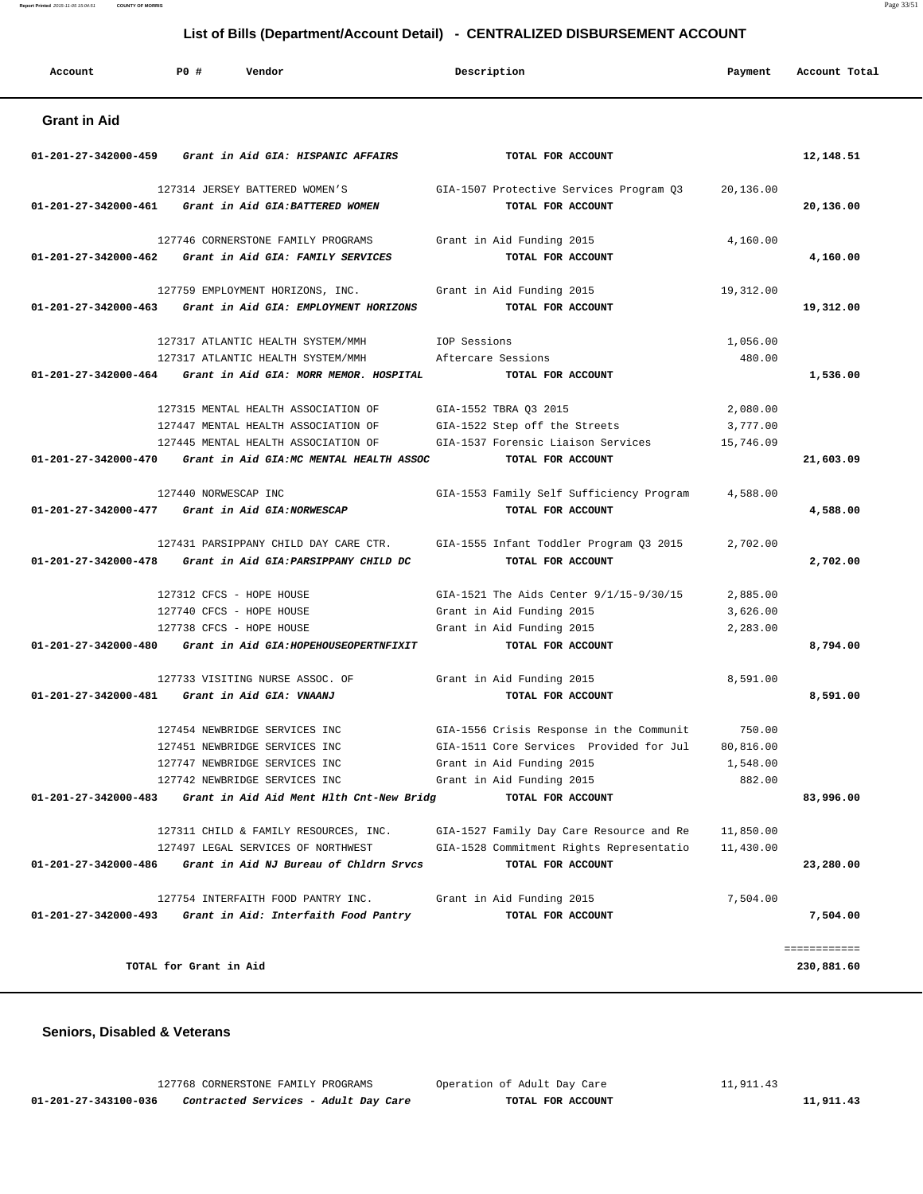| Account              | PO#<br>Vendor                                                                                                     | Description                                                                                  | Payment                           | Account Total |
|----------------------|-------------------------------------------------------------------------------------------------------------------|----------------------------------------------------------------------------------------------|-----------------------------------|---------------|
| <b>Grant in Aid</b>  |                                                                                                                   |                                                                                              |                                   |               |
| 01-201-27-342000-459 | Grant in Aid GIA: HISPANIC AFFAIRS                                                                                | TOTAL FOR ACCOUNT                                                                            |                                   | 12,148.51     |
|                      | 127314 JERSEY BATTERED WOMEN'S<br>01-201-27-342000-461 Grant in Aid GIA: BATTERED WOMEN                           | GIA-1507 Protective Services Program Q3<br>TOTAL FOR ACCOUNT                                 | 20,136.00                         | 20,136.00     |
|                      | 127746 CORNERSTONE FAMILY PROGRAMS<br>01-201-27-342000-462 Grant in Aid GIA: FAMILY SERVICES                      | Grant in Aid Funding 2015<br>TOTAL FOR ACCOUNT                                               | 4,160.00                          | 4,160.00      |
|                      | 127759 EMPLOYMENT HORIZONS, INC.<br>01-201-27-342000-463 Grant in Aid GIA: EMPLOYMENT HORIZONS                    | Grant in Aid Funding 2015<br>TOTAL FOR ACCOUNT                                               | 19,312.00                         | 19,312.00     |
|                      | 127317 ATLANTIC HEALTH SYSTEM/MMH<br>127317 ATLANTIC HEALTH SYSTEM/MMH                                            | IOP Sessions<br>Aftercare Sessions                                                           | 1,056.00<br>480.00                |               |
| 01-201-27-342000-464 | Grant in Aid GIA: MORR MEMOR. HOSPITAL                                                                            | TOTAL FOR ACCOUNT                                                                            |                                   | 1,536.00      |
|                      | 127315 MENTAL HEALTH ASSOCIATION OF<br>127447 MENTAL HEALTH ASSOCIATION OF<br>127445 MENTAL HEALTH ASSOCIATION OF | GIA-1552 TBRA Q3 2015<br>GIA-1522 Step off the Streets<br>GIA-1537 Forensic Liaison Services | 2,080.00<br>3,777.00<br>15,746.09 |               |
|                      | 01-201-27-342000-470 Grant in Aid GIA:MC MENTAL HEALTH ASSOC                                                      | TOTAL FOR ACCOUNT                                                                            |                                   | 21,603.09     |
|                      | 127440 NORWESCAP INC<br>01-201-27-342000-477 Grant in Aid GIA:NORWESCAP                                           | GIA-1553 Family Self Sufficiency Program<br>TOTAL FOR ACCOUNT                                | 4,588.00                          | 4,588.00      |
|                      | 127431 PARSIPPANY CHILD DAY CARE CTR.<br>01-201-27-342000-478 Grant in Aid GIA: PARSIPPANY CHILD DC               | GIA-1555 Infant Toddler Program Q3 2015<br>TOTAL FOR ACCOUNT                                 | 2,702.00                          | 2,702.00      |
|                      | 127312 CFCS - HOPE HOUSE                                                                                          | GIA-1521 The Aids Center 9/1/15-9/30/15                                                      | 2,885.00                          |               |
|                      | 127740 CFCS - HOPE HOUSE                                                                                          | Grant in Aid Funding 2015                                                                    | 3,626.00                          |               |
|                      | 127738 CFCS - HOPE HOUSE<br>01-201-27-342000-480 Grant in Aid GIA: HOPEHOUSEOPERTNFIXIT                           | Grant in Aid Funding 2015<br>TOTAL FOR ACCOUNT                                               | 2,283.00                          | 8,794.00      |
|                      | 127733 VISITING NURSE ASSOC. OF<br>01-201-27-342000-481 Grant in Aid GIA: VNAANJ                                  | Grant in Aid Funding 2015<br>TOTAL FOR ACCOUNT                                               | 8,591.00                          | 8,591.00      |
|                      |                                                                                                                   |                                                                                              |                                   |               |
|                      | 127454 NEWBRIDGE SERVICES INC                                                                                     | GIA-1556 Crisis Response in the Communit                                                     | 750.00                            |               |
|                      | 127451 NEWBRIDGE SERVICES INC                                                                                     | GIA-1511 Core Services Provided for Jul<br>Grant in Aid Funding 2015                         | 80,816.00                         |               |
|                      | 127747 NEWBRIDGE SERVICES INC<br>127742 NEWBRIDGE SERVICES INC                                                    | Grant in Aid Funding 2015                                                                    | 1,548.00<br>882.00                |               |
|                      | 01-201-27-342000-483 Grant in Aid Aid Ment Hlth Cnt-New Bridg                                                     | TOTAL FOR ACCOUNT                                                                            |                                   | 83,996.00     |
|                      | 127311 CHILD & FAMILY RESOURCES, INC.                                                                             | GIA-1527 Family Day Care Resource and Re                                                     | 11,850.00                         |               |
|                      | 127497 LEGAL SERVICES OF NORTHWEST<br>$01-201-27-342000-486$ Grant in Aid NJ Bureau of Chldrn Srvcs               | GIA-1528 Commitment Rights Representatio<br>TOTAL FOR ACCOUNT                                | 11,430.00                         |               |
|                      |                                                                                                                   |                                                                                              |                                   | 23,280.00     |
|                      | 127754 INTERFAITH FOOD PANTRY INC.<br>01-201-27-342000-493 Grant in Aid: Interfaith Food Pantry                   | Grant in Aid Funding 2015<br>TOTAL FOR ACCOUNT                                               | 7,504.00                          | 7,504.00      |
|                      |                                                                                                                   |                                                                                              |                                   | ============  |
|                      | TOTAL for Grant in Aid                                                                                            |                                                                                              |                                   | 230,881.60    |

#### **Seniors, Disabled & Veterans**

 127768 CORNERSTONE FAMILY PROGRAMS Operation of Adult Day Care 11,911.43  **01-201-27-343100-036 Contracted Services - Adult Day Care TOTAL FOR ACCOUNT 11,911.43**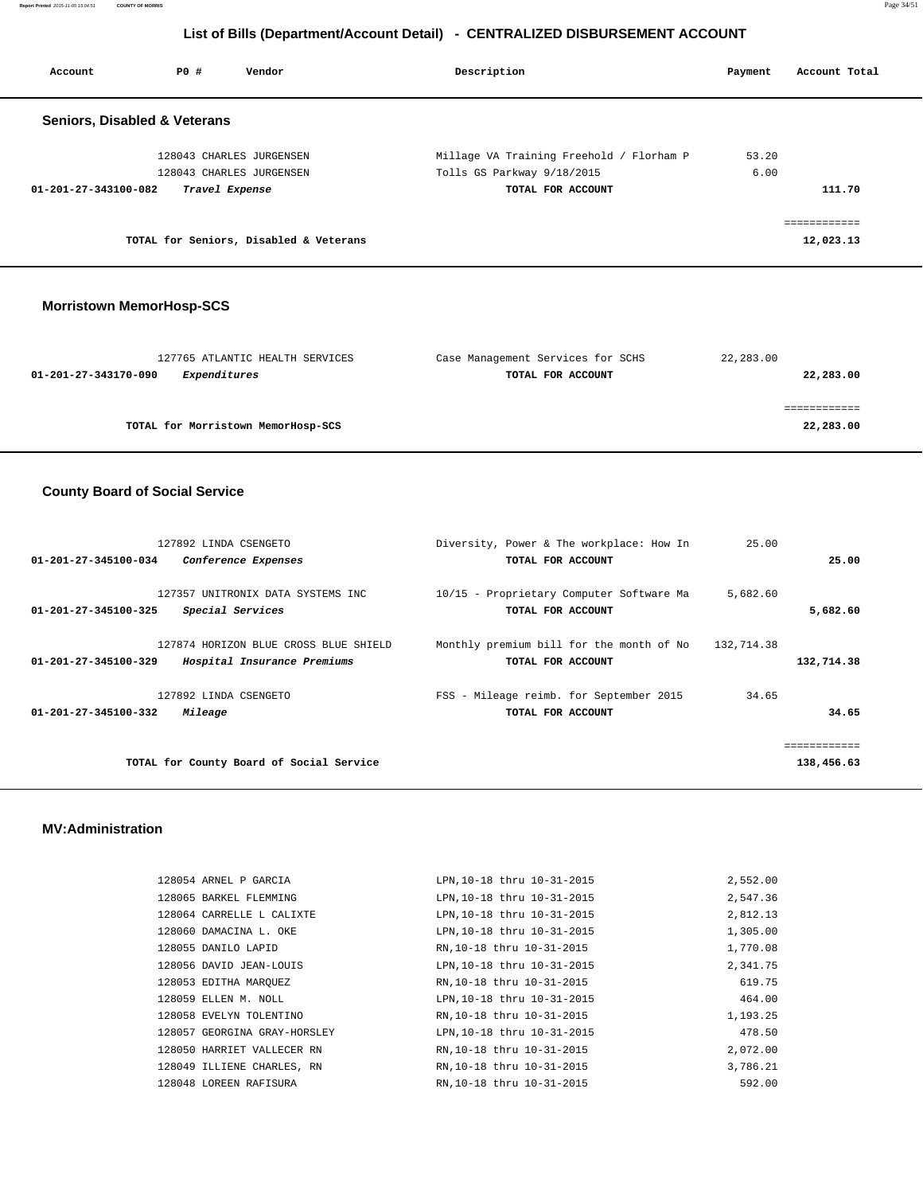**Report Printed** 2015-11-05 15:04:51 **COUNTY OF MORRIS** Page 34/51

# **List of Bills (Department/Account Detail) - CENTRALIZED DISBURSEMENT ACCOUNT**

| Account                                 | PO#            | Vendor                                 | Description                              | Payment | Account Total             |
|-----------------------------------------|----------------|----------------------------------------|------------------------------------------|---------|---------------------------|
| <b>Seniors, Disabled &amp; Veterans</b> |                |                                        |                                          |         |                           |
|                                         |                | 128043 CHARLES JURGENSEN               | Millage VA Training Freehold / Florham P | 53.20   |                           |
|                                         |                | 128043 CHARLES JURGENSEN               | Tolls GS Parkway 9/18/2015               | 6.00    |                           |
| 01-201-27-343100-082                    | Travel Expense |                                        | TOTAL FOR ACCOUNT                        |         | 111.70                    |
|                                         |                | TOTAL for Seniors, Disabled & Veterans |                                          |         | eessessesses<br>12,023.13 |
|                                         |                |                                        |                                          |         |                           |

#### **Morristown MemorHosp-SCS**

| 127765 ATLANTIC HEALTH SERVICES      | Case Management Services for SCHS | 22,283.00 |
|--------------------------------------|-----------------------------------|-----------|
| Expenditures<br>01-201-27-343170-090 | TOTAL FOR ACCOUNT                 | 22,283.00 |
|                                      |                                   |           |
|                                      |                                   |           |
| TOTAL for Morristown MemorHosp-SCS   |                                   | 22,283.00 |
|                                      |                                   |           |

# **County Board of Social Service**

|                      | 127892 LINDA CSENGETO                    | Diversity, Power & The workplace: How In | 25.00      |              |
|----------------------|------------------------------------------|------------------------------------------|------------|--------------|
| 01-201-27-345100-034 | Conference Expenses                      | TOTAL FOR ACCOUNT                        |            | 25.00        |
|                      |                                          |                                          |            |              |
|                      | 127357 UNITRONIX DATA SYSTEMS INC        | 10/15 - Proprietary Computer Software Ma | 5,682.60   |              |
| 01-201-27-345100-325 | Special Services                         | TOTAL FOR ACCOUNT                        |            | 5,682.60     |
|                      |                                          |                                          |            |              |
|                      | 127874 HORIZON BLUE CROSS BLUE SHIELD    | Monthly premium bill for the month of No | 132,714.38 |              |
| 01-201-27-345100-329 | Hospital Insurance Premiums              | TOTAL FOR ACCOUNT                        |            | 132,714.38   |
|                      | 127892 LINDA CSENGETO                    | FSS - Mileage reimb. for September 2015  | 34.65      |              |
| 01-201-27-345100-332 | Mileage                                  | TOTAL FOR ACCOUNT                        |            | 34.65        |
|                      |                                          |                                          |            |              |
|                      |                                          |                                          |            | ============ |
|                      |                                          |                                          |            |              |
|                      | TOTAL for County Board of Social Service |                                          |            | 138,456.63   |

#### **MV:Administration**

| 128054 ARNEL P GARCIA        | LPN, 10-18 thru 10-31-2015 | 2,552.00 |
|------------------------------|----------------------------|----------|
| 128065 BARKEL FLEMMING       | LPN, 10-18 thru 10-31-2015 | 2,547.36 |
| 128064 CARRELLE L CALIXTE    | LPN, 10-18 thru 10-31-2015 | 2,812.13 |
| 128060 DAMACINA L. OKE       | LPN, 10-18 thru 10-31-2015 | 1,305.00 |
| 128055 DANILO LAPID          | RN, 10-18 thru 10-31-2015  | 1,770.08 |
| 128056 DAVID JEAN-LOUIS      | LPN, 10-18 thru 10-31-2015 | 2,341.75 |
| 128053 EDITHA MARQUEZ        | RN, 10-18 thru 10-31-2015  | 619.75   |
| 128059 ELLEN M. NOLL         | LPN, 10-18 thru 10-31-2015 | 464.00   |
| 128058 EVELYN TOLENTINO      | RN, 10-18 thru 10-31-2015  | 1,193.25 |
| 128057 GEORGINA GRAY-HORSLEY | LPN.10-18 thru 10-31-2015  | 478.50   |
| 128050 HARRIET VALLECER RN   | RN, 10-18 thru 10-31-2015  | 2,072.00 |
| 128049 ILLIENE CHARLES, RN   | RN, 10-18 thru 10-31-2015  | 3,786.21 |
| 128048 LOREEN RAFISURA       | RN, 10-18 thru 10-31-2015  | 592.00   |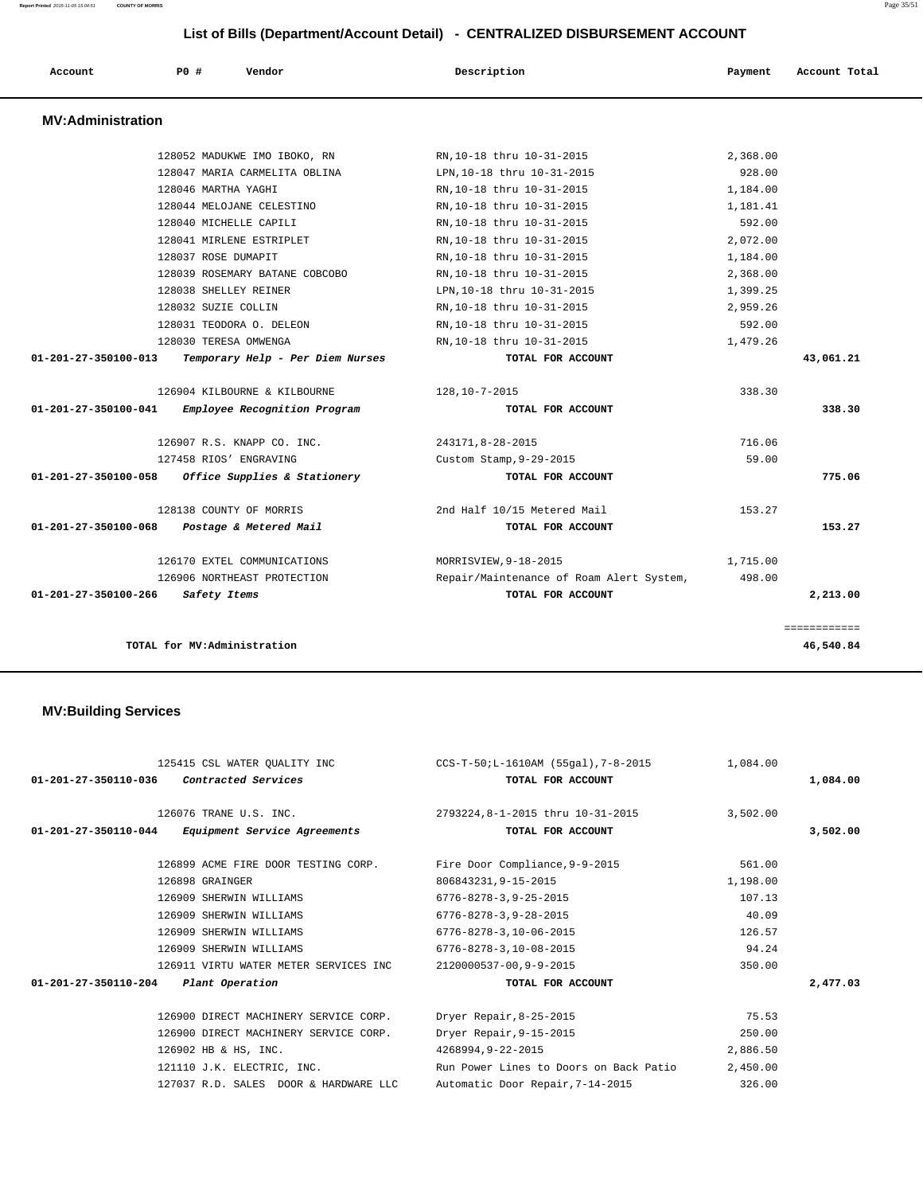| Account                  | P0#<br>Vendor                    | Description                              | Payment  | Account Total |
|--------------------------|----------------------------------|------------------------------------------|----------|---------------|
| <b>MV:Administration</b> |                                  |                                          |          |               |
|                          | 128052 MADUKWE IMO IBOKO, RN     | RN, 10-18 thru 10-31-2015                | 2,368.00 |               |
|                          | 128047 MARIA CARMELITA OBLINA    | LPN, 10-18 thru 10-31-2015               | 928.00   |               |
|                          | 128046 MARTHA YAGHI              | RN, 10-18 thru 10-31-2015                | 1,184.00 |               |
|                          | 128044 MELOJANE CELESTINO        | RN, 10-18 thru 10-31-2015                | 1,181.41 |               |
|                          | 128040 MICHELLE CAPILI           | RN.10-18 thru 10-31-2015                 | 592.00   |               |
|                          | 128041 MIRLENE ESTRIPLET         | RN, 10-18 thru 10-31-2015                | 2,072.00 |               |
|                          | 128037 ROSE DUMAPIT              | RN, 10-18 thru 10-31-2015                | 1,184.00 |               |
|                          | 128039 ROSEMARY BATANE COBCOBO   | RN, 10-18 thru 10-31-2015                | 2,368.00 |               |
|                          | 128038 SHELLEY REINER            | LPN, 10-18 thru 10-31-2015               | 1,399.25 |               |
|                          | 128032 SUZIE COLLIN              | RN, 10-18 thru 10-31-2015                | 2,959.26 |               |
|                          | 128031 TEODORA O. DELEON         | RN, 10-18 thru 10-31-2015                | 592.00   |               |
|                          | 128030 TERESA OMWENGA            | RN, 10-18 thru 10-31-2015                | 1,479.26 |               |
| 01-201-27-350100-013     | Temporary Help - Per Diem Nurses | TOTAL FOR ACCOUNT                        |          | 43,061.21     |
|                          | 126904 KILBOURNE & KILBOURNE     | 128,10-7-2015                            | 338.30   |               |
| 01-201-27-350100-041     | Employee Recognition Program     | TOTAL FOR ACCOUNT                        |          | 338.30        |
|                          | 126907 R.S. KNAPP CO. INC.       | 243171,8-28-2015                         | 716.06   |               |
|                          | 127458 RIOS' ENGRAVING           | Custom Stamp, 9-29-2015                  | 59.00    |               |
| 01-201-27-350100-058     | Office Supplies & Stationery     | TOTAL FOR ACCOUNT                        |          | 775.06        |
|                          | 128138 COUNTY OF MORRIS          | 2nd Half 10/15 Metered Mail              | 153.27   |               |
| 01-201-27-350100-068     | Postage & Metered Mail           | TOTAL FOR ACCOUNT                        |          | 153.27        |
|                          | 126170 EXTEL COMMUNICATIONS      | MORRISVIEW, 9-18-2015                    | 1,715.00 |               |
|                          | 126906 NORTHEAST PROTECTION      | Repair/Maintenance of Roam Alert System, | 498.00   |               |
| 01-201-27-350100-266     | Safety Items                     | TOTAL FOR ACCOUNT                        |          | 2,213.00      |
|                          |                                  |                                          |          | ============  |
|                          | TOTAL for MV:Administration      |                                          |          | 46,540.84     |

# **MV:Building Services**

| TOTAL FOR ACCOUNT                                     |                                                                                                                                                                                                                                                     | 1,084.00                                                                                                |
|-------------------------------------------------------|-----------------------------------------------------------------------------------------------------------------------------------------------------------------------------------------------------------------------------------------------------|---------------------------------------------------------------------------------------------------------|
| 2793224,8-1-2015 thru 10-31-2015<br>TOTAL FOR ACCOUNT | 3,502.00                                                                                                                                                                                                                                            | 3,502.00                                                                                                |
|                                                       | 561.00                                                                                                                                                                                                                                              |                                                                                                         |
| 806843231, 9-15-2015                                  | 1,198.00                                                                                                                                                                                                                                            |                                                                                                         |
| $6776 - 8278 - 3, 9 - 25 - 2015$                      | 107.13                                                                                                                                                                                                                                              |                                                                                                         |
| 6776-8278-3.9-28-2015                                 | 40.09                                                                                                                                                                                                                                               |                                                                                                         |
| 6776-8278-3,10-06-2015                                | 126.57                                                                                                                                                                                                                                              |                                                                                                         |
| 6776-8278-3,10-08-2015                                | 94.24                                                                                                                                                                                                                                               |                                                                                                         |
| 2120000537-00.9-9-2015                                | 350.00                                                                                                                                                                                                                                              |                                                                                                         |
| TOTAL FOR ACCOUNT                                     |                                                                                                                                                                                                                                                     | 2,477.03                                                                                                |
|                                                       | 75.53                                                                                                                                                                                                                                               |                                                                                                         |
| Dryer Repair, 9-15-2015                               | 250.00                                                                                                                                                                                                                                              |                                                                                                         |
| 4268994,9-22-2015                                     | 2,886.50                                                                                                                                                                                                                                            |                                                                                                         |
|                                                       | 2,450.00                                                                                                                                                                                                                                            |                                                                                                         |
| Automatic Door Repair, 7-14-2015                      | 326.00                                                                                                                                                                                                                                              |                                                                                                         |
|                                                       | 126899 ACME FIRE DOOR TESTING CORP. Fire Door Compliance, 9-9-2015<br>126900 DIRECT MACHINERY SERVICE CORP. Dryer Repair, 8-25-2015<br>126900 DIRECT MACHINERY SERVICE CORP.<br>121110 J.K. ELECTRIC, INC.<br>127037 R.D. SALES DOOR & HARDWARE LLC | 1,084.00 1,084.00 1,084.00 CCS-T-50;L-1610AM (55gal),7-8-2015<br>Run Power Lines to Doors on Back Patio |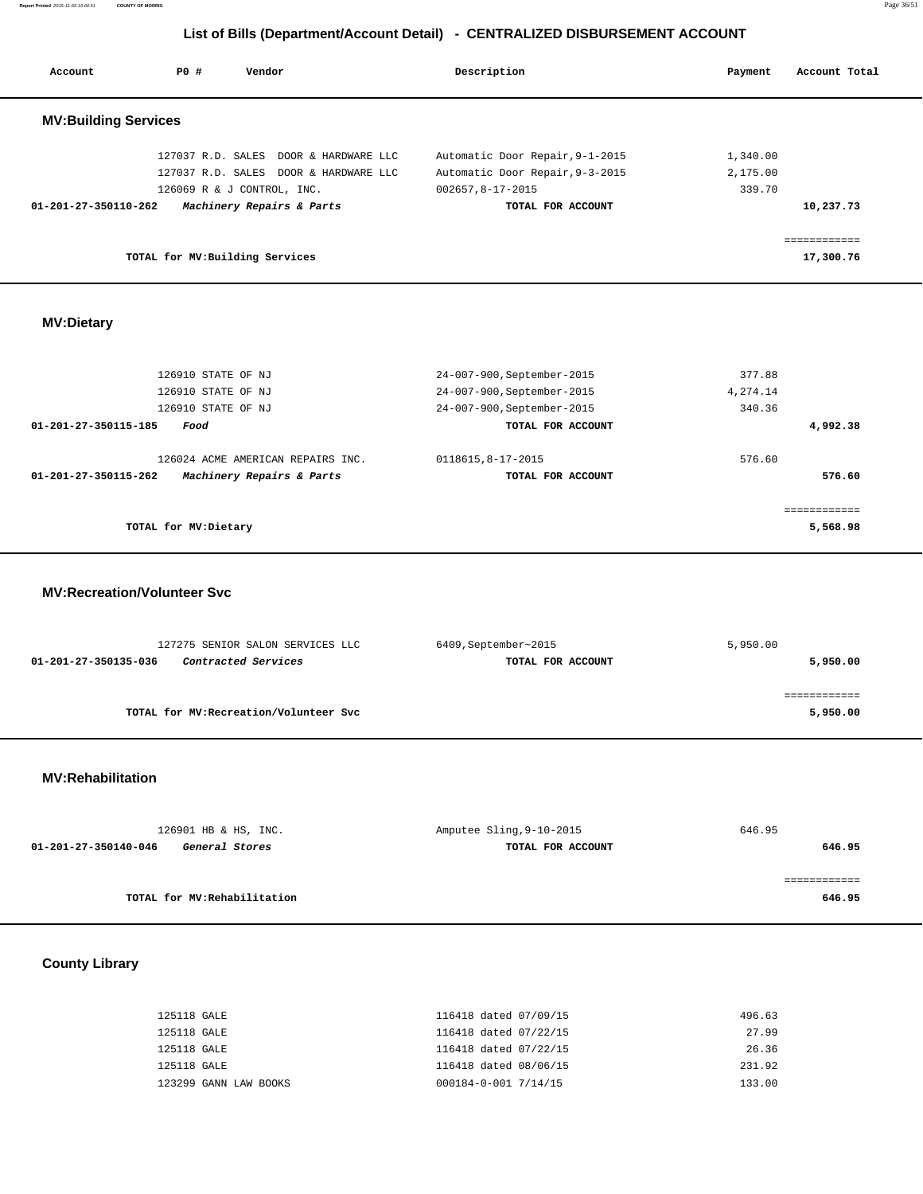**Report Printed** 2015-11-05 15:04:51 **COUNTY OF MORRIS** Page 36/51

# **List of Bills (Department/Account Detail) - CENTRALIZED DISBURSEMENT ACCOUNT**

| Account                        | PO#                             | Vendor                                | Description                     | Payment  | Account Total |
|--------------------------------|---------------------------------|---------------------------------------|---------------------------------|----------|---------------|
| <b>MV:Building Services</b>    |                                 |                                       |                                 |          |               |
|                                |                                 | 127037 R.D. SALES DOOR & HARDWARE LLC | Automatic Door Repair, 9-1-2015 | 1,340.00 |               |
|                                |                                 | 127037 R.D. SALES DOOR & HARDWARE LLC | Automatic Door Repair, 9-3-2015 | 2,175.00 |               |
|                                | 126069 R & J CONTROL, INC.      |                                       | 002657,8-17-2015                | 339.70   |               |
| $01 - 201 - 27 - 350110 - 262$ |                                 | Machinery Repairs & Parts             | TOTAL FOR ACCOUNT               |          | 10,237.73     |
|                                |                                 |                                       |                                 |          | ------------  |
|                                | TOTAL for MV: Building Services |                                       |                                 |          | 17,300.76     |

## **MV:Dietary**

| 126910 STATE OF NJ                                | 24-007-900, September-2015 | 377.88   |
|---------------------------------------------------|----------------------------|----------|
| 126910 STATE OF NJ                                | 24-007-900, September-2015 | 4,274.14 |
| 126910 STATE OF NJ                                | 24-007-900, September-2015 | 340.36   |
| 01-201-27-350115-185<br>Food                      | TOTAL FOR ACCOUNT          | 4,992.38 |
| 126024 ACME AMERICAN REPAIRS INC.                 | 0118615,8-17-2015          | 576.60   |
| Machinery Repairs & Parts<br>01-201-27-350115-262 | TOTAL FOR ACCOUNT          | 576.60   |
|                                                   |                            |          |
| TOTAL for MV: Dietary                             |                            | 5,568.98 |
|                                                   |                            |          |

#### **MV:Recreation/Volunteer Svc**

| 6409, September~2015 | 5,950.00    |
|----------------------|-------------|
| TOTAL FOR ACCOUNT    | 5,950.00    |
|                      |             |
|                      | ----------- |
|                      | 5,950.00    |
|                      |             |

#### **MV:Rehabilitation**

| 126901 HB & HS, INC.                          | Amputee Sling, 9-10-2015 | 646.95 |
|-----------------------------------------------|--------------------------|--------|
| 01-201-27-350140-046<br><i>General Stores</i> | TOTAL FOR ACCOUNT        | 646.95 |
|                                               |                          |        |
|                                               |                          |        |
| TOTAL for MV:Rehabilitation                   |                          | 646.95 |

# **County Library**

| 125118 GALE           | 116418 dated 07/09/15 | 496.63 |
|-----------------------|-----------------------|--------|
| 125118 GALE           | 116418 dated 07/22/15 | 27.99  |
| 125118 GALE           | 116418 dated 07/22/15 | 26.36  |
| 125118 GALE           | 116418 dated 08/06/15 | 231.92 |
| 123299 GANN LAW BOOKS | 000184-0-001 7/14/15  | 133.00 |
|                       |                       |        |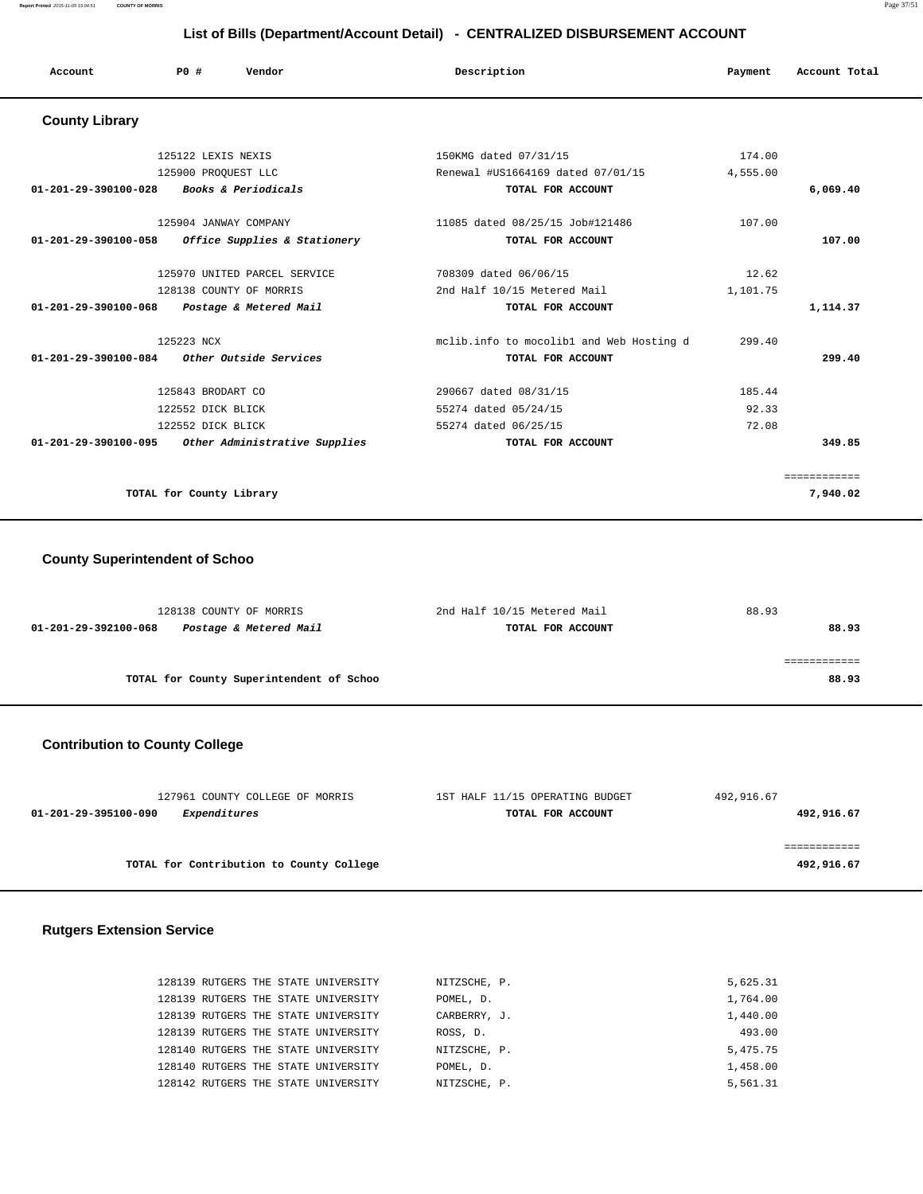| Account                                  | Vendor<br>PO#                                       | Description                              | Payment  | Account Total |
|------------------------------------------|-----------------------------------------------------|------------------------------------------|----------|---------------|
| <b>County Library</b>                    |                                                     |                                          |          |               |
|                                          | 125122 LEXIS NEXIS                                  | 150KMG dated 07/31/15                    | 174.00   |               |
|                                          | 125900 PROQUEST LLC                                 | Renewal #US1664169 dated 07/01/15        | 4,555.00 |               |
| 01-201-29-390100-028 Books & Periodicals |                                                     | TOTAL FOR ACCOUNT                        |          | 6,069.40      |
|                                          | 125904 JANWAY COMPANY                               | 11085 dated 08/25/15 Job#121486          | 107.00   |               |
|                                          | $01-201-29-390100-058$ Office Supplies & Stationery | TOTAL FOR ACCOUNT                        |          | 107.00        |
|                                          | 125970 UNITED PARCEL SERVICE                        | 708309 dated 06/06/15                    | 12.62    |               |
|                                          | 128138 COUNTY OF MORRIS                             | 2nd Half 10/15 Metered Mail              | 1,101.75 |               |
|                                          | 01-201-29-390100-068 Postage & Metered Mail         | TOTAL FOR ACCOUNT                        |          | 1,114.37      |
|                                          | 125223 NCX                                          | mclib.info to mocolibl and Web Hosting d | 299.40   |               |
|                                          |                                                     | TOTAL FOR ACCOUNT                        |          | 299.40        |
|                                          | 125843 BRODART CO                                   | 290667 dated 08/31/15                    | 185.44   |               |
|                                          | 122552 DICK BLICK                                   | 55274 dated 05/24/15                     | 92.33    |               |
|                                          | 122552 DICK BLICK                                   | 55274 dated 06/25/15                     | 72.08    |               |
|                                          | 01-201-29-390100-095 Other Administrative Supplies  | TOTAL FOR ACCOUNT                        |          | 349.85        |
|                                          |                                                     |                                          |          | ============  |
|                                          | TOTAL for County Library                            |                                          |          | 7,940.02      |

## **County Superintendent of Schoo**

| 88.93                      |                             |
|----------------------------|-----------------------------|
| 88.93<br>TOTAL FOR ACCOUNT |                             |
|                            |                             |
|                            |                             |
| 88.93                      |                             |
|                            | 2nd Half 10/15 Metered Mail |

# **Contribution to County College**

| 127961 COUNTY COLLEGE OF MORRIS             | 1ST HALF 11/15 OPERATING BUDGET | 492,916.67 |
|---------------------------------------------|---------------------------------|------------|
| <i>Expenditures</i><br>01-201-29-395100-090 | TOTAL FOR ACCOUNT               | 492,916.67 |
|                                             |                                 |            |
|                                             |                                 |            |
| TOTAL for Contribution to County College    |                                 | 492,916.67 |

# **Rutgers Extension Service**

|  |  | 128139 RUTGERS THE STATE UNIVERSITY | NITZSCHE, P. | 5,625.31   |
|--|--|-------------------------------------|--------------|------------|
|  |  | 128139 RUTGERS THE STATE UNIVERSITY | POMEL, D.    | 1,764.00   |
|  |  | 128139 RUTGERS THE STATE UNIVERSITY | CARBERRY, J. | 1,440.00   |
|  |  | 128139 RUTGERS THE STATE UNIVERSITY | ROSS, D.     | 493.00     |
|  |  | 128140 RUTGERS THE STATE UNIVERSITY | NITZSCHE, P. | 5, 475. 75 |
|  |  | 128140 RUTGERS THE STATE UNIVERSITY | POMEL, D.    | 1,458.00   |
|  |  | 128142 RUTGERS THE STATE UNIVERSITY | NITZSCHE, P. | 5,561.31   |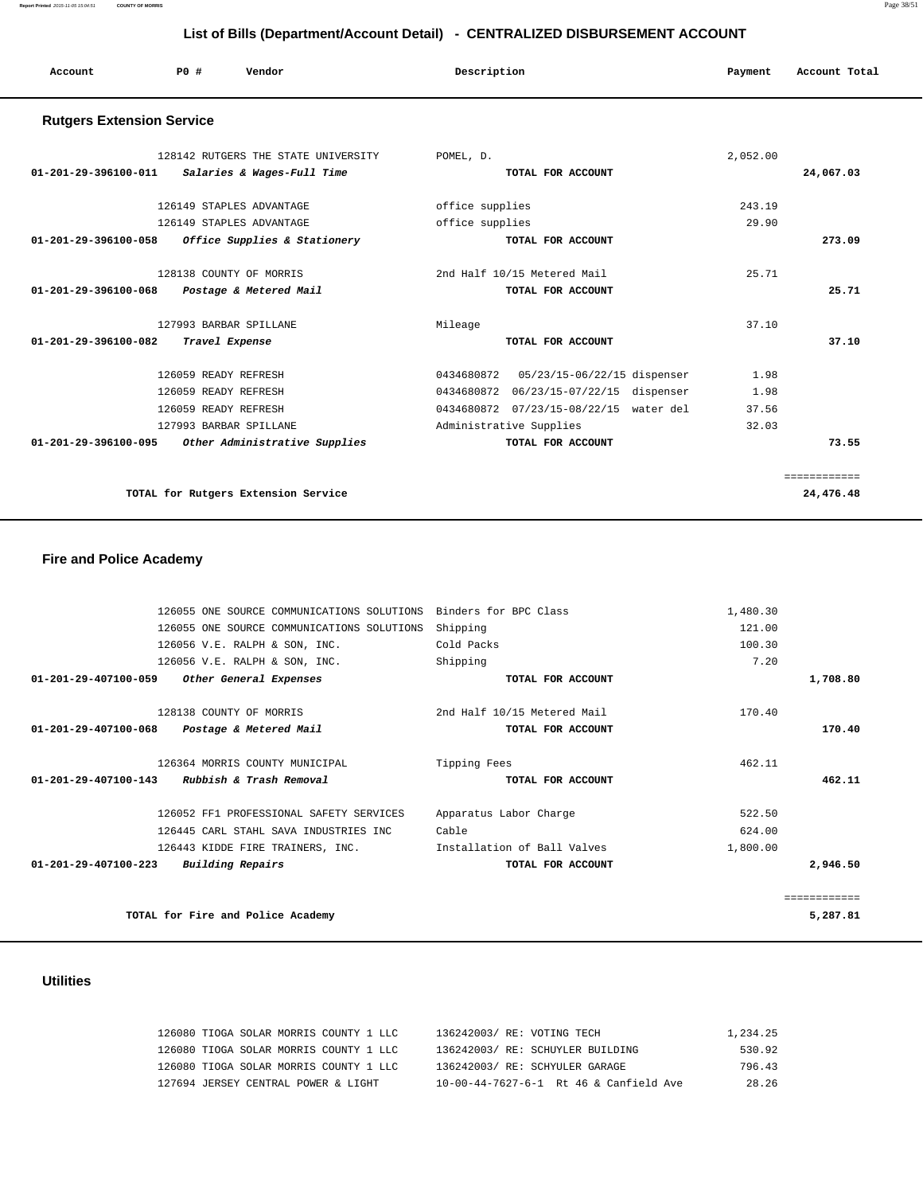**Report Printed** 2015-11-05 15:04:51 **COUNTY OF MORRIS** Page 38/51

| List of Bills (Department/Account Detail) - CENTRALIZED DISBURSEMENT ACCOUNT |                      |                                     |                 |                                         |          |               |
|------------------------------------------------------------------------------|----------------------|-------------------------------------|-----------------|-----------------------------------------|----------|---------------|
| Account                                                                      | PO#                  | Vendor                              | Description     |                                         | Payment  | Account Total |
| <b>Rutgers Extension Service</b>                                             |                      |                                     |                 |                                         |          |               |
|                                                                              |                      | 128142 RUTGERS THE STATE UNIVERSITY | POMEL, D.       |                                         | 2,052.00 |               |
| 01-201-29-396100-011                                                         |                      | Salaries & Wages-Full Time          |                 | TOTAL FOR ACCOUNT                       |          | 24,067.03     |
|                                                                              |                      | 126149 STAPLES ADVANTAGE            | office supplies |                                         | 243.19   |               |
|                                                                              |                      | 126149 STAPLES ADVANTAGE            | office supplies |                                         | 29.90    |               |
| 01-201-29-396100-058                                                         |                      | Office Supplies & Stationery        |                 | TOTAL FOR ACCOUNT                       |          | 273.09        |
|                                                                              |                      | 128138 COUNTY OF MORRIS             |                 | 2nd Half 10/15 Metered Mail             | 25.71    |               |
| 01-201-29-396100-068                                                         |                      | Postage & Metered Mail              |                 | TOTAL FOR ACCOUNT                       |          | 25.71         |
|                                                                              |                      | 127993 BARBAR SPILLANE              | Mileage         |                                         | 37.10    |               |
| 01-201-29-396100-082                                                         |                      | Travel Expense                      |                 | TOTAL FOR ACCOUNT                       |          | 37.10         |
|                                                                              | 126059 READY REFRESH |                                     |                 | 0434680872  05/23/15-06/22/15 dispenser | 1.98     |               |
|                                                                              | 126059 READY REFRESH |                                     |                 | 0434680872 06/23/15-07/22/15 dispenser  | 1.98     |               |
|                                                                              | 126059 READY REFRESH |                                     |                 | 0434680872 07/23/15-08/22/15 water del  | 37.56    |               |
|                                                                              |                      | 127993 BARBAR SPILLANE              |                 | Administrative Supplies                 | 32.03    |               |
| 01-201-29-396100-095                                                         |                      | Other Administrative Supplies       |                 | TOTAL FOR ACCOUNT                       |          | 73.55         |

**TOTAL for Rutgers Extension Service 24,476.48**

## **Fire and Police Academy**

|              | 1,480.30 | Binders for BPC Class       | 126055 ONE SOURCE COMMUNICATIONS SOLUTIONS |                                |
|--------------|----------|-----------------------------|--------------------------------------------|--------------------------------|
|              | 121.00   | Shipping                    | 126055 ONE SOURCE COMMUNICATIONS SOLUTIONS |                                |
|              | 100.30   | Cold Packs                  | 126056 V.E. RALPH & SON, INC.              |                                |
|              | 7.20     | Shipping                    | 126056 V.E. RALPH & SON, INC.              |                                |
| 1,708.80     |          | TOTAL FOR ACCOUNT           | Other General Expenses                     | $01 - 201 - 29 - 407100 - 059$ |
|              | 170.40   | 2nd Half 10/15 Metered Mail | 128138 COUNTY OF MORRIS                    |                                |
| 170.40       |          | TOTAL FOR ACCOUNT           | Postage & Metered Mail                     | $01 - 201 - 29 - 407100 - 068$ |
|              | 462.11   | Tipping Fees                | 126364 MORRIS COUNTY MUNICIPAL             |                                |
| 462.11       |          | TOTAL FOR ACCOUNT           | Rubbish & Trash Removal                    | $01 - 201 - 29 - 407100 - 143$ |
|              | 522.50   | Apparatus Labor Charge      | 126052 FF1 PROFESSIONAL SAFETY SERVICES    |                                |
|              | 624.00   | Cable                       | 126445 CARL STAHL SAVA INDUSTRIES INC      |                                |
|              | 1,800.00 | Installation of Ball Valves | 126443 KIDDE FIRE TRAINERS, INC.           |                                |
| 2,946.50     |          | TOTAL FOR ACCOUNT           | Building Repairs                           | $01 - 201 - 29 - 407100 - 223$ |
| ============ |          |                             |                                            |                                |
| 5,287.81     |          |                             | TOTAL for Fire and Police Academy          |                                |
|              |          |                             |                                            |                                |

============

## **Utilities**

| 126080 TIOGA SOLAR MORRIS COUNTY 1 LLC | 136242003/ RE: VOTING TECH |                                        | 1,234.25 |
|----------------------------------------|----------------------------|----------------------------------------|----------|
| 126080 TIOGA SOLAR MORRIS COUNTY 1 LLC |                            | 136242003/ RE: SCHUYLER BUILDING       | 530.92   |
| 126080 TIOGA SOLAR MORRIS COUNTY 1 LLC |                            | 136242003/ RE: SCHYULER GARAGE         | 796.43   |
| 127694 JERSEY CENTRAL POWER & LIGHT    |                            | 10-00-44-7627-6-1 Rt 46 & Canfield Ave | 28.26    |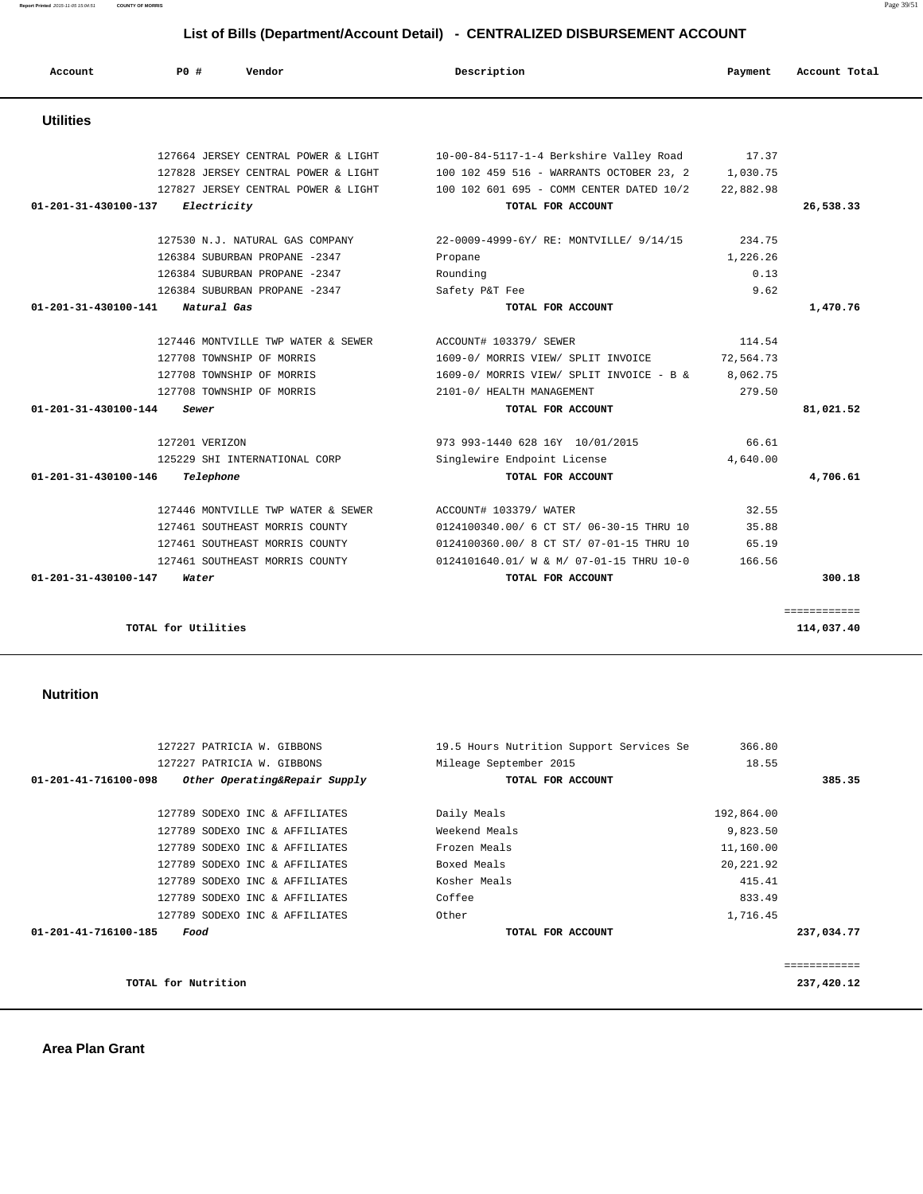|                              | 127227 PATRICIA W. GIBBONS     | 19.5 Hours Nutrition Support Services Se | 366.80     |             |
|------------------------------|--------------------------------|------------------------------------------|------------|-------------|
|                              | 127227 PATRICIA W. GIBBONS     | Mileage September 2015                   | 18.55      |             |
| 01-201-41-716100-098         | Other Operating&Repair Supply  | TOTAL FOR ACCOUNT                        |            | 385.35      |
|                              | 127789 SODEXO INC & AFFILIATES | Daily Meals                              | 192,864.00 |             |
|                              | 127789 SODEXO INC & AFFILIATES | Weekend Meals                            | 9,823.50   |             |
|                              | 127789 SODEXO INC & AFFILIATES | Frozen Meals                             | 11,160.00  |             |
|                              | 127789 SODEXO INC & AFFILIATES | Boxed Meals                              | 20, 221.92 |             |
|                              | 127789 SODEXO INC & AFFILIATES | Kosher Meals                             | 415.41     |             |
|                              | 127789 SODEXO INC & AFFILIATES | Coffee                                   | 833.49     |             |
|                              | 127789 SODEXO INC & AFFILIATES | Other                                    | 1,716.45   |             |
| 01-201-41-716100-185<br>Food |                                | TOTAL FOR ACCOUNT                        |            | 237,034.77  |
|                              |                                |                                          |            | ----------- |
| TOTAL for Nutrition          |                                |                                          |            | 237,420.12  |

**TOTAL for Utilities** 114,037.40

#### **Nutrition**

|           |           |                                          |                                     | <b>Utilities</b>               |
|-----------|-----------|------------------------------------------|-------------------------------------|--------------------------------|
|           | 17.37     | 10-00-84-5117-1-4 Berkshire Valley Road  | 127664 JERSEY CENTRAL POWER & LIGHT |                                |
|           | 1,030.75  | 100 102 459 516 - WARRANTS OCTOBER 23, 2 | 127828 JERSEY CENTRAL POWER & LIGHT |                                |
|           | 22,882.98 | 100 102 601 695 - COMM CENTER DATED 10/2 | 127827 JERSEY CENTRAL POWER & LIGHT |                                |
| 26,538.33 |           | TOTAL FOR ACCOUNT                        | Electricity                         | 01-201-31-430100-137           |
|           | 234.75    | 22-0009-4999-6Y/ RE: MONTVILLE/ 9/14/15  | 127530 N.J. NATURAL GAS COMPANY     |                                |
|           | 1,226.26  | Propane                                  | 126384 SUBURBAN PROPANE -2347       |                                |
|           | 0.13      | Rounding                                 | 126384 SUBURBAN PROPANE -2347       |                                |
|           | 9.62      | Safety P&T Fee                           | 126384 SUBURBAN PROPANE -2347       |                                |
| 1,470.76  |           | TOTAL FOR ACCOUNT                        | Natural Gas                         | 01-201-31-430100-141           |
|           | 114.54    | ACCOUNT# 103379/ SEWER                   | 127446 MONTVILLE TWP WATER & SEWER  |                                |
|           | 72,564.73 | 1609-0/ MORRIS VIEW/ SPLIT INVOICE       | 127708 TOWNSHIP OF MORRIS           |                                |
|           | 8,062.75  | 1609-0/ MORRIS VIEW/ SPLIT INVOICE - B & | 127708 TOWNSHIP OF MORRIS           |                                |
|           | 279.50    | 2101-0/ HEALTH MANAGEMENT                | 127708 TOWNSHIP OF MORRIS           |                                |
| 81,021.52 |           | TOTAL FOR ACCOUNT                        | Sewer                               | 01-201-31-430100-144           |
|           | 66.61     | 973 993-1440 628 16Y 10/01/2015          | 127201 VERIZON                      |                                |
|           | 4,640.00  | Singlewire Endpoint License              | 125229 SHI INTERNATIONAL CORP       |                                |
| 4,706.61  |           | TOTAL FOR ACCOUNT                        | Telephone                           | $01 - 201 - 31 - 430100 - 146$ |
|           | 32.55     | ACCOUNT# 103379/ WATER                   | 127446 MONTVILLE TWP WATER & SEWER  |                                |
|           | 35.88     | 0124100340.00/ 6 CT ST/ 06-30-15 THRU 10 | 127461 SOUTHEAST MORRIS COUNTY      |                                |
|           | 65.19     | 0124100360.00/ 8 CT ST/ 07-01-15 THRU 10 | 127461 SOUTHEAST MORRIS COUNTY      |                                |
|           |           |                                          |                                     |                                |
|           | 166.56    | 0124101640.01/ W & M/ 07-01-15 THRU 10-0 | 127461 SOUTHEAST MORRIS COUNTY      |                                |

|                  |     |                                                                            | List of Bills (Department/Account Detail) - CENTRALIZED DISBURSEMENT ACCOUNT        |                   |               |
|------------------|-----|----------------------------------------------------------------------------|-------------------------------------------------------------------------------------|-------------------|---------------|
| Account          | PO# | Vendor                                                                     | Description                                                                         | Payment           | Account Total |
| <b>Utilities</b> |     |                                                                            |                                                                                     |                   |               |
|                  |     | 127664 JERSEY CENTRAL POWER & LIGHT<br>127828 JERSEY CENTRAL POWER & LIGHT | 10-00-84-5117-1-4 Berkshire Valley Road<br>100 102 459 516 - WARRANTS OCTOBER 23, 2 | 17.37<br>1.030.75 |               |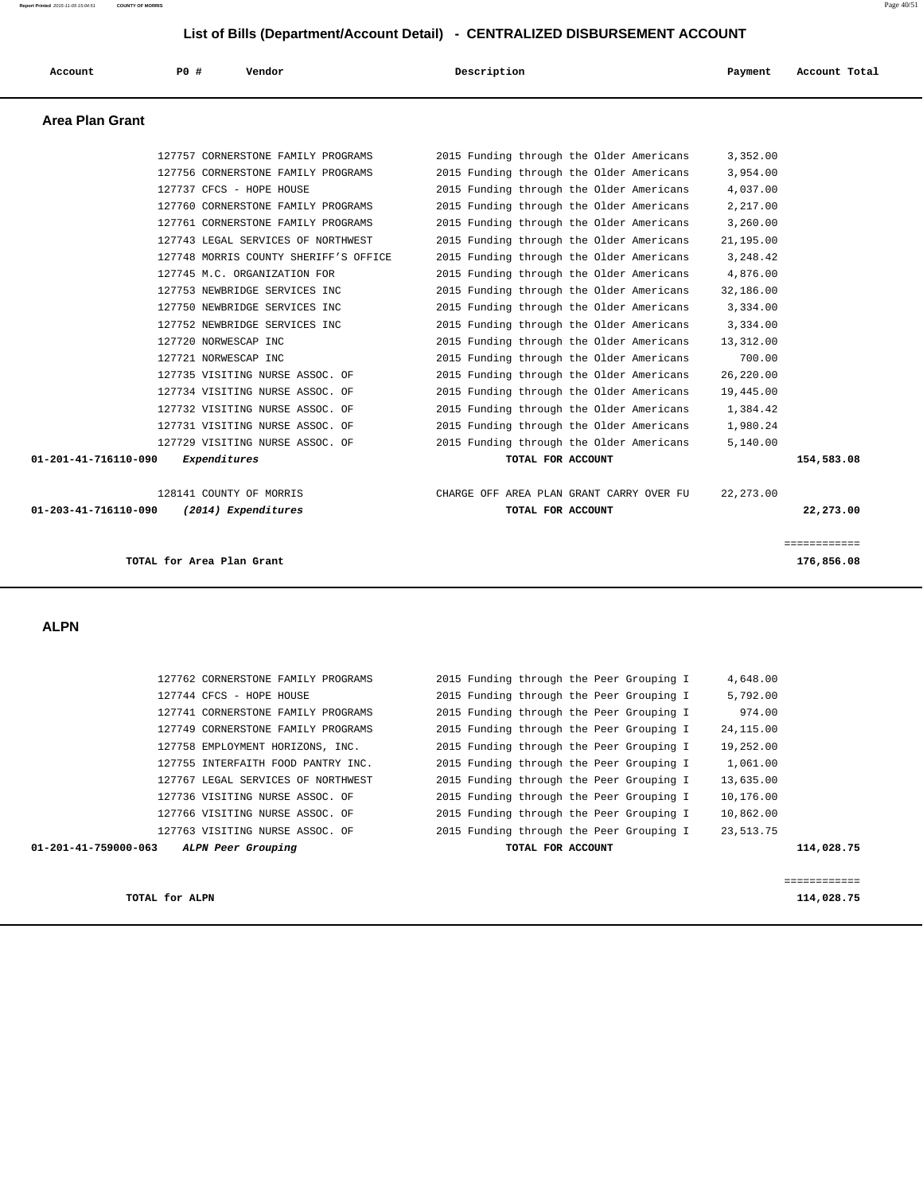**Report Printed** 2015-11-05 15:04:51 **COUNTY OF MORRIS** Page 40/51

### **List of Bills (Department/Account Detail) - CENTRALIZED DISBURSEMENT ACCOUNT**

| Account                | PO#<br>Vendor                         | Description                              | Payment    | Account Total |
|------------------------|---------------------------------------|------------------------------------------|------------|---------------|
| <b>Area Plan Grant</b> |                                       |                                          |            |               |
|                        | 127757 CORNERSTONE FAMILY PROGRAMS    | 2015 Funding through the Older Americans | 3,352.00   |               |
|                        | 127756 CORNERSTONE FAMILY PROGRAMS    | 2015 Funding through the Older Americans | 3,954.00   |               |
|                        | 127737 CFCS - HOPE HOUSE              | 2015 Funding through the Older Americans | 4,037.00   |               |
|                        | 127760 CORNERSTONE FAMILY PROGRAMS    | 2015 Funding through the Older Americans | 2,217.00   |               |
|                        | 127761 CORNERSTONE FAMILY PROGRAMS    | 2015 Funding through the Older Americans | 3,260.00   |               |
|                        | 127743 LEGAL SERVICES OF NORTHWEST    | 2015 Funding through the Older Americans | 21,195.00  |               |
|                        | 127748 MORRIS COUNTY SHERIFF'S OFFICE | 2015 Funding through the Older Americans | 3,248.42   |               |
|                        | 127745 M.C. ORGANIZATION FOR          | 2015 Funding through the Older Americans | 4,876.00   |               |
|                        | 127753 NEWBRIDGE SERVICES INC         | 2015 Funding through the Older Americans | 32,186.00  |               |
|                        | 127750 NEWBRIDGE SERVICES INC         | 2015 Funding through the Older Americans | 3,334.00   |               |
|                        | 127752 NEWBRIDGE SERVICES INC         | 2015 Funding through the Older Americans | 3,334.00   |               |
|                        | 127720 NORWESCAP INC                  | 2015 Funding through the Older Americans | 13,312.00  |               |
|                        | 127721 NORWESCAP INC                  | 2015 Funding through the Older Americans | 700.00     |               |
|                        | 127735 VISITING NURSE ASSOC. OF       | 2015 Funding through the Older Americans | 26,220.00  |               |
|                        | 127734 VISITING NURSE ASSOC. OF       | 2015 Funding through the Older Americans | 19,445.00  |               |
|                        | 127732 VISITING NURSE ASSOC. OF       | 2015 Funding through the Older Americans | 1,384.42   |               |
|                        | 127731 VISITING NURSE ASSOC. OF       | 2015 Funding through the Older Americans | 1,980.24   |               |
|                        | 127729 VISITING NURSE ASSOC. OF       | 2015 Funding through the Older Americans | 5,140.00   |               |
| 01-201-41-716110-090   | Expenditures                          | TOTAL FOR ACCOUNT                        |            | 154,583.08    |
|                        | 128141 COUNTY OF MORRIS               | CHARGE OFF AREA PLAN GRANT CARRY OVER FU | 22, 273.00 |               |
| 01-203-41-716110-090   | (2014) Expenditures                   | TOTAL FOR ACCOUNT                        |            | 22,273.00     |
|                        |                                       |                                          |            | ============  |
|                        | TOTAL for Area Plan Grant             |                                          |            | 176,856.08    |
|                        |                                       |                                          |            |               |
| <b>ALPN</b>            |                                       |                                          |            |               |
|                        |                                       |                                          |            |               |
|                        | 127762 CORNERSTONE FAMILY PROGRAMS    | 2015 Funding through the Peer Grouping I | 4,648.00   |               |
|                        | 127744 CFCS - HOPE HOUSE              | 2015 Funding through the Peer Grouping I | 5,792.00   |               |
|                        | 127741 CORNERSTONE FAMILY PROGRAMS    | 2015 Funding through the Peer Grouping I | 974.00     |               |
|                        | 127749 CORNERSTONE FAMILY PROGRAMS    | 2015 Funding through the Peer Grouping I | 24,115.00  |               |
|                        | 127758 EMPLOYMENT HORIZONS, INC.      | 2015 Funding through the Peer Grouping I | 19,252.00  |               |
|                        | 127755 INTERFAITH FOOD PANTRY INC.    | 2015 Funding through the Peer Grouping I | 1,061.00   |               |
|                        | 127767 LEGAL SERVICES OF NORTHWEST    | 2015 Funding through the Peer Grouping I | 13,635.00  |               |
|                        | 127736 VISITING NURSE ASSOC. OF       | 2015 Funding through the Peer Grouping I | 10,176.00  |               |
|                        | 127766 VISITING NURSE ASSOC. OF       | 2015 Funding through the Peer Grouping I | 10,862.00  |               |

127763 VISITING NURSE ASSOC. OF 2015 Funding through the Peer Grouping I 23,513.75

 **01-201-41-759000-063 ALPN Peer Grouping TOTAL FOR ACCOUNT 114,028.75**

**TOTAL for ALPN** 114,028.75

============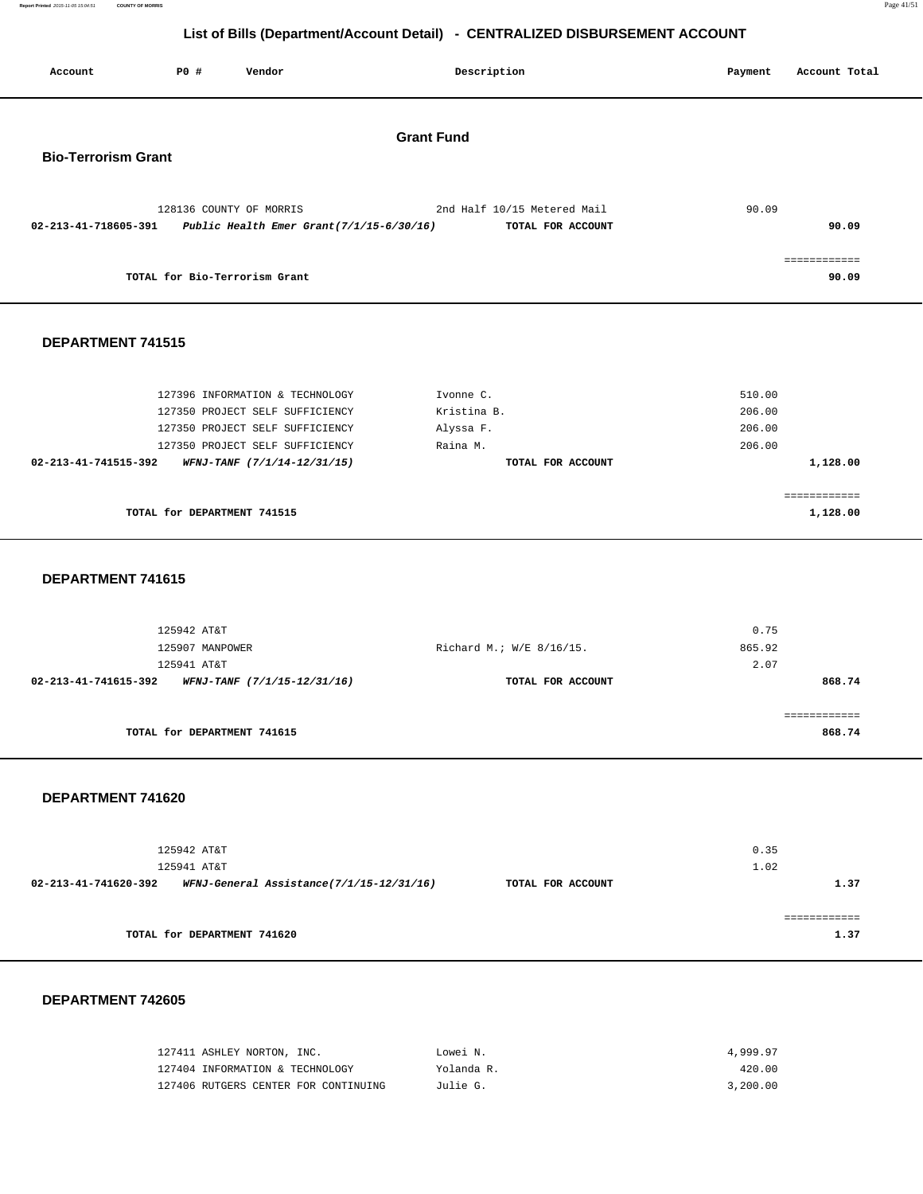**Report Printed** 2015-11-05 15:04:51 **COUNTY OF MORRIS** Page 41/51

# **List of Bills (Department/Account Detail) - CENTRALIZED DISBURSEMENT ACCOUNT**

|                            |                 |                                                                        | LIST OF BIIIS (Department/Account Detail) - CENTRALIZED DISBURSEMENT ACCOUNT |         |                        |
|----------------------------|-----------------|------------------------------------------------------------------------|------------------------------------------------------------------------------|---------|------------------------|
| Account                    | P0 #            | Vendor                                                                 | Description                                                                  | Payment | Account Total          |
|                            |                 |                                                                        | <b>Grant Fund</b>                                                            |         |                        |
| <b>Bio-Terrorism Grant</b> |                 |                                                                        |                                                                              |         |                        |
| 02-213-41-718605-391       |                 | 128136 COUNTY OF MORRIS<br>Public Health Emer Grant $(7/1/15-6/30/16)$ | 2nd Half 10/15 Metered Mail<br>TOTAL FOR ACCOUNT                             | 90.09   | 90.09                  |
|                            |                 | TOTAL for Bio-Terrorism Grant                                          |                                                                              |         | ============<br>90.09  |
| DEPARTMENT 741515          |                 |                                                                        |                                                                              |         |                        |
|                            |                 | 127396 INFORMATION & TECHNOLOGY                                        | Ivonne C.                                                                    | 510.00  |                        |
|                            |                 | 127350 PROJECT SELF SUFFICIENCY                                        | Kristina B.                                                                  | 206.00  |                        |
|                            |                 | 127350 PROJECT SELF SUFFICIENCY                                        | Alyssa F.                                                                    | 206.00  |                        |
|                            |                 | 127350 PROJECT SELF SUFFICIENCY                                        | Raina M.                                                                     | 206.00  |                        |
| 02-213-41-741515-392       |                 | WFNJ-TANF (7/1/14-12/31/15)                                            | TOTAL FOR ACCOUNT                                                            |         | 1,128.00               |
|                            |                 |                                                                        |                                                                              |         | ============           |
|                            |                 | TOTAL for DEPARTMENT 741515                                            |                                                                              |         | 1,128.00               |
| DEPARTMENT 741615          |                 |                                                                        |                                                                              |         |                        |
|                            | 125942 AT&T     |                                                                        |                                                                              | 0.75    |                        |
|                            | 125907 MANPOWER |                                                                        | Richard M.; W/E 8/16/15.                                                     | 865.92  |                        |
| 02-213-41-741615-392       | 125941 AT&T     |                                                                        |                                                                              | 2.07    |                        |
|                            |                 | WFNJ-TANF (7/1/15-12/31/16)                                            | TOTAL FOR ACCOUNT                                                            |         | 868.74                 |
|                            |                 | TOTAL for DEPARTMENT 741615                                            |                                                                              |         | ============<br>868.74 |
| DEPARTMENT 741620          |                 |                                                                        |                                                                              |         |                        |
|                            | 125942 AT&T     |                                                                        |                                                                              | 0.35    |                        |
|                            | 125941 AT&T     |                                                                        |                                                                              | 1.02    |                        |

|                                          |                                            | 1.02 |
|------------------------------------------|--------------------------------------------|------|
| WFNJ-General Assistance(7/1/15-12/31/16) | TOTAL FOR ACCOUNT                          | 1.37 |
|                                          |                                            |      |
|                                          |                                            |      |
|                                          |                                            | 1.37 |
|                                          | 125941 AT&T<br>TOTAL for DEPARTMENT 741620 |      |

### **DEPARTMENT 742605**

| 127411 ASHLEY NORTON, INC.           | Lowei N.   | 4,999.97 |
|--------------------------------------|------------|----------|
| 127404 INFORMATION & TECHNOLOGY      | Yolanda R. | 420.00   |
| 127406 RUTGERS CENTER FOR CONTINUING | Julie G.   | 3,200,00 |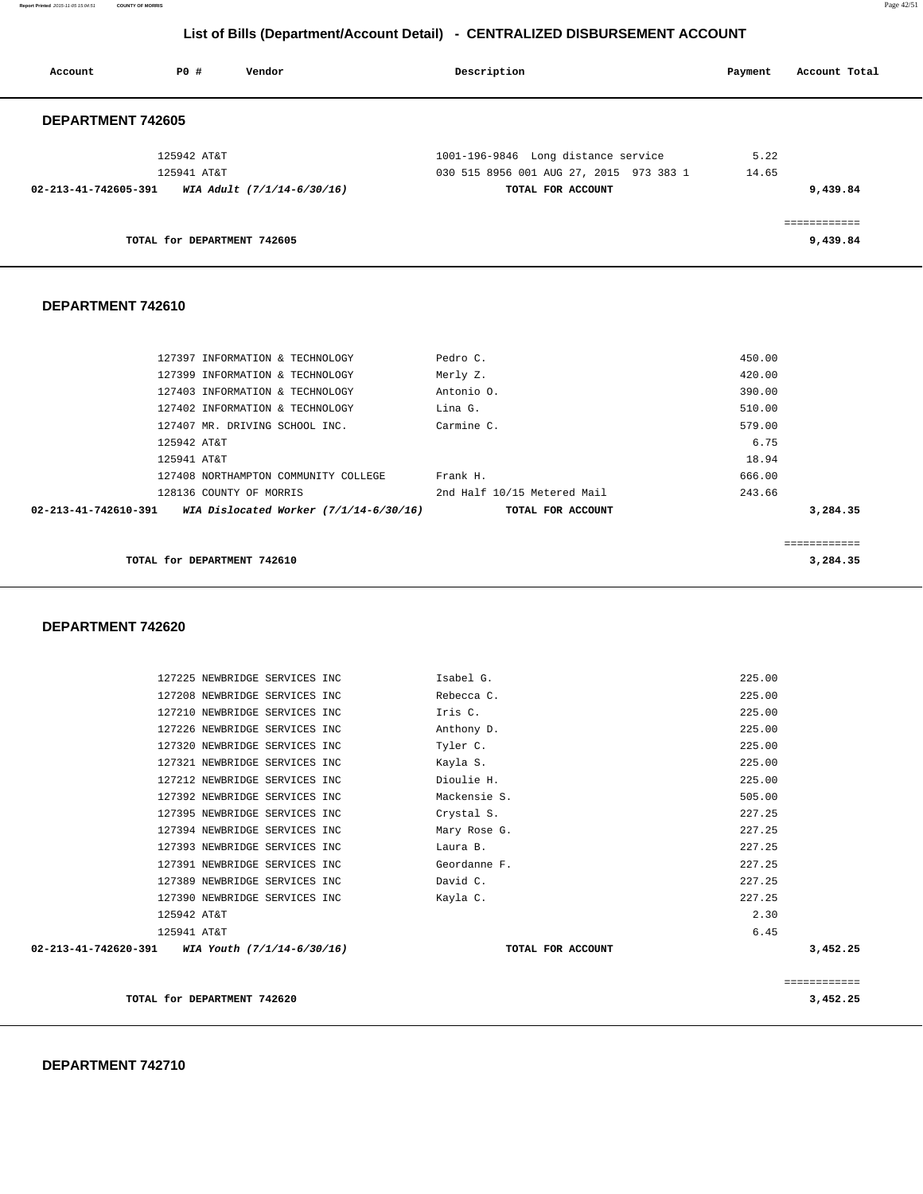**Report Printed** 2015-11-05 15:04:51 **COUNTY OF MORRIS** Page 42/51

# **List of Bills (Department/Account Detail) - CENTRALIZED DISBURSEMENT ACCOUNT**

| Account              | PO#                         | Vendor                     | Description                             | Payment | Account Total |
|----------------------|-----------------------------|----------------------------|-----------------------------------------|---------|---------------|
| DEPARTMENT 742605    |                             |                            |                                         |         |               |
|                      | 125942 AT&T                 |                            | 1001-196-9846 Long distance service     | 5.22    |               |
|                      | 125941 AT&T                 |                            | 030 515 8956 001 AUG 27, 2015 973 383 1 | 14.65   |               |
| 02-213-41-742605-391 |                             | WIA Adult (7/1/14-6/30/16) | TOTAL FOR ACCOUNT                       |         | 9,439.84      |
|                      |                             |                            |                                         |         | ===========   |
|                      | TOTAL for DEPARTMENT 742605 |                            |                                         |         | 9,439.84      |

#### **DEPARTMENT 742610**

|                      | TOTAL for DEPARTMENT 742610            |                             | 3,284.35 |
|----------------------|----------------------------------------|-----------------------------|----------|
|                      |                                        |                             |          |
| 02-213-41-742610-391 | WIA Dislocated Worker (7/1/14-6/30/16) | TOTAL FOR ACCOUNT           | 3,284.35 |
|                      | 128136 COUNTY OF MORRIS                | 2nd Half 10/15 Metered Mail | 243.66   |
|                      | 127408 NORTHAMPTON COMMUNITY COLLEGE   | Frank H.                    | 666.00   |
|                      | 125941 AT&T                            |                             | 18.94    |
|                      | 125942 AT&T                            |                             | 6.75     |
|                      | 127407 MR. DRIVING SCHOOL INC.         | Carmine C.                  | 579.00   |
|                      | 127402 INFORMATION & TECHNOLOGY        | Lina G.                     | 510.00   |
|                      | 127403 INFORMATION & TECHNOLOGY        | Antonio 0.                  | 390.00   |
|                      | 127399 INFORMATION & TECHNOLOGY        | Merly Z.                    | 420.00   |
|                      | 127397 INFORMATION & TECHNOLOGY        | Pedro C.                    | 450.00   |

# **DEPARTMENT 742620**

| TOTAL for DEPARTMENT 742620                     |                   | 3,452.25     |
|-------------------------------------------------|-------------------|--------------|
|                                                 |                   | ============ |
| 02-213-41-742620-391 WIA Youth (7/1/14-6/30/16) | TOTAL FOR ACCOUNT | 3,452.25     |
| 125941 AT&T                                     |                   | 6.45         |
| 125942 AT&T                                     |                   | 2.30         |
| 127390 NEWBRIDGE SERVICES INC                   | Kayla C.          | 227.25       |
| 127389 NEWBRIDGE SERVICES INC                   | David C.          | 227.25       |
| 127391 NEWBRIDGE SERVICES INC                   | Geordanne F.      | 227.25       |
| 127393 NEWBRIDGE SERVICES INC                   | Laura B.          | 227.25       |
| 127394 NEWBRIDGE SERVICES INC                   | Mary Rose G.      | 227.25       |
| 127395 NEWBRIDGE SERVICES INC                   | Crystal S.        | 227.25       |
| 127392 NEWBRIDGE SERVICES INC                   | Mackensie S.      | 505.00       |
| 127212 NEWBRIDGE SERVICES INC                   | Dioulie H.        | 225.00       |
| 127321 NEWBRIDGE SERVICES INC                   | Kayla S.          | 225.00       |
| 127320 NEWBRIDGE SERVICES INC                   | Tyler C.          | 225.00       |
| 127226 NEWBRIDGE SERVICES INC                   | Anthony D.        | 225.00       |
| 127210 NEWBRIDGE SERVICES INC                   | Iris C.           | 225.00       |
| 127208 NEWBRIDGE SERVICES INC                   | Rebecca C.        | 225.00       |
| 127225 NEWBRIDGE SERVICES INC                   | Isabel G.         | 225.00       |
|                                                 |                   |              |

### **DEPARTMENT 742710**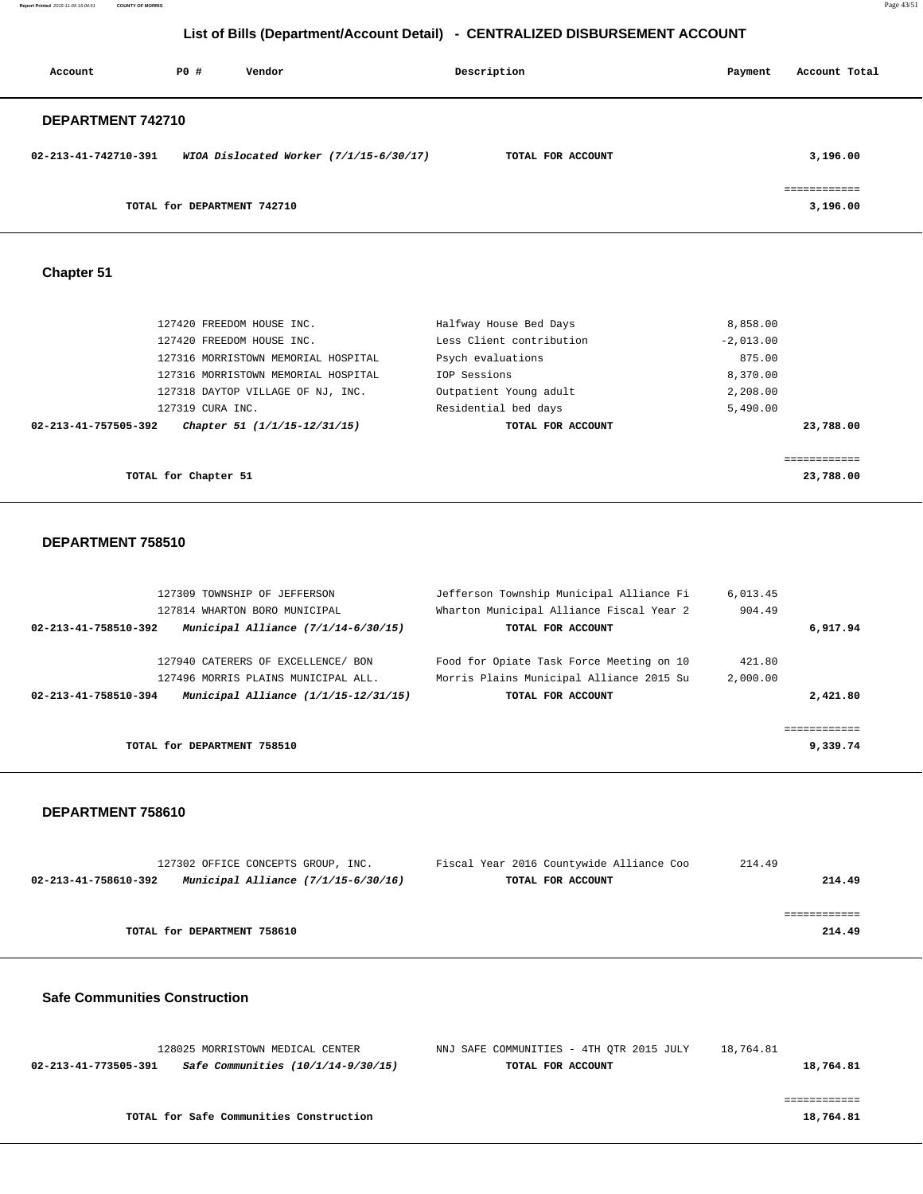**Report Printed** 2015-11-05 15:04:51 **COUNTY OF MORRIS** Page 43/51

# **List of Bills (Department/Account Detail) - CENTRALIZED DISBURSEMENT ACCOUNT**

| Account              | PO#                         | Vendor                                    | Description       |  | Payment | Account Total            |
|----------------------|-----------------------------|-------------------------------------------|-------------------|--|---------|--------------------------|
| DEPARTMENT 742710    |                             |                                           |                   |  |         |                          |
| 02-213-41-742710-391 |                             | WIOA Dislocated Worker $(7/1/15-6/30/17)$ | TOTAL FOR ACCOUNT |  |         | 3,196.00                 |
|                      | TOTAL for DEPARTMENT 742710 |                                           |                   |  |         | ============<br>3,196.00 |

## **Chapter 51**

| 127420 FREEDOM HOUSE INC.                            | Halfway House Bed Days   | 8,858.00    |
|------------------------------------------------------|--------------------------|-------------|
| 127420 FREEDOM HOUSE INC.                            | Less Client contribution | $-2,013.00$ |
| 127316 MORRISTOWN MEMORIAL HOSPITAL                  | Psych evaluations        | 875.00      |
| 127316 MORRISTOWN MEMORIAL HOSPITAL                  | IOP Sessions             | 8,370.00    |
| 127318 DAYTOP VILLAGE OF NJ, INC.                    | Outpatient Young adult   | 2,208.00    |
| 127319 CURA INC.                                     | Residential bed days     | 5,490.00    |
| 02-213-41-757505-392<br>Chapter 51 (1/1/15-12/31/15) | TOTAL FOR ACCOUNT        | 23,788.00   |
|                                                      |                          |             |
| TOTAL for Chapter 51                                 |                          | 23,788.00   |

#### **DEPARTMENT 758510**

| 127309 TOWNSHIP OF JEFFERSON                                  | Jefferson Township Municipal Alliance Fi | 6.013.45 |             |
|---------------------------------------------------------------|------------------------------------------|----------|-------------|
| 127814 WHARTON BORO MUNICIPAL                                 | Wharton Municipal Alliance Fiscal Year 2 | 904.49   |             |
| Municipal Alliance $(7/1/14-6/30/15)$<br>02-213-41-758510-392 | TOTAL FOR ACCOUNT                        |          | 6,917.94    |
| 127940 CATERERS OF EXCELLENCE/ BON                            | Food for Opiate Task Force Meeting on 10 | 421.80   |             |
| 127496 MORRIS PLAINS MUNICIPAL ALL.                           | Morris Plains Municipal Alliance 2015 Su | 2,000.00 |             |
| Municipal Alliance (1/1/15-12/31/15)<br>02-213-41-758510-394  | TOTAL FOR ACCOUNT                        |          | 2,421.80    |
|                                                               |                                          |          | =========== |
| TOTAL for DEPARTMENT 758510                                   |                                          |          | 9,339.74    |

#### **DEPARTMENT 758610**

|                             | 127302 OFFICE CONCEPTS GROUP, INC.  | Fiscal Year 2016 Countywide Alliance Coo | 214.49 |
|-----------------------------|-------------------------------------|------------------------------------------|--------|
| 02-213-41-758610-392        | Municipal Alliance (7/1/15-6/30/16) | TOTAL FOR ACCOUNT                        | 214.49 |
|                             |                                     |                                          |        |
|                             |                                     |                                          |        |
| TOTAL for DEPARTMENT 758610 |                                     |                                          | 214.49 |
|                             |                                     |                                          |        |

### **Safe Communities Construction**

| 18,764.81 | NNJ SAFE COMMUNITIES - 4TH OTR 2015 JULY | 128025 MORRISTOWN MEDICAL CENTER        |                      |  |
|-----------|------------------------------------------|-----------------------------------------|----------------------|--|
| 18,764.81 | TOTAL FOR ACCOUNT                        | Safe Communities (10/1/14-9/30/15)      | 02-213-41-773505-391 |  |
|           |                                          |                                         |                      |  |
|           |                                          |                                         |                      |  |
| 18,764.81 |                                          | TOTAL for Safe Communities Construction |                      |  |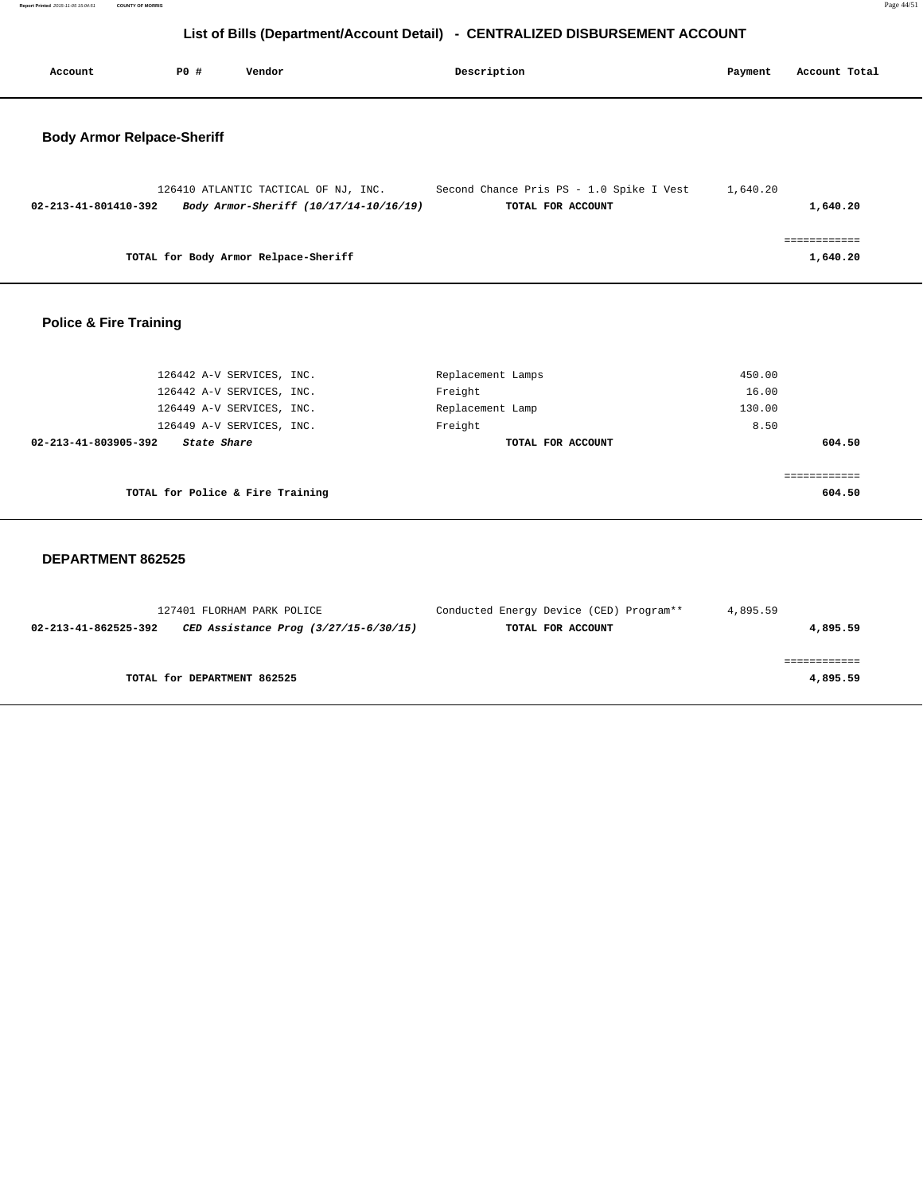**Report Printed** 2015-11-05 15:04:51 **COUNTY OF MORRIS** Page 44/51

# **List of Bills (Department/Account Detail) - CENTRALIZED DISBURSEMENT ACCOUNT**

| Account                           | PO# | Vendor                                                                         | Description |                                                               | Payment  | Account Total |  |
|-----------------------------------|-----|--------------------------------------------------------------------------------|-------------|---------------------------------------------------------------|----------|---------------|--|
| <b>Body Armor Relpace-Sheriff</b> |     |                                                                                |             |                                                               |          |               |  |
| 02-213-41-801410-392              |     | 126410 ATLANTIC TACTICAL OF NJ, INC.<br>Body Armor-Sheriff (10/17/14-10/16/19) |             | Second Chance Pris PS - 1.0 Spike I Vest<br>TOTAL FOR ACCOUNT | 1,640.20 | 1,640.20      |  |
|                                   |     | TOTAL for Body Armor Relpace-Sheriff                                           |             |                                                               |          | .<br>1,640.20 |  |
|                                   |     |                                                                                |             |                                                               |          |               |  |

## **Police & Fire Training**

| 126442 A-V SERVICES, INC.           | Replacement Lamps | 450.00 |
|-------------------------------------|-------------------|--------|
| 126442 A-V SERVICES, INC.           | Freight           | 16.00  |
| 126449 A-V SERVICES, INC.           | Replacement Lamp  | 130.00 |
| 126449 A-V SERVICES, INC.           | Freight           | 8.50   |
| 02-213-41-803905-392<br>State Share | TOTAL FOR ACCOUNT | 604.50 |
|                                     |                   |        |
| TOTAL for Police & Fire Training    |                   | 604.50 |

#### **DEPARTMENT 862525**

| 127401 FLORHAM PARK POLICE                                    | Conducted Energy Device (CED) Program** | 4,895.59 |
|---------------------------------------------------------------|-----------------------------------------|----------|
| CED Assistance Prog (3/27/15-6/30/15)<br>02-213-41-862525-392 | TOTAL FOR ACCOUNT                       | 4,895.59 |
|                                                               |                                         |          |
|                                                               |                                         |          |
| TOTAL for DEPARTMENT 862525                                   |                                         | 4,895.59 |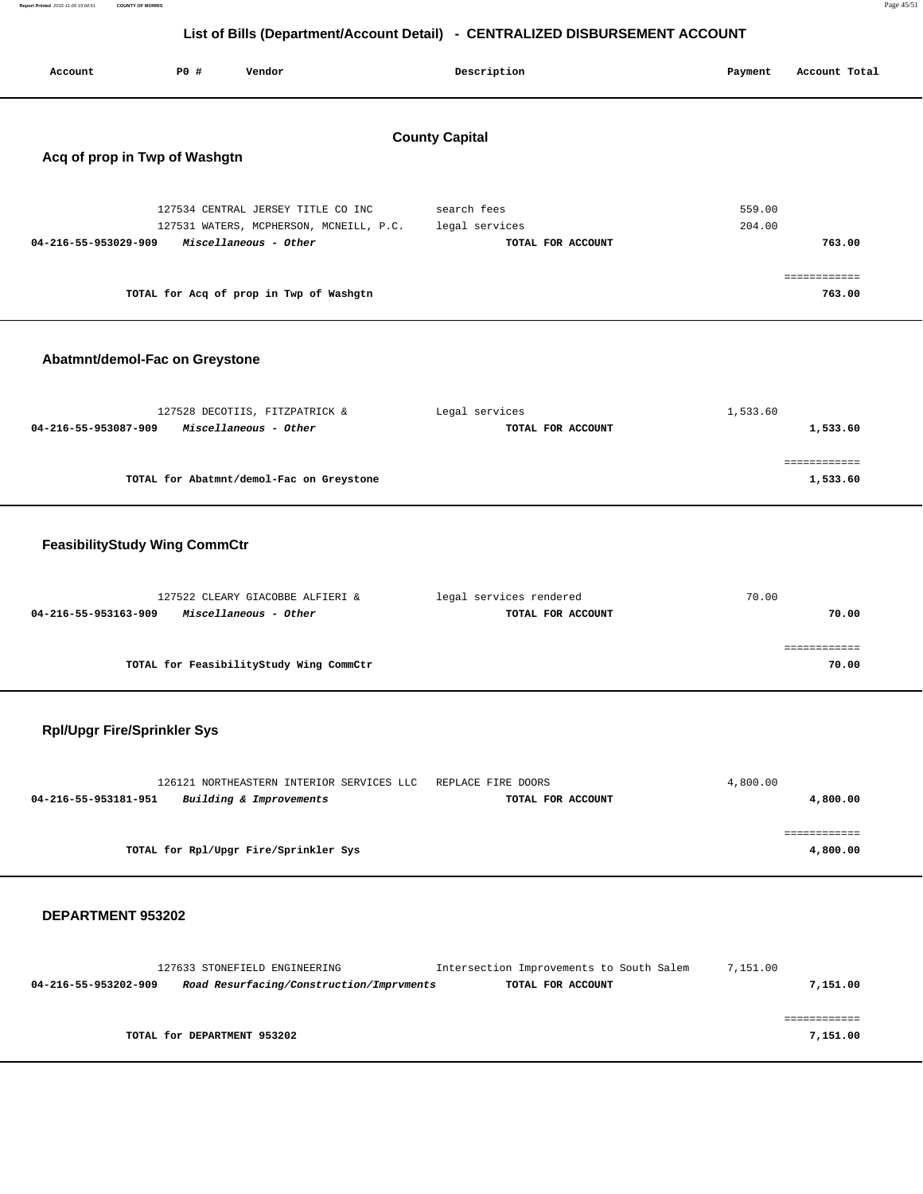| Report Printed 2015-11-05 15:04:51<br><b>COUNTY OF MORRIS</b> |      |                                                                                                        |                                                                              |                  |                          | Page 45/51 |
|---------------------------------------------------------------|------|--------------------------------------------------------------------------------------------------------|------------------------------------------------------------------------------|------------------|--------------------------|------------|
|                                                               |      |                                                                                                        | List of Bills (Department/Account Detail) - CENTRALIZED DISBURSEMENT ACCOUNT |                  |                          |            |
| Account                                                       | P0 # | Vendor                                                                                                 | Description                                                                  | Payment          | Account Total            |            |
|                                                               |      |                                                                                                        | <b>County Capital</b>                                                        |                  |                          |            |
| Acq of prop in Twp of Washgtn                                 |      |                                                                                                        |                                                                              |                  |                          |            |
| 04-216-55-953029-909                                          |      | 127534 CENTRAL JERSEY TITLE CO INC<br>127531 WATERS, MCPHERSON, MCNEILL, P.C.<br>Miscellaneous - Other | search fees<br>legal services<br>TOTAL FOR ACCOUNT                           | 559.00<br>204.00 | 763.00                   |            |
|                                                               |      | TOTAL for Acq of prop in Twp of Washgtn                                                                |                                                                              |                  | ============<br>763.00   |            |
| Abatmnt/demol-Fac on Greystone                                |      |                                                                                                        |                                                                              |                  |                          |            |
| 04-216-55-953087-909                                          |      | 127528 DECOTIIS, FITZPATRICK &<br>Miscellaneous - Other                                                | Legal services<br>TOTAL FOR ACCOUNT                                          | 1,533.60         | 1,533.60                 |            |
|                                                               |      | TOTAL for Abatmnt/demol-Fac on Greystone                                                               |                                                                              |                  | ============<br>1,533.60 |            |
| <b>FeasibilityStudy Wing CommCtr</b>                          |      |                                                                                                        |                                                                              |                  |                          |            |
| 04-216-55-953163-909                                          |      | 127522 CLEARY GIACOBBE ALFIERI &<br>Miscellaneous - Other                                              | legal services rendered<br>TOTAL FOR ACCOUNT                                 | 70.00            | 70.00                    |            |
|                                                               |      | TOTAL for FeasibilityStudy Wing CommCtr                                                                |                                                                              |                  | ============<br>70.00    |            |
| <b>Rpl/Upgr Fire/Sprinkler Sys</b>                            |      |                                                                                                        |                                                                              |                  |                          |            |
| 04-216-55-953181-951                                          |      | 126121 NORTHEASTERN INTERIOR SERVICES LLC<br>Building & Improvements                                   | REPLACE FIRE DOORS<br>TOTAL FOR ACCOUNT                                      | 4,800.00         | 4,800.00                 |            |
|                                                               |      | TOTAL for Rpl/Upgr Fire/Sprinkler Sys                                                                  |                                                                              |                  | ============<br>4,800.00 |            |
| DEPARTMENT 953202                                             |      |                                                                                                        |                                                                              |                  |                          |            |
| 04-216-55-953202-909                                          |      | 127633 STONEFIELD ENGINEERING<br>Road Resurfacing/Construction/Imprvments                              | Intersection Improvements to South Salem<br>TOTAL FOR ACCOUNT                | 7,151.00         | 7,151.00                 |            |

 ============ **TOTAL for DEPARTMENT 953202** 7,151.00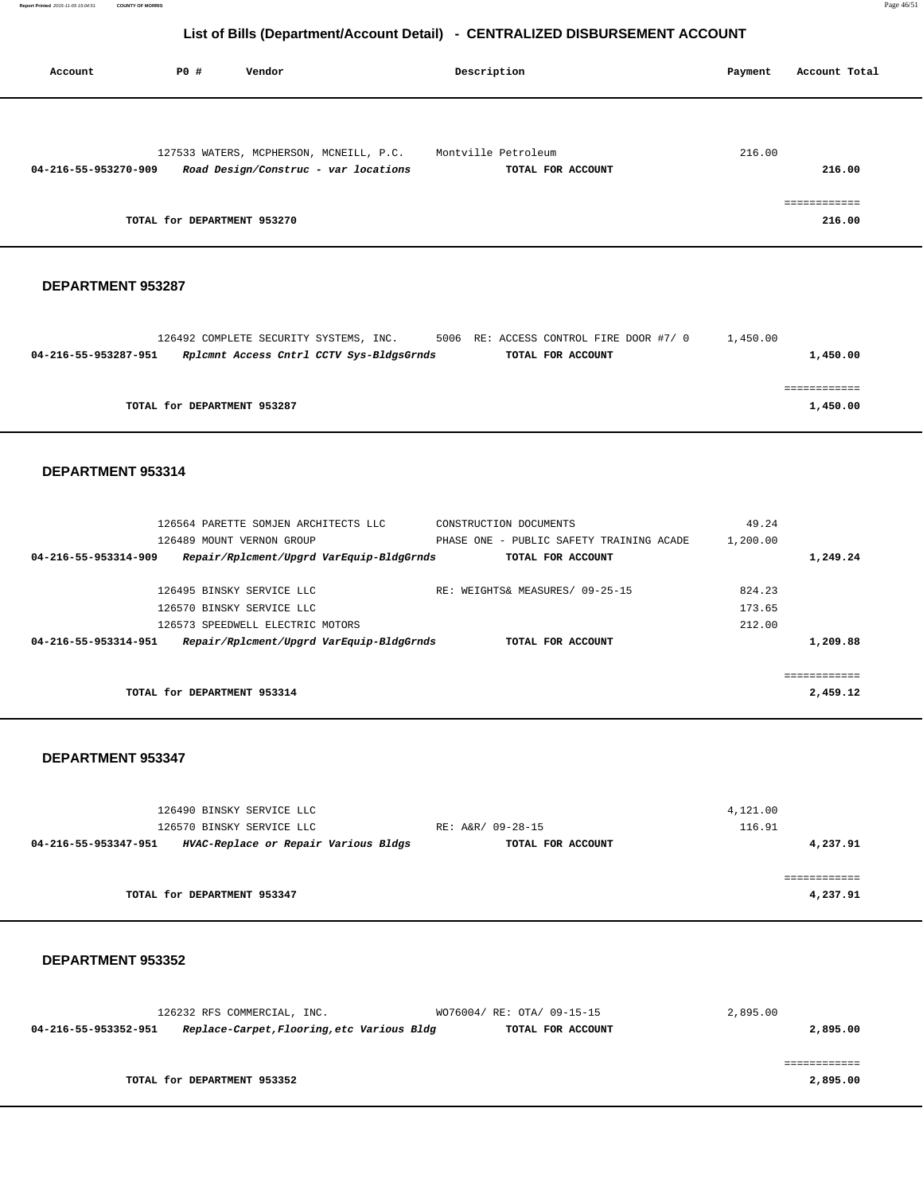| Account              | P0 #                        | Vendor                                  | Description         | Account Total<br>Payment |
|----------------------|-----------------------------|-----------------------------------------|---------------------|--------------------------|
|                      |                             |                                         |                     |                          |
|                      |                             | 127533 WATERS, MCPHERSON, MCNEILL, P.C. | Montville Petroleum | 216.00                   |
| 04-216-55-953270-909 |                             | Road Design/Construc - var locations    | TOTAL FOR ACCOUNT   | 216.00                   |
|                      |                             |                                         |                     | ============             |
|                      | TOTAL for DEPARTMENT 953270 |                                         |                     | 216.00                   |

### **DEPARTMENT 953287**

|                      | 126492 COMPLETE SECURITY SYSTEMS, INC.   |  | 5006 RE: ACCESS CONTROL FIRE DOOR #7/ 0 | 1,450.00 |  |
|----------------------|------------------------------------------|--|-----------------------------------------|----------|--|
| 04-216-55-953287-951 | Rplcmnt Access Cntrl CCTV Sys-BldgsGrnds |  | TOTAL FOR ACCOUNT                       | 1,450.00 |  |
|                      |                                          |  |                                         |          |  |
|                      |                                          |  |                                         |          |  |
|                      | TOTAL for DEPARTMENT 953287              |  |                                         | 1,450.00 |  |

#### **DEPARTMENT 953314**

| 04-216-55-953314-951 | Repair/Rplcment/Upgrd VarEquip-BldgGrnds | TOTAL FOR ACCOUNT                        |          | 1,209.88 |
|----------------------|------------------------------------------|------------------------------------------|----------|----------|
|                      | 126573 SPEEDWELL ELECTRIC MOTORS         |                                          | 212.00   |          |
|                      | 126570 BINSKY SERVICE LLC                |                                          | 173.65   |          |
|                      | 126495 BINSKY SERVICE LLC                | RE: WEIGHTS& MEASURES/ 09-25-15          | 824.23   |          |
| 04-216-55-953314-909 | Repair/Rplcment/Upgrd VarEquip-BldgGrnds | TOTAL FOR ACCOUNT                        |          | 1,249.24 |
|                      | 126489 MOUNT VERNON GROUP                | PHASE ONE - PUBLIC SAFETY TRAINING ACADE | 1,200.00 |          |
|                      | 126564 PARETTE SOMJEN ARCHITECTS LLC     | CONSTRUCTION DOCUMENTS                   | 49.24    |          |

#### **DEPARTMENT 953347**

| 4,121.00 |                   | 126490 BINSKY SERVICE LLC            |                      |
|----------|-------------------|--------------------------------------|----------------------|
| 116.91   | RE: A&R/ 09-28-15 | 126570 BINSKY SERVICE LLC            |                      |
| 4,237.91 | TOTAL FOR ACCOUNT | HVAC-Replace or Repair Various Bldgs | 04-216-55-953347-951 |
|          |                   |                                      |                      |
|          |                   |                                      |                      |
| 4,237.91 |                   | TOTAL for DEPARTMENT 953347          |                      |
|          |                   |                                      |                      |

#### **DEPARTMENT 953352**

|                      | 126232 RFS COMMERCIAL, INC.                | WO76004/ RE: OTA/ 09-15-15 | 2,895.00 |
|----------------------|--------------------------------------------|----------------------------|----------|
| 04-216-55-953352-951 | Replace-Carpet, Flooring, etc Various Bldg | TOTAL FOR ACCOUNT          | 2,895.00 |
|                      |                                            |                            |          |
|                      |                                            |                            |          |
|                      | TOTAL for DEPARTMENT 953352                |                            | 2,895.00 |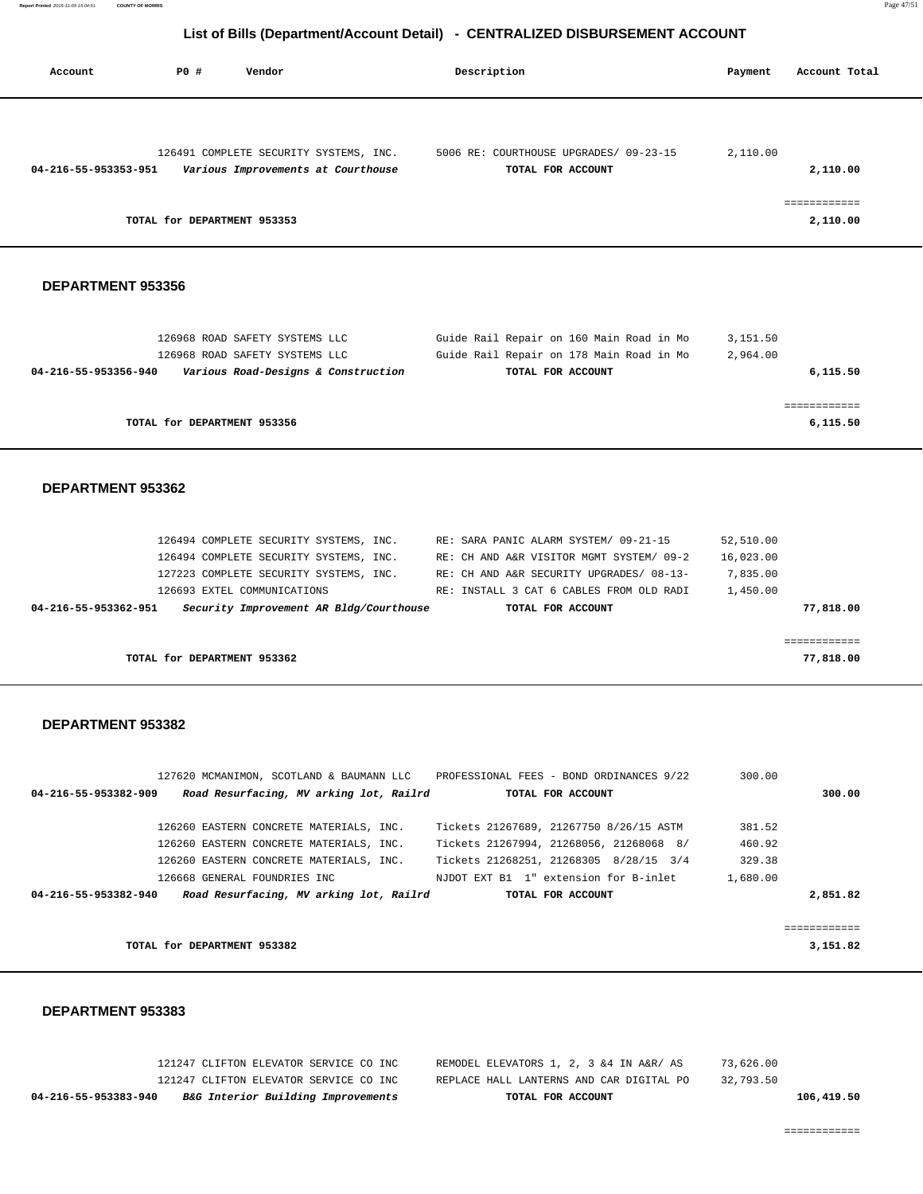| Account                                   | <b>PO #</b>                 | Vendor                                                                                                                                                                                                                        | Description |                                                                                                                                                                                                | Payment                                        | Account Total                        |
|-------------------------------------------|-----------------------------|-------------------------------------------------------------------------------------------------------------------------------------------------------------------------------------------------------------------------------|-------------|------------------------------------------------------------------------------------------------------------------------------------------------------------------------------------------------|------------------------------------------------|--------------------------------------|
| 04-216-55-953353-951                      | TOTAL for DEPARTMENT 953353 | 126491 COMPLETE SECURITY SYSTEMS, INC.<br>Various Improvements at Courthouse                                                                                                                                                  |             | 5006 RE: COURTHOUSE UPGRADES/ 09-23-15<br>TOTAL FOR ACCOUNT                                                                                                                                    | 2,110.00                                       | 2,110.00<br>============<br>2,110.00 |
| DEPARTMENT 953356                         |                             |                                                                                                                                                                                                                               |             |                                                                                                                                                                                                |                                                |                                      |
| 04-216-55-953356-940                      |                             | 126968 ROAD SAFETY SYSTEMS LLC<br>126968 ROAD SAFETY SYSTEMS LLC<br>Various Road-Designs & Construction                                                                                                                       |             | Guide Rail Repair on 160 Main Road in Mo<br>Guide Rail Repair on 178 Main Road in Mo<br>TOTAL FOR ACCOUNT                                                                                      | 3,151.50<br>2,964.00                           | 6,115.50                             |
|                                           | TOTAL for DEPARTMENT 953356 |                                                                                                                                                                                                                               |             |                                                                                                                                                                                                |                                                | ============<br>6,115.50             |
| DEPARTMENT 953362<br>04-216-55-953362-951 |                             | 126494 COMPLETE SECURITY SYSTEMS, INC.<br>126494 COMPLETE SECURITY SYSTEMS, INC.<br>127223 COMPLETE SECURITY SYSTEMS, INC.<br>126693 EXTEL COMMUNICATIONS<br>Security Improvement AR Bldg/Courthouse                          |             | RE: SARA PANIC ALARM SYSTEM/ 09-21-15<br>RE: CH AND A&R VISITOR MGMT SYSTEM/ 09-2<br>RE: CH AND A&R SECURITY UPGRADES/ 08-13-<br>RE: INSTALL 3 CAT 6 CABLES FROM OLD RADI<br>TOTAL FOR ACCOUNT | 52,510.00<br>16,023.00<br>7,835.00<br>1,450.00 | 77,818.00<br>============            |
|                                           | TOTAL for DEPARTMENT 953362 |                                                                                                                                                                                                                               |             |                                                                                                                                                                                                |                                                | 77,818.00                            |
| DEPARTMENT 953382                         |                             | 04-216-55-953382-909 Road Resurfacing, MV arking lot, Railrd                                                                                                                                                                  |             | 127620 MCMANIMON, SCOTLAND & BAUMANN LLC PROFESSIONAL FEES - BOND ORDINANCES 9/22<br>TOTAL FOR ACCOUNT                                                                                         | 300.00                                         | 300.00                               |
|                                           |                             | 126260 EASTERN CONCRETE MATERIALS, INC.<br>126260 EASTERN CONCRETE MATERIALS, INC.<br>126260 EASTERN CONCRETE MATERIALS, INC.<br>126668 GENERAL FOUNDRIES INC<br>04-216-55-953382-940 Road Resurfacing, MV arking lot, Railrd |             | Tickets 21267689, 21267750 8/26/15 ASTM<br>Tickets 21267994, 21268056, 21268068 8/<br>Tickets 21268251, 21268305 8/28/15 3/4<br>NJDOT EXT B1 1" extension for B-inlet<br>TOTAL FOR ACCOUNT     | 381.52<br>460.92<br>329.38<br>1,680.00         | 2,851.82                             |
|                                           | TOTAL for DEPARTMENT 953382 |                                                                                                                                                                                                                               |             |                                                                                                                                                                                                |                                                | ============<br>3,151.82             |

## **DEPARTMENT 953383**

| B&G Interior Building Improvements<br>04-216-55-953383-940<br>TOTAL FOR ACCOUNT                 | 106,419.50 |
|-------------------------------------------------------------------------------------------------|------------|
| 121247 CLIFTON ELEVATOR SERVICE CO INC<br>32,793.50<br>REPLACE HALL LANTERNS AND CAR DIGITAL PO |            |
| REMODEL ELEVATORS 1, 2, 3 & 4 IN A&R/ AS<br>73,626.00<br>121247 CLIFTON ELEVATOR SERVICE CO INC |            |

============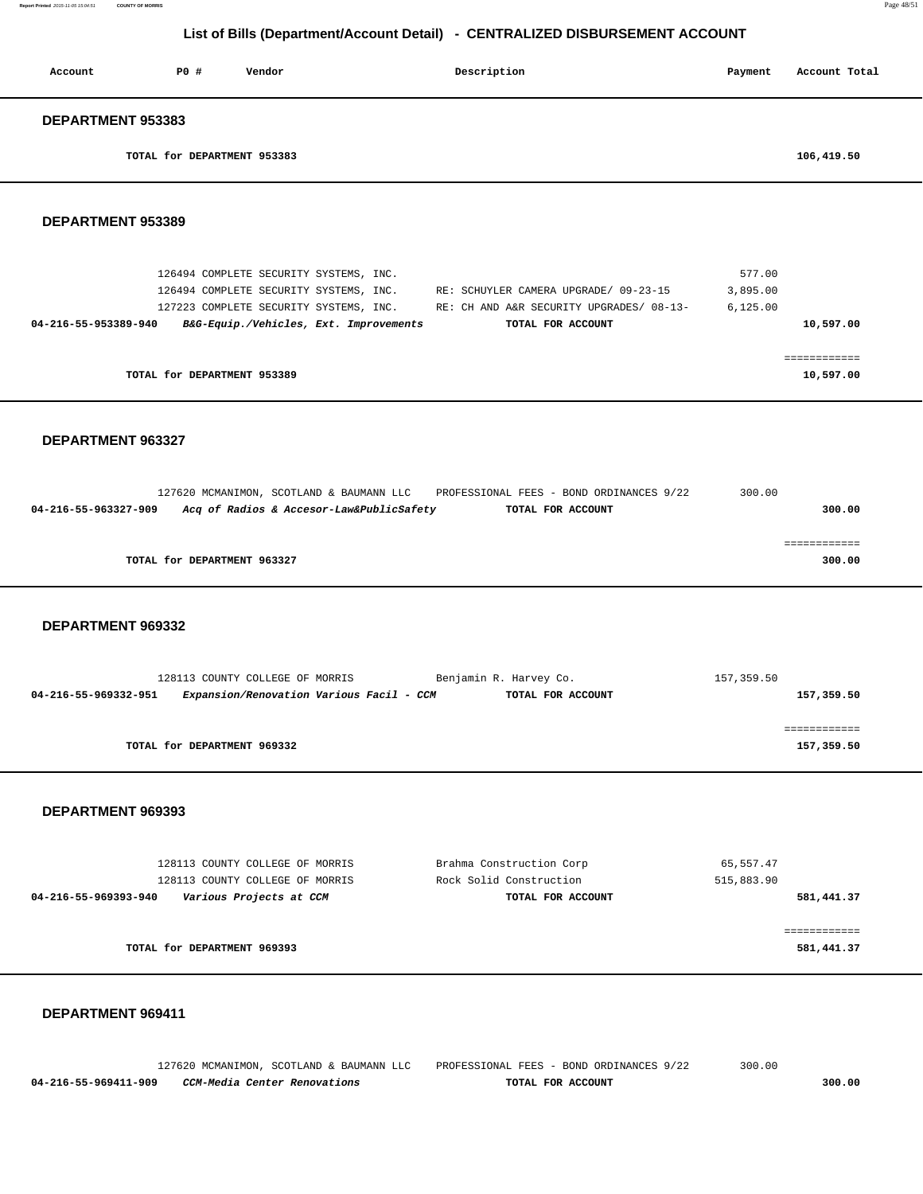| Account                                   | <b>PO #</b> | Vendor                                                                                                                                                               | Description                                                                                            | Payment                         | Account Total                    |
|-------------------------------------------|-------------|----------------------------------------------------------------------------------------------------------------------------------------------------------------------|--------------------------------------------------------------------------------------------------------|---------------------------------|----------------------------------|
| DEPARTMENT 953383                         |             |                                                                                                                                                                      |                                                                                                        |                                 |                                  |
|                                           |             | TOTAL for DEPARTMENT 953383                                                                                                                                          |                                                                                                        |                                 | 106,419.50                       |
| DEPARTMENT 953389                         |             |                                                                                                                                                                      |                                                                                                        |                                 |                                  |
| 04-216-55-953389-940                      |             | 126494 COMPLETE SECURITY SYSTEMS, INC.<br>126494 COMPLETE SECURITY SYSTEMS, INC.<br>127223 COMPLETE SECURITY SYSTEMS, INC.<br>B&G-Equip./Vehicles, Ext. Improvements | RE: SCHUYLER CAMERA UPGRADE/ 09-23-15<br>RE: CH AND A&R SECURITY UPGRADES/ 08-13-<br>TOTAL FOR ACCOUNT | 577.00<br>3,895.00<br>6, 125.00 | 10,597.00                        |
|                                           |             | TOTAL for DEPARTMENT 953389                                                                                                                                          |                                                                                                        |                                 | ============<br>10,597.00        |
| DEPARTMENT 963327<br>04-216-55-963327-909 |             | 127620 MCMANIMON, SCOTLAND & BAUMANN LLC<br>Acq of Radios & Accesor-Law&PublicSafety<br>TOTAL for DEPARTMENT 963327                                                  | PROFESSIONAL FEES - BOND ORDINANCES 9/22<br>TOTAL FOR ACCOUNT                                          | 300.00                          | 300.00<br>============<br>300.00 |
| DEPARTMENT 969332                         |             |                                                                                                                                                                      |                                                                                                        |                                 |                                  |
| 04-216-55-969332-951                      |             | 128113 COUNTY COLLEGE OF MORRIS<br>Expansion/Renovation Various Facil - CCM                                                                                          | Benjamin R. Harvey Co.<br>TOTAL FOR ACCOUNT                                                            | 157,359.50                      | 157,359.50                       |
|                                           |             | TOTAL for DEPARTMENT 969332                                                                                                                                          |                                                                                                        |                                 | ============<br>157,359.50       |
| DEPARTMENT 969393                         |             |                                                                                                                                                                      |                                                                                                        |                                 |                                  |
|                                           |             | 128113 COUNTY COLLEGE OF MORRIS<br>128113 COUNTY COLLEGE OF MORRIS                                                                                                   | Brahma Construction Corp<br>Rock Solid Construction                                                    | 65, 557.47<br>515,883.90        |                                  |

| 581,441.37 | TOTAL FOR ACCOUNT | 04-216-55-969393-940<br>Various Projects at CCM |
|------------|-------------------|-------------------------------------------------|
| 581,441.37 |                   | TOTAL for DEPARTMENT 969393                     |

### **DEPARTMENT 969411**

 127620 MCMANIMON, SCOTLAND & BAUMANN LLC PROFESSIONAL FEES - BOND ORDINANCES 9/22 300.00  **04-216-55-969411-909 CCM-Media Center Renovations TOTAL FOR ACCOUNT 300.00**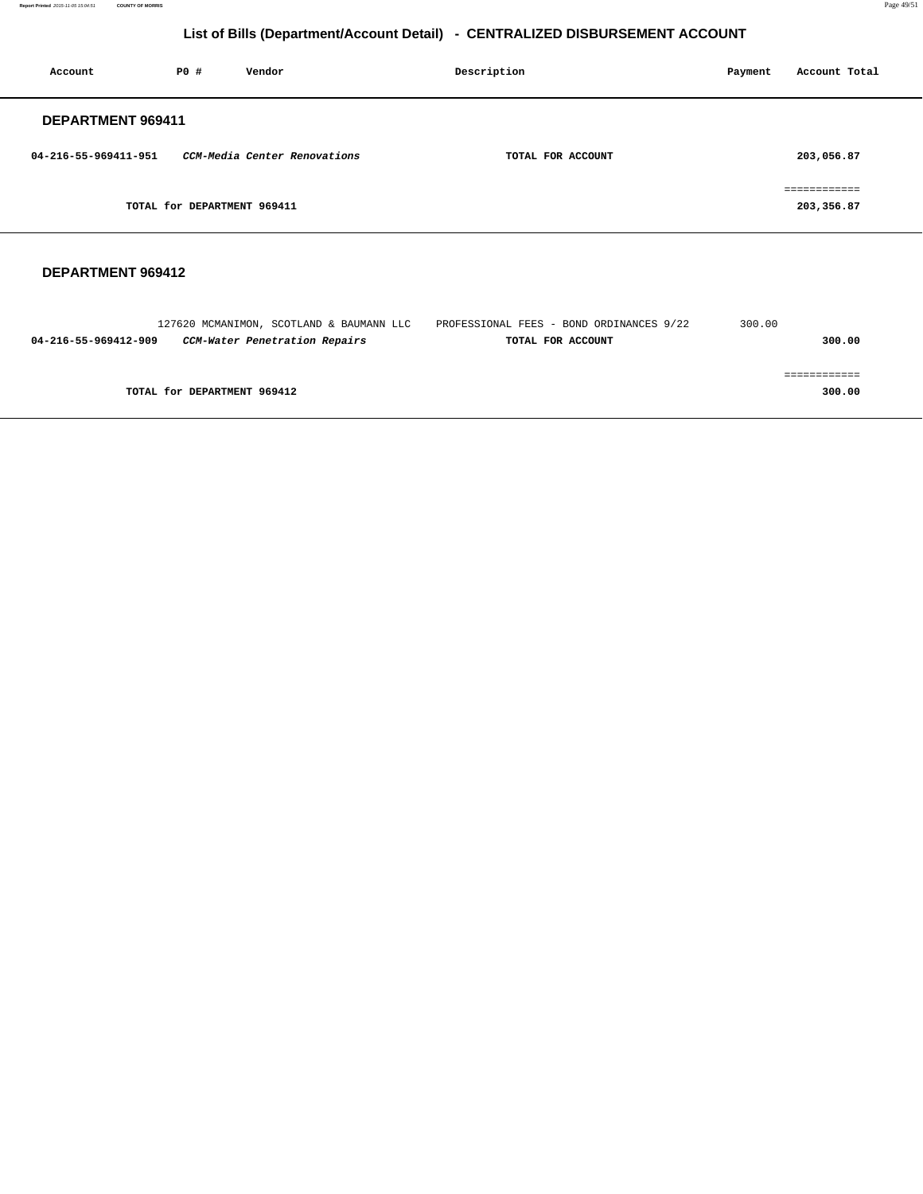**Report Printed** 2015-11-05 15:04:51 **COUNTY OF MORRIS** Page 49/51

# **List of Bills (Department/Account Detail) - CENTRALIZED DISBURSEMENT ACCOUNT**

| Account              | P0#                         | Vendor                       | Description       | Payment | Account Total              |
|----------------------|-----------------------------|------------------------------|-------------------|---------|----------------------------|
| DEPARTMENT 969411    |                             |                              |                   |         |                            |
| 04-216-55-969411-951 |                             | CCM-Media Center Renovations | TOTAL FOR ACCOUNT |         | 203,056.87                 |
|                      | TOTAL for DEPARTMENT 969411 |                              |                   |         | ============<br>203,356.87 |

#### **DEPARTMENT 969412**

|                      | 127620 MCMANIMON, SCOTLAND & BAUMANN LLC | PROFESSIONAL FEES - BOND ORDINANCES 9/22 | 300.00 |
|----------------------|------------------------------------------|------------------------------------------|--------|
| 04-216-55-969412-909 | CCM-Water Penetration Repairs            | TOTAL FOR ACCOUNT                        | 300.00 |
|                      |                                          |                                          |        |
|                      |                                          |                                          |        |
|                      | TOTAL for DEPARTMENT 969412              |                                          | 300.00 |
|                      |                                          |                                          |        |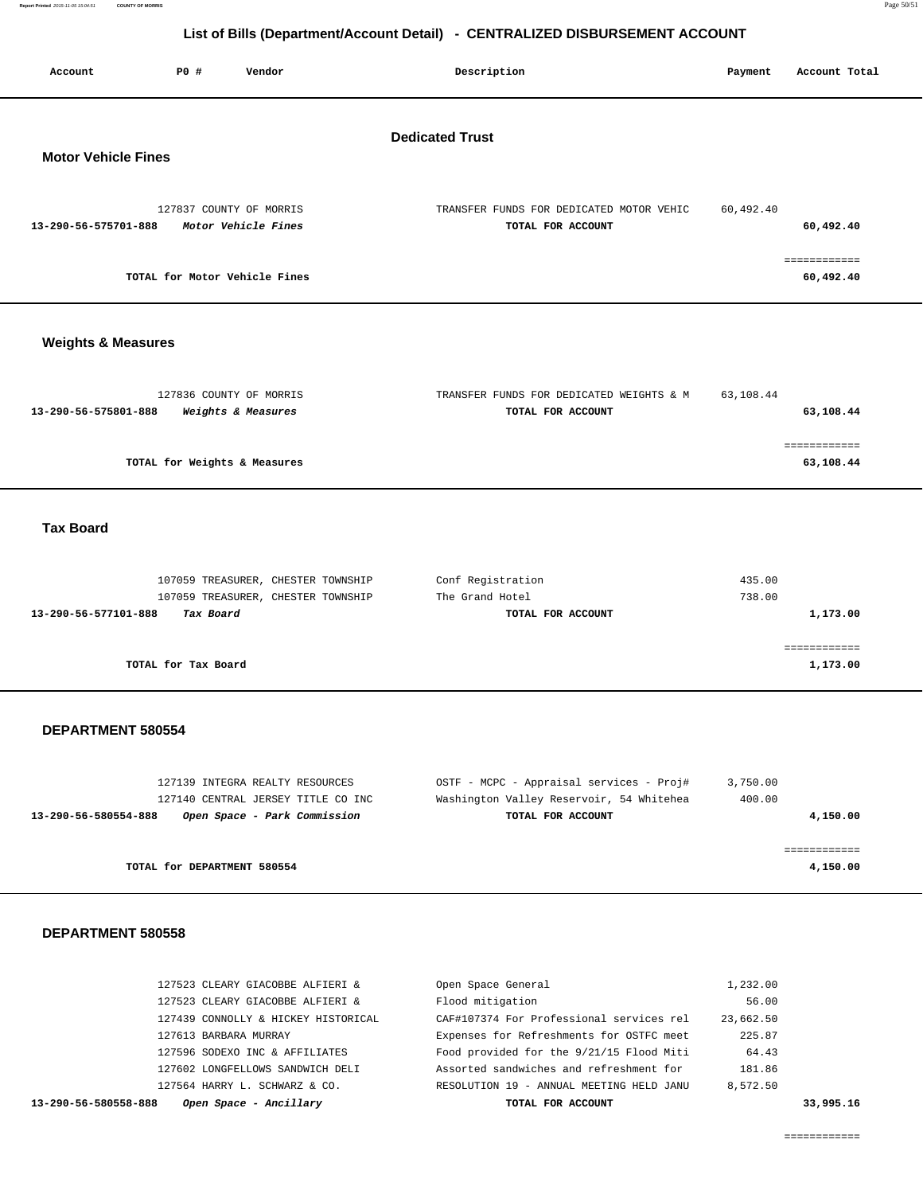| Account                       | <b>PO #</b>         | Vendor                                                                   | Description                                                       | Payment          | Account Total             |  |
|-------------------------------|---------------------|--------------------------------------------------------------------------|-------------------------------------------------------------------|------------------|---------------------------|--|
| <b>Motor Vehicle Fines</b>    |                     |                                                                          | <b>Dedicated Trust</b>                                            |                  |                           |  |
| 13-290-56-575701-888          |                     | 127837 COUNTY OF MORRIS<br>Motor Vehicle Fines                           | TRANSFER FUNDS FOR DEDICATED MOTOR VEHIC<br>TOTAL FOR ACCOUNT     | 60,492.40        | 60,492.40                 |  |
|                               |                     | TOTAL for Motor Vehicle Fines                                            |                                                                   |                  | ============<br>60,492.40 |  |
| <b>Weights &amp; Measures</b> |                     |                                                                          |                                                                   |                  |                           |  |
| 13-290-56-575801-888          |                     | 127836 COUNTY OF MORRIS<br>Weights & Measures                            | TRANSFER FUNDS FOR DEDICATED WEIGHTS & M<br>TOTAL FOR ACCOUNT     | 63,108.44        | 63,108.44                 |  |
|                               |                     | TOTAL for Weights & Measures                                             |                                                                   |                  | ============<br>63,108.44 |  |
| <b>Tax Board</b>              |                     |                                                                          |                                                                   |                  |                           |  |
| 13-290-56-577101-888          | Tax Board           | 107059 TREASURER, CHESTER TOWNSHIP<br>107059 TREASURER, CHESTER TOWNSHIP | Conf Registration<br>The Grand Hotel<br>TOTAL FOR ACCOUNT         | 435.00<br>738.00 | 1,173.00                  |  |
|                               | TOTAL for Tax Board |                                                                          |                                                                   |                  | ============<br>1,173.00  |  |
| DEPARTMENT 580554             |                     |                                                                          |                                                                   |                  |                           |  |
|                               |                     | 197130 IMPRODA BRAIRY BROOHDORC                                          | $OCPE$ $MCDC$ $\lambda$ pproject $GQ$ $DQ$ $DQ$ $\stackrel{+}{+}$ | 2.750.00         |                           |  |

|          | 3,750.00 | OSTF - MCPC - Appraisal services - Proj# | 127139 INTEGRA REALTY RESOURCES    |                      |
|----------|----------|------------------------------------------|------------------------------------|----------------------|
|          | 400.00   | Washington Valley Reservoir, 54 Whitehea | 127140 CENTRAL JERSEY TITLE CO INC |                      |
| 4,150.00 |          | TOTAL FOR ACCOUNT                        | Open Space - Park Commission       | 13-290-56-580554-888 |
|          |          |                                          |                                    |                      |
|          |          |                                          |                                    |                      |
| 4,150.00 |          |                                          | TOTAL for DEPARTMENT 580554        |                      |

### **DEPARTMENT 580558**

| Open Space - Ancillary<br>13-290-56-580558-888 | TOTAL FOR ACCOUNT                        |           | 33,995.16 |
|------------------------------------------------|------------------------------------------|-----------|-----------|
| 127564 HARRY L. SCHWARZ & CO.                  | RESOLUTION 19 - ANNUAL MEETING HELD JANU | 8,572.50  |           |
| 127602 LONGFELLOWS SANDWICH DELI               | Assorted sandwiches and refreshment for  | 181.86    |           |
| 127596 SODEXO INC & AFFILIATES                 | Food provided for the 9/21/15 Flood Miti | 64.43     |           |
| 127613 BARBARA MURRAY                          | Expenses for Refreshments for OSTFC meet | 225.87    |           |
| 127439 CONNOLLY & HICKEY HISTORICAL            | CAF#107374 For Professional services rel | 23,662.50 |           |
| 127523 CLEARY GIACOBBE ALFIERI &               | Flood mitigation                         | 56.00     |           |
| 127523 CLEARY GIACOBBE ALFIERI &               | Open Space General                       | 1,232.00  |           |
|                                                |                                          |           |           |